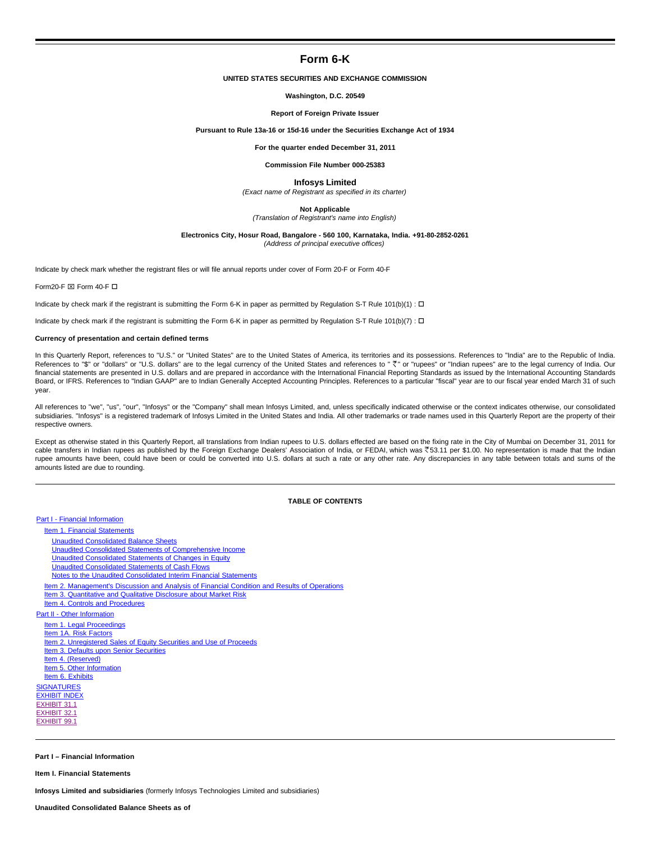# **Form 6-K**

# **UNITED STATES SECURITIES AND EXCHANGE COMMISSION**

### **Washington, D.C. 20549**

### **Report of Foreign Private Issuer**

### **Pursuant to Rule 13a-16 or 15d-16 under the Securities Exchange Act of 1934**

**For the quarter ended December 31, 2011**

### **Commission File Number 000-25383**

### **Infosys Limited**

(Exact name of Registrant as specified in its charter)

**Not Applicable**

(Translation of Registrant's name into English)

### **Electronics City, Hosur Road, Bangalore - 560 100, Karnataka, India. +91-80-2852-0261**

(Address of principal executive offices)

Indicate by check mark whether the registrant files or will file annual reports under cover of Form 20-F or Form 40-F

Form20-F  $\boxtimes$  Form 40-F  $\square$ 

Indicate by check mark if the registrant is submitting the Form 6-K in paper as permitted by Regulation S-T Rule 101(b)(1) :  $\Box$ 

Indicate by check mark if the registrant is submitting the Form 6-K in paper as permitted by Regulation S-T Rule 101(b)(7) :  $\Box$ 

### **Currency of presentation and certain defined terms**

In this Quarterly Report, references to "U.S." or "United States" are to the United States of America, its territories and its possessions. References to "India" are to the Republic of India. References to "\$" or "dollars" or "U.S. dollars" are to the legal currency of the United States and references to " <" or "rupees" or "Indian rupees" are to the legal currency of India. Our financial statements are presented in U.S. dollars and are prepared in accordance with the International Financial Reporting Standards as issued by the International Accounting Standards Board, or IFRS. References to "Indian GAAP" are to Indian Generally Accepted Accounting Principles. References to a particular "fiscal" year are to our fiscal year ended March 31 of such year.

All references to "we", "us", "our", "Infosys" or the "Company" shall mean Infosys Limited, and, unless specifically indicated otherwise or the context indicates otherwise, our consolidated subsidiaries. "Infosys" is a registered trademark of Infosys Limited in the United States and India. All other trademarks or trade names used in this Quarterly Report are the property of their respective owners.

Except as otherwise stated in this Quarterly Report, all translations from Indian rupees to U.S. dollars effected are based on the fixing rate in the City of Mumbai on December 31, 2011 for cable transfers in Indian rupees as published by the Foreign Exchange Dealers' Association of India, or FEDAI, which was ₹53.11 per \$1.00. No representation is made that the Indian rupee amounts have been, could have been or could be converted into U.S. dollars at such a rate or any other rate. Any discrepancies in any table between totals and sums of the amounts listed are due to rounding.

# **TABLE OF CONTENTS**

# Part I - Financial Information

Item 1. Financial Statements

- Unaudited Consolidated Balance Sheets
- Unaudited Consolidated Statements of Comprehensive Income
- Unaudited Consolidated Statements of Changes in Equity
- Unaudited Consolidated Statements of Cash Flows
- Notes to the Unaudited Consolidated Interim Financial Statements
- Item 2. Management's Discussion and Analysis of Financial Condition and Results of Operations
- Item 3. Quantitative and Qualitative Disclosure about Market Risk
- Item 4. Controls and Procedures
- Part II Other Information
	- Item 1. Legal Proceedings Item 1A. Risk Factors
- Item 2. Unregistered Sales of Equity Securities and Use of Proceeds
- Item 3. Defaults upon Senior Securities
- Item 4. (Reserved)
- Item 5. Other Information

Item 6. Exhibits

**SIGNATURES** 

EXHIBIT INDEX EXHIBIT 31.1 EXHIBIT 32.1 EXHIBIT 99.1

#### **Part I – Financial Information**

**Item I. Financial Statements**

**Infosys Limited and subsidiaries** (formerly Infosys Technologies Limited and subsidiaries)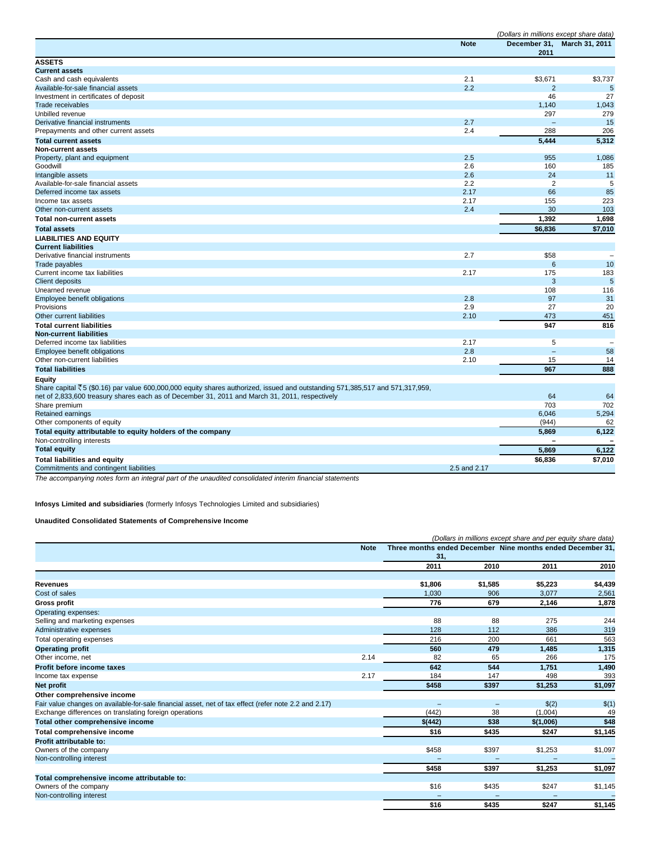|                                                                                                                                            |              | (Dollars in millions except share data) |                          |
|--------------------------------------------------------------------------------------------------------------------------------------------|--------------|-----------------------------------------|--------------------------|
|                                                                                                                                            | <b>Note</b>  | December 31,<br>2011                    | March 31, 2011           |
| <b>ASSETS</b>                                                                                                                              |              |                                         |                          |
| <b>Current assets</b>                                                                                                                      |              |                                         |                          |
| Cash and cash equivalents                                                                                                                  | 2.1          | \$3,671                                 | \$3,737                  |
| Available-for-sale financial assets                                                                                                        | 2.2          | $\overline{2}$                          | $5\phantom{1}$           |
| Investment in certificates of deposit                                                                                                      |              | 46                                      | 27                       |
| <b>Trade receivables</b>                                                                                                                   |              | 1,140                                   | 1,043                    |
| Unbilled revenue                                                                                                                           |              | 297                                     | 279                      |
| Derivative financial instruments                                                                                                           | 2.7          | $\overline{\phantom{0}}$                | 15                       |
| Prepayments and other current assets                                                                                                       | 2.4          | 288                                     | 206                      |
| <b>Total current assets</b>                                                                                                                |              | 5,444                                   | 5,312                    |
| Non-current assets                                                                                                                         |              |                                         |                          |
| Property, plant and equipment                                                                                                              | 2.5          | 955                                     | 1,086                    |
| Goodwill                                                                                                                                   | 2.6          | 160                                     | 185                      |
| Intangible assets                                                                                                                          | 2.6          | 24                                      | 11                       |
| Available-for-sale financial assets                                                                                                        | 2.2          | $\overline{2}$                          | 5                        |
| Deferred income tax assets                                                                                                                 | 2.17         | 66                                      | 85                       |
| Income tax assets                                                                                                                          | 2.17         | 155                                     | 223                      |
| Other non-current assets                                                                                                                   | 2.4          | 30                                      | 103                      |
| <b>Total non-current assets</b>                                                                                                            |              | 1,392                                   | 1,698                    |
| <b>Total assets</b>                                                                                                                        |              | \$6,836                                 | \$7,010                  |
| <b>LIABILITIES AND EQUITY</b>                                                                                                              |              |                                         |                          |
| <b>Current liabilities</b>                                                                                                                 |              |                                         |                          |
| Derivative financial instruments                                                                                                           | 2.7          | \$58                                    | $\overline{\phantom{a}}$ |
| Trade payables                                                                                                                             |              | 6                                       | 10                       |
| Current income tax liabilities                                                                                                             | 2.17         | 175                                     | 183                      |
| <b>Client deposits</b>                                                                                                                     |              | 3                                       | 5                        |
| Unearned revenue                                                                                                                           |              | 108                                     | 116                      |
| Employee benefit obligations                                                                                                               | 2.8          | 97                                      | 31                       |
| Provisions                                                                                                                                 | 2.9          | 27                                      | 20                       |
| Other current liabilities                                                                                                                  | 2.10         | 473                                     | 451                      |
| <b>Total current liabilities</b>                                                                                                           |              | 947                                     | 816                      |
| <b>Non-current liabilities</b>                                                                                                             |              |                                         |                          |
| Deferred income tax liabilities                                                                                                            | 2.17         | 5                                       | $\overline{\phantom{a}}$ |
| Employee benefit obligations                                                                                                               | 2.8          | $\overline{a}$                          | 58                       |
| Other non-current liabilities                                                                                                              | 2.10         | 15                                      | 14                       |
| <b>Total liabilities</b>                                                                                                                   |              | 967                                     | 888                      |
| Equity                                                                                                                                     |              |                                         |                          |
| Share capital $\overline{5}5$ (\$0.16) par value 600,000,000 equity shares authorized, issued and outstanding 571,385,517 and 571,317,959, |              |                                         |                          |
| net of 2,833,600 treasury shares each as of December 31, 2011 and March 31, 2011, respectively                                             |              | 64                                      | 64                       |
| Share premium                                                                                                                              |              | 703                                     | 702                      |
| <b>Retained earnings</b>                                                                                                                   |              | 6,046                                   | 5,294                    |
| Other components of equity                                                                                                                 |              | (944)                                   | 62                       |
| Total equity attributable to equity holders of the company<br>Non-controlling interests                                                    |              | 5,869                                   | 6,122                    |
| <b>Total equity</b>                                                                                                                        |              | 5,869                                   | 6,122                    |
| <b>Total liabilities and equity</b>                                                                                                        |              | \$6,836                                 | \$7,010                  |
| Commitments and contingent liabilities                                                                                                     | 2.5 and 2.17 |                                         |                          |
|                                                                                                                                            |              |                                         |                          |

The accompanying notes form an integral part of the unaudited consolidated interim financial statements

**Infosys Limited and subsidiaries** (formerly Infosys Technologies Limited and subsidiaries)

# **Unaudited Consolidated Statements of Comprehensive Income**

|                                                                                                       |             |                                                            |                          | (Dollars in millions except share and per equity share data) |         |
|-------------------------------------------------------------------------------------------------------|-------------|------------------------------------------------------------|--------------------------|--------------------------------------------------------------|---------|
|                                                                                                       | <b>Note</b> | Three months ended December Nine months ended December 31, |                          |                                                              |         |
|                                                                                                       |             | 31,                                                        |                          |                                                              |         |
|                                                                                                       |             | 2011                                                       | 2010                     | 2011                                                         | 2010    |
|                                                                                                       |             |                                                            |                          |                                                              |         |
| <b>Revenues</b>                                                                                       |             | \$1,806                                                    | \$1,585                  | \$5,223                                                      | \$4,439 |
| Cost of sales                                                                                         |             | 1.030                                                      | 906                      | 3,077                                                        | 2,561   |
| <b>Gross profit</b>                                                                                   |             | 776                                                        | 679                      | 2,146                                                        | 1,878   |
| Operating expenses:                                                                                   |             |                                                            |                          |                                                              |         |
| Selling and marketing expenses                                                                        |             | 88                                                         | 88                       | 275                                                          | 244     |
| Administrative expenses                                                                               |             | 128                                                        | 112                      | 386                                                          | 319     |
| Total operating expenses                                                                              |             | 216                                                        | 200                      | 661                                                          | 563     |
| <b>Operating profit</b>                                                                               |             | 560                                                        | 479                      | 1.485                                                        | 1,315   |
| Other income, net                                                                                     | 2.14        | 82                                                         | 65                       | 266                                                          | 175     |
| Profit before income taxes                                                                            |             | 642                                                        | 544                      | 1,751                                                        | 1,490   |
| Income tax expense                                                                                    | 2.17        | 184                                                        | 147                      | 498                                                          | 393     |
| Net profit                                                                                            |             | \$458                                                      | \$397                    | \$1,253                                                      | \$1,097 |
| Other comprehensive income                                                                            |             |                                                            |                          |                                                              |         |
| Fair value changes on available-for-sale financial asset, net of tax effect (refer note 2.2 and 2.17) |             |                                                            | $\overline{\phantom{0}}$ | \$(2)                                                        | \$(1)   |
| Exchange differences on translating foreign operations                                                |             | (442)                                                      | 38                       | (1,004)                                                      | 49      |
| Total other comprehensive income                                                                      |             | \$(442)                                                    | \$38                     | \$(1,006)                                                    | \$48    |
| Total comprehensive income                                                                            |             | \$16                                                       | \$435                    | \$247                                                        | \$1,145 |
| Profit attributable to:                                                                               |             |                                                            |                          |                                                              |         |
| Owners of the company                                                                                 |             | \$458                                                      | \$397                    | \$1,253                                                      | \$1,097 |
| Non-controlling interest                                                                              |             |                                                            |                          |                                                              |         |
|                                                                                                       |             | \$458                                                      | \$397                    | \$1,253                                                      | \$1,097 |
| Total comprehensive income attributable to:                                                           |             |                                                            |                          |                                                              |         |
| Owners of the company                                                                                 |             | \$16                                                       | \$435                    | \$247                                                        | \$1,145 |
| Non-controlling interest                                                                              |             |                                                            |                          |                                                              |         |
|                                                                                                       |             | \$16                                                       | \$435                    | \$247                                                        | \$1,145 |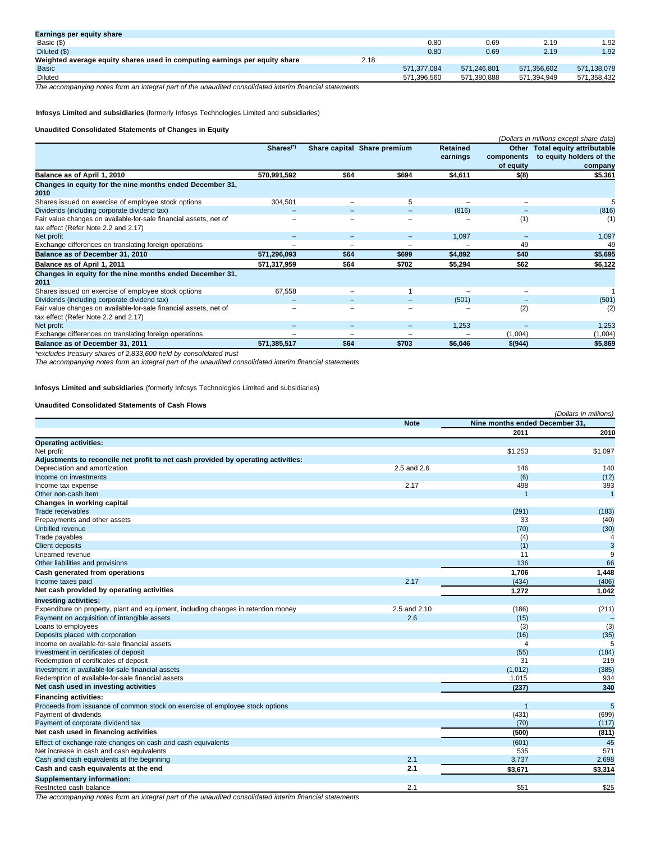| Earnings per equity share                                                  |      |             |             |             |             |
|----------------------------------------------------------------------------|------|-------------|-------------|-------------|-------------|
| Basic (\$)                                                                 |      | 0.80        | 0.69        | 2.19        | 1.92        |
| Diluted (\$)                                                               |      | 0.80        | 0.69        | 2.19        | 1.92        |
| Weighted average equity shares used in computing earnings per equity share | 2.18 |             |             |             |             |
| <b>Basic</b>                                                               |      | 571.377.084 | 571.246.801 | 571.356.602 | 571.138.078 |
| Diluted                                                                    |      | 571.396.560 | 571.380.888 | 571.394.949 | 571.358.432 |

The accompanying notes form an integral part of the unaudited consolidated interim financial statements

**Infosys Limited and subsidiaries** (formerly Infosys Technologies Limited and subsidiaries)

# **Unaudited Consolidated Statements of Changes in Equity**

|                                                                                                           |                       |                          |                             |                             |                         | (Dollars in millions except share data)                                |
|-----------------------------------------------------------------------------------------------------------|-----------------------|--------------------------|-----------------------------|-----------------------------|-------------------------|------------------------------------------------------------------------|
|                                                                                                           | Shares <sup>(*)</sup> |                          | Share capital Share premium | <b>Retained</b><br>earnings | components<br>of equity | Other Total equity attributable<br>to equity holders of the<br>company |
| Balance as of April 1, 2010                                                                               | 570,991,592           | \$64                     | \$694                       | \$4,611                     | \$(8)                   | \$5,361                                                                |
| Changes in equity for the nine months ended December 31,<br>2010                                          |                       |                          |                             |                             |                         |                                                                        |
| Shares issued on exercise of employee stock options                                                       | 304,501               |                          | 5                           |                             |                         |                                                                        |
| Dividends (including corporate dividend tax)                                                              |                       |                          | -                           | (816)                       |                         | (816)                                                                  |
| Fair value changes on available-for-sale financial assets, net of<br>tax effect (Refer Note 2.2 and 2.17) |                       |                          |                             |                             | (1)                     | (1)                                                                    |
| Net profit                                                                                                |                       | $\overline{\phantom{0}}$ | -                           | 1,097                       |                         | 1,097                                                                  |
| Exchange differences on translating foreign operations                                                    |                       |                          |                             |                             | 49                      | 49                                                                     |
| Balance as of December 31, 2010                                                                           | 571,296,093           | \$64                     | \$699                       | \$4,892                     | \$40                    | \$5,695                                                                |
| Balance as of April 1, 2011                                                                               | 571,317,959           | \$64                     | \$702                       | \$5,294                     | \$62                    | \$6,122                                                                |
| Changes in equity for the nine months ended December 31,<br>2011                                          |                       |                          |                             |                             |                         |                                                                        |
| Shares issued on exercise of employee stock options                                                       | 67,558                | $\overline{\phantom{0}}$ |                             |                             | -                       |                                                                        |
| Dividends (including corporate dividend tax)                                                              |                       |                          |                             | (501)                       |                         | (501)                                                                  |
| Fair value changes on available-for-sale financial assets, net of<br>tax effect (Refer Note 2.2 and 2.17) |                       |                          |                             |                             | (2)                     | (2)                                                                    |
| Net profit                                                                                                |                       | $\overline{\phantom{0}}$ | -                           | 1,253                       |                         | 1,253                                                                  |
| Exchange differences on translating foreign operations                                                    |                       |                          |                             |                             | (1,004)                 | (1,004)                                                                |
| Balance as of December 31, 2011                                                                           | 571,385,517           | \$64                     | \$703                       | \$6,046                     | \$(944)                 | \$5,869                                                                |

\*excludes treasury shares of 2,833,600 held by consolidated trust

The accompanying notes form an integral part of the unaudited consolidated interim financial statements

**Infosys Limited and subsidiaries** (formerly Infosys Technologies Limited and subsidiaries)

# **Unaudited Consolidated Statements of Cash Flows**

|                                                                                    |              |                                | (Dollars in millions) |
|------------------------------------------------------------------------------------|--------------|--------------------------------|-----------------------|
|                                                                                    | <b>Note</b>  | Nine months ended December 31, |                       |
|                                                                                    |              | 2011                           | 2010                  |
| <b>Operating activities:</b>                                                       |              |                                |                       |
| Net profit                                                                         |              | \$1,253                        | \$1,097               |
| Adjustments to reconcile net profit to net cash provided by operating activities:  |              |                                |                       |
| Depreciation and amortization                                                      | 2.5 and 2.6  | 146                            | 140                   |
| Income on investments                                                              |              | (6)                            | (12)                  |
| Income tax expense                                                                 | 2.17         | 498                            | 393                   |
| Other non-cash item                                                                |              |                                | $\overline{1}$        |
| Changes in working capital                                                         |              |                                |                       |
| Trade receivables                                                                  |              | (291)                          | (183)                 |
| Prepayments and other assets                                                       |              | 33                             | (40)                  |
| Unbilled revenue                                                                   |              | (70)                           | (30)                  |
| Trade payables                                                                     |              | (4)                            | 4                     |
| <b>Client deposits</b>                                                             |              | (1)                            | $\mathsf 3$           |
| Unearned revenue                                                                   |              | 11                             | 9                     |
| Other liabilities and provisions                                                   |              | 136                            | 66                    |
| Cash generated from operations                                                     |              | 1,706                          | 1,448                 |
| Income taxes paid                                                                  | 2.17         | (434)                          | (406)                 |
| Net cash provided by operating activities                                          |              | 1,272                          | 1,042                 |
| <b>Investing activities:</b>                                                       |              |                                |                       |
| Expenditure on property, plant and equipment, including changes in retention money | 2.5 and 2.10 | (186)                          | (211)                 |
| Payment on acquisition of intangible assets                                        | 2.6          | (15)                           |                       |
| Loans to employees                                                                 |              | (3)                            | (3)                   |
| Deposits placed with corporation                                                   |              | (16)                           | (35)                  |
| Income on available-for-sale financial assets                                      |              | Δ                              | 5                     |
| Investment in certificates of deposit                                              |              | (55)                           | (184)                 |
| Redemption of certificates of deposit                                              |              | 31                             | 219                   |
| Investment in available-for-sale financial assets                                  |              | (1,012)                        | (385)                 |
| Redemption of available-for-sale financial assets                                  |              | 1.015                          | 934                   |
| Net cash used in investing activities                                              |              | (237)                          | 340                   |
| <b>Financing activities:</b>                                                       |              |                                |                       |
| Proceeds from issuance of common stock on exercise of employee stock options       |              |                                | $5\phantom{.0}$       |
| Payment of dividends                                                               |              | (431)                          | (699)                 |
| Payment of corporate dividend tax                                                  |              | (70)                           | (117)                 |
| Net cash used in financing activities                                              |              | (500)                          | (811)                 |
| Effect of exchange rate changes on cash and cash equivalents                       |              | (601)                          | 45                    |
| Net increase in cash and cash equivalents                                          |              | 535                            | 571                   |
| Cash and cash equivalents at the beginning                                         | 2.1          | 3,737                          | 2,698                 |
| Cash and cash equivalents at the end                                               | 2.1          | \$3,671                        | \$3,314               |
| <b>Supplementary information:</b>                                                  |              |                                |                       |
| Restricted cash balance                                                            | 2.1          | \$51                           | \$25                  |

The accompanying notes form an integral part of the unaudited consolidated interim financial statements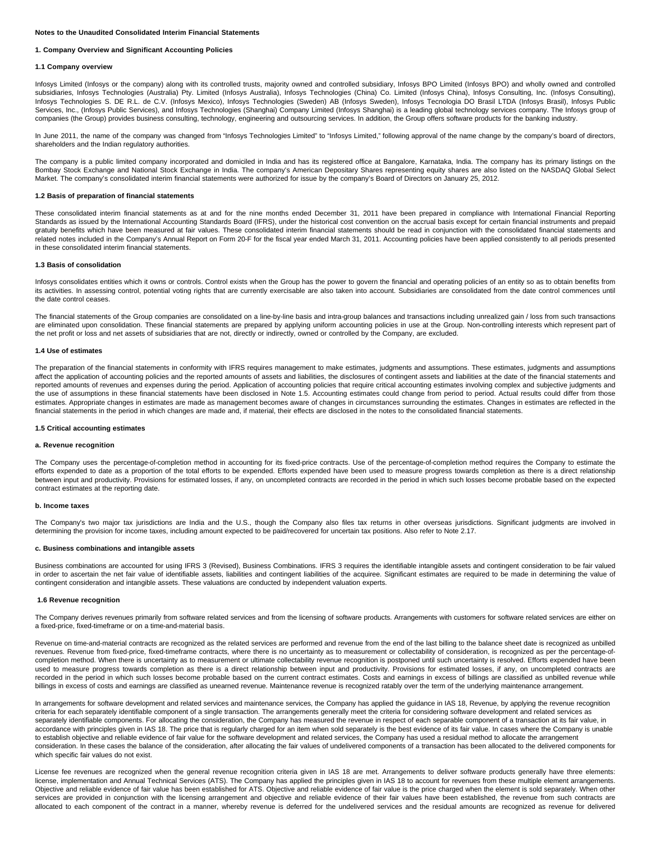### **Notes to the Unaudited Consolidated Interim Financial Statements**

### **1. Company Overview and Significant Accounting Policies**

### **1.1 Company overview**

Infosys Limited (Infosys or the company) along with its controlled trusts, majority owned and controlled subsidiary, Infosys BPO Limited (Infosys BPO) and wholly owned and controlled subsidiaries, Infosys Technologies (Australia) Pty. Limited (Infosys Australia), Infosys Technologies (China) Co. Limited (Infosys China), Infosys Consulting, Inc. (Infosys Consulting), Infosys Technologies S. DE R.L. de C.V. (Infosys Mexico), Infosys Technologies (Sweden) AB (Infosys Sweden), Infosys Tecnologia DO Brasil LTDA (Infosys Brasil), Infosys Public Services, Inc., (Infosys Public Services), and Infosys Technologies (Shanghai) Company Limited (Infosys Shanghai) is a leading global technology services company. The Infosys group of companies (the Group) provides business consulting, technology, engineering and outsourcing services. In addition, the Group offers software products for the banking industry.

In June 2011, the name of the company was changed from "Infosys Technologies Limited" to "Infosys Limited," following approval of the name change by the company's board of directors, shareholders and the Indian regulatory authorities.

The company is a public limited company incorporated and domiciled in India and has its registered office at Bangalore, Karnataka, India. The company has its primary listings on the Bombay Stock Exchange and National Stock Exchange in India. The company's American Depositary Shares representing equity shares are also listed on the NASDAQ Global Select Market. The company's consolidated interim financial statements were authorized for issue by the company's Board of Directors on January 25, 2012.

### **1.2 Basis of preparation of financial statements**

These consolidated interim financial statements as at and for the nine months ended December 31, 2011 have been prepared in compliance with International Financial Reporting Standards as issued by the International Accounting Standards Board (IFRS), under the historical cost convention on the accrual basis except for certain financial instruments and prepaid gratuity benefits which have been measured at fair values. These consolidated interim financial statements should be read in conjunction with the consolidated financial statements and related notes included in the Company's Annual Report on Form 20-F for the fiscal year ended March 31, 2011. Accounting policies have been applied consistently to all periods presented in these consolidated interim financial statements.

### **1.3 Basis of consolidation**

Infosys consolidates entities which it owns or controls. Control exists when the Group has the power to govern the financial and operating policies of an entity so as to obtain benefits from its activities. In assessing control, potential voting rights that are currently exercisable are also taken into account. Subsidiaries are consolidated from the date control commences until the date control ceases.

The financial statements of the Group companies are consolidated on a line-by-line basis and intra-group balances and transactions including unrealized gain / loss from such transactions are eliminated upon consolidation. These financial statements are prepared by applying uniform accounting policies in use at the Group. Non-controlling interests which represent part of the net profit or loss and net assets of subsidiaries that are not, directly or indirectly, owned or controlled by the Company, are excluded.

### **1.4 Use of estimates**

The preparation of the financial statements in conformity with IFRS requires management to make estimates, judgments and assumptions. These estimates, judgments and assumptions affect the application of accounting policies and the reported amounts of assets and liabilities, the disclosures of contingent assets and liabilities at the date of the financial statements and reported amounts of revenues and expenses during the period. Application of accounting policies that require critical accounting estimates involving complex and subjective judgments and the use of assumptions in these financial statements have been disclosed in Note 1.5. Accounting estimates could change from period to period. Actual results could differ from those estimates. Appropriate changes in estimates are made as management becomes aware of changes in circumstances surrounding the estimates. Changes in estimates are reflected in the financial statements in the period in which changes are made and, if material, their effects are disclosed in the notes to the consolidated financial statements.

#### **1.5 Critical accounting estimates**

### **a. Revenue recognition**

The Company uses the percentage-of-completion method in accounting for its fixed-price contracts. Use of the percentage-of-completion method requires the Company to estimate the efforts expended to date as a proportion of the total efforts to be expended. Efforts expended have been used to measure progress towards completion as there is a direct relationship between input and productivity. Provisions for estimated losses, if any, on uncompleted contracts are recorded in the period in which such losses become probable based on the expected contract estimates at the reporting date.

### **b. Income taxes**

The Company's two major tax jurisdictions are India and the U.S., though the Company also files tax returns in other overseas jurisdictions. Significant judgments are involved in determining the provision for income taxes, including amount expected to be paid/recovered for uncertain tax positions. Also refer to Note 2.17.

## **c. Business combinations and intangible assets**

Business combinations are accounted for using IFRS 3 (Revised), Business Combinations. IFRS 3 requires the identifiable intangible assets and contingent consideration to be fair valued in order to ascertain the net fair value of identifiable assets, liabilities and contingent liabilities of the acquiree. Significant estimates are required to be made in determining the value of contingent consideration and intangible assets. These valuations are conducted by independent valuation experts.

### **1.6 Revenue recognition**

The Company derives revenues primarily from software related services and from the licensing of software products. Arrangements with customers for software related services are either on a fixed-price, fixed-timeframe or on a time-and-material basis.

Revenue on time-and-material contracts are recognized as the related services are performed and revenue from the end of the last billing to the balance sheet date is recognized as unbilled revenues. Revenue from fixed-price, fixed-timeframe contracts, where there is no uncertainty as to measurement or collectability of consideration, is recognized as per the percentage-ofcompletion method. When there is uncertainty as to measurement or ultimate collectability revenue recognition is postponed until such uncertainty is resolved. Efforts expended have been used to measure progress towards completion as there is a direct relationship between input and productivity. Provisions for estimated losses, if any, on uncompleted contracts are recorded in the period in which such losses become probable based on the current contract estimates. Costs and earnings in excess of billings are classified as unbilled revenue while billings in excess of costs and earnings are classified as unearned revenue. Maintenance revenue is recognized ratably over the term of the underlying maintenance arrangement.

In arrangements for software development and related services and maintenance services, the Company has applied the guidance in IAS 18, Revenue, by applying the revenue recognition criteria for each separately identifiable component of a single transaction. The arrangements generally meet the criteria for considering software development and related services as separately identifiable components. For allocating the consideration, the Company has measured the revenue in respect of each separable component of a transaction at its fair value, in accordance with principles given in IAS 18. The price that is regularly charged for an item when sold separately is the best evidence of its fair value. In cases where the Company is unable to establish objective and reliable evidence of fair value for the software development and related services, the Company has used a residual method to allocate the arrangement consideration. In these cases the balance of the consideration, after allocating the fair values of undelivered components of a transaction has been allocated to the delivered components for which specific fair values do not exist.

License fee revenues are recognized when the general revenue recognition criteria given in IAS 18 are met. Arrangements to deliver software products generally have three elements: license, implementation and Annual Technical Services (ATS). The Company has applied the principles given in IAS 18 to account for revenues from these multiple element arrangements. Objective and reliable evidence of fair value has been established for ATS. Objective and reliable evidence of fair value is the price charged when the element is sold separately. When other services are provided in conjunction with the licensing arrangement and objective and reliable evidence of their fair values have been established, the revenue from such contracts are allocated to each component of the contract in a manner, whereby revenue is deferred for the undelivered services and the residual amounts are recognized as revenue for delivered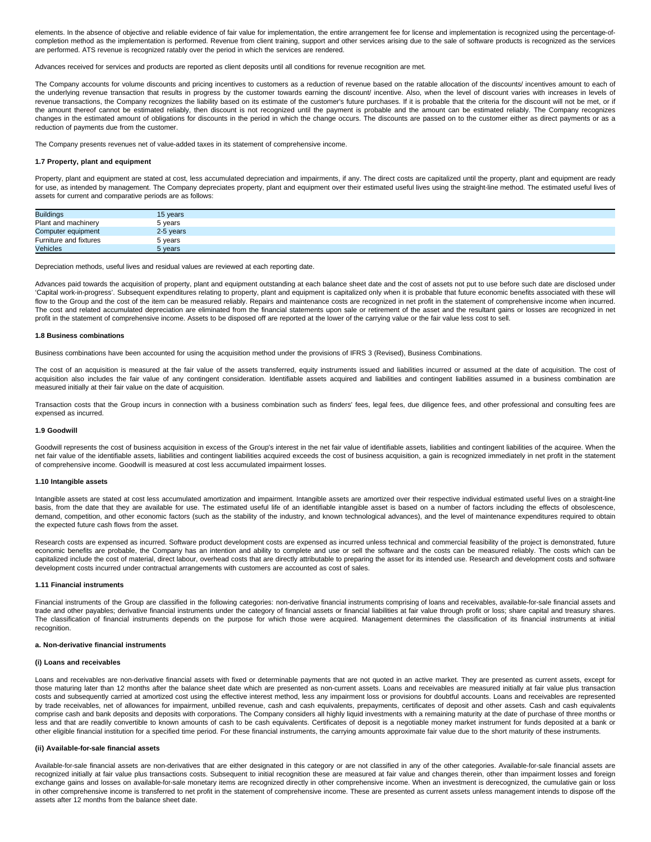elements. In the absence of objective and reliable evidence of fair value for implementation, the entire arrangement fee for license and implementation is recognized using the percentage-ofcompletion method as the implementation is performed. Revenue from client training, support and other services arising due to the sale of software products is recognized as the services are performed. ATS revenue is recognized ratably over the period in which the services are rendered.

Advances received for services and products are reported as client deposits until all conditions for revenue recognition are met.

The Company accounts for volume discounts and pricing incentives to customers as a reduction of revenue based on the ratable allocation of the discounts/ incentives amount to each of the underlying revenue transaction that results in progress by the customer towards earning the discount/ incentive. Also, when the level of discount varies with increases in levels of revenue transactions, the Company recognizes the liability based on its estimate of the customer's future purchases. If it is probable that the criteria for the discount will not be met, or if the amount thereof cannot be estimated reliably, then discount is not recognized until the payment is probable and the amount can be estimated reliably. The Company recognizes changes in the estimated amount of obligations for discounts in the period in which the change occurs. The discounts are passed on to the customer either as direct payments or as a reduction of payments due from the customer.

The Company presents revenues net of value-added taxes in its statement of comprehensive income.

### **1.7 Property, plant and equipment**

Property, plant and equipment are stated at cost, less accumulated depreciation and impairments, if any. The direct costs are capitalized until the property, plant and equipment are ready for use, as intended by management. The Company depreciates property, plant and equipment over their estimated useful lives using the straight-line method. The estimated useful lives of assets for current and comparative periods are as follows:

| <b>Buildings</b>       | 15 years  |  |
|------------------------|-----------|--|
| Plant and machinery    | 5 years   |  |
| Computer equipment     | 2-5 years |  |
| Furniture and fixtures | 5 years   |  |
| <b>Vehicles</b>        | 5 years   |  |

Depreciation methods, useful lives and residual values are reviewed at each reporting date.

Advances paid towards the acquisition of property, plant and equipment outstanding at each balance sheet date and the cost of assets not put to use before such date are disclosed under 'Capital work-in-progress'. Subsequent expenditures relating to property, plant and equipment is capitalized only when it is probable that future economic benefits associated with these will flow to the Group and the cost of the item can be measured reliably. Repairs and maintenance costs are recognized in net profit in the statement of comprehensive income when incurred. The cost and related accumulated depreciation are eliminated from the financial statements upon sale or retirement of the asset and the resultant gains or losses are recognized in net profit in the statement of comprehensive income. Assets to be disposed off are reported at the lower of the carrying value or the fair value less cost to sell.

#### **1.8 Business combinations**

Business combinations have been accounted for using the acquisition method under the provisions of IFRS 3 (Revised), Business Combinations.

The cost of an acquisition is measured at the fair value of the assets transferred, equity instruments issued and liabilities incurred or assumed at the date of acquisition. The cost of acquisition also includes the fair value of any contingent consideration. Identifiable assets acquired and liabilities and contingent liabilities assumed in a business combination are measured initially at their fair value on the date of acquisition.

Transaction costs that the Group incurs in connection with a business combination such as finders' fees, legal fees, due diligence fees, and other professional and consulting fees are expensed as incurred.

### **1.9 Goodwill**

Goodwill represents the cost of business acquisition in excess of the Group's interest in the net fair value of identifiable assets, liabilities and contingent liabilities of the acquiree. When the net fair value of the identifiable assets, liabilities and contingent liabilities acquired exceeds the cost of business acquisition, a gain is recognized immediately in net profit in the statement of comprehensive income. Goodwill is measured at cost less accumulated impairment losses.

#### **1.10 Intangible assets**

Intangible assets are stated at cost less accumulated amortization and impairment. Intangible assets are amortized over their respective individual estimated useful lives on a straight-line basis, from the date that they are available for use. The estimated useful life of an identifiable intangible asset is based on a number of factors including the effects of obsolescence, demand, competition, and other economic factors (such as the stability of the industry, and known technological advances), and the level of maintenance expenditures required to obtain the expected future cash flows from the asset.

Research costs are expensed as incurred. Software product development costs are expensed as incurred unless technical and commercial feasibility of the project is demonstrated, future economic benefits are probable, the Company has an intention and ability to complete and use or sell the software and the costs can be measured reliably. The costs which can be capitalized include the cost of material, direct labour, overhead costs that are directly attributable to preparing the asset for its intended use. Research and development costs and software development costs incurred under contractual arrangements with customers are accounted as cost of sales.

#### **1.11 Financial instruments**

Financial instruments of the Group are classified in the following categories: non-derivative financial instruments comprising of loans and receivables, available-for-sale financial assets and trade and other payables; derivative financial instruments under the category of financial assets or financial liabilities at fair value through profit or loss; share capital and treasury shares. The classification of financial instruments depends on the purpose for which those were acquired. Management determines the classification of its financial instruments at initial recognition.

### **a. Non-derivative financial instruments**

### **(i) Loans and receivables**

Loans and receivables are non-derivative financial assets with fixed or determinable payments that are not quoted in an active market. They are presented as current assets, except for those maturing later than 12 months after the balance sheet date which are presented as non-current assets. Loans and receivables are measured initially at fair value plus transaction costs and subsequently carried at amortized cost using the effective interest method, less any impairment loss or provisions for doubtful accounts. Loans and receivables are represented by trade receivables, net of allowances for impairment, unbilled revenue, cash and cash equivalents, prepayments, certificates of deposit and other assets. Cash and cash equivalents comprise cash and bank deposits and deposits with corporations. The Company considers all highly liquid investments with a remaining maturity at the date of purchase of three months or less and that are readily convertible to known amounts of cash to be cash equivalents. Certificates of deposit is a negotiable money market instrument for funds deposited at a bank or other eligible financial institution for a specified time period. For these financial instruments, the carrying amounts approximate fair value due to the short maturity of these instruments.

### **(ii) Available-for-sale financial assets**

Available-for-sale financial assets are non-derivatives that are either designated in this category or are not classified in any of the other categories. Available-for-sale financial assets are recognized initially at fair value plus transactions costs. Subsequent to initial recognition these are measured at fair value and changes therein, other than impairment losses and foreign exchange gains and losses on available-for-sale monetary items are recognized directly in other comprehensive income. When an investment is derecognized, the cumulative gain or loss in other comprehensive income is transferred to net profit in the statement of comprehensive income. These are presented as current assets unless management intends to dispose off the assets after 12 months from the balance sheet date.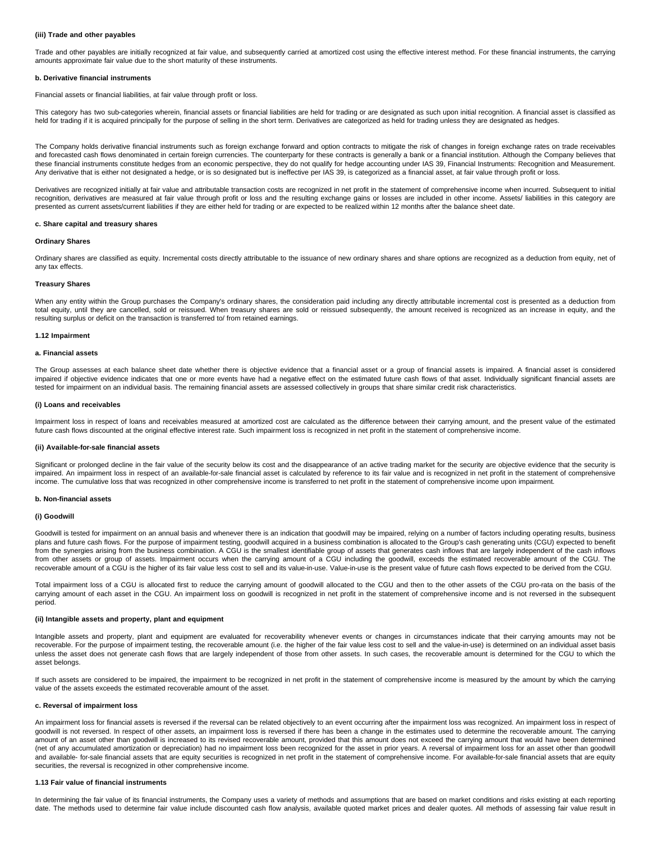### **(iii) Trade and other payables**

Trade and other payables are initially recognized at fair value, and subsequently carried at amortized cost using the effective interest method. For these financial instruments, the carrying amounts approximate fair value due to the short maturity of these instruments.

### **b. Derivative financial instruments**

Financial assets or financial liabilities, at fair value through profit or loss.

This category has two sub-categories wherein, financial assets or financial liabilities are held for trading or are designated as such upon initial recognition. A financial asset is classified as held for trading if it is acquired principally for the purpose of selling in the short term. Derivatives are categorized as held for trading unless they are designated as hedges.

The Company holds derivative financial instruments such as foreign exchange forward and option contracts to mitigate the risk of changes in foreign exchange rates on trade receivables and forecasted cash flows denominated in certain foreign currencies. The counterparty for these contracts is generally a bank or a financial institution. Although the Company believes that these financial instruments constitute hedges from an economic perspective, they do not qualify for hedge accounting under IAS 39, Financial Instruments: Recognition and Measurement. Any derivative that is either not designated a hedge, or is so designated but is ineffective per IAS 39, is categorized as a financial asset, at fair value through profit or loss.

Derivatives are recognized initially at fair value and attributable transaction costs are recognized in net profit in the statement of comprehensive income when incurred. Subsequent to initial recognition, derivatives are measured at fair value through profit or loss and the resulting exchange gains or losses are included in other income. Assets/ liabilities in this category are presented as current assets/current liabilities if they are either held for trading or are expected to be realized within 12 months after the balance sheet date.

### **c. Share capital and treasury shares**

### **Ordinary Shares**

Ordinary shares are classified as equity. Incremental costs directly attributable to the issuance of new ordinary shares and share options are recognized as a deduction from equity, net of any tax effects.

#### **Treasury Shares**

When any entity within the Group purchases the Company's ordinary shares, the consideration paid including any directly attributable incremental cost is presented as a deduction from total equity, until they are cancelled, sold or reissued. When treasury shares are sold or reissued subsequently, the amount received is recognized as an increase in equity, and the resulting surplus or deficit on the transaction is transferred to/ from retained earnings.

#### **1.12 Impairment**

### **a. Financial assets**

The Group assesses at each balance sheet date whether there is objective evidence that a financial asset or a group of financial assets is impaired. A financial asset is considered impaired if objective evidence indicates that one or more events have had a negative effect on the estimated future cash flows of that asset. Individually significant financial assets are tested for impairment on an individual basis. The remaining financial assets are assessed collectively in groups that share similar credit risk characteristics.

### **(i) Loans and receivables**

Impairment loss in respect of loans and receivables measured at amortized cost are calculated as the difference between their carrying amount, and the present value of the estimated future cash flows discounted at the original effective interest rate. Such impairment loss is recognized in net profit in the statement of comprehensive income.

### **(ii) Available-for-sale financial assets**

Significant or prolonged decline in the fair value of the security below its cost and the disappearance of an active trading market for the security are objective evidence that the security is impaired. An impairment loss in respect of an available-for-sale financial asset is calculated by reference to its fair value and is recognized in net profit in the statement of comprehensive income. The cumulative loss that was recognized in other comprehensive income is transferred to net profit in the statement of comprehensive income upon impairment.

### **b. Non-financial assets**

# **(i) Goodwill**

Goodwill is tested for impairment on an annual basis and whenever there is an indication that goodwill may be impaired, relying on a number of factors including operating results, business plans and future cash flows. For the purpose of impairment testing, goodwill acquired in a business combination is allocated to the Group's cash generating units (CGU) expected to benefit from the synergies arising from the business combination. A CGU is the smallest identifiable group of assets that generates cash inflows that are largely independent of the cash inflows from other assets or group of assets. Impairment occurs when the carrying amount of a CGU including the goodwill, exceeds the estimated recoverable amount of the CGU. The recoverable amount of a CGU is the higher of its fair value less cost to sell and its value-in-use. Value-in-use is the present value of future cash flows expected to be derived from the CGU.

Total impairment loss of a CGU is allocated first to reduce the carrying amount of goodwill allocated to the CGU and then to the other assets of the CGU pro-rata on the basis of the carrying amount of each asset in the CGU. An impairment loss on goodwill is recognized in net profit in the statement of comprehensive income and is not reversed in the subsequent period.

### **(ii) Intangible assets and property, plant and equipment**

Intangible assets and property, plant and equipment are evaluated for recoverability whenever events or changes in circumstances indicate that their carrying amounts may not be recoverable. For the purpose of impairment testing, the recoverable amount (i.e. the higher of the fair value less cost to sell and the value-in-use) is determined on an individual asset basis unless the asset does not generate cash flows that are largely independent of those from other assets. In such cases, the recoverable amount is determined for the CGU to which the asset belongs.

If such assets are considered to be impaired, the impairment to be recognized in net profit in the statement of comprehensive income is measured by the amount by which the carrying value of the assets exceeds the estimated recoverable amount of the asset.

## **c. Reversal of impairment loss**

An impairment loss for financial assets is reversed if the reversal can be related objectively to an event occurring after the impairment loss was recognized. An impairment loss in respect of goodwill is not reversed. In respect of other assets, an impairment loss is reversed if there has been a change in the estimates used to determine the recoverable amount. The carrying amount of an asset other than goodwill is increased to its revised recoverable amount, provided that this amount does not exceed the carrying amount that would have been determined (net of any accumulated amortization or depreciation) had no impairment loss been recognized for the asset in prior years. A reversal of impairment loss for an asset other than goodwill and available- for-sale financial assets that are equity securities is recognized in net profit in the statement of comprehensive income. For available-for-sale financial assets that are equity securities, the reversal is recognized in other comprehensive income.

#### **1.13 Fair value of financial instruments**

In determining the fair value of its financial instruments, the Company uses a variety of methods and assumptions that are based on market conditions and risks existing at each reporting date. The methods used to determine fair value include discounted cash flow analysis, available quoted market prices and dealer quotes. All methods of assessing fair value result in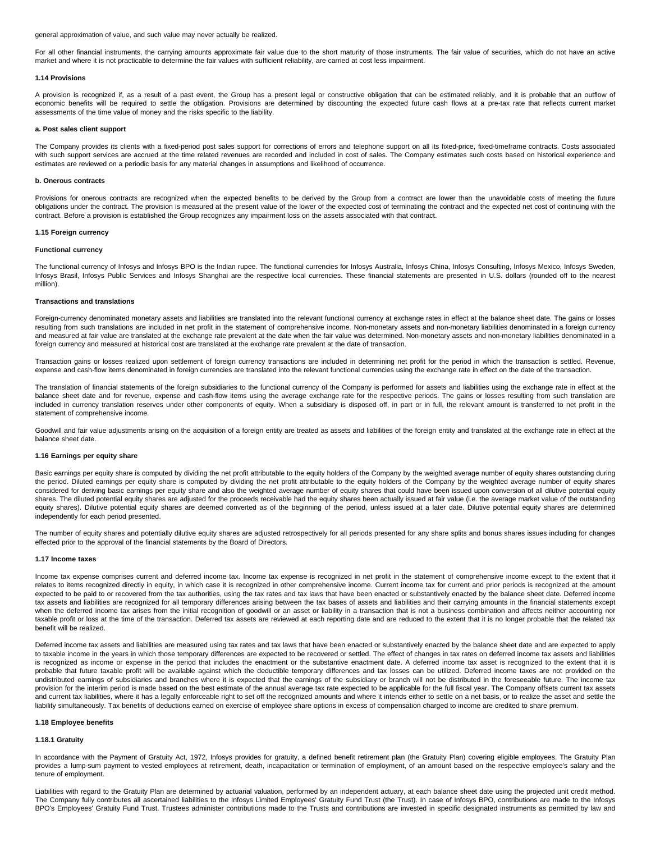general approximation of value, and such value may never actually be realized.

For all other financial instruments, the carrying amounts approximate fair value due to the short maturity of those instruments. The fair value of securities, which do not have an active market and where it is not practicable to determine the fair values with sufficient reliability, are carried at cost less impairment.

#### **1.14 Provisions**

A provision is recognized if, as a result of a past event, the Group has a present legal or constructive obligation that can be estimated reliably, and it is probable that an outflow of economic benefits will be required to settle the obligation. Provisions are determined by discounting the expected future cash flows at a pre-tax rate that reflects current market assessments of the time value of money and the risks specific to the liability.

### **a. Post sales client support**

The Company provides its clients with a fixed-period post sales support for corrections of errors and telephone support on all its fixed-price, fixed-timeframe contracts. Costs associated with such support services are accrued at the time related revenues are recorded and included in cost of sales. The Company estimates such costs based on historical experience and estimates are reviewed on a periodic basis for any material changes in assumptions and likelihood of occurrence.

#### **b. Onerous contracts**

Provisions for onerous contracts are recognized when the expected benefits to be derived by the Group from a contract are lower than the unavoidable costs of meeting the future obligations under the contract. The provision is measured at the present value of the lower of the expected cost of terminating the contract and the expected net cost of continuing with the contract. Before a provision is established the Group recognizes any impairment loss on the assets associated with that contract.

### **1.15 Foreign currency**

### **Functional currency**

The functional currency of Infosys and Infosys BPO is the Indian rupee. The functional currencies for Infosys Australia, Infosys China, Infosys Consulting, Infosys Mexico, Infosys Sweden, Infosys Brasil, Infosys Public Services and Infosys Shanghai are the respective local currencies. These financial statements are presented in U.S. dollars (rounded off to the nearest million).

## **Transactions and translations**

Foreign-currency denominated monetary assets and liabilities are translated into the relevant functional currency at exchange rates in effect at the balance sheet date. The gains or losses resulting from such translations are included in net profit in the statement of comprehensive income. Non-monetary assets and non-monetary liabilities denominated in a foreign currency and measured at fair value are translated at the exchange rate prevalent at the date when the fair value was determined. Non-monetary assets and non-monetary liabilities denominated in a foreign currency and measured at historical cost are translated at the exchange rate prevalent at the date of transaction.

Transaction gains or losses realized upon settlement of foreign currency transactions are included in determining net profit for the period in which the transaction is settled. Revenue, expense and cash-flow items denominated in foreign currencies are translated into the relevant functional currencies using the exchange rate in effect on the date of the transaction.

The translation of financial statements of the foreign subsidiaries to the functional currency of the Company is performed for assets and liabilities using the exchange rate in effect at the balance sheet date and for revenue, expense and cash-flow items using the average exchange rate for the respective periods. The gains or losses resulting from such translation are included in currency translation reserves under other components of equity. When a subsidiary is disposed off, in part or in full, the relevant amount is transferred to net profit in the statement of comprehensive income.

Goodwill and fair value adjustments arising on the acquisition of a foreign entity are treated as assets and liabilities of the foreign entity and translated at the exchange rate in effect at the balance sheet date.

# **1.16 Earnings per equity share**

Basic earnings per equity share is computed by dividing the net profit attributable to the equity holders of the Company by the weighted average number of equity shares outstanding during the period. Diluted earnings per equity share is computed by dividing the net profit attributable to the equity holders of the Company by the weighted average number of equity shares considered for deriving basic earnings per equity share and also the weighted average number of equity shares that could have been issued upon conversion of all dilutive potential equity shares. The diluted potential equity shares are adjusted for the proceeds receivable had the equity shares been actually issued at fair value (i.e. the average market value of the outstanding equity shares). Dilutive potential equity shares are deemed converted as of the beginning of the period, unless issued at a later date. Dilutive potential equity shares are determined independently for each period presented.

The number of equity shares and potentially dilutive equity shares are adjusted retrospectively for all periods presented for any share splits and bonus shares issues including for changes effected prior to the approval of the financial statements by the Board of Directors.

#### **1.17 Income taxes**

Income tax expense comprises current and deferred income tax. Income tax expense is recognized in net profit in the statement of comprehensive income except to the extent that it relates to items recognized directly in equity, in which case it is recognized in other comprehensive income. Current income tax for current and prior periods is recognized at the amount expected to be paid to or recovered from the tax authorities, using the tax rates and tax laws that have been enacted or substantively enacted by the balance sheet date. Deferred income tax assets and liabilities are recognized for all temporary differences arising between the tax bases of assets and liabilities and their carrying amounts in the financial statements except when the deferred income tax arises from the initial recognition of goodwill or an asset or liability in a transaction that is not a business combination and affects neither accounting nor taxable profit or loss at the time of the transaction. Deferred tax assets are reviewed at each reporting date and are reduced to the extent that it is no longer probable that the related tax benefit will be realized.

Deferred income tax assets and liabilities are measured using tax rates and tax laws that have been enacted or substantively enacted by the balance sheet date and are expected to apply to taxable income in the years in which those temporary differences are expected to be recovered or settled. The effect of changes in tax rates on deferred income tax assets and liabilities is recognized as income or expense in the period that includes the enactment or the substantive enactment date. A deferred income tax asset is recognized to the extent that it is probable that future taxable profit will be available against which the deductible temporary differences and tax losses can be utilized. Deferred income taxes are not provided on the undistributed earnings of subsidiaries and branches where it is expected that the earnings of the subsidiary or branch will not be distributed in the foreseeable future. The income tax provision for the interim period is made based on the best estimate of the annual average tax rate expected to be applicable for the full fiscal year. The Company offsets current tax assets and current tax liabilities, where it has a legally enforceable right to set off the recognized amounts and where it intends either to settle on a net basis, or to realize the asset and settle the liability simultaneously. Tax benefits of deductions earned on exercise of employee share options in excess of compensation charged to income are credited to share premium.

### **1.18 Employee benefits**

### **1.18.1 Gratuity**

In accordance with the Payment of Gratuity Act, 1972, Infosys provides for gratuity, a defined benefit retirement plan (the Gratuity Plan) covering eligible employees. The Gratuity Plan provides a lump-sum payment to vested employees at retirement, death, incapacitation or termination of employment, of an amount based on the respective employee's salary and the tenure of employment.

Liabilities with regard to the Gratuity Plan are determined by actuarial valuation, performed by an independent actuary, at each balance sheet date using the projected unit credit method. The Company fully contributes all ascertained liabilities to the Infosys Limited Employees' Gratuity Fund Trust (the Trust). In case of Infosys BPO, contributions are made to the Infosys BPO's Employees' Gratuity Fund Trust. Trustees administer contributions made to the Trusts and contributions are invested in specific designated instruments as permitted by law and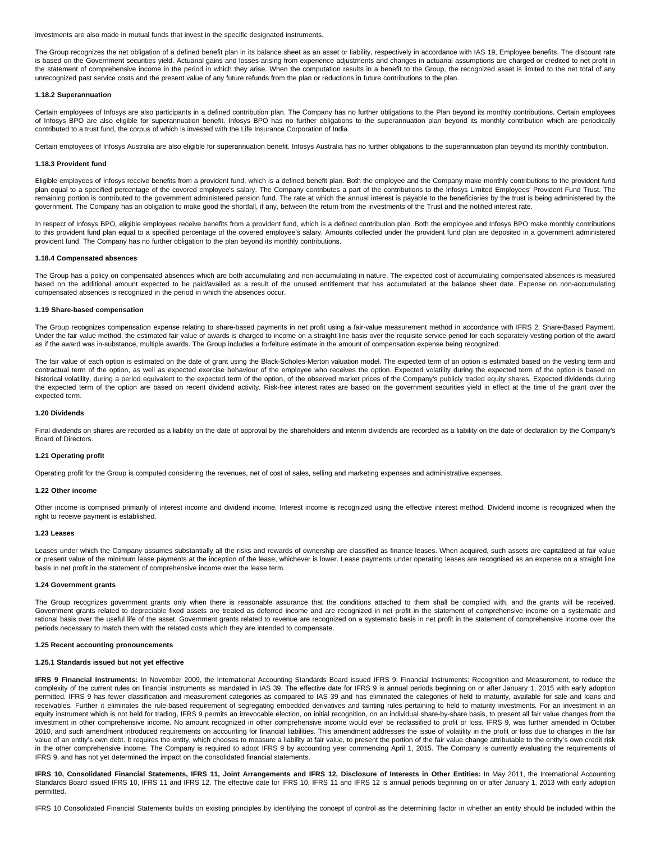investments are also made in mutual funds that invest in the specific designated instruments.

The Group recognizes the net obligation of a defined benefit plan in its balance sheet as an asset or liability, respectively in accordance with IAS 19. Employee benefits. The discount rate is based on the Government securities yield. Actuarial gains and losses arising from experience adjustments and changes in actuarial assumptions are charged or credited to net profit in the statement of comprehensive income in the period in which they arise. When the computation results in a benefit to the Group, the recognized asset is limited to the net total of any unrecognized past service costs and the present value of any future refunds from the plan or reductions in future contributions to the plan.

### **1.18.2 Superannuation**

Certain employees of Infosys are also participants in a defined contribution plan. The Company has no further obligations to the Plan beyond its monthly contributions. Certain employees of Infosys BPO are also eligible for superannuation benefit. Infosys BPO has no further obligations to the superannuation plan beyond its monthly contribution which are periodically contributed to a trust fund, the corpus of which is invested with the Life Insurance Corporation of India.

Certain employees of Infosys Australia are also eligible for superannuation benefit. Infosys Australia has no further obligations to the superannuation plan beyond its monthly contribution.

#### **1.18.3 Provident fund**

Eligible employees of Infosys receive benefits from a provident fund, which is a defined benefit plan. Both the employee and the Company make monthly contributions to the provident fund plan equal to a specified percentage of the covered employee's salary. The Company contributes a part of the contributions to the Infosys Limited Employees' Provident Fund Trust. The remaining portion is contributed to the government administered pension fund. The rate at which the annual interest is payable to the beneficiaries by the trust is being administered by the government. The Company has an obligation to make good the shortfall, if any, between the return from the investments of the Trust and the notified interest rate.

In respect of Infosys BPO, eligible employees receive benefits from a provident fund, which is a defined contribution plan. Both the employee and Infosys BPO make monthly contributions to this provident fund plan equal to a specified percentage of the covered employee's salary. Amounts collected under the provident fund plan are deposited in a government administered provident fund. The Company has no further obligation to the plan beyond its monthly contributions.

### **1.18.4 Compensated absences**

The Group has a policy on compensated absences which are both accumulating and non-accumulating in nature. The expected cost of accumulating compensated absences is measured based on the additional amount expected to be paid/availed as a result of the unused entitlement that has accumulated at the balance sheet date. Expense on non-accumulating compensated absences is recognized in the period in which the absences occur.

#### **1.19 Share-based compensation**

The Group recognizes compensation expense relating to share-based payments in net profit using a fair-value measurement method in accordance with IFRS 2, Share-Based Payment. Under the fair value method, the estimated fair value of awards is charged to income on a straight-line basis over the requisite service period for each separately vesting portion of the award as if the award was in-substance, multiple awards. The Group includes a forfeiture estimate in the amount of compensation expense being recognized.

The fair value of each option is estimated on the date of grant using the Black-Scholes-Merton valuation model. The expected term of an option is estimated based on the vesting term and contractual term of the option, as well as expected exercise behaviour of the employee who receives the option. Expected volatility during the expected term of the option is based on historical volatility, during a period equivalent to the expected term of the option, of the observed market prices of the Company's publicly traded equity shares. Expected dividends during the expected term of the option are based on recent dividend activity. Risk-free interest rates are based on the government securities yield in effect at the time of the grant over the expected term.

### **1.20 Dividends**

Final dividends on shares are recorded as a liability on the date of approval by the shareholders and interim dividends are recorded as a liability on the date of declaration by the Company's Board of Directors.

# **1.21 Operating profit**

Operating profit for the Group is computed considering the revenues, net of cost of sales, selling and marketing expenses and administrative expenses.

#### **1.22 Other income**

Other income is comprised primarily of interest income and dividend income. Interest income is recognized using the effective interest method. Dividend income is recognized when the right to receive payment is established.

### **1.23 Leases**

Leases under which the Company assumes substantially all the risks and rewards of ownership are classified as finance leases. When acquired, such assets are capitalized at fair value or present value of the minimum lease payments at the inception of the lease, whichever is lower. Lease payments under operating leases are recognised as an expense on a straight line basis in net profit in the statement of comprehensive income over the lease term.

#### **1.24 Government grants**

The Group recognizes government grants only when there is reasonable assurance that the conditions attached to them shall be complied with, and the grants will be received. Government grants related to depreciable fixed assets are treated as deferred income and are recognized in net profit in the statement of comprehensive income on a systematic and rational basis over the useful life of the asset. Government grants related to revenue are recognized on a systematic basis in net profit in the statement of comprehensive income over the periods necessary to match them with the related costs which they are intended to compensate.

#### **1.25 Recent accounting pronouncements**

### **1.25.1 Standards issued but not yet effective**

**IFRS 9 Financial Instruments:** In November 2009, the International Accounting Standards Board issued IFRS 9, Financial Instruments: Recognition and Measurement, to reduce the complexity of the current rules on financial instruments as mandated in IAS 39. The effective date for IFRS 9 is annual periods beginning on or after January 1, 2015 with early adoption permitted. IFRS 9 has fewer classification and measurement categories as compared to IAS 39 and has eliminated the categories of held to maturity, available for sale and loans and receivables. Further it eliminates the rule-based requirement of segregating embedded derivatives and tainting rules pertaining to held to maturity investments. For an investment in an equity instrument which is not held for trading, IFRS 9 permits an irrevocable election, on initial recognition, on an individual share-by-share basis, to present all fair value changes from the investment in other comprehensive income. No amount recognized in other comprehensive income would ever be reclassified to profit or loss. IFRS 9, was further amended in October 2010, and such amendment introduced requirements on accounting for financial liabilities. This amendment addresses the issue of volatility in the profit or loss due to changes in the fair value of an entity's own debt. It requires the entity, which chooses to measure a liability at fair value, to present the portion of the fair value change attributable to the entity's own credit risk in the other comprehensive income. The Company is required to adopt IFRS 9 by accounting year commencing April 1, 2015. The Company is currently evaluating the requirements of IFRS 9, and has not yet determined the impact on the consolidated financial statements.

IFRS 10, Consolidated Financial Statements, IFRS 11, Joint Arrangements and IFRS 12, Disclosure of Interests in Other Entities: In May 2011, the International Accounting Standards Board issued IFRS 10, IFRS 11 and IFRS 12. The effective date for IFRS 10, IFRS 11 and IFRS 12 is annual periods beginning on or after January 1, 2013 with early adoption permitted.

IFRS 10 Consolidated Financial Statements builds on existing principles by identifying the concept of control as the determining factor in whether an entity should be included within the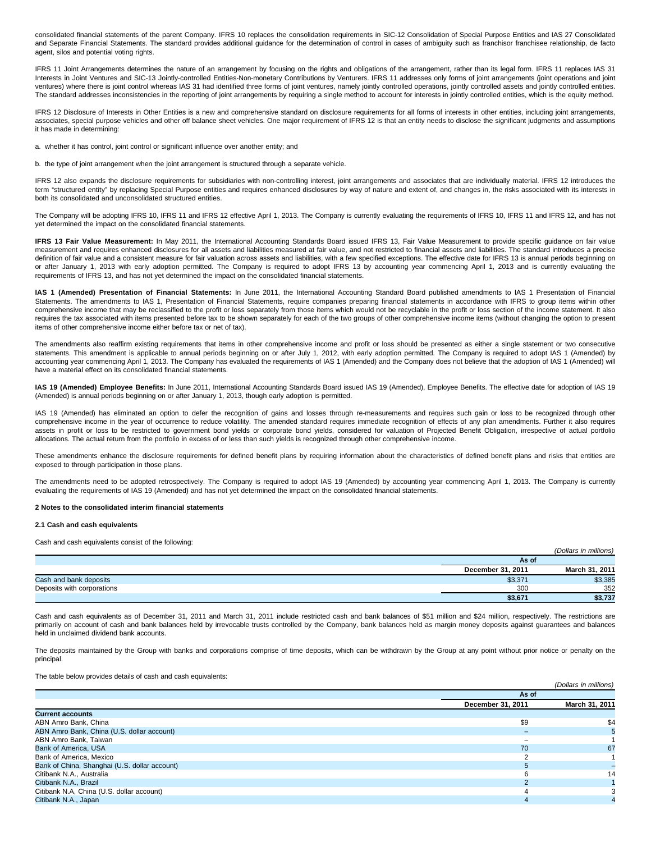consolidated financial statements of the parent Company. IFRS 10 replaces the consolidation requirements in SIC-12 Consolidation of Special Purpose Entities and IAS 27 Consolidated and Separate Financial Statements. The standard provides additional guidance for the determination of control in cases of ambiguity such as franchisor franchisee relationship, de facto agent, silos and potential voting rights.

IFRS 11 Joint Arrangements determines the nature of an arrangement by focusing on the rights and obligations of the arrangement, rather than its legal form. IFRS 11 replaces IAS 31 Interests in Joint Ventures and SIC-13 Jointly-controlled Entities-Non-monetary Contributions by Venturers. IFRS 11 addresses only forms of joint arrangements (joint operations and joint ventures) where there is joint control whereas IAS 31 had identified three forms of joint ventures, namely jointly controlled operations, jointly controlled assets and jointly controlled entities. The standard addresses inconsistencies in the reporting of joint arrangements by requiring a single method to account for interests in jointly controlled entities, which is the equity method.

IFRS 12 Disclosure of Interests in Other Entities is a new and comprehensive standard on disclosure requirements for all forms of interests in other entities, including joint arrangements, associates, special purpose vehicles and other off balance sheet vehicles. One major requirement of IFRS 12 is that an entity needs to disclose the significant judgments and assumptions it has made in determining:

a. whether it has control, joint control or significant influence over another entity; and

b. the type of joint arrangement when the joint arrangement is structured through a separate vehicle.

IFRS 12 also expands the disclosure requirements for subsidiaries with non-controlling interest, joint arrangements and associates that are individually material. IFRS 12 introduces the term "structured entity" by replacing Special Purpose entities and requires enhanced disclosures by way of nature and extent of, and changes in, the risks associated with its interests in both its consolidated and unconsolidated structured entities.

The Company will be adopting IFRS 10, IFRS 11 and IFRS 12 effective April 1, 2013. The Company is currently evaluating the requirements of IFRS 10, IFRS 11 and IFRS 12, and has not yet determined the impact on the consolidated financial statements.

IFRS 13 Fair Value Measurement: In May 2011, the International Accounting Standards Board issued IFRS 13, Fair Value Measurement to provide specific guidance on fair value measurement and requires enhanced disclosures for all assets and liabilities measured at fair value, and not restricted to financial assets and liabilities. The standard introduces a precise definition of fair value and a consistent measure for fair valuation across assets and liabilities, with a few specified exceptions. The effective date for IFRS 13 is annual periods beginning on or after January 1, 2013 with early adoption permitted. The Company is required to adopt IFRS 13 by accounting year commencing April 1, 2013 and is currently evaluating the requirements of IFRS 13, and has not yet determined the impact on the consolidated financial statements.

**IAS 1 (Amended) Presentation of Financial Statements:** In June 2011, the International Accounting Standard Board published amendments to IAS 1 Presentation of Financial Statements. The amendments to IAS 1. Presentation of Financial Statements, require companies preparing financial statements in accordance with IFRS to group items within other comprehensive income that may be reclassified to the profit or loss separately from those items which would not be recyclable in the profit or loss section of the income statement. It also requires the tax associated with items presented before tax to be shown separately for each of the two groups of other comprehensive income items (without changing the option to present items of other comprehensive income either before tax or net of tax).

The amendments also reaffirm existing requirements that items in other comprehensive income and profit or loss should be presented as either a single statement or two consecutive statements. This amendment is applicable to annual periods beginning on or after July 1, 2012, with early adoption permitted. The Company is required to adopt IAS 1 (Amended) by accounting year commencing April 1, 2013. The Company has evaluated the requirements of IAS 1 (Amended) and the Company does not believe that the adoption of IAS 1 (Amended) will have a material effect on its consolidated financial statements.

**IAS 19 (Amended) Employee Benefits:** In June 2011, International Accounting Standards Board issued IAS 19 (Amended), Employee Benefits. The effective date for adoption of IAS 19 (Amended) is annual periods beginning on or after January 1, 2013, though early adoption is permitted.

IAS 19 (Amended) has eliminated an option to defer the recognition of gains and losses through re-measurements and requires such gain or loss to be recognized through other comprehensive income in the year of occurrence to reduce volatility. The amended standard requires immediate recognition of effects of any plan amendments. Further it also requires assets in profit or loss to be restricted to government bond vields or corporate bond vields, considered for valuation of Projected Benefit Obligation, irrespective of actual portfolio allocations. The actual return from the portfolio in excess of or less than such yields is recognized through other comprehensive income.

These amendments enhance the disclosure requirements for defined benefit plans by requiring information about the characteristics of defined benefit plans and risks that entities are exposed to through participation in those plans.

The amendments need to be adopted retrospectively. The Company is required to adopt IAS 19 (Amended) by accounting year commencing April 1, 2013. The Company is currently evaluating the requirements of IAS 19 (Amended) and has not yet determined the impact on the consolidated financial statements.

**2 Notes to the consolidated interim financial statements**

## **2.1 Cash and cash equivalents**

| Cash and cash equivalents consist of the following: |                   |                       |
|-----------------------------------------------------|-------------------|-----------------------|
|                                                     |                   | (Dollars in millions) |
|                                                     | As of             |                       |
|                                                     | December 31, 2011 | March 31, 2011        |
| Cash and bank deposits                              | \$3,371           | \$3,385               |
| Deposits with corporations                          | 300               | 352                   |
|                                                     | \$3,671           | \$3,737               |

Cash and cash equivalents as of December 31, 2011 and March 31, 2011 include restricted cash and bank balances of \$51 million and \$24 million, respectively. The restrictions are primarily on account of cash and bank balances held by irrevocable trusts controlled by the Company, bank balances held as margin money deposits against guarantees and balances held in unclaimed dividend bank accounts.

The deposits maintained by the Group with banks and corporations comprise of time deposits, which can be withdrawn by the Group at any point without prior notice or penalty on the principal.

The table below provides details of cash and cash equivalents:

|                                               |                   | (Dollars in millions) |
|-----------------------------------------------|-------------------|-----------------------|
|                                               | As of             |                       |
|                                               | December 31, 2011 | March 31, 2011        |
| <b>Current accounts</b>                       |                   |                       |
| ABN Amro Bank, China                          | \$9               | \$4                   |
| ABN Amro Bank, China (U.S. dollar account)    |                   |                       |
| ABN Amro Bank, Taiwan                         |                   |                       |
| <b>Bank of America, USA</b>                   | 70                | 67                    |
| Bank of America, Mexico                       |                   |                       |
| Bank of China, Shanghai (U.S. dollar account) |                   |                       |
| Citibank N.A., Australia                      |                   | 14                    |
| Citibank N.A., Brazil                         |                   |                       |
| Citibank N.A, China (U.S. dollar account)     |                   |                       |
| Citibank N.A., Japan                          |                   |                       |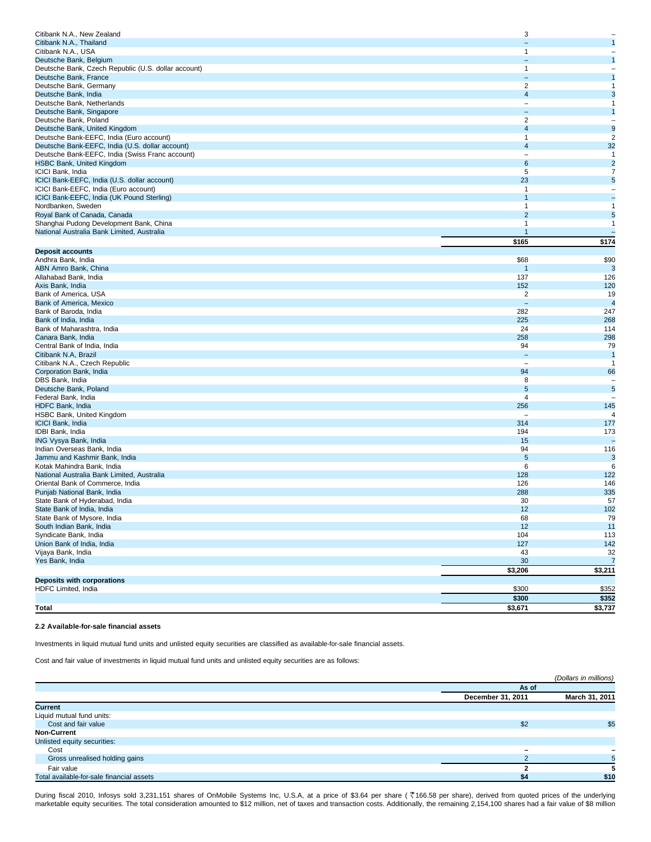| Citibank N.A., New Zealand                                                            | 3                        |                          |
|---------------------------------------------------------------------------------------|--------------------------|--------------------------|
| Citibank N.A., Thailand                                                               |                          | $\mathbf{1}$             |
| Citibank N.A., USA                                                                    | 1                        |                          |
| Deutsche Bank, Belgium                                                                |                          | $\mathbf{1}$             |
| Deutsche Bank, Czech Republic (U.S. dollar account)                                   | $\mathbf{1}$             | $\qquad \qquad -$        |
| Deutsche Bank, France                                                                 |                          | $\mathbf{1}$             |
| Deutsche Bank, Germany                                                                | $\overline{2}$           | $\mathbf{1}$             |
| Deutsche Bank, India                                                                  | $\overline{4}$           | 3                        |
| Deutsche Bank, Netherlands                                                            | $\overline{\phantom{0}}$ | 1                        |
| Deutsche Bank, Singapore                                                              |                          | $\mathbf{1}$             |
| Deutsche Bank, Poland                                                                 | $\overline{2}$           | $\qquad \qquad -$        |
| Deutsche Bank, United Kingdom                                                         | $\overline{4}$           | $\mathbf{9}$             |
| Deutsche Bank-EEFC, India (Euro account)                                              | 1                        | $\sqrt{2}$               |
| Deutsche Bank-EEFC, India (U.S. dollar account)                                       | $\overline{4}$           | 32                       |
| Deutsche Bank-EEFC, India (Swiss Franc account)                                       |                          | $\mathbf{1}$             |
| <b>HSBC Bank, United Kingdom</b><br>ICICI Bank, India                                 | 6<br>5                   | $\overline{2}$<br>7      |
|                                                                                       | 23                       | 5                        |
| ICICI Bank-EEFC, India (U.S. dollar account)<br>ICICI Bank-EEFC, India (Euro account) | 1                        | $\overline{\phantom{0}}$ |
| ICICI Bank-EEFC, India (UK Pound Sterling)                                            |                          | $\overline{a}$           |
| Nordbanken, Sweden                                                                    |                          | $\mathbf{1}$             |
| Royal Bank of Canada, Canada                                                          | $\overline{2}$           | 5                        |
| Shanghai Pudong Development Bank, China                                               | 1                        | $\mathbf{1}$             |
| National Australia Bank Limited, Australia                                            |                          |                          |
|                                                                                       | \$165                    | \$174                    |
| <b>Deposit accounts</b>                                                               |                          |                          |
| Andhra Bank, India                                                                    | \$68                     | \$90                     |
| ABN Amro Bank, China                                                                  | -1                       | $\mathbf{3}$             |
| Allahabad Bank, India                                                                 | 137                      | 126                      |
| Axis Bank, India                                                                      | 152                      | 120                      |
| Bank of America, USA                                                                  | 2                        | 19                       |
| Bank of America, Mexico                                                               | $\equiv$                 | $\overline{4}$           |
| Bank of Baroda, India                                                                 | 282                      | 247                      |
| Bank of India, India                                                                  | 225                      | 268                      |
| Bank of Maharashtra, India                                                            | 24                       | 114                      |
| Canara Bank, India                                                                    | 258                      | 298                      |
| Central Bank of India, India                                                          | 94                       | 79                       |
| Citibank N.A, Brazil                                                                  |                          | $\overline{1}$           |
| Citibank N.A., Czech Republic                                                         | $\overline{\phantom{a}}$ | $\mathbf{1}$             |
| Corporation Bank, India                                                               | 94                       | 66                       |
| DBS Bank, India                                                                       | 8                        |                          |
| Deutsche Bank, Poland                                                                 | $5\phantom{.0}$          | 5                        |
| Federal Bank, India                                                                   | $\overline{4}$           |                          |
| HDFC Bank, India                                                                      | 256                      | 145                      |
| HSBC Bank, United Kingdom                                                             | $\overline{\phantom{a}}$ | $\overline{4}$           |
| <b>ICICI Bank, India</b>                                                              | 314                      | 177                      |
| IDBI Bank, India                                                                      | 194                      | 173                      |
| ING Vysya Bank, India                                                                 | 15                       |                          |
| Indian Overseas Bank, India<br>Jammu and Kashmir Bank, India                          | 94<br>5                  | 116                      |
| Kotak Mahindra Bank, India                                                            | 6                        | $\mathbf{3}$<br>$\,6$    |
| National Australia Bank Limited, Australia                                            | 128                      | 122                      |
| Oriental Bank of Commerce, India                                                      | 126                      | 146                      |
| Punjab National Bank, India                                                           | 288                      | 335                      |
| State Bank of Hyderabad, India                                                        | 30                       | 57                       |
| State Bank of India, India                                                            | 12                       | 102                      |
| State Bank of Mysore, India                                                           | 68                       | 79                       |
| South Indian Bank, India                                                              | 12                       | 11                       |
| Syndicate Bank, India                                                                 | 104                      | 113                      |
| Union Bank of India, India                                                            | 127                      | 142                      |
| Vijaya Bank, India                                                                    | 43                       | 32                       |
| Yes Bank, India                                                                       | 30                       | $\overline{7}$           |
|                                                                                       | $\sqrt{$3,206}$          | $\overline{$3,211}$      |
| <b>Deposits with corporations</b>                                                     |                          |                          |
| HDFC Limited, India                                                                   | \$300                    | \$352                    |
|                                                                                       | \$300                    | \$352                    |
| Total                                                                                 | \$3,671                  | \$3,737                  |

# **2.2 Available-for-sale financial assets**

Investments in liquid mutual fund units and unlisted equity securities are classified as available-for-sale financial assets.

Cost and fair value of investments in liquid mutual fund units and unlisted equity securities are as follows:

|                                           |                   | (Dollars in millions) |
|-------------------------------------------|-------------------|-----------------------|
|                                           | As of             |                       |
|                                           | December 31, 2011 | March 31, 2011        |
| <b>Current</b>                            |                   |                       |
| Liquid mutual fund units:                 |                   |                       |
| Cost and fair value                       | \$2               | \$5                   |
| <b>Non-Current</b>                        |                   |                       |
| Unlisted equity securities:               |                   |                       |
| Cost                                      | -                 |                       |
| Gross unrealised holding gains            |                   |                       |
| Fair value                                |                   |                       |
| Total available-for-sale financial assets | \$4               | \$10                  |

During fiscal 2010, Infosys sold 3,231,151 shares of OnMobile Systems Inc, U.S.A, at a price of \$3.64 per share (₹166.58 per share), derived from quoted prices of the underlying marketable equity securities. The total consideration amounted to \$12 million, net of taxes and transaction costs. Additionally, the remaining 2,154,100 shares had a fair value of \$8 million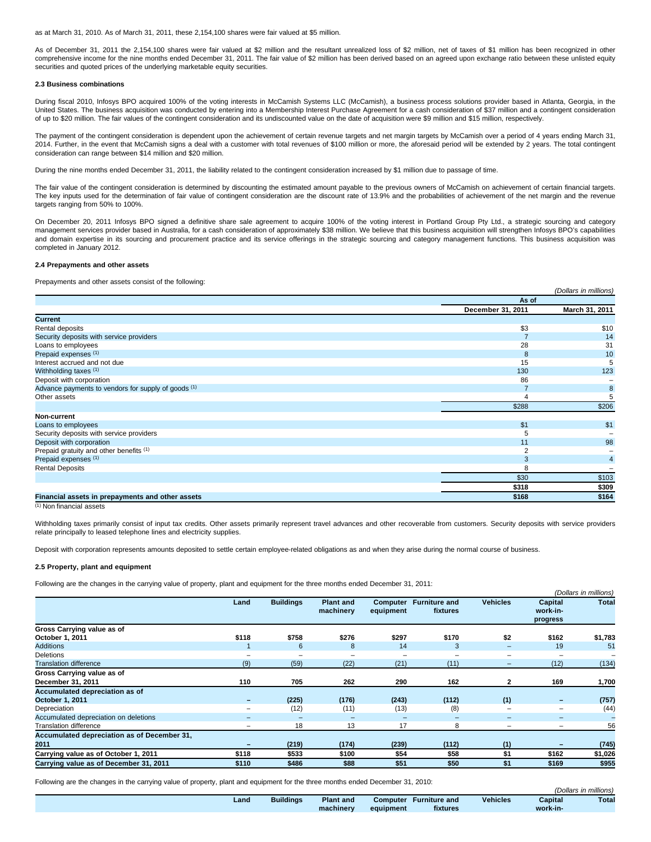as at March 31, 2010. As of March 31, 2011, these 2,154,100 shares were fair valued at \$5 million.

As of December 31, 2011 the 2,154,100 shares were fair valued at \$2 million and the resultant unrealized loss of \$2 million, net of taxes of \$1 million has been recognized in other comprehensive income for the nine months ended December 31, 2011. The fair value of \$2 million has been derived based on an agreed upon exchange ratio between these unlisted equity securities and quoted prices of the underlying marketable equity securities.

### **2.3 Business combinations**

During fiscal 2010, Infosys BPO acquired 100% of the voting interests in McCamish Systems LLC (McCamish), a business process solutions provider based in Atlanta, Georgia, in the United States. The business acquisition was conducted by entering into a Membership Interest Purchase Agreement for a cash consideration of \$37 million and a contingent consideration of up to \$20 million. The fair values of the contingent consideration and its undiscounted value on the date of acquisition were \$9 million and \$15 million, respectively.

The payment of the contingent consideration is dependent upon the achievement of certain revenue targets and net margin targets by McCamish over a period of 4 years ending March 31, 2014. Further, in the event that McCamish signs a deal with a customer with total revenues of \$100 million or more, the aforesaid period will be extended by 2 years. The total contingent consideration can range between \$14 million and \$20 million.

During the nine months ended December 31, 2011, the liability related to the contingent consideration increased by \$1 million due to passage of time.

The fair value of the contingent consideration is determined by discounting the estimated amount payable to the previous owners of McCamish on achievement of certain financial targets. The key inputs used for the determination of fair value of contingent consideration are the discount rate of 13.9% and the probabilities of achievement of the net margin and the revenue targets ranging from 50% to 100%.

On December 20, 2011 Infosys BPO signed a definitive share sale agreement to acquire 100% of the voting interest in Portland Group Pty Ltd., a strategic sourcing and category management services provider based in Australia, for a cash consideration of approximately \$38 million. We believe that this business acquisition will strengthen Infosys BPO's capabilities and domain expertise in its sourcing and procurement practice and its service offerings in the strategic sourcing and category management functions. This business acquisition was completed in January 2012.

### **2.4 Prepayments and other assets**

Prepayments and other assets consist of the following:

|                                                     |                   | (Dollars in millions) |
|-----------------------------------------------------|-------------------|-----------------------|
|                                                     | As of             |                       |
|                                                     | December 31, 2011 | March 31, 2011        |
| <b>Current</b>                                      |                   |                       |
| Rental deposits                                     | \$3               | \$10                  |
| Security deposits with service providers            |                   | 14                    |
| Loans to employees                                  | 28                | 31                    |
| Prepaid expenses (1)                                | 8                 | 10                    |
| Interest accrued and not due                        | 15                | 5                     |
| Withholding taxes (1)                               | 130               | 123                   |
| Deposit with corporation                            | 86                |                       |
| Advance payments to vendors for supply of goods (1) |                   | 8                     |
| Other assets                                        |                   | 5                     |
|                                                     | \$288             | \$206                 |
| Non-current                                         |                   |                       |
| Loans to employees                                  | \$1               | \$1                   |
| Security deposits with service providers            | 5                 |                       |
| Deposit with corporation                            | 11                | 98                    |
| Prepaid gratuity and other benefits (1)             |                   |                       |
| Prepaid expenses (1)                                | 3                 | $\overline{4}$        |
| <b>Rental Deposits</b>                              | 8                 |                       |
|                                                     | \$30              | \$103                 |
|                                                     | \$318             | \$309                 |
| Financial assets in prepayments and other assets    | \$168             | \$164                 |

 $(1)$  Non financial assets

Withholding taxes primarily consist of input tax credits. Other assets primarily represent travel advances and other recoverable from customers. Security deposits with service providers relate principally to leased telephone lines and electricity supplies.

Deposit with corporation represents amounts deposited to settle certain employee-related obligations as and when they arise during the normal course of business.

### **2.5 Property, plant and equipment**

Following are the changes in the carrying value of property, plant and equipment for the three months ended December 31, 2011:

|                                                   |                          |                  |                               |                       |                                  |                          |                                 | (Dollars in millions) |
|---------------------------------------------------|--------------------------|------------------|-------------------------------|-----------------------|----------------------------------|--------------------------|---------------------------------|-----------------------|
|                                                   | Land                     | <b>Buildings</b> | <b>Plant and</b><br>machinery | Computer<br>equipment | <b>Furniture and</b><br>fixtures | <b>Vehicles</b>          | Capital<br>work-in-<br>progress | <b>Total</b>          |
| Gross Carrying value as of                        |                          |                  |                               |                       |                                  |                          |                                 |                       |
| October 1, 2011                                   | \$118                    | \$758            | \$276                         | \$297                 | \$170                            | \$2                      | \$162                           | \$1,783               |
| <b>Additions</b>                                  |                          | 6                | 8                             | 14                    | 3                                | $\overline{\phantom{0}}$ | 19                              | 51                    |
| <b>Deletions</b>                                  | ۰                        | -                | $\overline{\phantom{0}}$      |                       | -                                |                          |                                 |                       |
| <b>Translation difference</b>                     | (9)                      | (59)             | (22)                          | (21)                  | (11)                             | $\overline{\phantom{0}}$ | (12)                            | (134)                 |
| Gross Carrying value as of                        |                          |                  |                               |                       |                                  |                          |                                 |                       |
| December 31, 2011                                 | 110                      | 705              | 262                           | 290                   | 162                              | $\overline{2}$           | 169                             | 1,700                 |
| Accumulated depreciation as of<br>October 1, 2011 | $\equiv$                 | (225)            | (176)                         | (243)                 | (112)                            | (1)                      | $\equiv$                        | (757)                 |
| Depreciation                                      | -                        | (12)             | (11)                          | (13)                  | (8)                              |                          | $\overline{\phantom{0}}$        | (44)                  |
| Accumulated depreciation on deletions             |                          | -                | $\overline{\phantom{0}}$      |                       | -                                |                          | $\overline{\phantom{0}}$        |                       |
| <b>Translation difference</b>                     | $\overline{\phantom{0}}$ | 18               | 13                            | 17                    | 8                                | $\overline{\phantom{a}}$ | $\overline{\phantom{0}}$        | 56                    |
| Accumulated depreciation as of December 31,       |                          |                  |                               |                       |                                  |                          |                                 |                       |
| 2011                                              |                          | (219)            | (174)                         | (239)                 | (112)                            | (1)                      |                                 | (745)                 |
| Carrying value as of October 1, 2011              | \$118                    | \$533            | \$100                         | \$54                  | \$58                             | \$1                      | \$162                           | \$1,026               |
| Carrying value as of December 31, 2011            | \$110                    | \$486            | \$88                          | \$51                  | \$50                             | \$1                      | \$169                           | \$955                 |

Following are the changes in the carrying value of property, plant and equipment for the three months ended December 31, 2010:

|      |                  |                  |                 |                      |                 |          | (Dollars in millions) |
|------|------------------|------------------|-----------------|----------------------|-----------------|----------|-----------------------|
| Land | <b>Buildinas</b> | <b>Plant and</b> | <b>Computer</b> | <b>Furniture and</b> | <b>Vehicles</b> | Capital  | <b>Total</b>          |
|      |                  | machinery        | equipment       | fixtures             |                 | work-in- |                       |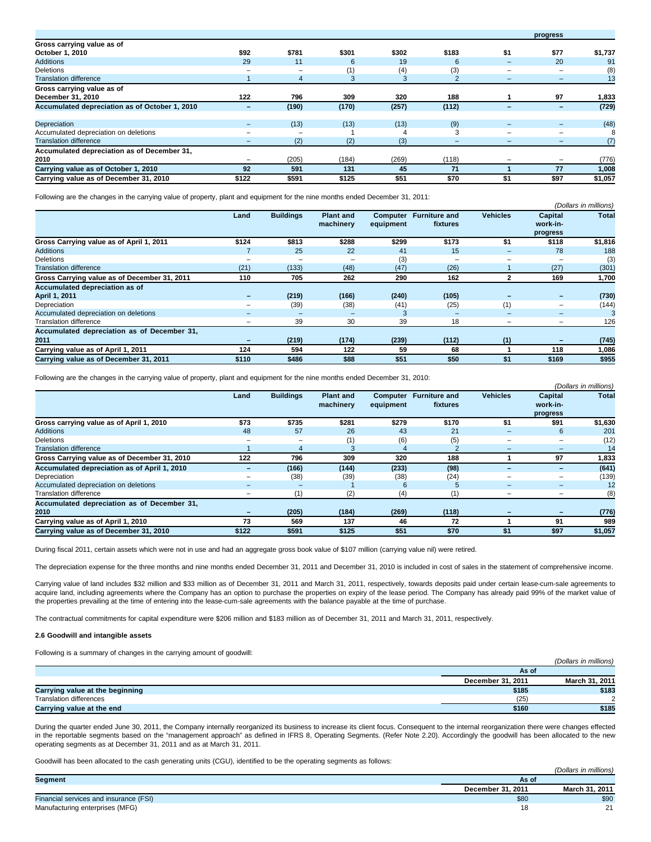|                                                |                          |       |       |       |                |                          | progress                 |         |
|------------------------------------------------|--------------------------|-------|-------|-------|----------------|--------------------------|--------------------------|---------|
| Gross carrying value as of                     |                          |       |       |       |                |                          |                          |         |
| October 1, 2010                                | \$92                     | \$781 | \$301 | \$302 | \$183          | \$1                      | \$77                     | \$1,737 |
| <b>Additions</b>                               | 29                       | 11    | 6     | 19    | 6              | $\overline{\phantom{a}}$ | 20                       | 91      |
| <b>Deletions</b>                               | $\overline{\phantom{a}}$ | -     | (1)   | (4)   | (3)            | ۰                        | $\overline{\phantom{0}}$ | (8)     |
| <b>Translation difference</b>                  |                          | 4     | 3     | 3     | $\overline{2}$ | $\overline{\phantom{0}}$ | $\overline{\phantom{0}}$ | 13      |
| Gross carrying value as of                     |                          |       |       |       |                |                          |                          |         |
| December 31, 2010                              | 122                      | 796   | 309   | 320   | 188            |                          | 97                       | 1,833   |
| Accumulated depreciation as of October 1, 2010 | $\overline{\phantom{0}}$ | (190) | (170) | (257) | (112)          | $\sim$                   | $\overline{\phantom{0}}$ | (729)   |
| Depreciation                                   |                          | (13)  | (13)  | (13)  | (9)            |                          | -                        | (48)    |
| Accumulated depreciation on deletions          |                          | -     |       |       | 3              |                          | $\overline{\phantom{0}}$ | 8       |
| <b>Translation difference</b>                  |                          | (2)   | (2)   | (3)   |                |                          | -                        | (7)     |
| Accumulated depreciation as of December 31,    |                          |       |       |       |                |                          |                          |         |
| 2010                                           |                          | (205) | (184) | (269) | (118)          |                          |                          | (776)   |
| Carrying value as of October 1, 2010           | 92                       | 591   | 131   | 45    | 71             |                          | 77                       | 1,008   |
| Carrying value as of December 31, 2010         | \$122                    | \$591 | \$125 | \$51  | \$70           | \$1                      | \$97                     | \$1,057 |

Following are the changes in the carrying value of property, plant and equipment for the nine months ended December 31, 2011:

|                                              |                          |                  |                  |           |                      |                          |                          | (Dollars in millions) |
|----------------------------------------------|--------------------------|------------------|------------------|-----------|----------------------|--------------------------|--------------------------|-----------------------|
|                                              | Land                     | <b>Buildings</b> | <b>Plant and</b> | Computer  | <b>Furniture and</b> | <b>Vehicles</b>          | Capital                  | <b>Total</b>          |
|                                              |                          |                  | machinery        | equipment | fixtures             |                          | work-in-                 |                       |
|                                              |                          |                  |                  |           |                      |                          | progress                 |                       |
| Gross Carrying value as of April 1, 2011     | \$124                    | \$813            | \$288            | \$299     | \$173                | \$1                      | \$118                    | \$1,816               |
| <b>Additions</b>                             |                          | 25               | 22               | 41        | 15                   |                          | 78                       | 188                   |
| <b>Deletions</b>                             |                          |                  |                  | (3)       | -                    |                          |                          | (3)                   |
| <b>Translation difference</b>                | (21)                     | (133)            | (48)             | (47)      | (26)                 |                          | (27)                     | (301)                 |
| Gross Carrying value as of December 31, 2011 | 110                      | 705              | 262              | 290       | 162                  |                          | 169                      | 1,700                 |
| Accumulated depreciation as of               |                          |                  |                  |           |                      |                          |                          |                       |
| <b>April 1, 2011</b>                         | $\qquad \qquad =$        | (219)            | (166)            | (240)     | (105)                |                          | $\overline{\phantom{0}}$ | (730)                 |
| Depreciation                                 | $\overline{\phantom{0}}$ | (39)             | (38)             | (41)      | (25)                 | (1)                      | $\overline{\phantom{0}}$ | (144)                 |
| Accumulated depreciation on deletions        | -                        |                  |                  |           | -                    |                          | $\overline{\phantom{0}}$ |                       |
| <b>Translation difference</b>                | $\overline{\phantom{0}}$ | 39               | 30               | 39        | 18                   | $\overline{\phantom{a}}$ | $\overline{\phantom{0}}$ | 126                   |
| Accumulated depreciation as of December 31,  |                          |                  |                  |           |                      |                          |                          |                       |
| 2011                                         |                          | (219)            | (174)            | (239)     | (112)                | (1)                      |                          | (745)                 |
| Carrying value as of April 1, 2011           | 124                      | 594              | 122              | 59        | 68                   |                          | 118                      | 1,086                 |
| Carrying value as of December 31, 2011       | \$110                    | \$486            | \$88             | \$51      | \$50                 | \$1                      | \$169                    | \$955                 |

Following are the changes in the carrying value of property, plant and equipment for the nine months ended December 31, 2010:

|                                              |                          |                  |                               |                              |                                  |                          |                                 | (Dollars in millions) |
|----------------------------------------------|--------------------------|------------------|-------------------------------|------------------------------|----------------------------------|--------------------------|---------------------------------|-----------------------|
|                                              | Land                     | <b>Buildings</b> | <b>Plant and</b><br>machinery | <b>Computer</b><br>equipment | <b>Furniture and</b><br>fixtures | <b>Vehicles</b>          | Capital<br>work-in-<br>progress | <b>Total</b>          |
| Gross carrying value as of April 1, 2010     | \$73                     | \$735            | \$281                         | \$279                        | \$170                            | \$1                      | \$91                            | \$1,630               |
| <b>Additions</b>                             | 48                       | 57               | 26                            | 43                           | 21                               |                          | 6                               | 201                   |
| <b>Deletions</b>                             |                          |                  | (1)                           | (6)                          | (5)                              |                          |                                 | (12)                  |
| <b>Translation difference</b>                |                          | 4                | З                             |                              | $\sim$                           |                          | -                               | 14                    |
| Gross Carrying value as of December 31, 2010 | 122                      | 796              | 309                           | 320                          | 188                              |                          | 97                              | 1,833                 |
| Accumulated depreciation as of April 1, 2010 | -                        | (166)            | (144)                         | (233)                        | (98)                             |                          | -                               | (641)                 |
| Depreciation                                 |                          | (38)             | (39)                          | (38)                         | (24)                             |                          |                                 | (139)                 |
| Accumulated depreciation on deletions        | $-$                      | -                |                               | 6                            | 5                                |                          | $\overline{\phantom{0}}$        | 12                    |
| <b>Translation difference</b>                | $\overline{\phantom{0}}$ | (1)              | (2)                           | (4)                          |                                  | $\overline{\phantom{a}}$ | $\overline{\phantom{0}}$        | (8)                   |
| Accumulated depreciation as of December 31,  |                          |                  |                               |                              |                                  |                          |                                 |                       |
| 2010                                         |                          | (205)            | (184)                         | (269)                        | (118)                            |                          |                                 | (776)                 |
| Carrying value as of April 1, 2010           | 73                       | 569              | 137                           | 46                           | 72                               |                          | 91                              | 989                   |
| Carrying value as of December 31, 2010       | \$122                    | \$591            | \$125                         | \$51                         | \$70                             | \$1                      | \$97                            | \$1,057               |

During fiscal 2011, certain assets which were not in use and had an aggregate gross book value of \$107 million (carrying value nil) were retired.

The depreciation expense for the three months and nine months ended December 31, 2011 and December 31, 2010 is included in cost of sales in the statement of comprehensive income.

Carrying value of land includes \$32 million and \$33 million as of December 31, 2011 and March 31, 2011, respectively, towards deposits paid under certain lease-cum-sale agreements to acquire land, including agreements where the Company has an option to purchase the properties on expiry of the lease period. The Company has already paid 99% of the market value of the properties prevailing at the time of entering into the lease-cum-sale agreements with the balance payable at the time of purchase.

The contractual commitments for capital expenditure were \$206 million and \$183 million as of December 31, 2011 and March 31, 2011, respectively.

### **2.6 Goodwill and intangible assets**

Following is a summary of changes in the carrying amount of goodwill:

|                                 |                          | (Dollars in millions) |  |
|---------------------------------|--------------------------|-----------------------|--|
|                                 | As of                    |                       |  |
|                                 | <b>December 31, 2011</b> | March 31, 2011        |  |
| Carrying value at the beginning | \$185                    | \$183                 |  |
| Translation differences         | (25)                     | $\sim$                |  |
| Carrying value at the end       | \$160                    | \$185                 |  |

During the quarter ended June 30, 2011, the Company internally reorganized its business to increase its client focus. Consequent to the internal reorganization there were changes effected in the reportable segments based on the "management approach" as defined in IFRS 8, Operating Segments. (Refer Note 2.20). Accordingly the goodwill has been allocated to the new operating segments as at December 31, 2011 and as at March 31, 2011.

Goodwill has been allocated to the cash generating units (CGU), identified to be the operating segments as follows:

| . .<br>.                               |                   | (Dollars in millions) |
|----------------------------------------|-------------------|-----------------------|
| Segment                                | As of             |                       |
|                                        | December 31, 2011 | March 31, 2011        |
| Financial services and insurance (FSI) | \$80              | \$90                  |
| Manufacturing enterprises (MFG)        |                   | $^{\circ}$            |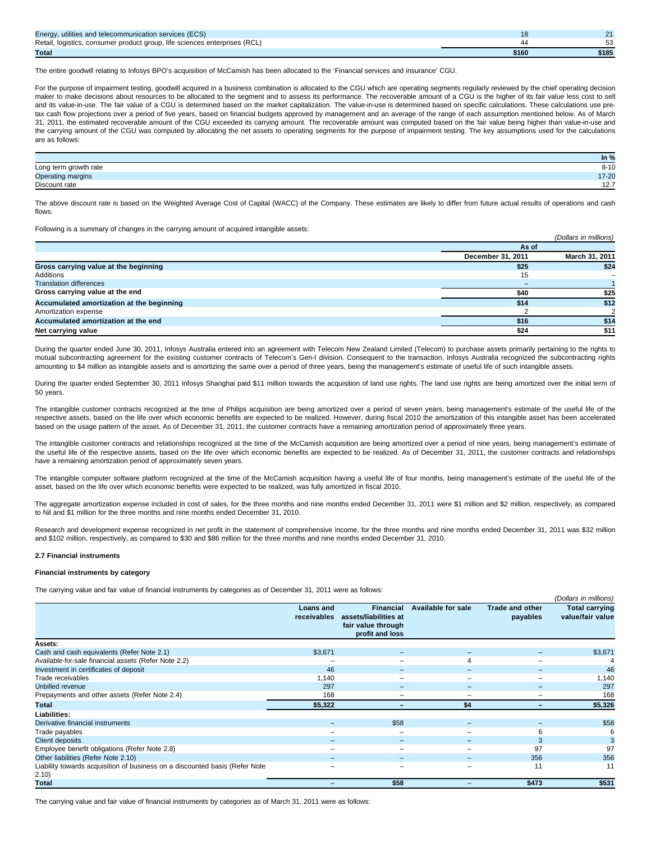| Energy, utilities and telecommunication services (ECS)                     |       |       |
|----------------------------------------------------------------------------|-------|-------|
| Retail, logistics, consumer product group, life sciences enterprises (RCL) |       |       |
| <b>Total</b>                                                               | \$160 | \$185 |

The entire goodwill relating to Infosys BPO's acquisition of McCamish has been allocated to the 'Financial services and insurance' CGU.

For the purpose of impairment testing, goodwill acquired in a business combination is allocated to the CGU which are operating segments regularly reviewed by the chief operating decision maker to make decisions about resources to be allocated to the segment and to assess its performance. The recoverable amount of a CGU is the higher of its fair value less cost to sell and its value-in-use. The fair value of a CGU is determined based on the market capitalization. The value-in-use is determined based on specific calculations. These calculations use pretax cash flow projections over a period of five years, based on financial budgets approved by management and an average of the range of each assumption mentioned below. As of March 31, 2011, the estimated recoverable amount of the CGU exceeded its carrying amount. The recoverable amount was computed based on the fair value being higher than value-in-use and the carrying amount of the CGU was computed by allocating the net assets to operating segments for the purpose of impairment testing. The key assumptions used for the calculations are as follows:

|                          | In $\%$      |
|--------------------------|--------------|
| Long term growth rate    | $8 - 10$     |
| <b>Operating margins</b> | 17-20        |
| Discount rate            | $\mathsf{L}$ |

The above discount rate is based on the Weighted Average Cost of Capital (WACC) of the Company. These estimates are likely to differ from future actual results of operations and cash flows.

Following is a summary of changes in the carrying amount of acquired intangible assets:

|                                           |                   | (Dollars in millions) |
|-------------------------------------------|-------------------|-----------------------|
|                                           | As of             |                       |
|                                           | December 31, 2011 | March 31, 2011        |
| Gross carrying value at the beginning     | \$25              | \$24                  |
| Additions                                 | 15                |                       |
| <b>Translation differences</b>            | -                 |                       |
| Gross carrying value at the end           | \$40              | \$25                  |
| Accumulated amortization at the beginning | \$14              | \$12                  |
| Amortization expense                      |                   |                       |
| Accumulated amortization at the end       | \$16              | \$14                  |
| Net carrying value                        | \$24              | \$11                  |

During the quarter ended June 30, 2011, Infosys Australia entered into an agreement with Telecom New Zealand Limited (Telecom) to purchase assets primarily pertaining to the rights to mutual subcontracting agreement for the existing customer contracts of Telecom's Gen-I division. Consequent to the transaction, Infosys Australia recognized the subcontracting rights amounting to \$4 million as intangible assets and is amortizing the same over a period of three years, being the management's estimate of useful life of such intangible assets.

During the quarter ended September 30, 2011 Infosys Shanghai paid \$11 million towards the acquisition of land use rights. The land use rights are being amortized over the initial term of 50 years.

The intangible customer contracts recognized at the time of Philips acquisition are being amortized over a period of seven years, being management's estimate of the useful life of the respective assets, based on the life over which economic benefits are expected to be realized. However, during fiscal 2010 the amortization of this intangible asset has been accelerated based on the usage pattern of the asset. As of December 31, 2011, the customer contracts have a remaining amortization period of approximately three years.

The intangible customer contracts and relationships recognized at the time of the McCamish acquisition are being amortized over a period of nine years, being management's estimate of the useful life of the respective assets, based on the life over which economic benefits are expected to be realized. As of December 31, 2011, the customer contracts and relationships have a remaining amortization period of approximately seven years.

The intangible computer software platform recognized at the time of the McCamish acquisition having a useful life of four months, being management's estimate of the useful life of the asset, based on the life over which economic benefits were expected to be realized, was fully amortized in fiscal 2010.

The aggregate amortization expense included in cost of sales, for the three months and nine months ended December 31, 2011 were \$1 million and \$2 million, respectively, as compared to Nil and \$1 million for the three months and nine months ended December 31, 2010.

Research and development expense recognized in net profit in the statement of comprehensive income, for the three months and nine months ended December 31, 2011 was \$32 million and \$102 million, respectively, as compared to \$30 and \$86 million for the three months and nine months ended December 31, 2010.

### **2.7 Financial instruments**

#### **Financial instruments by category**

The carrying value and fair value of financial instruments by categories as of December 31, 2011 were as follows:

|                                                                             |                                 |                                                                                    |                           |                                    | (Dollars in millions)                     |
|-----------------------------------------------------------------------------|---------------------------------|------------------------------------------------------------------------------------|---------------------------|------------------------------------|-------------------------------------------|
|                                                                             | <b>Loans and</b><br>receivables | <b>Financial</b><br>assets/liabilities at<br>fair value through<br>profit and loss | <b>Available for sale</b> | <b>Trade and other</b><br>payables | <b>Total carrying</b><br>value/fair value |
| Assets:                                                                     |                                 |                                                                                    |                           |                                    |                                           |
| Cash and cash equivalents (Refer Note 2.1)                                  | \$3,671                         |                                                                                    |                           |                                    | \$3,671                                   |
| Available-for-sale financial assets (Refer Note 2.2)                        | $\overline{\phantom{0}}$        |                                                                                    | 4                         |                                    |                                           |
| Investment in certificates of deposit                                       | 46                              |                                                                                    |                           | -                                  | 46                                        |
| Trade receivables                                                           | 1,140                           | -                                                                                  |                           |                                    | 1,140                                     |
| <b>Unbilled revenue</b>                                                     | 297                             | -                                                                                  |                           |                                    | 297                                       |
| Prepayments and other assets (Refer Note 2.4)                               | 168                             | -                                                                                  |                           |                                    | 168                                       |
| Total                                                                       | \$5,322                         | -                                                                                  | \$4                       |                                    | \$5,326                                   |
| Liabilities:                                                                |                                 |                                                                                    |                           |                                    |                                           |
| Derivative financial instruments                                            |                                 | \$58                                                                               |                           |                                    | \$58                                      |
| Trade payables                                                              |                                 |                                                                                    |                           |                                    | 6                                         |
| <b>Client deposits</b>                                                      |                                 |                                                                                    |                           |                                    | 3                                         |
| Employee benefit obligations (Refer Note 2.8)                               | -                               |                                                                                    |                           | 97                                 | 97                                        |
| Other liabilities (Refer Note 2.10)                                         |                                 |                                                                                    |                           | 356                                | 356                                       |
| Liability towards acquisition of business on a discounted basis (Refer Note | -                               | ۰                                                                                  |                           | 11                                 | 11                                        |
| 2.10)                                                                       |                                 |                                                                                    |                           |                                    |                                           |
| Total                                                                       |                                 | \$58                                                                               |                           | \$473                              | \$531                                     |

The carrying value and fair value of financial instruments by categories as of March 31, 2011 were as follows: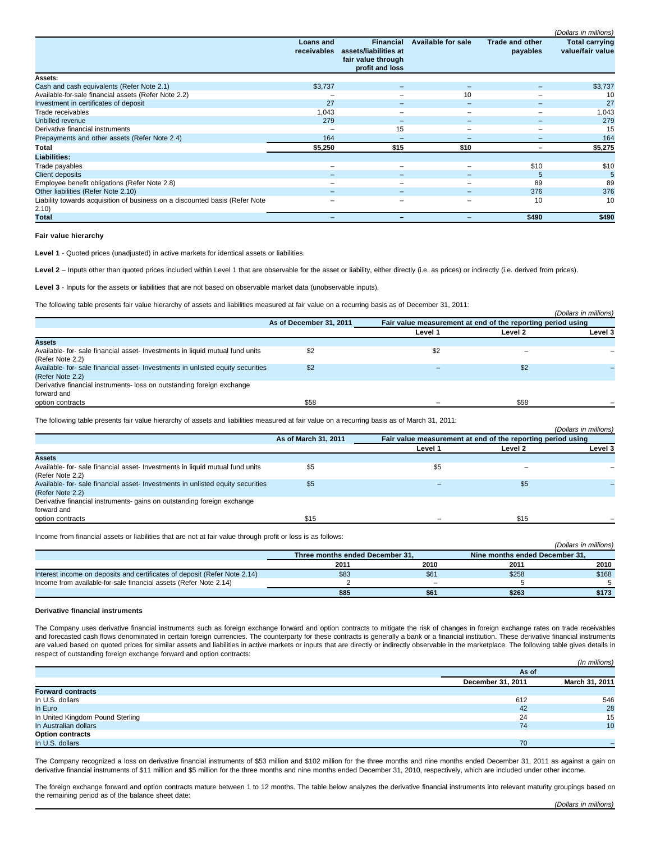|                                                                                      |                                 |                                                                                    |                           |                                    | (Dollars in millions)                     |
|--------------------------------------------------------------------------------------|---------------------------------|------------------------------------------------------------------------------------|---------------------------|------------------------------------|-------------------------------------------|
|                                                                                      | <b>Loans and</b><br>receivables | <b>Financial</b><br>assets/liabilities at<br>fair value through<br>profit and loss | <b>Available for sale</b> | <b>Trade and other</b><br>payables | <b>Total carrying</b><br>value/fair value |
| <b>Assets:</b>                                                                       |                                 |                                                                                    |                           |                                    |                                           |
| Cash and cash equivalents (Refer Note 2.1)                                           | \$3,737                         |                                                                                    |                           |                                    | \$3,737                                   |
| Available-for-sale financial assets (Refer Note 2.2)                                 |                                 |                                                                                    | 10                        |                                    | 10                                        |
| Investment in certificates of deposit                                                | 27                              |                                                                                    |                           |                                    | 27                                        |
| Trade receivables                                                                    | 1,043                           | -                                                                                  |                           |                                    | 1,043                                     |
| Unbilled revenue                                                                     | 279                             | -                                                                                  |                           |                                    | 279                                       |
| Derivative financial instruments                                                     | -                               | 15                                                                                 |                           | $\overline{\phantom{0}}$           | 15                                        |
| Prepayments and other assets (Refer Note 2.4)                                        | 164                             |                                                                                    |                           |                                    | 164                                       |
| Total                                                                                | \$5,250                         | \$15                                                                               | \$10                      |                                    | \$5,275                                   |
| Liabilities:                                                                         |                                 |                                                                                    |                           |                                    |                                           |
| Trade payables                                                                       | -                               | $\overline{\phantom{0}}$                                                           | -                         | \$10                               | \$10                                      |
| Client deposits                                                                      |                                 | -                                                                                  |                           | 5                                  | 5                                         |
| Employee benefit obligations (Refer Note 2.8)                                        |                                 |                                                                                    |                           | 89                                 | 89                                        |
| Other liabilities (Refer Note 2.10)                                                  |                                 | $\overline{\phantom{0}}$                                                           | -                         | 376                                | 376                                       |
| Liability towards acquisition of business on a discounted basis (Refer Note<br>2.10) | -                               | $\overline{\phantom{0}}$                                                           | -                         | 10                                 | 10                                        |
| Total                                                                                | -                               |                                                                                    |                           | \$490                              | \$490                                     |

**Fair value hierarchy**

Level 1 - Quoted prices (unadjusted) in active markets for identical assets or liabilities.

Level 2 - Inputs other than quoted prices included within Level 1 that are observable for the asset or liability, either directly (i.e. as prices) or indirectly (i.e. derived from prices).

**Level 3** - Inputs for the assets or liabilities that are not based on observable market data (unobservable inputs).

The following table presents fair value hierarchy of assets and liabilities measured at fair value on a recurring basis as of December 31, 2011:

|                                                                                 |                         |         |                                                             | (Dollars in millions) |
|---------------------------------------------------------------------------------|-------------------------|---------|-------------------------------------------------------------|-----------------------|
|                                                                                 | As of December 31, 2011 |         | Fair value measurement at end of the reporting period using |                       |
|                                                                                 |                         | Level 1 | Level 2                                                     | Level 3               |
| <b>Assets</b>                                                                   |                         |         |                                                             |                       |
| Available- for- sale financial asset- Investments in liquid mutual fund units   | \$2                     | \$2     |                                                             |                       |
| (Refer Note 2.2)                                                                |                         |         |                                                             |                       |
| Available- for- sale financial asset- Investments in unlisted equity securities | \$2                     |         | \$2                                                         |                       |
| (Refer Note 2.2)                                                                |                         |         |                                                             |                       |
| Derivative financial instruments- loss on outstanding foreign exchange          |                         |         |                                                             |                       |
| forward and                                                                     |                         |         |                                                             |                       |
| option contracts                                                                | \$58                    |         | \$58                                                        |                       |
|                                                                                 |                         |         |                                                             |                       |

The following table presents fair value hierarchy of assets and liabilities measured at fair value on a recurring basis as of March 31, 2011:

|                                                                                 |                      |                                                             |         | (Dollars in millions) |  |
|---------------------------------------------------------------------------------|----------------------|-------------------------------------------------------------|---------|-----------------------|--|
|                                                                                 | As of March 31, 2011 | Fair value measurement at end of the reporting period using |         |                       |  |
|                                                                                 |                      | Level 1                                                     | Level 2 | Level 3               |  |
| <b>Assets</b>                                                                   |                      |                                                             |         |                       |  |
| Available- for- sale financial asset- Investments in liquid mutual fund units   | \$5                  | \$5                                                         |         |                       |  |
| (Refer Note 2.2)                                                                |                      |                                                             |         |                       |  |
| Available- for- sale financial asset- Investments in unlisted equity securities | \$5                  |                                                             | \$5     |                       |  |
| (Refer Note 2.2)                                                                |                      |                                                             |         |                       |  |
| Derivative financial instruments- gains on outstanding foreign exchange         |                      |                                                             |         |                       |  |
| forward and                                                                     |                      |                                                             |         |                       |  |
| option contracts                                                                | \$15                 |                                                             | \$15    |                       |  |

Income from financial assets or liabilities that are not at fair value through profit or loss is as follows:

|                                                                           |                                 |                                |       | (Dollars in millions) |
|---------------------------------------------------------------------------|---------------------------------|--------------------------------|-------|-----------------------|
|                                                                           | Three months ended December 31. | Nine months ended December 31. |       |                       |
|                                                                           | 2011                            | 2010                           | 2011  | 2010                  |
| Interest income on deposits and certificates of deposit (Refer Note 2.14) | \$83                            | \$61                           | \$258 | \$168                 |
| Income from available-for-sale financial assets (Refer Note 2.14)         |                                 | -                              |       |                       |
|                                                                           | \$85                            | \$61                           | \$263 | \$173                 |

#### **Derivative financial instruments**

The Company uses derivative financial instruments such as foreign exchange forward and option contracts to mitigate the risk of changes in foreign exchange rates on trade receivables and forecasted cash flows denominated in certain foreign currencies. The counterparty for these contracts is generally a bank or a financial institution. These derivative financial instruments are valued based on quoted prices for similar assets and liabilities in active markets or inputs that are directly or indirectly observable in the marketplace. The following table gives details in respect of outstanding foreign exchange forward and option contracts:

|                                  |                   | (In millions)  |
|----------------------------------|-------------------|----------------|
|                                  | As of             |                |
|                                  | December 31, 2011 | March 31, 2011 |
| <b>Forward contracts</b>         |                   |                |
| In U.S. dollars                  | 612               | 546            |
| In Euro                          | 42                | 28             |
| In United Kingdom Pound Sterling | 24                | 15             |
| In Australian dollars            | 74                | 10             |
| <b>Option contracts</b>          |                   |                |
| In U.S. dollars                  | 70                |                |

The Company recognized a loss on derivative financial instruments of \$53 million and \$102 million for the three months and nine months ended December 31, 2011 as against a gain on derivative financial instruments of \$11 million and \$5 million for the three months and nine months ended December 31, 2010, respectively, which are included under other income.

The foreign exchange forward and option contracts mature between 1 to 12 months. The table below analyzes the derivative financial instruments into relevant maturity groupings based on the remaining period as of the balance sheet date: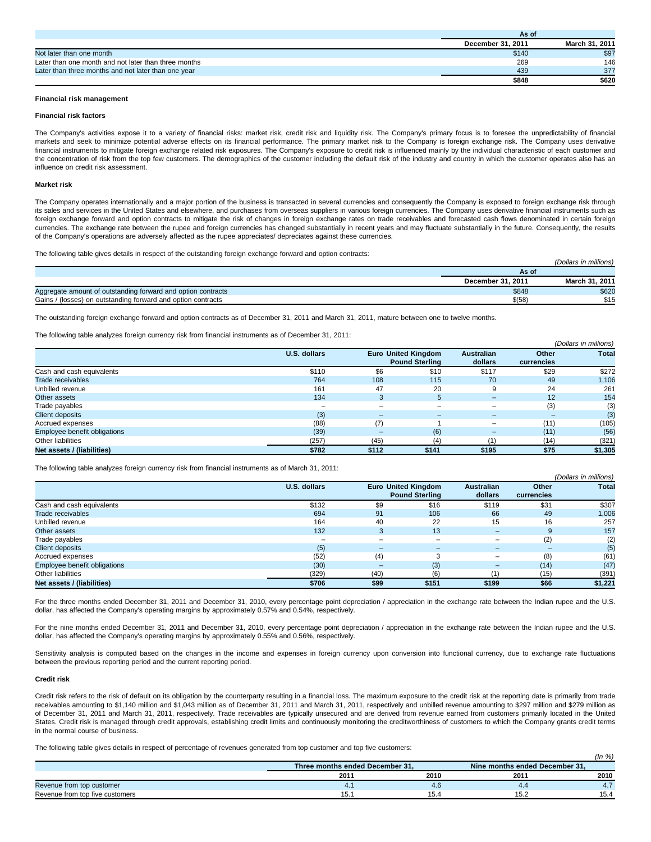|                                                      | AS VI             |                |
|------------------------------------------------------|-------------------|----------------|
|                                                      | December 31, 2011 | March 31, 2011 |
| Not later than one month                             | \$140             | \$97           |
| Later than one month and not later than three months | 269               | 146            |
| Later than three months and not later than one year  | 439               | 377            |
|                                                      | \$848             | \$620          |

**As of**

## **Financial risk management**

### **Financial risk factors**

The Company's activities expose it to a variety of financial risks: market risk, credit risk and liquidity risk. The Company's primary focus is to foresee the unpredictability of financial markets and seek to minimize potential adverse effects on its financial performance. The primary market risk to the Company is foreign exchange risk. The Company uses derivative financial instruments to mitigate foreign exchange related risk exposures. The Company's exposure to credit risk is influenced mainly by the individual characteristic of each customer and the concentration of risk from the top few customers. The demographics of the customer including the default risk of the industry and country in which the customer operates also has an influence on credit risk assessment.

### **Market risk**

The Company operates internationally and a major portion of the business is transacted in several currencies and consequently the Company is exposed to foreign exchange risk through its sales and services in the United States and elsewhere, and purchases from overseas suppliers in various foreign currencies. The Company uses derivative financial instruments such as foreign exchange forward and option contracts to mitigate the risk of changes in foreign exchange rates on trade receivables and forecasted cash flows denominated in certain foreign currencies. The exchange rate between the rupee and foreign currencies has changed substantially in recent years and may fluctuate substantially in the future. Consequently, the results of the Company's operations are adversely affected as the rupee appreciates/ depreciates against these currencies.

The following table gives details in respect of the outstanding foreign exchange forward and option contracts:

|                                                              |                   | (Dollars in millions) |
|--------------------------------------------------------------|-------------------|-----------------------|
|                                                              | As of             |                       |
|                                                              | December 31, 2011 | March 31, 2011        |
| Aggregate amount of outstanding forward and option contracts | \$848             | \$620                 |
| Gains / (losses) on outstanding forward and option contracts | \$(58)            | \$15                  |

The outstanding foreign exchange forward and option contracts as of December 31, 2011 and March 31, 2011, mature between one to twelve months.

The following table analyzes foreign currency risk from financial instruments as of December 31, 2011:

|                              |                     |                          |                                                     |                              |                     | (Dollars in millions) |
|------------------------------|---------------------|--------------------------|-----------------------------------------------------|------------------------------|---------------------|-----------------------|
|                              | <b>U.S. dollars</b> |                          | <b>Euro United Kingdom</b><br><b>Pound Sterling</b> | <b>Australian</b><br>dollars | Other<br>currencies | <b>Total</b>          |
| Cash and cash equivalents    | \$110               | \$6                      | \$10                                                | \$117                        | \$29                | \$272                 |
| Trade receivables            | 764                 | 108                      | 115                                                 | 70                           | 49                  | 1,106                 |
| Unbilled revenue             | 161                 | 47                       | 20                                                  | 9                            | 24                  | 261                   |
| Other assets                 | 134                 | 3                        | 5                                                   | $\overline{\phantom{0}}$     | 12                  | 154                   |
| Trade payables               |                     | $\overline{\phantom{0}}$ | -                                                   | ۰                            | (3)                 | (3)                   |
| <b>Client deposits</b>       | (3)                 | $-$                      | $\overline{\phantom{0}}$                            | $\overline{\phantom{0}}$     | -                   | (3)                   |
| Accrued expenses             | (88)                | (7)                      |                                                     |                              | (11)                | (105)                 |
| Employee benefit obligations | (39)                | $\overline{\phantom{0}}$ | (6)                                                 | $-$                          | (11)                | (56)                  |
| Other liabilities            | (257)               | (45)                     | (4)                                                 |                              | (14)                | (321)                 |
| Net assets / (liabilities)   | \$782               | \$112                    | \$141                                               | \$195                        | \$75                | \$1,305               |

The following table analyzes foreign currency risk from financial instruments as of March 31, 2011:

|                              |                     |                          |                            |                          |            | (Dollars in millions) |
|------------------------------|---------------------|--------------------------|----------------------------|--------------------------|------------|-----------------------|
|                              | <b>U.S. dollars</b> |                          | <b>Euro United Kingdom</b> | <b>Australian</b>        | Other      | <b>Total</b>          |
|                              |                     |                          | <b>Pound Sterling</b>      | dollars                  | currencies |                       |
| Cash and cash equivalents    | \$132               | \$9                      | \$16                       | \$119                    | \$31       | \$307                 |
| Trade receivables            | 694                 | 91                       | 106                        | 66                       | 49         | 1,006                 |
| Unbilled revenue             | 164                 | 40                       | 22                         | 15                       | 16         | 257                   |
| Other assets                 | 132                 | 3                        | 13                         | $\overline{\phantom{a}}$ | 9          | 157                   |
| Trade payables               |                     | ۰                        |                            |                          | (2)        | (2)                   |
| <b>Client deposits</b>       | (5)                 | $\overline{\phantom{0}}$ | -                          | -                        |            | (5)                   |
| Accrued expenses             | (52)                | (4)                      | 3                          | $\sim$                   | (8)        | (61)                  |
| Employee benefit obligations | (30)                | $\overline{\phantom{0}}$ | (3)                        |                          | (14)       | (47)                  |
| Other liabilities            | (329)               | (40)                     | (6)                        |                          | (15)       | (391)                 |
| Net assets / (liabilities)   | \$706               | \$99                     | \$151                      | \$199                    | \$66       | \$1,221               |

For the three months ended December 31, 2011 and December 31, 2010, every percentage point depreciation / appreciation in the exchange rate between the Indian rupee and the U.S. dollar, has affected the Company's operating margins by approximately 0.57% and 0.54%, respectively.

For the nine months ended December 31, 2011 and December 31, 2010, every percentage point depreciation / appreciation in the exchange rate between the Indian rupee and the U.S. dollar, has affected the Company's operating margins by approximately 0.55% and 0.56%, respectively.

Sensitivity analysis is computed based on the changes in the income and expenses in foreign currency upon conversion into functional currency, due to exchange rate fluctuations between the previous reporting period and the current reporting period.

# **Credit risk**

Credit risk refers to the risk of default on its obligation by the counterparty resulting in a financial loss. The maximum exposure to the credit risk at the reporting date is primarily from trade receivables amounting to \$1,140 million and \$1,043 million as of December 31, 2011 and March 31, 2011, respectively and unbilled revenue amounting to \$297 million and \$279 million as of December 31, 2011 and March 31, 2011, respectively. Trade receivables are typically unsecured and are derived from revenue earned from customers primarily located in the United States. Credit risk is managed through credit approvals, establishing credit limits and continuously monitoring the creditworthiness of customers to which the Company grants credit terms in the normal course of business.

The following table gives details in respect of percentage of revenues generated from top customer and top five customers:

|                                 |                                 |      |                                | (ln % ) |
|---------------------------------|---------------------------------|------|--------------------------------|---------|
|                                 | Three months ended December 31, |      | Nine months ended December 31, |         |
|                                 | 2011                            | 2010 | 201                            | 2010    |
| Revenue from top customer       | 4.1                             | 4.6  |                                |         |
| Revenue from top five customers | 15.1                            | 15.4 | 15.2                           | 15.4    |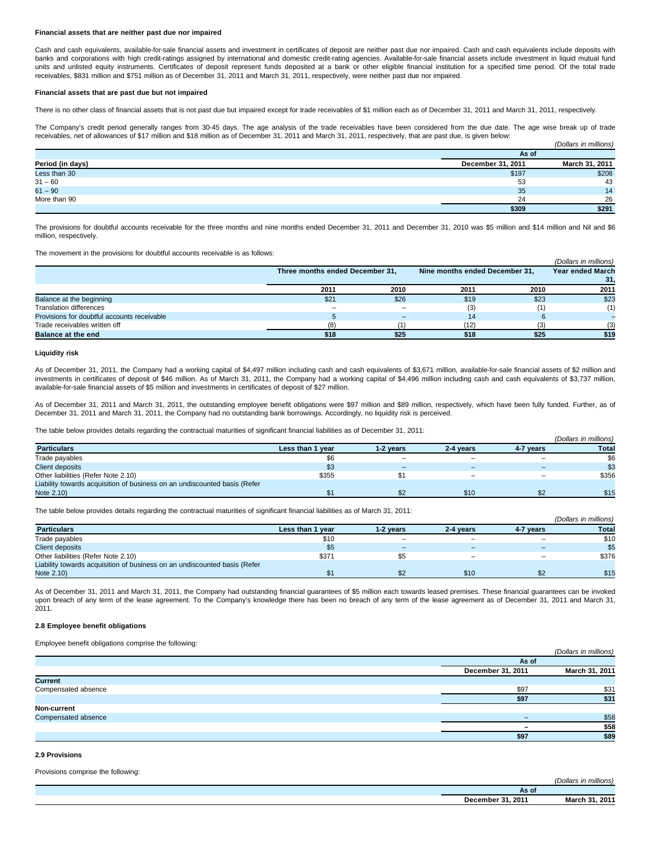### **Financial assets that are neither past due nor impaired**

Cash and cash equivalents, available-for-sale financial assets and investment in certificates of deposit are neither past due nor impaired. Cash and cash equivalents include deposits with banks and corporations with high credit-ratings assigned by international and domestic credit-rating agencies. Available-for-sale financial assets include investment in liquid mutual fund units and unlisted equity instruments. Certificates of deposit represent funds deposited at a bank or other eligible financial institution for a specified time period. Of the total trade receivables, \$831 million and \$751 million as of December 31, 2011 and March 31, 2011, respectively, were neither past due nor impaired.

## **Financial assets that are past due but not impaired**

There is no other class of financial assets that is not past due but impaired except for trade receivables of \$1 million each as of December 31, 2011 and March 31, 2011, respectively.

The Company's credit period generally ranges from 30-45 days. The age analysis of the trade receivables have been considered from the due date. The age wise break up of trade receivables, net of allowances of \$17 million and \$18 million as of December 31, 2011 and March 31, 2011, respectively, that are past due, is given below: (Dollars in millions)

|                  | As of             |                |
|------------------|-------------------|----------------|
| Period (in days) | December 31, 2011 | March 31, 2011 |
| Less than 30     | \$197             | \$208          |
| $31 - 60$        | 53                | 43             |
| $61 - 90$        | 35                | 14             |
| More than 90     | 24                | 26             |
|                  | \$309             | \$291          |

The provisions for doubtful accounts receivable for the three months and nine months ended December 31, 2011 and December 31, 2010 was \$5 million and \$14 million and Nil and \$6 million, respectively.

The movement in the provisions for doubtful accounts receivable is as follows:

|                                             |                                 |                          |                                |      | (Dollars in millions)   |
|---------------------------------------------|---------------------------------|--------------------------|--------------------------------|------|-------------------------|
|                                             | Three months ended December 31, |                          | Nine months ended December 31, |      | <b>Year ended March</b> |
|                                             |                                 |                          |                                |      |                         |
|                                             | 2011                            | 2010                     | 2011                           | 2010 | 2011                    |
| Balance at the beginning                    | \$21                            | \$26                     | \$19                           | \$23 | \$23                    |
| <b>Translation differences</b>              | -                               | $\overline{\phantom{0}}$ | (3)                            |      |                         |
| Provisions for doubtful accounts receivable |                                 | -                        | 14                             |      |                         |
| Trade receivables written off               | (8)                             |                          | (12)                           |      | (3)                     |
| <b>Balance at the end</b>                   | \$18                            | \$25                     | \$18                           | \$25 | \$19                    |

## **Liquidity risk**

As of December 31, 2011, the Company had a working capital of \$4,497 million including cash and cash equivalents of \$3,671 million, available-for-sale financial assets of \$2 million and investments in certificates of deposit of \$46 million. As of March 31, 2011, the Company had a working capital of \$4,496 million including cash and cash equivalents of \$3,737 million, available-for-sale financial assets of \$5 million and investments in certificates of deposit of \$27 million.

As of December 31, 2011 and March 31, 2011, the outstanding employee benefit obligations were \$97 million and \$89 million, respectively, which have been fully funded. Further, as of December 31, 2011 and March 31, 2011, the Company had no outstanding bank borrowings. Accordingly, no liquidity risk is perceived.

The table below provides details regarding the contractual maturities of significant financial liabilities as of December 31, 2011:

|                                                                           |                  |                          |                          |           | (Dollars in millions) |
|---------------------------------------------------------------------------|------------------|--------------------------|--------------------------|-----------|-----------------------|
| <b>Particulars</b>                                                        | Less than 1 year | 1-2 vears                | 2-4 vears                | 4-7 years | <b>Total</b>          |
| Trade payables                                                            | \$6              | $\overline{\phantom{a}}$ | -                        |           | \$6                   |
| <b>Client deposits</b>                                                    | \$3              |                          |                          |           | \$3                   |
| Other liabilities (Refer Note 2.10)                                       | \$355            |                          | $\overline{\phantom{0}}$ |           | \$356                 |
| Liability towards acquisition of business on an undiscounted basis (Refer |                  |                          |                          |           |                       |
| Note 2.10)                                                                |                  |                          | \$10                     |           | \$15                  |

The table below provides details regarding the contractual maturities of significant financial liabilities as of March 31, 2011:

|                                                                           |                  |           |           |           | (Dollars in millions) |
|---------------------------------------------------------------------------|------------------|-----------|-----------|-----------|-----------------------|
| <b>Particulars</b>                                                        | Less than 1 year | 1-2 vears | 2-4 vears | 4-7 years | <b>Total</b>          |
| Trade payables                                                            | \$10             | $\sim$    |           |           | \$10                  |
| <b>Client deposits</b>                                                    | \$5              | -         |           |           | \$5                   |
| Other liabilities (Refer Note 2.10)                                       | \$371            |           |           |           | \$376                 |
| Liability towards acquisition of business on an undiscounted basis (Refer |                  |           |           |           |                       |
| Note 2.10)                                                                |                  |           | \$10      |           | \$15                  |

As of December 31, 2011 and March 31, 2011, the Company had outstanding financial guarantees of \$5 million each towards leased premises. These financial guarantees can be invoked upon breach of any term of the lease agreement. To the Company's knowledge there has been no breach of any term of the lease agreement as of December 31, 2011 and March 31, 2011.

# **2.8 Employee benefit obligations**

Employee benefit obligations comprise the following:

|                     |                          | (Dollars in millions) |
|---------------------|--------------------------|-----------------------|
|                     | As of                    |                       |
|                     | December 31, 2011        | March 31, 2011        |
| <b>Current</b>      |                          |                       |
| Compensated absence | \$97                     | \$31                  |
|                     | \$97                     | \$31                  |
| Non-current         |                          |                       |
| Compensated absence | $\overline{\phantom{a}}$ | \$58                  |
|                     | $\overline{\phantom{0}}$ | \$58                  |
|                     | \$97                     | \$89                  |

# **2.9 Provisions**

Provisions comprise the following:

|                                      | $-$<br><br>1 <sub>11</sub><br>lion<br>בו וגוו |
|--------------------------------------|-----------------------------------------------|
| AS U                                 |                                               |
| .201 <sup>′</sup><br><b>December</b> | 201<br>Maral                                  |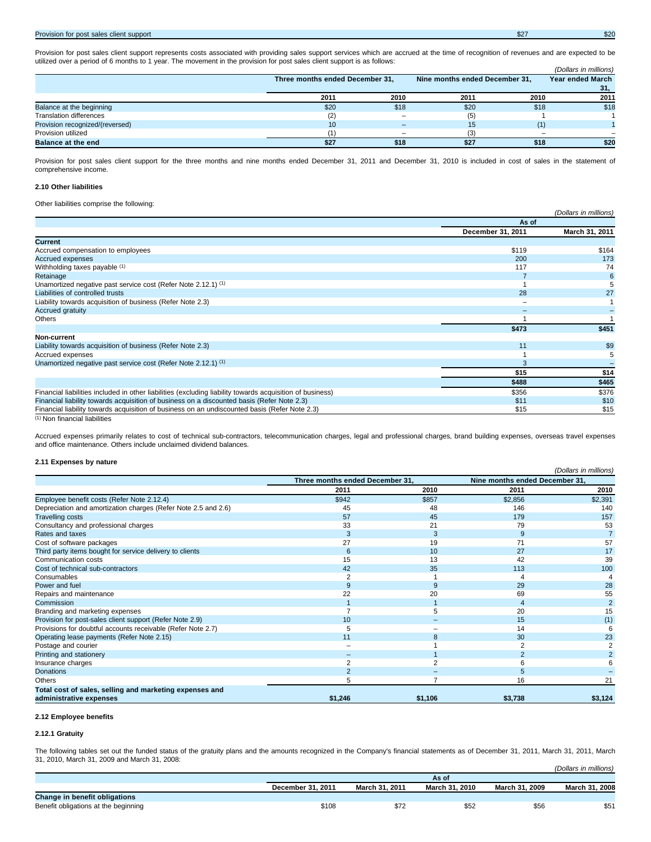# Provision for post sales client support \$27 \$20

Provision for post sales client support represents costs associated with providing sales support services which are accrued at the time of recognition of revenues and are expected to be utilized over a period of 6 months to 1 year. The movement in the provision for post sales client support is as follows: (Dollars in millions)

|                                 | Three months ended December 31, |      | Nine months ended December 31, |      | Year ended March |
|---------------------------------|---------------------------------|------|--------------------------------|------|------------------|
|                                 |                                 |      |                                |      | 31.              |
|                                 | 2011                            | 2010 | 2011                           | 2010 | 2011             |
| Balance at the beginning        | \$20                            | \$18 | \$20                           | \$18 | \$18             |
| <b>Translation differences</b>  | (2)                             |      | (5)                            |      |                  |
| Provision recognized/(reversed) | 10                              |      | 15                             |      |                  |
| Provision utilized              |                                 |      |                                |      |                  |
| <b>Balance at the end</b>       | \$27                            | \$18 | \$27                           | \$18 | \$20             |

Provision for post sales client support for the three months and nine months ended December 31, 2011 and December 31, 2010 is included in cost of sales in the statement of comprehensive income.

# **2.10 Other liabilities**

Other liabilities comprise the following:

| Other nabilities comprise the following.                                                                  |                   | (Dollars in millions) |
|-----------------------------------------------------------------------------------------------------------|-------------------|-----------------------|
|                                                                                                           | As of             |                       |
|                                                                                                           | December 31, 2011 | March 31, 2011        |
| <b>Current</b>                                                                                            |                   |                       |
| Accrued compensation to employees                                                                         | \$119             | \$164                 |
| <b>Accrued expenses</b>                                                                                   | 200               | 173                   |
| Withholding taxes payable (1)                                                                             | 117               | 74                    |
| Retainage                                                                                                 |                   | 6                     |
| Unamortized negative past service cost (Refer Note 2.12.1) (1)                                            |                   | 5                     |
| Liabilities of controlled trusts                                                                          | 28                | 27                    |
| Liability towards acquisition of business (Refer Note 2.3)                                                |                   |                       |
| <b>Accrued gratuity</b>                                                                                   |                   |                       |
| Others                                                                                                    |                   |                       |
|                                                                                                           | \$473             | \$451                 |
| Non-current                                                                                               |                   |                       |
| Liability towards acquisition of business (Refer Note 2.3)                                                | 11                | \$9                   |
| Accrued expenses                                                                                          |                   |                       |
| Unamortized negative past service cost (Refer Note 2.12.1) (1)                                            | 3                 |                       |
|                                                                                                           | \$15              | \$14                  |
|                                                                                                           | \$488             | \$465                 |
| Financial liabilities included in other liabilities (excluding liability towards acquisition of business) | \$356             | \$376                 |
| Financial liability towards acquisition of business on a discounted basis (Refer Note 2.3)                | \$11              | \$10                  |
| Financial liability towards acquisition of business on an undiscounted basis (Refer Note 2.3)             | \$15              | \$15                  |

(1) Non financial liabilities

Accrued expenses primarily relates to cost of technical sub-contractors, telecommunication charges, legal and professional charges, brand building expenses, overseas travel expenses and office maintenance. Others include unclaimed dividend balances.

# **2.11 Expenses by nature**

| = = xponooo by nature                                          |                                 |         |                                | (Dollars in millions) |
|----------------------------------------------------------------|---------------------------------|---------|--------------------------------|-----------------------|
|                                                                | Three months ended December 31, |         | Nine months ended December 31, |                       |
|                                                                | 2011                            | 2010    | 2011                           | 2010                  |
| Employee benefit costs (Refer Note 2.12.4)                     | \$942                           | \$857   | \$2,856                        | \$2,391               |
| Depreciation and amortization charges (Refer Note 2.5 and 2.6) | 45                              | 48      | 146                            | 140                   |
| <b>Travelling costs</b>                                        | 57                              | 45      | 179                            | 157                   |
| Consultancy and professional charges                           | 33                              | 21      | 79                             | 53                    |
| Rates and taxes                                                | 3                               | 3       | 9                              |                       |
| Cost of software packages                                      | 27                              | 19      | 71                             | 57                    |
| Third party items bought for service delivery to clients       | 6                               | 10      | 27                             | 17                    |
| Communication costs                                            | 15                              | 13      | 42                             | 39                    |
| Cost of technical sub-contractors                              | 42                              | 35      | 113                            | 100                   |
| Consumables                                                    |                                 |         |                                |                       |
| Power and fuel                                                 | 9                               | 9       | 29                             | 28                    |
| Repairs and maintenance                                        | 22                              | 20      | 69                             | 55                    |
| Commission                                                     |                                 |         |                                | $\overline{2}$        |
| Branding and marketing expenses                                |                                 |         | 20                             | 15                    |
| Provision for post-sales client support (Refer Note 2.9)       | 10                              |         | 15                             | (1)                   |
| Provisions for doubtful accounts receivable (Refer Note 2.7)   | 5                               |         | 14                             | 6                     |
| Operating lease payments (Refer Note 2.15)                     | 11                              | 8       | 30                             | 23                    |
| Postage and courier                                            |                                 |         |                                |                       |
| Printing and stationery                                        |                                 |         |                                |                       |
| Insurance charges                                              |                                 |         |                                |                       |
| <b>Donations</b>                                               |                                 |         |                                |                       |
| <b>Others</b>                                                  | 5                               |         | 16                             | 21                    |
| Total cost of sales, selling and marketing expenses and        |                                 |         |                                |                       |
| administrative expenses                                        | \$1,246                         | \$1,106 | \$3,738                        | \$3,124               |

# **2.12 Employee benefits**

### **2.12.1 Gratuity**

The following tables set out the funded status of the gratuity plans and the amounts recognized in the Company's financial statements as of December 31, 2011, March 31, 2011, March 31, 2010, March 31, 2009 and March 31, 2008:

|                                      | As of             |                         |                |                |                |
|--------------------------------------|-------------------|-------------------------|----------------|----------------|----------------|
|                                      | December 31, 2011 | March 31, 2011          | March 31, 2010 | March 31, 2009 | March 31, 2008 |
| Change in benefit obligations        |                   |                         |                |                |                |
| Benefit obligations at the beginning | \$108             | 07 <sup>c</sup><br>ے ≀ھ | \$52           | \$56           | \$51           |

(Dollars in millions)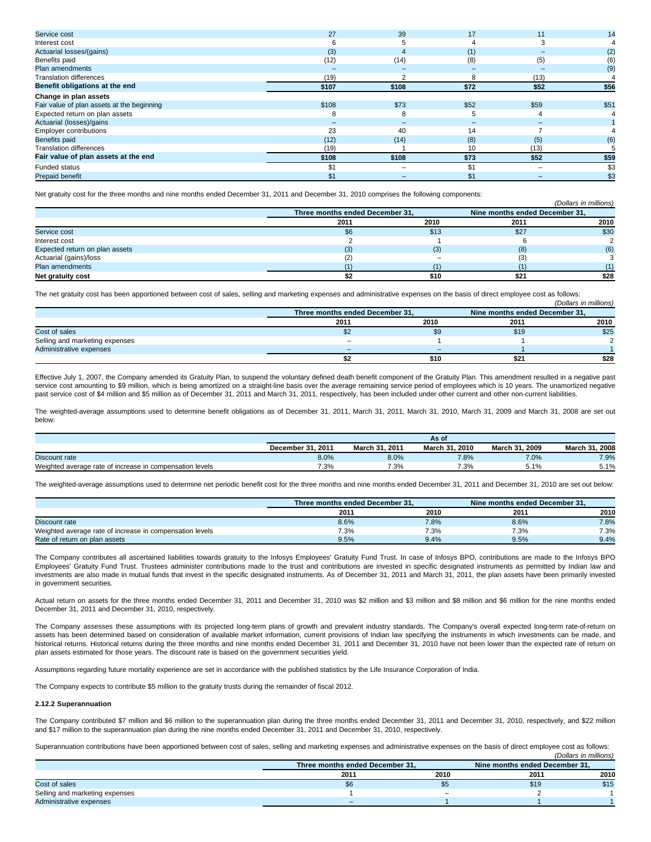| Service cost                               | 27    | 39    | 17                       | 11   | 14   |
|--------------------------------------------|-------|-------|--------------------------|------|------|
| Interest cost                              | 6     |       |                          |      |      |
| Actuarial losses/(gains)                   | (3)   |       | (1)                      |      | (2)  |
| Benefits paid                              | (12)  | (14)  | (8)                      | (5)  | (6)  |
| Plan amendments                            |       |       | $\overline{\phantom{0}}$ |      | (9)  |
| <b>Translation differences</b>             | (19)  |       | 8                        | (13) |      |
| Benefit obligations at the end             | \$107 | \$108 | \$72                     | \$52 | \$56 |
| Change in plan assets                      |       |       |                          |      |      |
| Fair value of plan assets at the beginning | \$108 | \$73  | \$52                     | \$59 | \$51 |
| Expected return on plan assets             | 8     | 8     | 5                        |      |      |
| Actuarial (losses)/gains                   | -     |       | -                        |      |      |
| Employer contributions                     | 23    | 40    | 14                       |      |      |
| <b>Benefits paid</b>                       | (12)  | (14)  | (8)                      | (5)  | (6)  |
| <b>Translation differences</b>             | (19)  |       | 10                       | (13) |      |
| Fair value of plan assets at the end       | \$108 | \$108 | \$73                     | \$52 | \$59 |
| Funded status                              | \$1   |       | \$1                      |      | \$3  |
| <b>Prepaid benefit</b>                     | \$1   |       | \$1                      |      | \$3  |

Net gratuity cost for the three months and nine months ended December 31, 2011 and December 31, 2010 comprises the following components:

|                                |                                 |      |                                | (Dollars in millions) |
|--------------------------------|---------------------------------|------|--------------------------------|-----------------------|
|                                | Three months ended December 31. |      | Nine months ended December 31. |                       |
|                                | 2011                            | 2010 | 2011                           | 2010                  |
| Service cost                   | \$6                             | \$13 | \$27                           | \$30                  |
| Interest cost                  |                                 |      |                                |                       |
| Expected return on plan assets | (3)                             | (3)  | (8)                            | (6)                   |
| Actuarial (gains)/loss         | (2)                             |      | (3                             |                       |
| Plan amendments                |                                 |      |                                | (1)                   |
| Net gratuity cost              |                                 | \$10 | \$21                           | \$28                  |

The net gratuity cost has been apportioned between cost of sales, selling and marketing expenses and administrative expenses on the basis of direct employee cost as follows: (Dollars in millions)

|                                | Three months ended December 31. |      | Nine months ended December 31, |      |
|--------------------------------|---------------------------------|------|--------------------------------|------|
|                                | 2011                            | 2010 | 2011                           | 2010 |
| Cost of sales                  | \$2                             | \$9  | \$19                           | \$25 |
| Selling and marketing expenses | $\overline{\phantom{0}}$        |      |                                |      |
| Administrative expenses        | -                               |      |                                |      |
|                                |                                 | \$10 | \$21                           | \$28 |

Effective July 1, 2007, the Company amended its Gratuity Plan, to suspend the voluntary defined death benefit component of the Gratuity Plan. This amendment resulted in a negative past service cost amounting to \$9 million, which is being amortized on a straight-line basis over the average remaining service period of employees which is 10 years. The unamortized negative past service cost of \$4 million and \$5 million as of December 31, 2011 and March 31, 2011, respectively, has been included under other current and other non-current liabilities.

The weighted-average assumptions used to determine benefit obligations as of December 31, 2011, March 31, 2011, March 31, 2010, March 31, 2009 and March 31, 2008 are set out below:

|                                                          | As of                |                   |                  |                           |                  |
|----------------------------------------------------------|----------------------|-------------------|------------------|---------------------------|------------------|
|                                                          | 2011<br>December 31. | March 31.<br>2011 | March 31<br>2010 | .2009<br>March 31<br>- 24 | March 31<br>2008 |
| Discount rate                                            | 8.0%                 | 8.0%              | 7.8%             | 7.0%                      | 7.9%             |
| Weighted average rate of increase in compensation levels | 7.3%                 | 7.3%              | 7.3%             | 10/                       | 5.1%<br>J.I      |

The weighted-average assumptions used to determine net periodic benefit cost for the three months and nine months ended December 31, 2011 and December 31, 2010 are set out below:

|                                                          | Three months ended December 31. |      | Nine months ended December 31. |      |  |
|----------------------------------------------------------|---------------------------------|------|--------------------------------|------|--|
|                                                          | 2011                            | 2010 | 2011                           | 2010 |  |
| Discount rate                                            | 8.6%                            | 7.8% | 8.6%                           | 7.8% |  |
| Weighted average rate of increase in compensation levels | $7.3\%$                         | 7.3% | 7.3%                           | 7.3% |  |
| Rate of return on plan assets                            | 9.5%                            | 9.4% | 9.5%                           | 9.4% |  |

The Company contributes all ascertained liabilities towards gratuity to the Infosys Employees' Gratuity Fund Trust. In case of Infosys BPO, contributions are made to the Infosys BPO Employees' Gratuity Fund Trust. Trustees administer contributions made to the trust and contributions are invested in specific designated instruments as permitted by Indian law and investments are also made in mutual funds that invest in the specific designated instruments. As of December 31, 2011 and March 31, 2011, the plan assets have been primarily invested in government securities.

Actual return on assets for the three months ended December 31, 2011 and December 31, 2010 was \$2 million and \$3 million and \$8 million and \$6 million for the nine months ended December 31, 2011 and December 31, 2010, respectively.

The Company assesses these assumptions with its projected long-term plans of growth and prevalent industry standards. The Company's overall expected long-term rate-of-return on assets has been determined based on consideration of available market information, current provisions of Indian law specifying the instruments in which investments can be made, and historical returns. Historical returns during the three months and nine months ended December 31, 2011 and December 31, 2010 have not been lower than the expected rate of return on plan assets estimated for those years. The discount rate is based on the government securities yield.

Assumptions regarding future mortality experience are set in accordance with the published statistics by the Life Insurance Corporation of India.

The Company expects to contribute \$5 million to the gratuity trusts during the remainder of fiscal 2012.

### **2.12.2 Superannuation**

The Company contributed \$7 million and \$6 million to the superannuation plan during the three months ended December 31, 2011 and December 31, 2010, respectively, and \$22 million and \$17 million to the superannuation plan during the nine months ended December 31, 2011 and December 31, 2010, respectively.

Superannuation contributions have been apportioned between cost of sales, selling and marketing expenses and administrative expenses on the basis of direct employee cost as follows: (Dollars in millions)

|                                | Three months ended December 31. | Nine months ended December 31. |      |      |
|--------------------------------|---------------------------------|--------------------------------|------|------|
|                                | 2011                            | 2010                           | 2011 | 2010 |
| Cost of sales                  | \$6                             | യ                              | \$19 | \$15 |
| Selling and marketing expenses |                                 | $\overline{\phantom{a}}$       |      |      |
| Administrative expenses        | -                               |                                |      |      |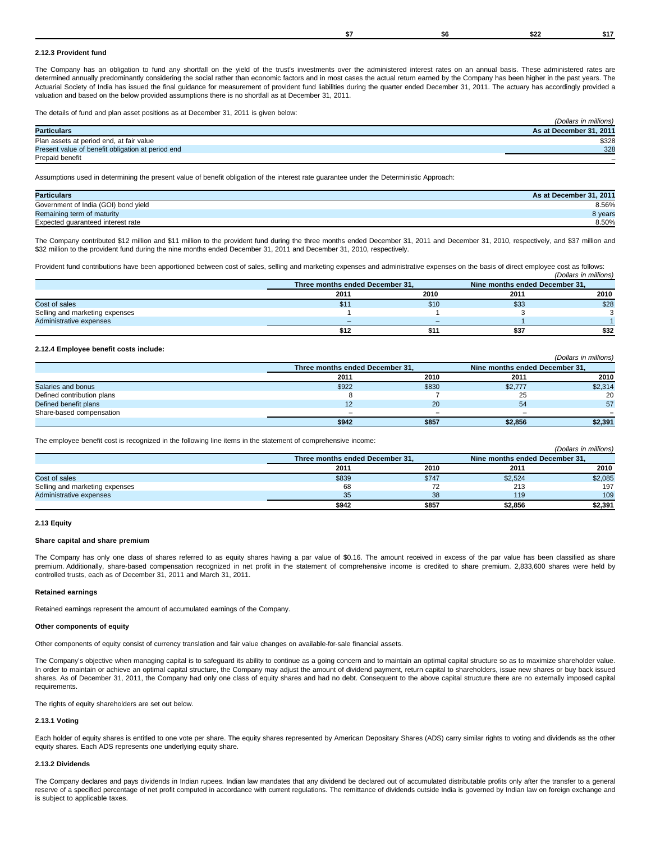# **2.12.3 Provident fund**

The Company has an obligation to fund any shortfall on the yield of the trust's investments over the administered interest rates on an annual basis. These administered rates are determined annually predominantly considering the social rather than economic factors and in most cases the actual return earned by the Company has been higher in the past years. The Actuarial Society of India has issued the final guidance for measurement of provident fund liabilities during the quarter ended December 31, 2011. The actuary has accordingly provided a valuation and based on the below provided assumptions there is no shortfall as at December 31, 2011.

The details of fund and plan asset positions as at December 31, 2011 is given below:

|                                                   | (Dollars in millions)   |
|---------------------------------------------------|-------------------------|
| <b>Particulars</b>                                | As at December 31, 2011 |
| Plan assets at period end, at fair value          | \$328                   |
| Present value of benefit obligation at period end | 328                     |
| Prepaid benefit                                   |                         |

Assumptions used in determining the present value of benefit obligation of the interest rate guarantee under the Deterministic Approach:

| <b>Particulars</b>                   | As at December 31, 2011 |
|--------------------------------------|-------------------------|
| Government of India (GOI) bond yield | 8.56%                   |
| Remaining term of maturity           | 8 years                 |
| Expected quaranteed interest rate    | 8.50%                   |

The Company contributed \$12 million and \$11 million to the provident fund during the three months ended December 31, 2011 and December 31, 2010, respectively, and \$37 million and \$32 million to the provident fund during the nine months ended December 31, 2011 and December 31, 2010, respectively.

Provident fund contributions have been apportioned between cost of sales, selling and marketing expenses and administrative expenses on the basis of direct employee cost as follows: (Dollars in millions)

|                                | Three months ended December 31, |      | Nine months ended December 31, |      |
|--------------------------------|---------------------------------|------|--------------------------------|------|
|                                | 2011                            | 2010 | 2011                           | 2010 |
| Cost of sales                  | 91.                             | \$10 | \$33                           | \$28 |
| Selling and marketing expenses |                                 |      |                                |      |
| Administrative expenses        | -                               |      |                                |      |
|                                | \$12                            |      | \$37                           | \$32 |

### **2.12.4 Employee benefit costs include:**

|                            |                          |                                 |         | (Dollars in millions)          |
|----------------------------|--------------------------|---------------------------------|---------|--------------------------------|
|                            |                          | Three months ended December 31. |         | Nine months ended December 31. |
|                            | 2011                     | 2010                            | 2011    | 2010                           |
| Salaries and bonus         | \$922                    | \$830                           | \$2,777 | \$2,314                        |
| Defined contribution plans |                          |                                 | 25      | 20                             |
| Defined benefit plans      | 12                       | <b>20</b>                       | 54      | 57                             |
| Share-based compensation   | $\overline{\phantom{0}}$ |                                 |         |                                |
|                            | \$942                    | \$857                           | \$2,856 | \$2,391                        |

The employee benefit cost is recognized in the following line items in the statement of comprehensive income:

|                                | Three months ended December 31. |       | Nine months ended December 31. |         |
|--------------------------------|---------------------------------|-------|--------------------------------|---------|
|                                | 2011                            | 2010  | 2011                           | 2010    |
| Cost of sales                  | \$839                           | \$747 | \$2,524                        | \$2,085 |
| Selling and marketing expenses | 68                              |       | 213                            | 197     |
| Administrative expenses        | 35                              | 38    | 119                            | 109     |
|                                | \$942                           | \$857 | \$2,856                        | \$2,391 |

(Dollars in millions)

#### **2.13 Equity**

#### **Share capital and share premium**

The Company has only one class of shares referred to as equity shares having a par value of \$0.16. The amount received in excess of the par value has been classified as share premium. Additionally, share-based compensation recognized in net profit in the statement of comprehensive income is credited to share premium. 2,833,600 shares were held by controlled trusts, each as of December 31, 2011 and March 31, 2011.

### **Retained earnings**

Retained earnings represent the amount of accumulated earnings of the Company.

### **Other components of equity**

Other components of equity consist of currency translation and fair value changes on available-for-sale financial assets.

The Company's objective when managing capital is to safeguard its ability to continue as a going concern and to maintain an optimal capital structure so as to maximize shareholder value. In order to maintain or achieve an optimal capital structure, the Company may adjust the amount of dividend payment, return capital to shareholders, issue new shares or buy back issued shares. As of December 31, 2011, the Company had only one class of equity shares and had no debt. Consequent to the above capital structure there are no externally imposed capital requirements.

The rights of equity shareholders are set out below.

# **2.13.1 Voting**

Each holder of equity shares is entitled to one vote per share. The equity shares represented by American Depositary Shares (ADS) carry similar rights to voting and dividends as the other equity shares. Each ADS represents one underlying equity share.

# **2.13.2 Dividends**

The Company declares and pays dividends in Indian rupees. Indian law mandates that any dividend be declared out of accumulated distributable profits only after the transfer to a general reserve of a specified percentage of net profit computed in accordance with current regulations. The remittance of dividends outside India is governed by Indian law on foreign exchange and is subject to applicable taxes.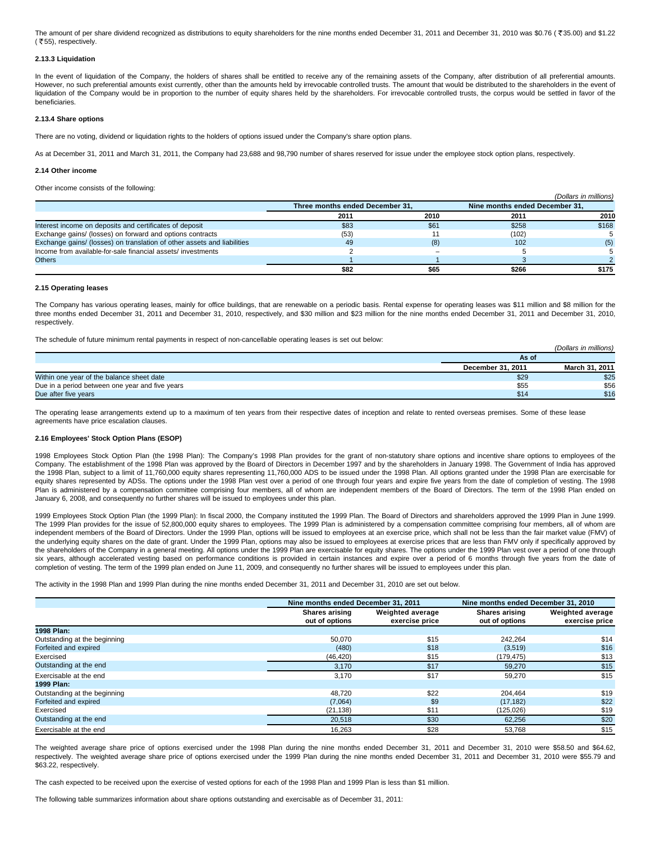The amount of per share dividend recognized as distributions to equity shareholders for the nine months ended December 31, 2011 and December 31, 2010 was \$0.76 ( $\overline{5}$ 35.00) and \$1.22  $($  ₹55), respectively.

## **2.13.3 Liquidation**

In the event of liquidation of the Company, the holders of shares shall be entitled to receive any of the remaining assets of the Company, after distribution of all preferential amounts. However, no such preferential amounts exist currently, other than the amounts held by irrevocable controlled trusts. The amount that would be distributed to the shareholders in the event of liquidation of the Company would be in proportion to the number of equity shares held by the shareholders. For irrevocable controlled trusts, the corpus would be settled in favor of the beneficiaries.

### **2.13.4 Share options**

There are no voting, dividend or liquidation rights to the holders of options issued under the Company's share option plans.

As at December 31, 2011 and March 31, 2011, the Company had 23,688 and 98,790 number of shares reserved for issue under the employee stock option plans, respectively.

### **2.14 Other income**

Other income consists of the following:

|                                                                         |                                 |      |                                | (Dollars in millions) |
|-------------------------------------------------------------------------|---------------------------------|------|--------------------------------|-----------------------|
|                                                                         | Three months ended December 31. |      | Nine months ended December 31. |                       |
|                                                                         | 2011                            | 2010 | 2011                           | 2010                  |
| Interest income on deposits and certificates of deposit                 | \$83                            | \$61 | \$258                          | \$168                 |
| Exchange gains/ (losses) on forward and options contracts               | (53)                            |      | (102)                          |                       |
| Exchange gains/ (losses) on translation of other assets and liabilities | 49                              | (8)  | 102                            | (5)                   |
| Income from available-for-sale financial assets/investments             |                                 |      |                                |                       |
| <b>Others</b>                                                           |                                 |      |                                |                       |
|                                                                         | \$82                            | \$65 | \$266                          | \$175                 |

#### **2.15 Operating leases**

The Company has various operating leases, mainly for office buildings, that are renewable on a periodic basis. Rental expense for operating leases was \$11 million and \$8 million for the three months ended December 31, 2011 and December 31, 2010, respectively, and \$30 million and \$23 million for the nine months ended December 31, 2011 and December 31, 2010, respectively.

The schedule of future minimum rental payments in respect of non-cancellable operating leases is set out below:

|                                                 |                   | (Dollars in millions) |
|-------------------------------------------------|-------------------|-----------------------|
|                                                 | As of             |                       |
|                                                 | December 31, 2011 | March 31, 2011        |
| Within one year of the balance sheet date       | \$29              | \$25                  |
| Due in a period between one year and five years | \$55              | \$56                  |
| Due after five years                            | \$14              | \$16                  |

The operating lease arrangements extend up to a maximum of ten years from their respective dates of inception and relate to rented overseas premises. Some of these lease agreements have price escalation clauses.

### **2.16 Employees' Stock Option Plans (ESOP)**

1998 Employees Stock Option Plan (the 1998 Plan): The Company's 1998 Plan provides for the grant of non-statutory share options and incentive share options to employees of the Company. The establishment of the 1998 Plan was approved by the Board of Directors in December 1997 and by the shareholders in January 1998. The Government of India has approved the 1998 Plan, subject to a limit of 11,760,000 equity shares representing 11,760,000 ADS to be issued under the 1998 Plan. All options granted under the 1998 Plan are exercisable for equity shares represented by ADSs. The options under the 1998 Plan vest over a period of one through four years and expire five years from the date of completion of vesting. The 1998 Plan is administered by a compensation committee comprising four members, all of whom are independent members of the Board of Directors. The term of the 1998 Plan ended on January 6, 2008, and consequently no further shares will be issued to employees under this plan.

1999 Employees Stock Option Plan (the 1999 Plan): In fiscal 2000, the Company instituted the 1999 Plan. The Board of Directors and shareholders approved the 1999 Plan in June 1999. The 1999 Plan provides for the issue of 52,800,000 equity shares to employees. The 1999 Plan is administered by a compensation committee comprising four members, all of whom are independent members of the Board of Directors. Under the 1999 Plan, options will be issued to employees at an exercise price, which shall not be less than the fair market value (FMV) of the underlying equity shares on the date of grant. Under the 1999 Plan, options may also be issued to employees at exercise prices that are less than FMV only if specifically approved by the shareholders of the Company in a general meeting. All options under the 1999 Plan are exercisable for equity shares. The options under the 1999 Plan vest over a period of one through six years, although accelerated vesting based on performance conditions is provided in certain instances and expire over a period of 6 months through five years from the date of completion of vesting. The term of the 1999 plan ended on June 11, 2009, and consequently no further shares will be issued to employees under this plan.

The activity in the 1998 Plan and 1999 Plan during the nine months ended December 31, 2011 and December 31, 2010 are set out below.

|                              | Nine months ended December 31, 2011 |                                           | Nine months ended December 31, 2010 |                                           |
|------------------------------|-------------------------------------|-------------------------------------------|-------------------------------------|-------------------------------------------|
|                              | Shares arising<br>out of options    | <b>Weighted average</b><br>exercise price | Shares arising<br>out of options    | <b>Weighted average</b><br>exercise price |
| 1998 Plan:                   |                                     |                                           |                                     |                                           |
| Outstanding at the beginning | 50.070                              | \$15                                      | 242.264                             | \$14                                      |
| Forfeited and expired        | (480)                               | \$18                                      | (3,519)                             | \$16                                      |
| Exercised                    | (46, 420)                           | \$15                                      | (179,475)                           | \$13                                      |
| Outstanding at the end       | 3,170                               | \$17                                      | 59,270                              | \$15                                      |
| Exercisable at the end       | 3,170                               | \$17                                      | 59.270                              | \$15                                      |
| 1999 Plan:                   |                                     |                                           |                                     |                                           |
| Outstanding at the beginning | 48.720                              | \$22                                      | 204.464                             | \$19                                      |
| Forfeited and expired        | (7,064)                             | \$9                                       | (17, 182)                           | \$22                                      |
| Exercised                    | (21, 138)                           | \$11                                      | (125,026)                           | \$19                                      |
| Outstanding at the end       | 20,518                              | \$30                                      | 62,256                              | \$20                                      |
| Exercisable at the end       | 16,263                              | \$28                                      | 53.768                              | \$15                                      |

The weighted average share price of options exercised under the 1998 Plan during the nine months ended December 31, 2011 and December 31, 2010 were \$58.50 and \$64.62, respectively. The weighted average share price of options exercised under the 1999 Plan during the nine months ended December 31, 2011 and December 31, 2010 were \$55.79 and \$63.22, respectively.

The cash expected to be received upon the exercise of vested options for each of the 1998 Plan and 1999 Plan is less than \$1 million.

The following table summarizes information about share options outstanding and exercisable as of December 31, 2011: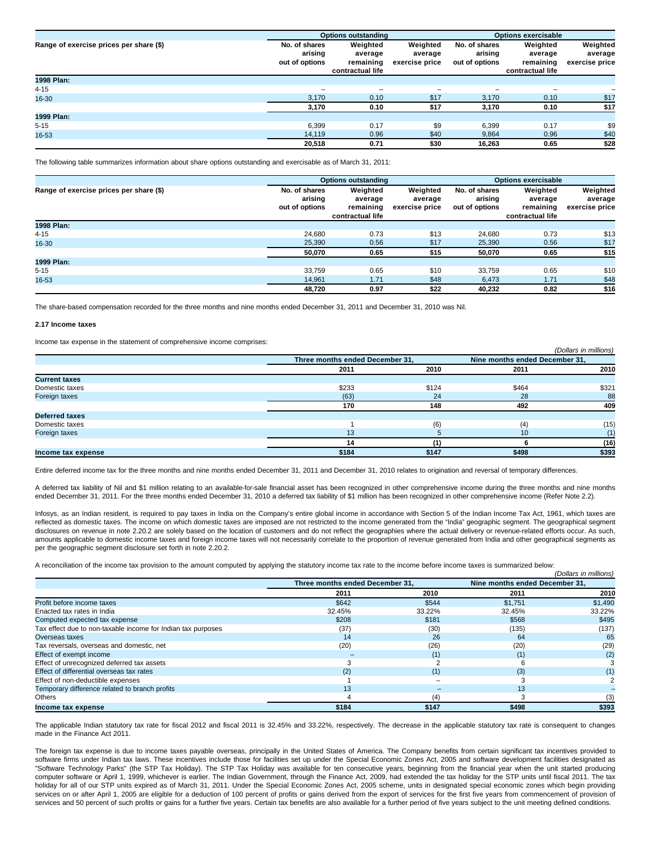|                                         |                                            | <b>Options outstanding</b>                           |                                       | <b>Options exercisable</b>                 |                                                      |                                       |
|-----------------------------------------|--------------------------------------------|------------------------------------------------------|---------------------------------------|--------------------------------------------|------------------------------------------------------|---------------------------------------|
| Range of exercise prices per share (\$) | No. of shares<br>arising<br>out of options | Weighted<br>average<br>remaining<br>contractual life | Weighted<br>average<br>exercise price | No. of shares<br>arising<br>out of options | Weighted<br>average<br>remaining<br>contractual life | Weighted<br>average<br>exercise price |
| 1998 Plan:                              |                                            |                                                      |                                       |                                            |                                                      |                                       |
| $4 - 15$                                | -                                          | $\qquad \qquad -$                                    | $\overline{\phantom{a}}$              | $\overline{\phantom{a}}$                   | $\qquad \qquad$                                      |                                       |
| 16-30                                   | 3,170                                      | 0.10                                                 | \$17                                  | 3,170                                      | 0.10                                                 | \$17                                  |
|                                         | 3,170                                      | 0.10                                                 | \$17                                  | 3,170                                      | 0.10                                                 | \$17                                  |
| 1999 Plan:                              |                                            |                                                      |                                       |                                            |                                                      |                                       |
| $5 - 15$                                | 6.399                                      | 0.17                                                 | \$9                                   | 6,399                                      | 0.17                                                 | \$9                                   |
| 16-53                                   | 14.119                                     | 0.96                                                 | \$40                                  | 9.864                                      | 0.96                                                 | \$40                                  |
|                                         | 20,518                                     | 0.71                                                 | \$30                                  | 16.263                                     | 0.65                                                 | \$28                                  |

The following table summarizes information about share options outstanding and exercisable as of March 31, 2011:

|                                         | <b>Options outstanding</b>                 |                                                      |                                       | <b>Options exercisable</b>                 |                                                      |                                       |
|-----------------------------------------|--------------------------------------------|------------------------------------------------------|---------------------------------------|--------------------------------------------|------------------------------------------------------|---------------------------------------|
| Range of exercise prices per share (\$) | No. of shares<br>arising<br>out of options | Weighted<br>average<br>remaining<br>contractual life | Weighted<br>average<br>exercise price | No. of shares<br>arising<br>out of options | Weighted<br>average<br>remaining<br>contractual life | Weighted<br>average<br>exercise price |
| 1998 Plan:                              |                                            |                                                      |                                       |                                            |                                                      |                                       |
| $4 - 15$                                | 24.680                                     | 0.73                                                 | \$13                                  | 24.680                                     | 0.73                                                 | \$13                                  |
| 16-30                                   | 25.390                                     | 0.56                                                 | \$17                                  | 25,390                                     | 0.56                                                 | \$17                                  |
|                                         | 50,070                                     | 0.65                                                 | \$15                                  | 50,070                                     | 0.65                                                 | \$15                                  |
| 1999 Plan:                              |                                            |                                                      |                                       |                                            |                                                      |                                       |
| $5 - 15$                                | 33.759                                     | 0.65                                                 | \$10                                  | 33.759                                     | 0.65                                                 | \$10                                  |
| 16-53                                   | 14.961                                     | 1.71                                                 | \$48                                  | 6.473                                      | 1.71                                                 | \$48                                  |
|                                         | 48,720                                     | 0.97                                                 | \$22                                  | 40,232                                     | 0.82                                                 | \$16                                  |

The share-based compensation recorded for the three months and nine months ended December 31, 2011 and December 31, 2010 was Nil.

#### **2.17 Income taxes**

Income tax expense in the statement of comprehensive income comprises:

|                       |                                 |       |                                | (Dollars III Infinitions) |
|-----------------------|---------------------------------|-------|--------------------------------|---------------------------|
|                       | Three months ended December 31, |       | Nine months ended December 31, |                           |
|                       | 2011                            | 2010  | 2011                           | 2010                      |
| <b>Current taxes</b>  |                                 |       |                                |                           |
| Domestic taxes        | \$233                           | \$124 | \$464                          | \$321                     |
| Foreign taxes         | (63)                            | 24    | 28                             | 88                        |
|                       | 170                             | 148   | 492                            | 409                       |
| <b>Deferred taxes</b> |                                 |       |                                |                           |
| Domestic taxes        |                                 | (6)   | (4)                            | (15)                      |
| Foreign taxes         | 13                              |       | 10                             |                           |
|                       | 14                              |       |                                | (16)                      |
| Income tax expense    | \$184                           | \$147 | \$498                          | \$393                     |

 $(0, 0, 0, \ldots)$  in millions)

Entire deferred income tax for the three months and nine months ended December 31, 2011 and December 31, 2010 relates to origination and reversal of temporary differences.

A deferred tax liability of Nil and \$1 million relating to an available-for-sale financial asset has been recognized in other comprehensive income during the three months and nine months ended December 31, 2011. For the three months ended December 31, 2010 a deferred tax liability of \$1 million has been recognized in other comprehensive income (Refer Note 2.2).

Infosys, as an Indian resident, is required to pay taxes in India on the Company's entire global income in accordance with Section 5 of the Indian Income Tax Act, 1961, which taxes are reflected as domestic taxes. The income on which domestic taxes are imposed are not restricted to the income generated from the "India" geographic segment. The geographical segment disclosures on revenue in note 2.20.2 are solely based on the location of customers and do not reflect the geographies where the actual delivery or revenue-related efforts occur. As such, amounts applicable to domestic income taxes and foreign income taxes will not necessarily correlate to the proportion of revenue generated from India and other geographical segments as per the geographic segment disclosure set forth in note 2.20.2.

A reconciliation of the income tax provision to the amount computed by applying the statutory income tax rate to the income before income taxes is summarized below:

|                                                              |        |                                 |         | (Dollars in millions)          |
|--------------------------------------------------------------|--------|---------------------------------|---------|--------------------------------|
|                                                              |        | Three months ended December 31, |         | Nine months ended December 31. |
|                                                              | 2011   | 2010                            | 2011    | 2010                           |
| Profit before income taxes                                   | \$642  | \$544                           | \$1,751 | \$1,490                        |
| Enacted tax rates in India                                   | 32.45% | 33.22%                          | 32.45%  | 33.22%                         |
| Computed expected tax expense                                | \$208  | \$181                           | \$568   | \$495                          |
| Tax effect due to non-taxable income for Indian tax purposes | (37)   | (30)                            | (135)   | (137)                          |
| Overseas taxes                                               | 14     | 26                              | 64      | 65                             |
| Tax reversals, overseas and domestic, net                    | (20)   | (26)                            | (20)    | (29)                           |
| Effect of exempt income                                      |        |                                 | (1)     | (2)                            |
| Effect of unrecognized deferred tax assets                   |        |                                 |         |                                |
| Effect of differential overseas tax rates                    | (2)    |                                 | (3)     | (1)                            |
| Effect of non-deductible expenses                            |        |                                 |         |                                |
| Temporary difference related to branch profits               | 13     |                                 | 13      |                                |
| Others                                                       |        | (4)                             |         | (3)                            |
| Income tax expense                                           | \$184  | \$147                           | \$498   | \$393                          |

The applicable Indian statutory tax rate for fiscal 2012 and fiscal 2011 is 32.45% and 33.22%, respectively. The decrease in the applicable statutory tax rate is consequent to changes made in the Finance Act 2011.

The foreign tax expense is due to income taxes payable overseas, principally in the United States of America. The Company benefits from certain significant tax incentives provided to software firms under Indian tax laws. These incentives include those for facilities set up under the Special Economic Zones Act, 2005 and software development facilities designated as "Software Technology Parks" (the STP Tax Holiday). The STP Tax Holiday was available for ten consecutive years, beginning from the financial year when the unit started producing computer software or April 1, 1999, whichever is earlier. The Indian Government, through the Finance Act, 2009, had extended the tax holiday for the STP units until fiscal 2011. The tax holiday for all of our STP units expired as of March 31, 2011. Under the Special Economic Zones Act, 2005 scheme, units in designated special economic zones which begin providing services on or after April 1, 2005 are eligible for a deduction of 100 percent of profits or gains derived from the export of services for the first five years from commencement of provision of services and 50 percent of such profits or gains for a further five years. Certain tax benefits are also available for a further period of five years subject to the unit meeting defined conditions.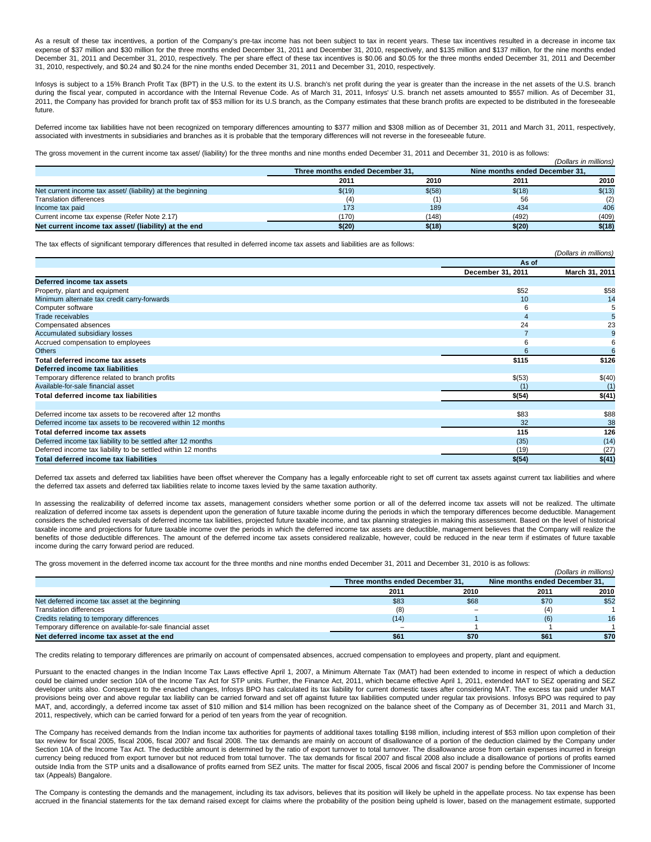As a result of these tax incentives, a portion of the Company's pre-tax income has not been subject to tax in recent years. These tax incentives resulted in a decrease in income tax expense of \$37 million and \$30 million for the three months ended December 31, 2011 and December 31, 2010, respectively, and \$135 million and \$137 million, for the nine months ended December 31, 2011 and December 31, 2010, respectively. The per share effect of these tax incentives is \$0.06 and \$0.05 for the three months ended December 31, 2011 and December 31, 2010, respectively, and \$0.24 and \$0.24 for the nine months ended December 31, 2011 and December 31, 2010, respectively.

Infosys is subject to a 15% Branch Profit Tax (BPT) in the U.S. to the extent its U.S. branch's net profit during the year is greater than the increase in the net assets of the U.S. branch during the fiscal year, computed in accordance with the Internal Revenue Code. As of March 31, 2011, Infosys' U.S. branch net assets amounted to \$557 million. As of December 31, 2011, the Company has provided for branch profit tax of \$53 million for its U.S branch, as the Company estimates that these branch profits are expected to be distributed in the foreseeable future.

Deferred income tax liabilities have not been recognized on temporary differences amounting to \$377 million and \$308 million as of December 31, 2011 and March 31, 2011, respectively, associated with investments in subsidiaries and branches as it is probable that the temporary differences will not reverse in the foreseeable future.

(Dollars in millions)

The gross movement in the current income tax asset/ (liability) for the three months and nine months ended December 31, 2011 and December 31, 2010 is as follows:

|                                                            |                                 |        |                                | IDOIRIS III IIIIIIOIISI |
|------------------------------------------------------------|---------------------------------|--------|--------------------------------|-------------------------|
|                                                            | Three months ended December 31, |        | Nine months ended December 31. |                         |
|                                                            | 2011                            | 2010   | 2011                           | 2010                    |
| Net current income tax asset/ (liability) at the beginning | \$(19)                          | \$(58) | \$(18)                         | \$(13)                  |
| Translation differences                                    | (4)                             |        | 56                             | (2)                     |
| Income tax paid                                            | 173                             | 189    | 434                            | 406                     |
| Current income tax expense (Refer Note 2.17)               | (170)                           | (148)  | (492)                          | (409)                   |
| Net current income tax asset/ (liability) at the end       | \$(20)                          | \$(18) | \$(20)                         | \$(18)                  |

The tax effects of significant temporary differences that resulted in deferred income tax assets and liabilities are as follows:

|                                                              |                   | (Dollars in millions) |  |  |
|--------------------------------------------------------------|-------------------|-----------------------|--|--|
|                                                              | As of             |                       |  |  |
|                                                              | December 31, 2011 | March 31, 2011        |  |  |
| Deferred income tax assets                                   |                   |                       |  |  |
| Property, plant and equipment                                | \$52              | \$58                  |  |  |
| Minimum alternate tax credit carry-forwards                  | 10                | 14                    |  |  |
| Computer software                                            | h                 |                       |  |  |
| Trade receivables                                            |                   | 5                     |  |  |
| Compensated absences                                         | 24                | 23                    |  |  |
| Accumulated subsidiary losses                                |                   |                       |  |  |
| Accrued compensation to employees                            | n                 | 6                     |  |  |
| <b>Others</b>                                                |                   |                       |  |  |
| Total deferred income tax assets                             | \$115             | \$126                 |  |  |
| Deferred income tax liabilities                              |                   |                       |  |  |
| Temporary difference related to branch profits               | \$(53)            | \$(40)                |  |  |
| Available-for-sale financial asset                           | (1)               |                       |  |  |
| Total deferred income tax liabilities                        | \$(54)            | \$(41)                |  |  |
|                                                              |                   |                       |  |  |
| Deferred income tax assets to be recovered after 12 months   | \$83              | \$88                  |  |  |
| Deferred income tax assets to be recovered within 12 months  | 32                | 38                    |  |  |
| Total deferred income tax assets                             | 115               | 126                   |  |  |
| Deferred income tax liability to be settled after 12 months  | (35)              | (14)                  |  |  |
| Deferred income tax liability to be settled within 12 months | (19)              | (27)                  |  |  |
| <b>Total deferred income tax liabilities</b>                 | \$(54)            | \$(41)                |  |  |

Deferred tax assets and deferred tax liabilities have been offset wherever the Company has a legally enforceable right to set off current tax assets against current tax liabilities and where the deferred tax assets and deferred tax liabilities relate to income taxes levied by the same taxation authority.

In assessing the realizability of deferred income tax assets, management considers whether some portion or all of the deferred income tax assets will not be realized. The ultimate realization of deferred income tax assets is dependent upon the generation of future taxable income during the periods in which the temporary differences become deductible. Management considers the scheduled reversals of deferred income tax liabilities, projected future taxable income, and tax planning strategies in making this assessment. Based on the level of historical taxable income and projections for future taxable income over the periods in which the deferred income tax assets are deductible, management believes that the Company will realize the benefits of those deductible differences. The amount of the deferred income tax assets considered realizable, however, could be reduced in the near term if estimates of future taxable income during the carry forward period are reduced.

The gross movement in the deferred income tax account for the three months and nine months ended December 31, 2011 and December 31, 2010 is as follows:

|                                                            |                                 |                                |      | (Dollars in millions) |
|------------------------------------------------------------|---------------------------------|--------------------------------|------|-----------------------|
|                                                            | Three months ended December 31. | Nine months ended December 31. |      |                       |
|                                                            | 2011                            | 2010                           | 2011 | 2010                  |
| Net deferred income tax asset at the beginning             | \$83                            | \$68                           | \$70 | \$52                  |
| Translation differences                                    | (8)                             | $\overline{\phantom{0}}$       | (4   |                       |
| Credits relating to temporary differences                  | (14)                            |                                | (6)  | 16                    |
| Temporary difference on available-for-sale financial asset |                                 |                                |      |                       |
| Net deferred income tax asset at the end                   | \$61                            | \$70                           | \$61 | \$70                  |

The credits relating to temporary differences are primarily on account of compensated absences, accrued compensation to employees and property, plant and equipment.

Pursuant to the enacted changes in the Indian Income Tax Laws effective April 1, 2007, a Minimum Alternate Tax (MAT) had been extended to income in respect of which a deduction could be claimed under section 10A of the Income Tax Act for STP units. Further, the Finance Act, 2011, which became effective April 1, 2011, extended MAT to SEZ operating and SEZ developer units also. Consequent to the enacted changes, Infosys BPO has calculated its tax liability for current domestic taxes after considering MAT. The excess tax paid under MAT provisions being over and above regular tax liability can be carried forward and set off against future tax liabilities computed under regular tax provisions. Infosys BPO was required to pay MAT, and, accordingly, a deferred income tax asset of \$10 million and \$14 million has been recognized on the balance sheet of the Company as of December 31, 2011 and March 31, 2011, respectively, which can be carried forward for a period of ten years from the year of recognition.

The Company has received demands from the Indian income tax authorities for payments of additional taxes totalling \$198 million, including interest of \$53 million upon completion of their tax review for fiscal 2005, fiscal 2006, fiscal 2007 and fiscal 2008. The tax demands are mainly on account of disallowance of a portion of the deduction claimed by the Company under Section 10A of the Income Tax Act. The deductible amount is determined by the ratio of export turnover to total turnover. The disallowance arose from certain expenses incurred in foreign currency being reduced from export turnover but not reduced from total turnover. The tax demands for fiscal 2007 and fiscal 2008 also include a disallowance of portions of profits earned outside India from the STP units and a disallowance of profits earned from SEZ units. The matter for fiscal 2005, fiscal 2006 and fiscal 2007 is pending before the Commissioner of Income tax (Appeals) Bangalore.

The Company is contesting the demands and the management, including its tax advisors, believes that its position will likely be upheld in the appellate process. No tax expense has been accrued in the financial statements for the tax demand raised except for claims where the probability of the position being upheld is lower, based on the management estimate, supported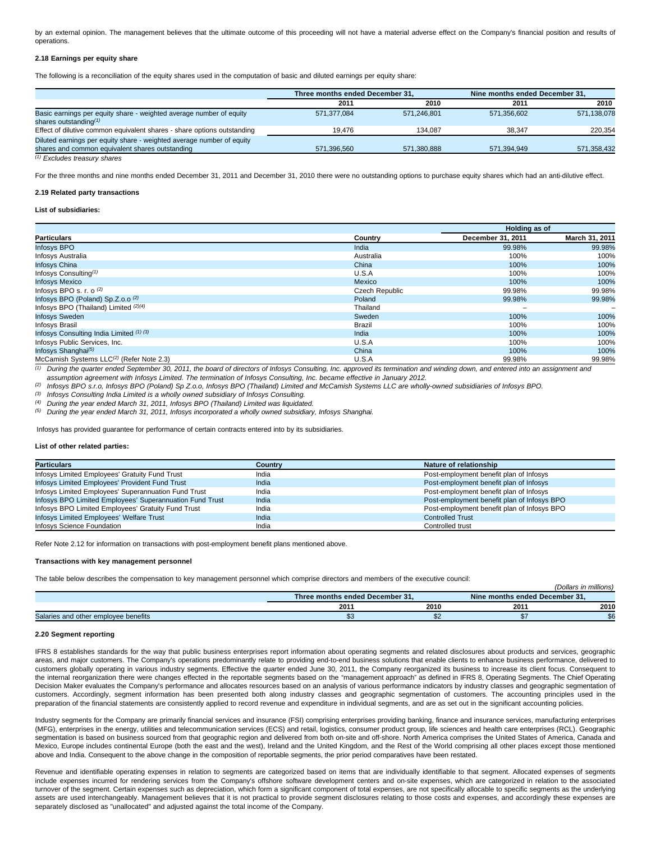by an external opinion. The management believes that the ultimate outcome of this proceeding will not have a material adverse effect on the Company's financial position and results of operations.

## **2.18 Earnings per equity share**

The following is a reconciliation of the equity shares used in the computation of basic and diluted earnings per equity share:

|                                                                         | Three months ended December 31, |             | Nine months ended December 31. |             |
|-------------------------------------------------------------------------|---------------------------------|-------------|--------------------------------|-------------|
|                                                                         | 2011                            | 2010        | 2011                           | 2010        |
| Basic earnings per equity share - weighted average number of equity     | 571.377.084                     | 571.246.801 | 571.356.602                    | 571,138,078 |
| shares outstanding $(1)$                                                |                                 |             |                                |             |
| Effect of dilutive common equivalent shares - share options outstanding | 19.476                          | 134.087     | 38.347                         | 220.354     |
| Diluted earnings per equity share - weighted average number of equity   |                                 |             |                                |             |
| shares and common equivalent shares outstanding                         | 571.396.560                     | 571.380.888 | 571.394.949                    | 571,358,432 |
|                                                                         |                                 |             |                                |             |

(1) Excludes treasury shares

For the three months and nine months ended December 31, 2011 and December 31, 2010 there were no outstanding options to purchase equity shares which had an anti-dilutive effect.

### **2.19 Related party transactions**

### **List of subsidiaries:**

|                                                      |                | Holding as of     |                |  |  |
|------------------------------------------------------|----------------|-------------------|----------------|--|--|
| <b>Particulars</b>                                   | Country        | December 31, 2011 | March 31, 2011 |  |  |
| Infosys BPO                                          | India          | 99.98%            | 99.98%         |  |  |
| Infosys Australia                                    | Australia      | 100%              | 100%           |  |  |
| <b>Infosys China</b>                                 | China          | 100%              | 100%           |  |  |
| Infosys Consulting <sup><math>(1)</math></sup>       | U.S.A          | 100%              | 100%           |  |  |
| <b>Infosys Mexico</b>                                | Mexico         | 100%              | 100%           |  |  |
| Infosys BPO s. r. o $(2)$                            | Czech Republic | 99.98%            | 99.98%         |  |  |
| Infosys BPO (Poland) Sp.Z.o.o <sup>(2)</sup>         | Poland         | 99.98%            | 99.98%         |  |  |
| Infosys BPO (Thailand) Limited (2)(4)                | Thailand       | -                 |                |  |  |
| <b>Infosys Sweden</b>                                | Sweden         | 100%              | 100%           |  |  |
| Infosys Brasil                                       | Brazil         | 100%              | 100%           |  |  |
| Infosys Consulting India Limited (1) (3)             | India          | 100%              | 100%           |  |  |
| Infosys Public Services, Inc.                        | U.S.A          | 100%              | 100%           |  |  |
| Infosys Shanghai <sup>(5)</sup>                      | China          | 100%              | 100%           |  |  |
| McCamish Systems LLC <sup>(2)</sup> (Refer Note 2.3) | U.S.A          | 99.98%            | 99.98%         |  |  |

 $\frac{1}{1}$  During the quarter ended September 30, 2011, the board of directors of Infosys Consulting, Inc. approved its termination and winding down, and entered into an assignment and assumption agreement with Infosys Limited. The termination of Infosys Consulting, Inc. became effective in January 2012.

Infosys BPO s.r.o, Infosys BPO (Poland) Sp Z.o.o, Infosys BPO (Thailand) Limited and McCamish Systems LLC are wholly-owned subsidiaries of Infosys BPO.

 $(3)$  Infosys Consulting India Limited is a wholly owned subsidiary of Infosys Consulting.

(4) During the year ended March 31, 2011, Infosys BPO (Thailand) Limited was liquidated*.*

<sup>(5)</sup> During the year ended March 31, 2011, Infosys incorporated a wholly owned subsidiary, Infosys Shanghai.

Infosys has provided guarantee for performance of certain contracts entered into by its subsidiaries.

### **List of other related parties:**

| <b>Particulars</b>                                       | Countrv | Nature of relationship                      |
|----------------------------------------------------------|---------|---------------------------------------------|
| Infosys Limited Employees' Gratuity Fund Trust           | India   | Post-employment benefit plan of Infosys     |
| Infosys Limited Employees' Provident Fund Trust          | India   | Post-employment benefit plan of Infosys     |
| Infosys Limited Employees' Superannuation Fund Trust     | India   | Post-employment benefit plan of Infosys     |
| Infosys BPO Limited Employees' Superannuation Fund Trust | India   | Post-employment benefit plan of Infosys BPO |
| Infosys BPO Limited Employees' Gratuity Fund Trust       | India   | Post-employment benefit plan of Infosys BPO |
| Infosys Limited Employees' Welfare Trust                 | India   | <b>Controlled Trust</b>                     |
| Infosys Science Foundation                               | India   | Controlled trust                            |

Refer Note 2.12 for information on transactions with post-employment benefit plans mentioned above.

### **Transactions with key management personnel**

The table below describes the compensation to key management personnel which comprise directors and members of the executive council:

|                                      |                                 |      |                                | <br>(Dollars in millions) |  |
|--------------------------------------|---------------------------------|------|--------------------------------|---------------------------|--|
|                                      | Three months ended December 31. |      | Nine months ended December 31. |                           |  |
|                                      | 201                             | 2010 | 2011                           | 2010                      |  |
| Salaries and other employee benefits | ພບ                              |      |                                | ΦΩ<br>৯৮                  |  |

#### **2.20 Segment reporting**

IFRS 8 establishes standards for the way that public business enterprises report information about operating segments and related disclosures about products and services, geographic areas, and major customers. The Company's operations predominantly relate to providing end-to-end business solutions that enable clients to enhance business performance, delivered to customers globally operating in various industry segments. Effective the quarter ended June 30, 2011, the Company reorganized its business to increase its client focus. Consequent to the internal reorganization there were changes effected in the reportable segments based on the "management approach" as defined in IFRS 8, Operating Segments. The Chief Operating Decision Maker evaluates the Company's performance and allocates resources based on an analysis of various performance indicators by industry classes and geographic segmentation of customers. Accordingly, segment information has been presented both along industry classes and geographic segmentation of customers. The accounting principles used in the preparation of the financial statements are consistently applied to record revenue and expenditure in individual segments, and are as set out in the significant accounting policies.

Industry segments for the Company are primarily financial services and insurance (FSI) comprising enterprises providing banking, finance and insurance services, manufacturing enterprises (MFG), enterprises in the energy, utilities and telecommunication services (ECS) and retail, logistics, consumer product group, life sciences and health care enterprises (RCL). Geographic segmentation is based on business sourced from that geographic region and delivered from both on-site and off-shore. North America comprises the United States of America, Canada and Mexico, Europe includes continental Europe (both the east and the west), Ireland and the United Kingdom, and the Rest of the World comprising all other places except those mentioned above and India. Consequent to the above change in the composition of reportable segments, the prior period comparatives have been restated.

Revenue and identifiable operating expenses in relation to segments are categorized based on items that are individually identifiable to that segment. Allocated expenses of segments include expenses incurred for rendering services from the Company's offshore software development centers and on-site expenses, which are categorized in relation to the associated turnover of the segment. Certain expenses such as depreciation, which form a significant component of total expenses, are not specifically allocable to specific segments as the underlying assets are used interchangeably. Management believes that it is not practical to provide segment disclosures relating to those costs and expenses, and accordingly these expenses are separately disclosed as "unallocated" and adjusted against the total income of the Company.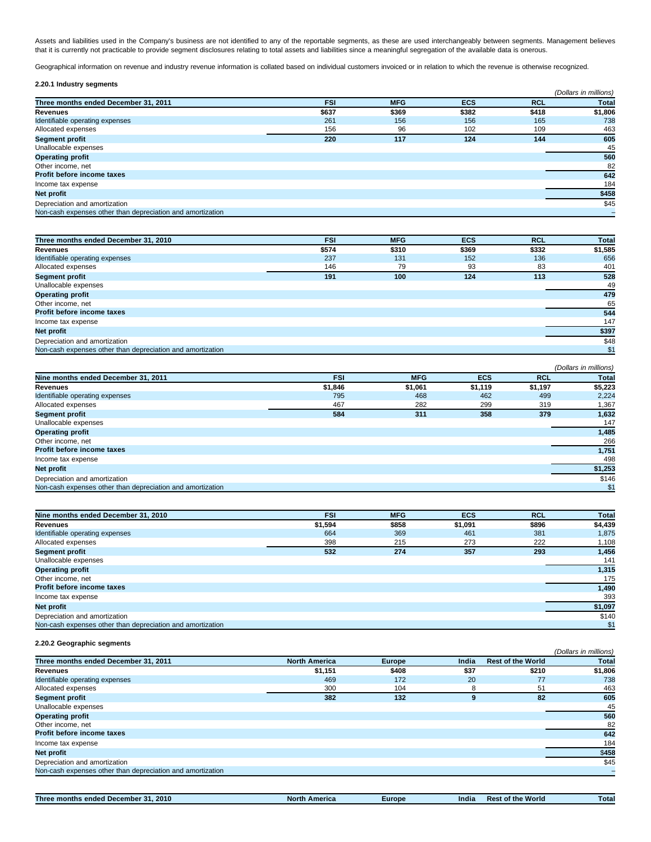Assets and liabilities used in the Company's business are not identified to any of the reportable segments, as these are used interchangeably between segments. Management believes that it is currently not practicable to provide segment disclosures relating to total assets and liabilities since a meaningful segregation of the available data is onerous.

Geographical information on revenue and industry revenue information is collated based on individual customers invoiced or in relation to which the revenue is otherwise recognized.

| 2.20.1 Industry segments                                   |            |            |            |            |                       |
|------------------------------------------------------------|------------|------------|------------|------------|-----------------------|
|                                                            |            |            |            |            | (Dollars in millions) |
| Three months ended December 31, 2011                       | <b>FSI</b> | <b>MFG</b> | <b>ECS</b> | <b>RCL</b> | <b>Total</b>          |
| Revenues                                                   | \$637      | \$369      | \$382      | \$418      | \$1,806               |
| Identifiable operating expenses                            | 261        | 156        | 156        | 165        | 738                   |
| Allocated expenses                                         | 156        | 96         | 102        | 109        | 463                   |
| <b>Segment profit</b>                                      | 220        | 117        | 124        | 144        | 605                   |
| Unallocable expenses                                       |            |            |            |            | 45                    |
| <b>Operating profit</b>                                    |            |            |            |            | 560                   |
| Other income, net                                          |            |            |            |            | 82                    |
| <b>Profit before income taxes</b>                          |            |            |            |            | 642                   |
| Income tax expense                                         |            |            |            |            | 184                   |
| Net profit                                                 |            |            |            |            | \$458                 |
| Depreciation and amortization                              |            |            |            |            | \$45                  |
| Non-cash expenses other than depreciation and amortization |            |            |            |            |                       |

| Three months ended December 31, 2010                       | <b>FSI</b> | <b>MFG</b> | <b>ECS</b> | <b>RCL</b> | <b>Total</b> |
|------------------------------------------------------------|------------|------------|------------|------------|--------------|
| <b>Revenues</b>                                            | \$574      | \$310      | \$369      | \$332      | \$1,585      |
| Identifiable operating expenses                            | 237        | 131        | 152        | 136        | 656          |
| Allocated expenses                                         | 146        | 79         | 93         | 83         | 401          |
| <b>Segment profit</b>                                      | 191        | 100        | 124        | 113        | 528          |
| Unallocable expenses                                       |            |            |            |            | 49           |
| <b>Operating profit</b>                                    |            |            |            |            | 479          |
| Other income, net                                          |            |            |            |            | 65           |
| Profit before income taxes                                 |            |            |            |            | 544          |
| Income tax expense                                         |            |            |            |            | 147          |
| Net profit                                                 |            |            |            |            | \$397        |
| Depreciation and amortization                              |            |            |            |            | \$48         |
| Non-cash expenses other than depreciation and amortization |            |            |            |            | \$1          |

|                                                            |            |            |            |            | (Dollars in millions) |
|------------------------------------------------------------|------------|------------|------------|------------|-----------------------|
| Nine months ended December 31, 2011                        | <b>FSI</b> | <b>MFG</b> | <b>ECS</b> | <b>RCL</b> | <b>Total</b>          |
| Revenues                                                   | \$1,846    | \$1,061    | \$1,119    | \$1,197    | \$5,223               |
| Identifiable operating expenses                            | 795        | 468        | 462        | 499        | 2,224                 |
| Allocated expenses                                         | 467        | 282        | 299        | 319        | 1,367                 |
| <b>Segment profit</b>                                      | 584        | 311        | 358        | 379        | 1,632                 |
| Unallocable expenses                                       |            |            |            |            | 147                   |
| <b>Operating profit</b>                                    |            |            |            |            | 1,485                 |
| Other income, net                                          |            |            |            |            | 266                   |
| <b>Profit before income taxes</b>                          |            |            |            |            | 1,751                 |
| Income tax expense                                         |            |            |            |            | 498                   |
| Net profit                                                 |            |            |            |            | \$1,253               |
| Depreciation and amortization                              |            |            |            |            | \$146                 |
| Non-cash expenses other than depreciation and amortization |            |            |            |            | \$1                   |

| Nine months ended December 31, 2010                        | <b>FSI</b> | <b>MFG</b> | <b>ECS</b> | <b>RCL</b> | <b>Total</b> |
|------------------------------------------------------------|------------|------------|------------|------------|--------------|
| <b>Revenues</b>                                            | \$1,594    | \$858      | \$1,091    | \$896      | \$4,439      |
| Identifiable operating expenses                            | 664        | 369        | 461        | 381        | 1,875        |
| Allocated expenses                                         | 398        | 215        | 273        | 222        | 1,108        |
| <b>Segment profit</b>                                      | 532        | 274        | 357        | 293        | 1,456        |
| Unallocable expenses                                       |            |            |            |            | 141          |
| <b>Operating profit</b>                                    |            |            |            |            | 1,315        |
| Other income, net                                          |            |            |            |            | 175          |
| <b>Profit before income taxes</b>                          |            |            |            |            | 1,490        |
| Income tax expense                                         |            |            |            |            | 393          |
| Net profit                                                 |            |            |            |            | \$1,097      |
| Depreciation and amortization                              |            |            |            |            | \$140        |
| Non-cash expenses other than depreciation and amortization |            |            |            |            | \$1          |

# **2.20.2 Geographic segments**

|                                                            |                      |               |       |                          | (Dollars in millions) |
|------------------------------------------------------------|----------------------|---------------|-------|--------------------------|-----------------------|
| Three months ended December 31, 2011                       | <b>North America</b> | <b>Europe</b> | India | <b>Rest of the World</b> | <b>Total</b>          |
| <b>Revenues</b>                                            | \$1,151              | \$408         | \$37  | \$210                    | \$1,806               |
| Identifiable operating expenses                            | 469                  | 172           | 20    | 77                       | 738                   |
| Allocated expenses                                         | 300                  | 104           | 8     | 51                       | 463                   |
| <b>Segment profit</b>                                      | 382                  | 132           | 9     | 82                       | 605                   |
| Unallocable expenses                                       |                      |               |       |                          | 45                    |
| <b>Operating profit</b>                                    |                      |               |       |                          | 560                   |
| Other income, net                                          |                      |               |       |                          | 82                    |
| <b>Profit before income taxes</b>                          |                      |               |       |                          | 642                   |
| Income tax expense                                         |                      |               |       |                          | 184                   |
| Net profit                                                 |                      |               |       |                          | \$458                 |
| Depreciation and amortization                              |                      |               |       |                          | \$45                  |
| Non-cash expenses other than depreciation and amortization |                      |               |       |                          |                       |

**Three months ended December 31, 2010 North America Europe India Rest of the World Total**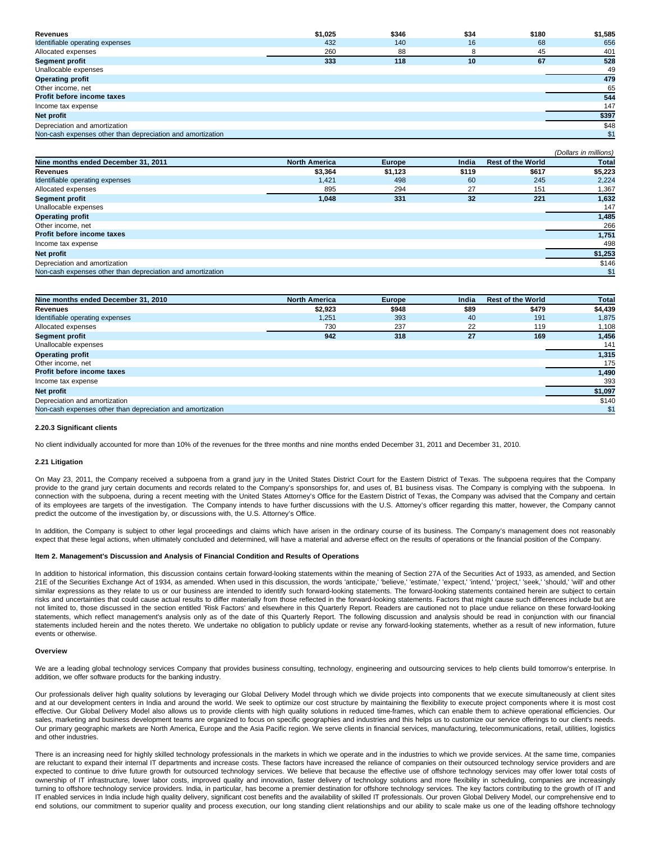| <b>Revenues</b>                                            | \$1,025 | \$346 | \$34 | \$180 | \$1,585 |
|------------------------------------------------------------|---------|-------|------|-------|---------|
| Identifiable operating expenses                            | 432     | 140   | 16   | 68    | 656     |
| Allocated expenses                                         | 260     | 88    | 8    | 45    | 401     |
| <b>Segment profit</b>                                      | 333     | 118   | 10   | 67    | 528     |
| Unallocable expenses                                       |         |       |      |       | 49      |
| <b>Operating profit</b>                                    |         |       |      |       | 479     |
| Other income, net                                          |         |       |      |       | 65      |
| Profit before income taxes                                 |         |       |      |       | 544     |
| Income tax expense                                         |         |       |      |       | 147     |
| Net profit                                                 |         |       |      |       | \$397   |
| Depreciation and amortization                              |         |       |      |       | \$48    |
| Non-cash expenses other than depreciation and amortization |         |       |      |       | \$1     |

|                                                            |                      |               |       |                          | (Dollars in millions) |
|------------------------------------------------------------|----------------------|---------------|-------|--------------------------|-----------------------|
| Nine months ended December 31, 2011                        | <b>North America</b> | <b>Europe</b> | India | <b>Rest of the World</b> | <b>Total</b>          |
| <b>Revenues</b>                                            | \$3,364              | \$1,123       | \$119 | \$617                    | \$5,223               |
| Identifiable operating expenses                            | 1,421                | 498           | 60    | 245                      | 2,224                 |
| Allocated expenses                                         | 895                  | 294           | 27    | 151                      | 1,367                 |
| <b>Segment profit</b>                                      | 1.048                | 331           | 32    | 221                      | 1,632                 |
| Unallocable expenses                                       |                      |               |       |                          | 147                   |
| <b>Operating profit</b>                                    |                      |               |       |                          | 1,485                 |
| Other income, net                                          |                      |               |       |                          | 266                   |
| <b>Profit before income taxes</b>                          |                      |               |       |                          | 1,751                 |
| Income tax expense                                         |                      |               |       |                          | 498                   |
| Net profit                                                 |                      |               |       |                          | \$1,253               |
| Depreciation and amortization                              |                      |               |       |                          | \$146                 |
| Non-cash expenses other than depreciation and amortization |                      |               |       |                          | \$1                   |

| Nine months ended December 31, 2010                        | <b>North America</b> | <b>Europe</b> | India | <b>Rest of the World</b> | <b>Total</b> |
|------------------------------------------------------------|----------------------|---------------|-------|--------------------------|--------------|
| <b>Revenues</b>                                            | \$2,923              | \$948         | \$89  | \$479                    | \$4,439      |
| Identifiable operating expenses                            | 1.251                | 393           | 40    | 191                      | 1,875        |
| Allocated expenses                                         | 730                  | 237           | 22    | 119                      | 1,108        |
| <b>Segment profit</b>                                      | 942                  | 318           | 27    | 169                      | 1,456        |
| Unallocable expenses                                       |                      |               |       |                          | 141          |
| <b>Operating profit</b>                                    |                      |               |       |                          | 1,315        |
| Other income, net                                          |                      |               |       |                          | 175          |
| <b>Profit before income taxes</b>                          |                      |               |       |                          | 1,490        |
| Income tax expense                                         |                      |               |       |                          | 393          |
| Net profit                                                 |                      |               |       |                          | \$1,097      |
| Depreciation and amortization                              |                      |               |       |                          | \$140        |
| Non-cash expenses other than depreciation and amortization |                      |               |       |                          | \$1          |

### **2.20.3 Significant clients**

No client individually accounted for more than 10% of the revenues for the three months and nine months ended December 31, 2011 and December 31, 2010.

### **2.21 Litigation**

On May 23, 2011, the Company received a subpoena from a grand jury in the United States District Court for the Eastern District of Texas. The subpoena requires that the Company provide to the grand jury certain documents and records related to the Company's sponsorships for, and uses of, B1 business visas. The Company is complying with the subpoena. In connection with the subpoena, during a recent meeting with the United States Attorney's Office for the Eastern District of Texas, the Company was advised that the Company and certain of its employees are targets of the investigation. The Company intends to have further discussions with the U.S. Attorney's officer regarding this matter, however, the Company cannot predict the outcome of the investigation by, or discussions with, the U.S. Attorney's Office.

In addition, the Company is subject to other legal proceedings and claims which have arisen in the ordinary course of its business. The Company's management does not reasonably expect that these legal actions, when ultimately concluded and determined, will have a material and adverse effect on the results of operations or the financial position of the Company.

# **Item 2. Management's Discussion and Analysis of Financial Condition and Results of Operations**

In addition to historical information, this discussion contains certain forward-looking statements within the meaning of Section 27A of the Securities Act of 1933, as amended, and Section 21E of the Securities Exchange Act of 1934, as amended. When used in this discussion, the words 'anticipate,' 'believe,' 'estimate,' 'expect,' 'intend,' 'project,' 'seek,' 'should,' 'will' and other similar expressions as they relate to us or our business are intended to identify such forward-looking statements. The forward-looking statements contained herein are subject to certain risks and uncertainties that could cause actual results to differ materially from those reflected in the forward-looking statements. Factors that might cause such differences include but are not limited to, those discussed in the section entitled 'Risk Factors' and elsewhere in this Quarterly Report. Readers are cautioned not to place undue reliance on these forward-looking statements, which reflect management's analysis only as of the date of this Quarterly Report. The following discussion and analysis should be read in conjunction with our financial statements included herein and the notes thereto. We undertake no obligation to publicly update or revise any forward-looking statements, whether as a result of new information, future events or otherwise.

#### **Overview**

We are a leading global technology services Company that provides business consulting, technology, engineering and outsourcing services to help clients build tomorrow's enterprise. In addition, we offer software products for the banking industry.

Our professionals deliver high quality solutions by leveraging our Global Delivery Model through which we divide projects into components that we execute simultaneously at client sites and at our development centers in India and around the world. We seek to optimize our cost structure by maintaining the flexibility to execute project components where it is most cost effective. Our Global Delivery Model also allows us to provide clients with high quality solutions in reduced time-frames, which can enable them to achieve operational efficiencies. Our sales, marketing and business development teams are organized to focus on specific geographies and industries and this helps us to customize our service offerings to our client's needs. Our primary geographic markets are North America, Europe and the Asia Pacific region. We serve clients in financial services, manufacturing, telecommunications, retail, utilities, logistics and other industries.

There is an increasing need for highly skilled technology professionals in the markets in which we operate and in the industries to which we provide services. At the same time, companies are reluctant to expand their internal IT departments and increase costs. These factors have increased the reliance of companies on their outsourced technology service providers and are expected to continue to drive future growth for outsourced technology services. We believe that because the effective use of offshore technology services may offer lower total costs of ownership of IT infrastructure, lower labor costs, improved quality and innovation, faster delivery of technology solutions and more flexibility in scheduling, companies are increasingly turning to offshore technology service providers. India, in particular, has become a premier destination for offshore technology services. The key factors contributing to the growth of IT and IT enabled services in India include high quality delivery, significant cost benefits and the availability of skilled IT professionals. Our proven Global Delivery Model, our comprehensive end to end solutions, our commitment to superior quality and process execution, our long standing client relationships and our ability to scale make us one of the leading offshore technology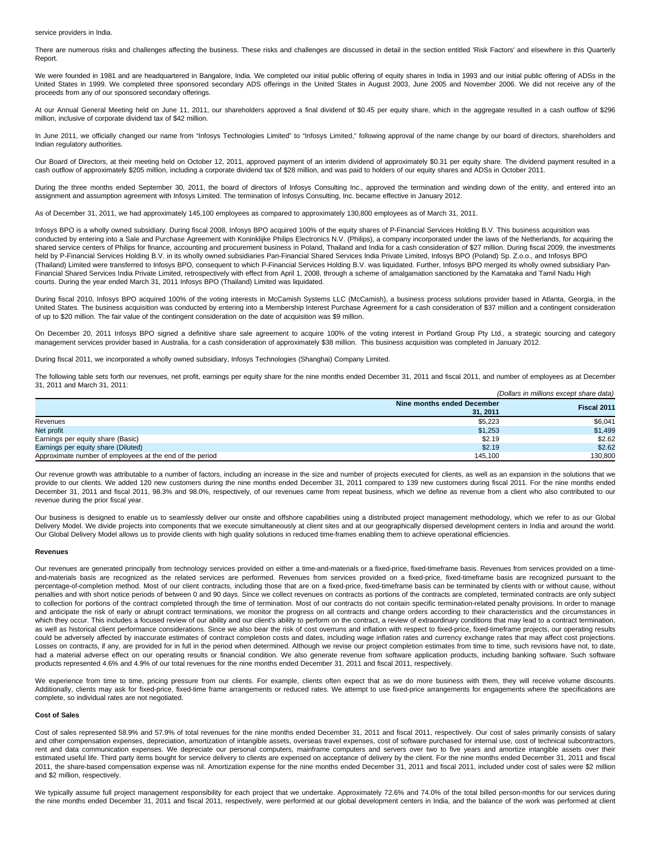#### service providers in India.

There are numerous risks and challenges affecting the business. These risks and challenges are discussed in detail in the section entitled 'Risk Factors' and elsewhere in this Quarterly Report.

We were founded in 1981 and are headquartered in Bangalore, India. We completed our initial public offering of equity shares in India in 1993 and our initial public offering of ADSs in the United States in 1999. We completed three sponsored secondary ADS offerings in the United States in August 2003, June 2005 and November 2006. We did not receive any of the proceeds from any of our sponsored secondary offerings.

At our Annual General Meeting held on June 11, 2011, our shareholders approved a final dividend of \$0.45 per equity share, which in the aggregate resulted in a cash outflow of \$296 million, inclusive of corporate dividend tax of \$42 million.

In June 2011, we officially changed our name from "Infosys Technologies Limited" to "Infosys Limited," following approval of the name change by our board of directors, shareholders and Indian regulatory authorities.

Our Board of Directors, at their meeting held on October 12, 2011, approved payment of an interim dividend of approximately \$0.31 per equity share. The dividend payment resulted in a cash outflow of approximately \$205 million, including a corporate dividend tax of \$28 million, and was paid to holders of our equity shares and ADSs in October 2011.

During the three months ended September 30, 2011, the board of directors of Infosys Consulting Inc., approved the termination and winding down of the entity, and entered into an assignment and assumption agreement with Infosys Limited. The termination of Infosys Consulting, Inc. became effective in January 2012.

As of December 31, 2011, we had approximately 145,100 employees as compared to approximately 130,800 employees as of March 31, 2011.

Infosys BPO is a wholly owned subsidiary. During fiscal 2008, Infosys BPO acquired 100% of the equity shares of P-Financial Services Holding B.V. This business acquisition was conducted by entering into a Sale and Purchase Agreement with Koninklijke Philips Electronics N.V. (Philips), a company incorporated under the laws of the Netherlands, for acquiring the shared service centers of Philips for finance, accounting and procurement business in Poland, Thailand and India for a cash consideration of \$27 million. During fiscal 2009, the investments held by P-Financial Services Holding B.V. in its wholly owned subsidiaries Pan-Financial Shared Services India Private Limited, Infosys BPO (Poland) Sp. Z.o.o., and Infosys BPO (Thailand) Limited were transferred to Infosys BPO, consequent to which P-Financial Services Holding B.V. was liquidated. Further, Infosys BPO merged its wholly owned subsidiary Pan-Financial Shared Services India Private Limited, retrospectively with effect from April 1, 2008, through a scheme of amalgamation sanctioned by the Karnataka and Tamil Nadu High courts. During the year ended March 31, 2011 Infosys BPO (Thailand) Limited was liquidated.

During fiscal 2010, Infosys BPO acquired 100% of the voting interests in McCamish Systems LLC (McCamish), a business process solutions provider based in Atlanta, Georgia, in the United States. The business acquisition was conducted by entering into a Membership Interest Purchase Agreement for a cash consideration of \$37 million and a contingent consideration of up to \$20 million. The fair value of the contingent consideration on the date of acquisition was \$9 million.

On December 20, 2011 Infosys BPO signed a definitive share sale agreement to acquire 100% of the voting interest in Portland Group Pty Ltd., a strategic sourcing and category management services provider based in Australia, for a cash consideration of approximately \$38 million. This business acquisition was completed in January 2012.

During fiscal 2011, we incorporated a wholly owned subsidiary, Infosys Technologies (Shanghai) Company Limited.

The following table sets forth our revenues, net profit, earnings per equity share for the nine months ended December 31, 2011 and fiscal 2011, and number of employees as at December 31, 2011 and March 31, 2011:

|                                                          |                            | (Dollars in millions except share data) |
|----------------------------------------------------------|----------------------------|-----------------------------------------|
|                                                          | Nine months ended December | Fiscal 2011                             |
|                                                          | 31.2011                    |                                         |
| Revenues                                                 | \$5,223                    | \$6,041                                 |
| Net profit                                               | \$1.253                    | \$1,499                                 |
| Earnings per equity share (Basic)                        | \$2.19                     | \$2.62                                  |
| Earnings per equity share (Diluted)                      | \$2.19                     | \$2.62                                  |
| Approximate number of employees at the end of the period | 145.100                    | 130.800                                 |

Our revenue growth was attributable to a number of factors, including an increase in the size and number of projects executed for clients, as well as an expansion in the solutions that we provide to our clients. We added 120 new customers during the nine months ended December 31, 2011 compared to 139 new customers during fiscal 2011. For the nine months ended December 31, 2011 and fiscal 2011, 98.3% and 98.0%, respectively, of our revenues came from repeat business, which we define as revenue from a client who also contributed to our revenue during the prior fiscal year.

Our business is designed to enable us to seamlessly deliver our onsite and offshore capabilities using a distributed project management methodology, which we refer to as our Global Delivery Model. We divide projects into components that we execute simultaneously at client sites and at our geographically dispersed development centers in India and around the world. Our Global Delivery Model allows us to provide clients with high quality solutions in reduced time-frames enabling them to achieve operational efficiencies.

#### **Revenues**

Our revenues are generated principally from technology services provided on either a time-and-materials or a fixed-price, fixed-timeframe basis. Revenues from services provided on a timeand-materials basis are recognized as the related services are performed. Revenues from services provided on a fixed-price, fixed-timeframe basis are recognized pursuant to the percentage-of-completion method. Most of our client contracts, including those that are on a fixed-price, fixed-timeframe basis can be terminated by clients with or without cause, without penalties and with short notice periods of between 0 and 90 days. Since we collect revenues on contracts as portions of the contracts are completed, terminated contracts are only subject to collection for portions of the contract completed through the time of termination. Most of our contracts do not contain specific termination-related penalty provisions. In order to manage and anticipate the risk of early or abrupt contract terminations, we monitor the progress on all contracts and change orders according to their characteristics and the circumstances in which they occur. This includes a focused review of our ability and our client's ability to perform on the contract, a review of extraordinary conditions that may lead to a contract termination, as well as historical client performance considerations. Since we also bear the risk of cost overruns and inflation with respect to fixed-price, fixed-timeframe projects, our operating results could be adversely affected by inaccurate estimates of contract completion costs and dates, including wage inflation rates and currency exchange rates that may affect cost projections. Losses on contracts, if any, are provided for in full in the period when determined. Although we revise our project completion estimates from time to time, such revisions have not, to date, had a material adverse effect on our operating results or financial condition. We also generate revenue from software application products, including banking software. Such software products represented 4.6% and 4.9% of our total revenues for the nine months ended December 31, 2011 and fiscal 2011, respectively.

We experience from time to time, pricing pressure from our clients. For example, clients often expect that as we do more business with them, they will receive volume discounts. Additionally, clients may ask for fixed-price, fixed-time frame arrangements or reduced rates. We attempt to use fixed-price arrangements for engagements where the specifications are complete, so individual rates are not negotiated.

### **Cost of Sales**

Cost of sales represented 58.9% and 57.9% of total revenues for the nine months ended December 31, 2011 and fiscal 2011, respectively. Our cost of sales primarily consists of salary and other compensation expenses, depreciation, amortization of intangible assets, overseas travel expenses, cost of software purchased for internal use, cost of technical subcontractors, rent and data communication expenses. We depreciate our personal computers, mainframe computers and servers over two to five years and amortize intangible assets over their estimated useful life. Third party items bought for service delivery to clients are expensed on acceptance of delivery by the client. For the nine months ended December 31, 2011 and fiscal 2011, the share-based compensation expense was nil. Amortization expense for the nine months ended December 31, 2011 and fiscal 2011, included under cost of sales were \$2 million and \$2 million, respectively.

We typically assume full project management responsibility for each project that we undertake. Approximately 72.6% and 74.0% of the total billed person-months for our services during the nine months ended December 31, 2011 and fiscal 2011, respectively, were performed at our global development centers in India, and the balance of the work was performed at client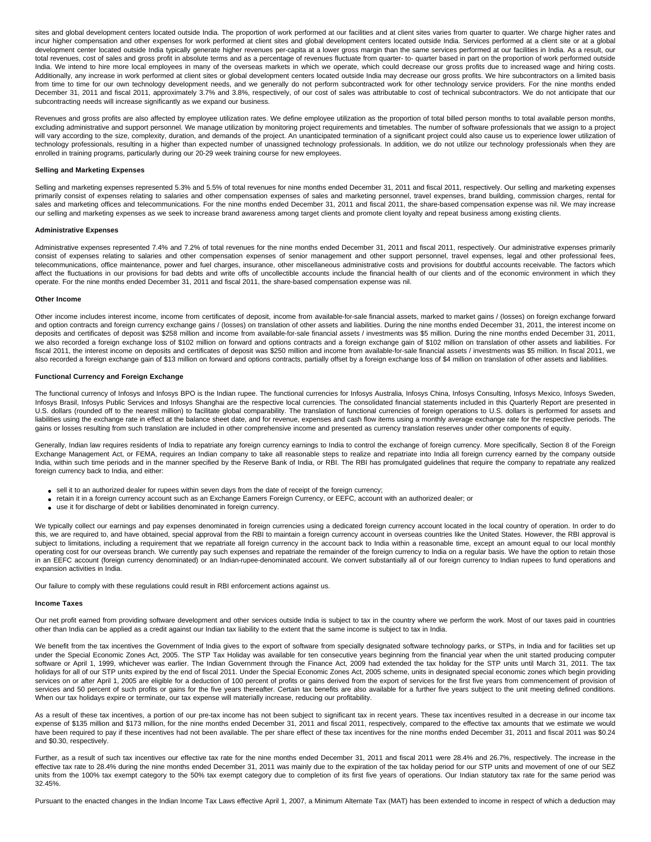sites and global development centers located outside India. The proportion of work performed at our facilities and at client sites varies from quarter to quarter. We charge higher rates and incur higher compensation and other expenses for work performed at client sites and global development centers located outside India. Services performed at a client site or at a global development center located outside India typically generate higher revenues per-capita at a lower gross margin than the same services performed at our facilities in India. As a result, our total revenues, cost of sales and gross profit in absolute terms and as a percentage of revenues fluctuate from quarter- to- quarter based in part on the proportion of work performed outside India. We intend to hire more local employees in many of the overseas markets in which we operate, which could decrease our gross profits due to increased wage and hiring costs. Additionally, any increase in work performed at client sites or global development centers located outside India may decrease our gross profits. We hire subcontractors on a limited basis from time to time for our own technology development needs, and we generally do not perform subcontracted work for other technology service providers. For the nine months ended December 31, 2011 and fiscal 2011, approximately 3.7% and 3.8%, respectively, of our cost of sales was attributable to cost of technical subcontractors. We do not anticipate that our subcontracting needs will increase significantly as we expand our business.

Revenues and gross profits are also affected by employee utilization rates. We define employee utilization as the proportion of total billed person months to total available person months, excluding administrative and support personnel. We manage utilization by monitoring project requirements and timetables. The number of software professionals that we assign to a project will vary according to the size, complexity, duration, and demands of the project. An unanticipated termination of a significant project could also cause us to experience lower utilization of technology professionals, resulting in a higher than expected number of unassigned technology professionals. In addition, we do not utilize our technology professionals when they are enrolled in training programs, particularly during our 20-29 week training course for new employees.

### **Selling and Marketing Expenses**

Selling and marketing expenses represented 5.3% and 5.5% of total revenues for nine months ended December 31, 2011 and fiscal 2011, respectively. Our selling and marketing expenses primarily consist of expenses relating to salaries and other compensation expenses of sales and marketing personnel, travel expenses, brand building, commission charges, rental for sales and marketing offices and telecommunications. For the nine months ended December 31, 2011 and fiscal 2011, the share-based compensation expense was nil. We may increase our selling and marketing expenses as we seek to increase brand awareness among target clients and promote client loyalty and repeat business among existing clients.

### **Administrative Expenses**

Administrative expenses represented 7.4% and 7.2% of total revenues for the nine months ended December 31, 2011 and fiscal 2011, respectively. Our administrative expenses primarily consist of expenses relating to salaries and other compensation expenses of senior management and other support personnel, travel expenses, legal and other professional fees, telecommunications, office maintenance, power and fuel charges, insurance, other miscellaneous administrative costs and provisions for doubtful accounts receivable. The factors which affect the fluctuations in our provisions for bad debts and write offs of uncollectible accounts include the financial health of our clients and of the economic environment in which they operate. For the nine months ended December 31, 2011 and fiscal 2011, the share-based compensation expense was nil.

# **Other Income**

Other income includes interest income, income from certificates of deposit, income from available-for-sale financial assets, marked to market gains / (losses) on foreign exchange forward and option contracts and foreign currency exchange gains / (losses) on translation of other assets and liabilities. During the nine months ended December 31, 2011, the interest income on deposits and certificates of deposit was \$258 million and income from available-for-sale financial assets / investments was \$5 million. During the nine months ended December 31, 2011, we also recorded a foreign exchange loss of \$102 million on forward and options contracts and a foreign exchange gain of \$102 million on translation of other assets and liabilities. For fiscal 2011, the interest income on deposits and certificates of deposit was \$250 million and income from available-for-sale financial assets / investments was \$5 million. In fiscal 2011, we also recorded a foreign exchange gain of \$13 million on forward and options contracts, partially offset by a foreign exchange loss of \$4 million on translation of other assets and liabilities.

### **Functional Currency and Foreign Exchange**

The functional currency of Infosys and Infosys BPO is the Indian rupee. The functional currencies for Infosys Australia, Infosys China, Infosys Consulting, Infosys Mexico, Infosys Sweden, Infosys Brasil, Infosys Public Services and Infosys Shanghai are the respective local currencies. The consolidated financial statements included in this Quarterly Report are presented in U.S. dollars (rounded off to the nearest million) to facilitate global comparability. The translation of functional currencies of foreign operations to U.S. dollars is performed for assets and liabilities using the exchange rate in effect at the balance sheet date, and for revenue, expenses and cash flow items using a monthly average exchange rate for the respective periods. The gains or losses resulting from such translation are included in other comprehensive income and presented as currency translation reserves under other components of equity.

Generally, Indian law requires residents of India to repatriate any foreign currency earnings to India to control the exchange of foreign currency. More specifically, Section 8 of the Foreign Exchange Management Act, or FEMA, requires an Indian company to take all reasonable steps to realize and repatriate into India all foreign currency earned by the company outside India, within such time periods and in the manner specified by the Reserve Bank of India, or RBI. The RBI has promulgated guidelines that require the company to repatriate any realized foreign currency back to India, and either:

- sell it to an authorized dealer for rupees within seven days from the date of receipt of the foreign currency;
- retain it in a foreign currency account such as an Exchange Earners Foreign Currency, or EEFC, account with an authorized dealer; or
- use it for discharge of debt or liabilities denominated in foreign currency.

We typically collect our earnings and pay expenses denominated in foreign currencies using a dedicated foreign currency account located in the local country of operation. In order to do this, we are required to, and have obtained, special approval from the RBI to maintain a foreign currency account in overseas countries like the United States. However, the RBI approval is subject to limitations, including a requirement that we repatriate all foreign currency in the account back to India within a reasonable time, except an amount equal to our local monthly operating cost for our overseas branch. We currently pay such expenses and repatriate the remainder of the foreign currency to India on a regular basis. We have the option to retain those in an EEFC account (foreign currency denominated) or an Indian-rupee-denominated account. We convert substantially all of our foreign currency to Indian rupees to fund operations and expansion activities in India.

Our failure to comply with these regulations could result in RBI enforcement actions against us.

### **Income Taxes**

Our net profit earned from providing software development and other services outside India is subject to tax in the country where we perform the work. Most of our taxes paid in countries other than India can be applied as a credit against our Indian tax liability to the extent that the same income is subject to tax in India.

We benefit from the tax incentives the Government of India gives to the export of software from specially designated software technology parks, or STPs, in India and for facilities set up under the Special Economic Zones Act, 2005. The STP Tax Holiday was available for ten consecutive years beginning from the financial year when the unit started producing computer software or April 1, 1999, whichever was earlier. The Indian Government through the Finance Act, 2009 had extended the tax holiday for the STP units until March 31, 2011. The tax holidays for all of our STP units expired by the end of fiscal 2011. Under the Special Economic Zones Act, 2005 scheme, units in designated special economic zones which begin providing services on or after April 1, 2005 are eligible for a deduction of 100 percent of profits or gains derived from the export of services for the first five years from commencement of provision of services and 50 percent of such profits or gains for the five years thereafter. Certain tax benefits are also available for a further five years subject to the unit meeting defined conditions. When our tax holidays expire or terminate, our tax expense will materially increase, reducing our profitability.

As a result of these tax incentives, a portion of our pre-tax income has not been subject to significant tax in recent years. These tax incentives resulted in a decrease in our income tax expense of \$135 million and \$173 million, for the nine months ended December 31, 2011 and fiscal 2011, respectively, compared to the effective tax amounts that we estimate we would have been required to pay if these incentives had not been available. The per share effect of these tax incentives for the nine months ended December 31, 2011 and fiscal 2011 was \$0.24 and \$0.30, respectively.

Further, as a result of such tax incentives our effective tax rate for the nine months ended December 31, 2011 and fiscal 2011 were 28.4% and 26.7%, respectively. The increase in the effective tax rate to 28.4% during the nine months ended December 31, 2011 was mainly due to the expiration of the tax holiday period for our STP units and movement of one of our SEZ units from the 100% tax exempt category to the 50% tax exempt category due to completion of its first five years of operations. Our Indian statutory tax rate for the same period was 32.45%.

Pursuant to the enacted changes in the Indian Income Tax Laws effective April 1, 2007, a Minimum Alternate Tax (MAT) has been extended to income in respect of which a deduction may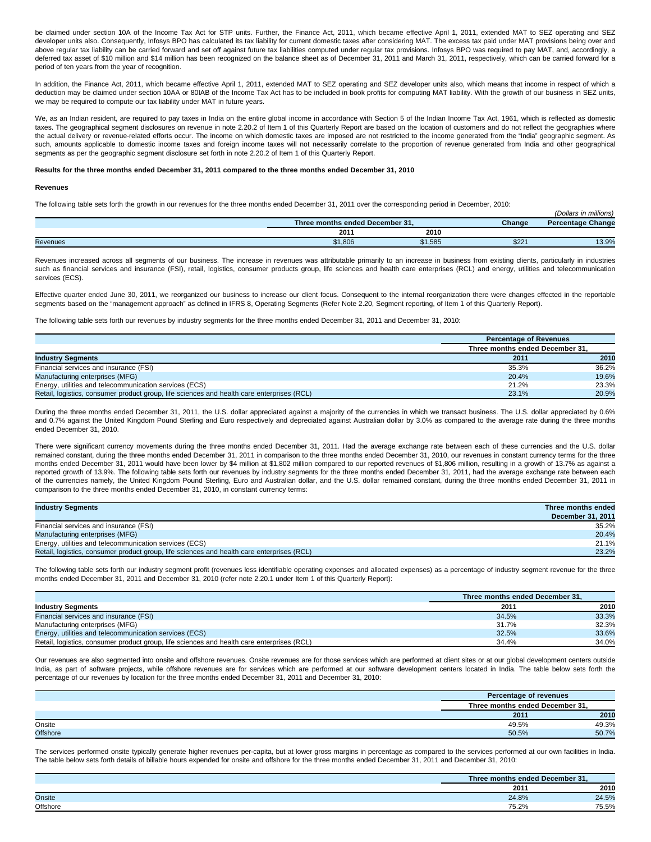be claimed under section 10A of the Income Tax Act for STP units. Further, the Finance Act, 2011, which became effective April 1, 2011, extended MAT to SEZ operating and SEZ developer units also. Consequently, Infosys BPO has calculated its tax liability for current domestic taxes after considering MAT. The excess tax paid under MAT provisions being over and above regular tax liability can be carried forward and set off against future tax liabilities computed under regular tax provisions. Infosys BPO was required to pay MAT, and, accordingly, a deferred tax asset of \$10 million and \$14 million has been recognized on the balance sheet as of December 31, 2011 and March 31, 2011, respectively, which can be carried forward for a period of ten years from the year of recognition.

In addition, the Finance Act, 2011, which became effective April 1, 2011, extended MAT to SEZ operating and SEZ developer units also, which means that income in respect of which a deduction may be claimed under section 10AA or 80IAB of the Income Tax Act has to be included in book profits for computing MAT liability. With the growth of our business in SEZ units, we may be required to compute our tax liability under MAT in future years.

We, as an Indian resident, are required to pay taxes in India on the entire global income in accordance with Section 5 of the Indian Income Tax Act, 1961, which is reflected as domestic taxes. The geographical segment disclosures on revenue in note 2.20.2 of Item 1 of this Quarterly Report are based on the location of customers and do not reflect the geographies where the actual delivery or revenue-related efforts occur. The income on which domestic taxes are imposed are not restricted to the income generated from the "India" geographic segment. As such, amounts applicable to domestic income taxes and foreign income taxes will not necessarily correlate to the proportion of revenue generated from India and other geographical segments as per the geographic segment disclosure set forth in note 2.20.2 of Item 1 of this Quarterly Report.

### **Results for the three months ended December 31, 2011 compared to the three months ended December 31, 2010**

#### **Revenues**

The following table sets forth the growth in our revenues for the three months ended December 31, 2011 over the corresponding period in December, 2010:

|                 |                                 |         |        | <br>(Dollars in millions) |
|-----------------|---------------------------------|---------|--------|---------------------------|
|                 | Three months ended December 31. |         | Change | <b>Percentage Change</b>  |
|                 | 2011                            | 2010    |        |                           |
| <b>Revenues</b> | \$1,806<br>ጡ ብ                  | \$1,585 | \$22   | 13.9%                     |

Revenues increased across all segments of our business. The increase in revenues was attributable primarily to an increase in business from existing clients, particularly in industries such as financial services and insurance (FSI), retail, logistics, consumer products group, life sciences and health care enterprises (RCL) and energy, utilities and telecommunication services (ECS).

Effective quarter ended June 30, 2011, we reorganized our business to increase our client focus. Consequent to the internal reorganization there were changes effected in the reportable segments based on the "management approach" as defined in IFRS 8, Operating Segments (Refer Note 2.20, Segment reporting, of Item 1 of this Quarterly Report).

The following table sets forth our revenues by industry segments for the three months ended December 31, 2011 and December 31, 2010:

|                                                                                            | <b>Percentage of Revenues</b> |                                 |  |  |
|--------------------------------------------------------------------------------------------|-------------------------------|---------------------------------|--|--|
|                                                                                            |                               | Three months ended December 31. |  |  |
| <b>Industry Segments</b>                                                                   | 2011                          | 2010                            |  |  |
| Financial services and insurance (FSI)                                                     | 35.3%                         | 36.2%                           |  |  |
| Manufacturing enterprises (MFG)                                                            | 20.4%                         | 19.6%                           |  |  |
| Energy, utilities and telecommunication services (ECS)                                     | 21.2%                         | 23.3%                           |  |  |
| Retail, logistics, consumer product group, life sciences and health care enterprises (RCL) | 23.1%                         | 20.9%                           |  |  |

During the three months ended December 31, 2011, the U.S. dollar appreciated against a majority of the currencies in which we transact business. The U.S. dollar appreciated by 0.6% and 0.7% against the United Kingdom Pound Sterling and Euro respectively and depreciated against Australian dollar by 3.0% as compared to the average rate during the three months ended December 31, 2010.

There were significant currency movements during the three months ended December 31, 2011. Had the average exchange rate between each of these currencies and the U.S. dollar remained constant, during the three months ended December 31, 2011 in comparison to the three months ended December 31, 2010, our revenues in constant currency terms for the three months ended December 31, 2011 would have been lower by \$4 million at \$1,802 million compared to our reported revenues of \$1,806 million, resulting in a growth of 13.7% as against a reported growth of 13.9%. The following table sets forth our revenues by industry segments for the three months ended December 31, 2011, had the average exchange rate between each of the currencies namely, the United Kingdom Pound Sterling, Euro and Australian dollar, and the U.S. dollar remained constant, during the three months ended December 31, 2011 in comparison to the three months ended December 31, 2010, in constant currency terms:

| <b>Industry Segments</b>                                                                   | Three months ended |
|--------------------------------------------------------------------------------------------|--------------------|
|                                                                                            | December 31, 2011  |
| Financial services and insurance (FSI)                                                     | 35.2%              |
| Manufacturing enterprises (MFG)                                                            | 20.4%              |
| Energy, utilities and telecommunication services (ECS)                                     | 21.1%              |
| Retail, logistics, consumer product group, life sciences and health care enterprises (RCL) | 23.2%              |

The following table sets forth our industry segment profit (revenues less identifiable operating expenses and allocated expenses) as a percentage of industry segment revenue for the three months ended December 31, 2011 and December 31, 2010 (refer note 2.20.1 under Item 1 of this Quarterly Report):

|                                                                                            | Three months ended December 31. |       |
|--------------------------------------------------------------------------------------------|---------------------------------|-------|
| <b>Industry Segments</b>                                                                   | 2011                            | 2010  |
| Financial services and insurance (FSI)                                                     | 34.5%                           | 33.3% |
| Manufacturing enterprises (MFG)                                                            | 31.7%                           | 32.3% |
| Energy, utilities and telecommunication services (ECS)                                     | 32.5%                           | 33.6% |
| Retail, logistics, consumer product group, life sciences and health care enterprises (RCL) | 34.4%                           | 34.0% |

Our revenues are also segmented into onsite and offshore revenues. Onsite revenues are for those services which are performed at client sites or at our global development centers outside India, as part of software projects, while offshore revenues are for services which are performed at our software development centers located in India. The table below sets forth the percentage of our revenues by location for the three months ended December 31, 2011 and December 31, 2010:

|                 |                                 | Percentage of revenues |  |  |
|-----------------|---------------------------------|------------------------|--|--|
|                 | Three months ended December 31. |                        |  |  |
|                 | 2011                            | 2010                   |  |  |
| Onsite          | 49.5%                           | 49.3%                  |  |  |
| <b>Offshore</b> | 50.5%                           | 50.7%                  |  |  |

The services performed onsite typically generate higher revenues per-capita, but at lower gross margins in percentage as compared to the services performed at our own facilities in India. The table below sets forth details of billable hours expended for onsite and offshore for the three months ended December 31, 2011 and December 31, 2010:

|          | <b>COLLECTION</b><br>December 31.<br>hree<br>ended<br>montns |                                                                                                                                                                                                                                                                                                                                                                                                                                                                                         |  |
|----------|--------------------------------------------------------------|-----------------------------------------------------------------------------------------------------------------------------------------------------------------------------------------------------------------------------------------------------------------------------------------------------------------------------------------------------------------------------------------------------------------------------------------------------------------------------------------|--|
|          | 201                                                          | 2010                                                                                                                                                                                                                                                                                                                                                                                                                                                                                    |  |
| Onsite   | 24.8%                                                        | 4E0/<br>Z4.J/0                                                                                                                                                                                                                                                                                                                                                                                                                                                                          |  |
| Offshore | 75.20/<br><i>ا ∠</i> .د                                      | $\overline{\phantom{a}}$ $\overline{\phantom{a}}$ $\overline{\phantom{a}}$ $\overline{\phantom{a}}$ $\overline{\phantom{a}}$ $\overline{\phantom{a}}$ $\overline{\phantom{a}}$ $\overline{\phantom{a}}$ $\overline{\phantom{a}}$ $\overline{\phantom{a}}$ $\overline{\phantom{a}}$ $\overline{\phantom{a}}$ $\overline{\phantom{a}}$ $\overline{\phantom{a}}$ $\overline{\phantom{a}}$ $\overline{\phantom{a}}$ $\overline{\phantom{a}}$ $\overline{\phantom{a}}$ $\overline{\$<br>5.5% |  |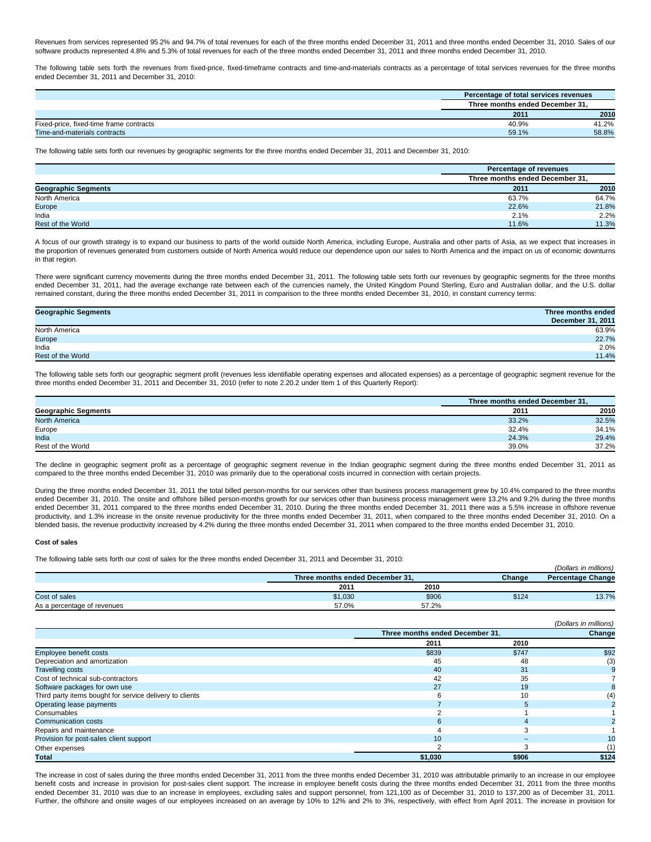Revenues from services represented 95.2% and 94.7% of total revenues for each of the three months ended December 31, 2011 and three months ended December 31, 2010. Sales of our software products represented 4.8% and 5.3% of total revenues for each of the three months ended December 31, 2011 and three months ended December 31, 2010.

The following table sets forth the revenues from fixed-price, fixed-timeframe contracts and time-and-materials contracts as a percentage of total services revenues for the three months ended December 31, 2011 and December 31, 2010:

|                                         | Percentage of total services revenues |       |  |
|-----------------------------------------|---------------------------------------|-------|--|
|                                         | Three months ended December 31.       |       |  |
|                                         | 2011                                  | 2010  |  |
| Fixed-price, fixed-time frame contracts | 40.9%                                 | 41.2% |  |
| Time-and-materials contracts            | 59.1%                                 | 58.8% |  |

The following table sets forth our revenues by geographic segments for the three months ended December 31, 2011 and December 31, 2010:

|                            | Percentage of revenues          |       |
|----------------------------|---------------------------------|-------|
|                            | Three months ended December 31. |       |
| <b>Geographic Segments</b> | 2011                            | 2010  |
| North America              | 63.7%                           | 64.7% |
| Europe                     | 22.6%                           | 21.8% |
| India                      | 2.1%                            | 2.2%  |
| Rest of the World          | 11.6%                           | 11.3% |

A focus of our growth strategy is to expand our business to parts of the world outside North America, including Europe, Australia and other parts of Asia, as we expect that increases in the proportion of revenues generated from customers outside of North America would reduce our dependence upon our sales to North America and the impact on us of economic downturns in that region.

There were significant currency movements during the three months ended December 31, 2011. The following table sets forth our revenues by geographic segments for the three months ended December 31, 2011, had the average exchange rate between each of the currencies namely, the United Kingdom Pound Sterling, Euro and Australian dollar, and the U.S. dollar remained constant, during the three months ended December 31, 2011 in comparison to the three months ended December 31, 2010, in constant currency terms:

| <b>Geographic Segments</b> | Three months ended |
|----------------------------|--------------------|
|                            | December 31, 2011  |
| North America              | 63.9%              |
| Europe                     | 22.7%              |
| India                      | 2.0%               |
| <b>Rest of the World</b>   | 11.4%              |

The following table sets forth our geographic segment profit (revenues less identifiable operating expenses and allocated expenses) as a percentage of geographic segment revenue for the three months ended December 31, 2011 and December 31, 2010 (refer to note 2.20.2 under Item 1 of this Quarterly Report):

|                            | Three months ended December 31, |       |
|----------------------------|---------------------------------|-------|
| <b>Geographic Segments</b> | 2011                            | 2010  |
| North America              | 33.2%                           | 32.5% |
| Europe                     | 32.4%                           | 34.1% |
| India                      | 24.3%                           | 29.4% |
| Rest of the World          | 39.0%                           | 37.2% |

The decline in geographic segment profit as a percentage of geographic segment revenue in the Indian geographic segment during the three months ended December 31, 2011 as compared to the three months ended December 31, 2010 was primarily due to the operational costs incurred in connection with certain projects.

During the three months ended December 31, 2011 the total billed person-months for our services other than business process management grew by 10.4% compared to the three months ended December 31, 2010. The onsite and offshore billed person-months growth for our services other than business process management were 13.2% and 9.2% during the three months ended December 31, 2011 compared to the three months ended December 31, 2010. During the three months ended December 31, 2011 there was a 5.5% increase in offshore revenue productivity, and 1.3% increase in the onsite revenue productivity for the three months ended December 31, 2011, when compared to the three months ended December 31, 2010. On a blended basis, the revenue productivity increased by 4.2% during the three months ended December 31, 2011 when compared to the three months ended December 31, 2010.

# **Cost of sales**

The following table sets forth our cost of sales for the three months ended December 31, 2011 and December 31, 2010:

|                             |                                 |       |        | (Dollars in millions)    |
|-----------------------------|---------------------------------|-------|--------|--------------------------|
|                             | Three months ended December 31, |       | Change | <b>Percentage Change</b> |
|                             | 2011                            | 2010  |        |                          |
| Cost of sales               | \$1,030                         | \$906 | \$124  | 13.7%                    |
| As a percentage of revenues | 57.0%                           | 57.2% |        |                          |

|                                                          |         |                                 | (Dollars in millions) |
|----------------------------------------------------------|---------|---------------------------------|-----------------------|
|                                                          |         | Three months ended December 31. |                       |
|                                                          | 2011    | 2010                            |                       |
| <b>Employee benefit costs</b>                            | \$839   | \$747                           | \$92                  |
| Depreciation and amortization                            | 45      | 48                              | (3)                   |
| <b>Travelling costs</b>                                  | 40      | 31                              |                       |
| Cost of technical sub-contractors                        | 42      | 35                              |                       |
| Software packages for own use                            | 27      | 19                              |                       |
| Third party items bought for service delivery to clients |         | 10                              | (4)                   |
| Operating lease payments                                 |         |                                 |                       |
| Consumables                                              |         |                                 |                       |
| <b>Communication costs</b>                               | ĸ       |                                 |                       |
| Repairs and maintenance                                  |         |                                 |                       |
| Provision for post-sales client support                  | 10      |                                 | 10                    |
| Other expenses                                           |         |                                 |                       |
| Total                                                    | \$1,030 | \$906                           | \$124                 |

The increase in cost of sales during the three months ended December 31, 2011 from the three months ended December 31, 2010 was attributable primarily to an increase in our employee benefit costs and increase in provision for post-sales client support. The increase in employee benefit costs during the three months ended December 31, 2011 from the three months ended December 31, 2010 was due to an increase in employees, excluding sales and support personnel, from 121,100 as of December 31, 2010 to 137,200 as of December 31, 2011. Further, the offshore and onsite wages of our employees increased on an average by 10% to 12% and 2% to 3%, respectively, with effect from April 2011. The increase in provision for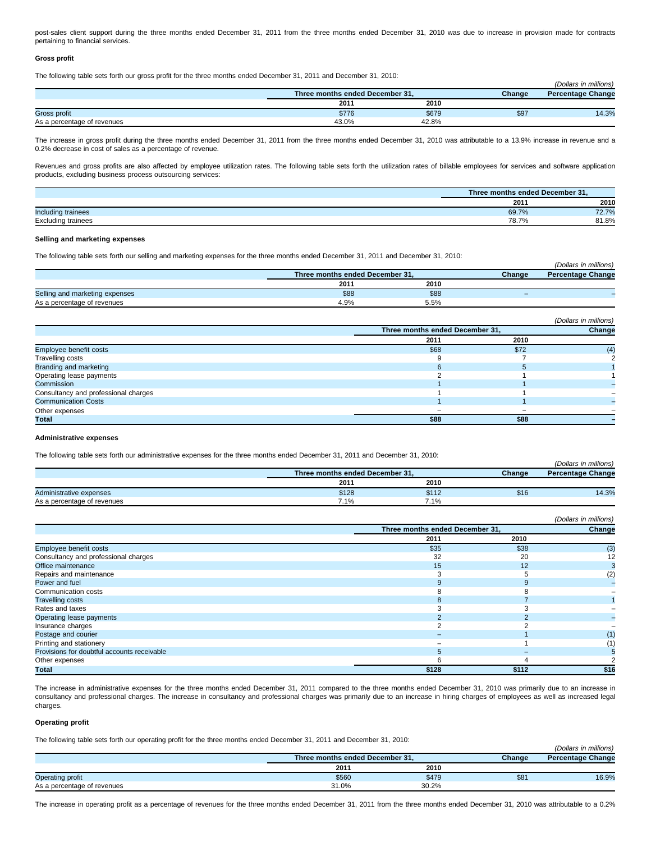post-sales client support during the three months ended December 31, 2011 from the three months ended December 31, 2010 was due to increase in provision made for contracts pertaining to financial services.

### **Gross profit**

The following table sets forth our gross profit for the three months ended December 31, 2011 and December 31, 2010:

|                             |                                 |       |        | (Dollars in millions)    |
|-----------------------------|---------------------------------|-------|--------|--------------------------|
|                             | Three months ended December 31. |       | Change | <b>Percentage Change</b> |
|                             | 2011                            | 2010  |        |                          |
| Gross profit                | \$776                           | \$679 | \$97   | 14.3%                    |
| As a percentage of revenues | 43.0%                           | 42.8% |        |                          |

The increase in gross profit during the three months ended December 31, 2011 from the three months ended December 31, 2010 was attributable to a 13.9% increase in revenue and a 0.2% decrease in cost of sales as a percentage of revenue.

Revenues and gross profits are also affected by employee utilization rates. The following table sets forth the utilization rates of billable employees for services and software application products, excluding business process outsourcing services:

|                           | Three months ended December 31, |                       |
|---------------------------|---------------------------------|-----------------------|
|                           | 2011                            | 2010                  |
| Including trainees        | 69.7%                           | 70.70/<br>$\sim$ 2.1% |
| <b>Excluding trainees</b> | 78.7%                           | 81.8%                 |

# **Selling and marketing expenses**

The following table sets forth our selling and marketing expenses for the three months ended December 31, 2011 and December 31, 2010:

|                                |                                 |      |        | (Dollars in millions)    |
|--------------------------------|---------------------------------|------|--------|--------------------------|
|                                | Three months ended December 31. |      | Change | <b>Percentage Change</b> |
|                                | 2011                            | 2010 |        |                          |
| Selling and marketing expenses | \$88                            | \$88 | -      |                          |
| As a percentage of revenues    | 4.9%                            | 5.5% |        |                          |

 $(0, u, m)$ 

|                                      |                                 |      | (Dollars in millions) |
|--------------------------------------|---------------------------------|------|-----------------------|
|                                      | Three months ended December 31, |      | Change                |
|                                      | 2011                            | 2010 |                       |
| Employee benefit costs               | \$68                            | \$72 | (4)                   |
| Travelling costs                     |                                 |      |                       |
| Branding and marketing               |                                 |      |                       |
| Operating lease payments             |                                 |      |                       |
| Commission                           |                                 |      |                       |
| Consultancy and professional charges |                                 |      |                       |
| <b>Communication Costs</b>           |                                 |      |                       |
| Other expenses                       |                                 |      |                       |
| Total                                | \$88                            | \$88 |                       |

# **Administrative expenses**

The following table sets forth our administrative expenses for the three months ended December 31, 2011 and December 31, 2010:

|                             |                                 |       |        | (Dollars in millions)    |
|-----------------------------|---------------------------------|-------|--------|--------------------------|
|                             | Three months ended December 31, |       | Change | <b>Percentage Change</b> |
|                             | 2011                            | 2010  |        |                          |
| Administrative expenses     | \$128                           | \$112 | \$16   | 14.3%                    |
| As a percentage of revenues | $7.1\%$                         | 7.1%  |        |                          |

|                                             |       |                                 | (Dollars in millions) |
|---------------------------------------------|-------|---------------------------------|-----------------------|
|                                             |       | Three months ended December 31, |                       |
|                                             | 2011  | 2010                            |                       |
| Employee benefit costs                      | \$35  | \$38                            | (3)                   |
| Consultancy and professional charges        | 32    | 20                              | 12                    |
| Office maintenance                          | 15    | 12                              |                       |
| Repairs and maintenance                     |       |                                 | (2)                   |
| Power and fuel                              |       |                                 |                       |
| Communication costs                         |       |                                 |                       |
| <b>Travelling costs</b>                     |       |                                 |                       |
| Rates and taxes                             |       |                                 |                       |
| Operating lease payments                    |       |                                 |                       |
| Insurance charges                           |       |                                 |                       |
| Postage and courier                         |       |                                 | (1)                   |
| Printing and stationery                     |       |                                 | (1)                   |
| Provisions for doubtful accounts receivable |       |                                 |                       |
| Other expenses                              |       |                                 |                       |
| Total                                       | \$128 | \$112                           | \$16                  |

The increase in administrative expenses for the three months ended December 31, 2011 compared to the three months ended December 31, 2010 was primarily due to an increase in consultancy and professional charges. The increase in consultancy and professional charges was primarily due to an increase in hiring charges of employees as well as increased legal charges.

### **Operating profit**

The following table sets forth our operating profit for the three months ended December 31, 2011 and December 31, 2010:

|                             |                                 |       |        | (Dollars in millions)    |
|-----------------------------|---------------------------------|-------|--------|--------------------------|
|                             | Three months ended December 31. |       | Change | <b>Percentage Change</b> |
|                             | 2011                            | 2010  |        |                          |
| Operating profit            | \$560                           | \$479 | \$8'   | 16.9%                    |
| As a percentage of revenues | 31.0%                           | 30.2% |        |                          |

The increase in operating profit as a percentage of revenues for the three months ended December 31, 2011 from the three months ended December 31, 2010 was attributable to a 0.2%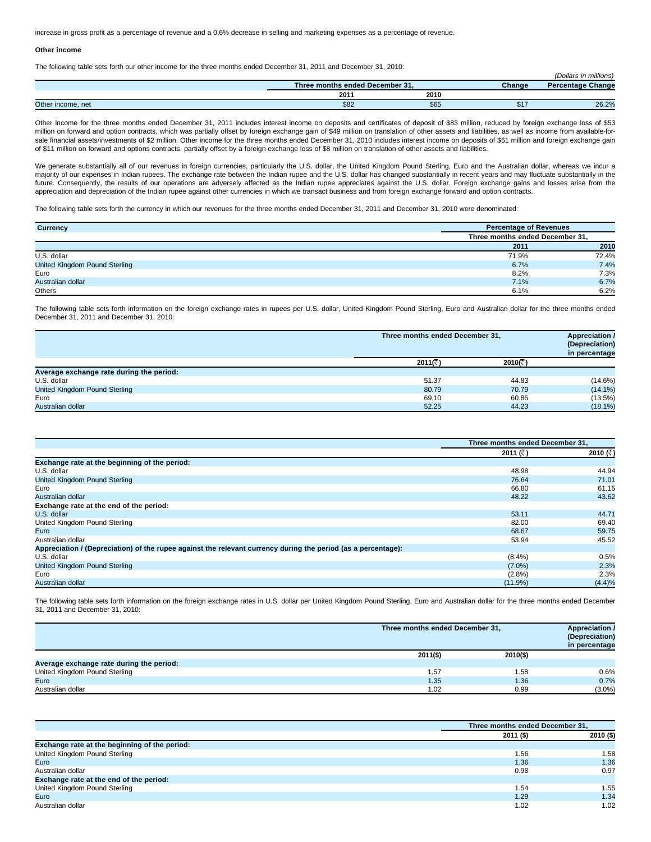increase in gross profit as a percentage of revenue and a 0.6% decrease in selling and marketing expenses as a percentage of revenue.

#### **Other income**

The following table sets forth our other income for the three months ended December 31, 2011 and December 31, 2010:

| .                 |      |                                 |        | (Dollars in millions)    |
|-------------------|------|---------------------------------|--------|--------------------------|
|                   |      | Three months ended December 31. | Change | <b>Percentage Change</b> |
|                   | 2011 | 2010                            |        |                          |
| Other income, net | \$82 | \$65                            | \$17   | 26.2%                    |

Other income for the three months ended December 31, 2011 includes interest income on deposits and certificates of deposit of \$83 million, reduced by foreign exchange loss of \$53 million on forward and option contracts, which was partially offset by foreign exchange gain of \$49 million on translation of other assets and liabilities, as well as income from available-forsale financial assets/investments of \$2 million. Other income for the three months ended December 31, 2010 includes interest income on deposits of \$61 million and foreign exchange gain of \$11 million on forward and options contracts, partially offset by a foreign exchange loss of \$8 million on translation of other assets and liabilities.

We generate substantially all of our revenues in foreign currencies, particularly the U.S. dollar, the United Kingdom Pound Sterling, Euro and the Australian dollar, whereas we incur a majority of our expenses in Indian rupees. The exchange rate between the Indian rupee and the U.S. dollar has changed substantially in recent years and may fluctuate substantially in the future. Consequently, the results of our operations are adversely affected as the Indian rupee appreciates against the U.S. dollar. Foreign exchange gains and losses arise from the appreciation and depreciation of the Indian rupee against other currencies in which we transact business and from foreign exchange forward and option contracts.

The following table sets forth the currency in which our revenues for the three months ended December 31, 2011 and December 31, 2010 were denominated:

| Currency                      | <b>Percentage of Revenues</b>   |       |
|-------------------------------|---------------------------------|-------|
|                               | Three months ended December 31, |       |
|                               | 2011                            | 2010  |
| U.S. dollar                   | 71.9%                           | 72.4% |
| United Kingdom Pound Sterling | 6.7%                            | 7.4%  |
| Euro                          | 8.2%                            | 7.3%  |
| Australian dollar             | 7.1%                            | 6.7%  |
| Others                        | 6.1%                            | 6.2%  |

The following table sets forth information on the foreign exchange rates in rupees per U.S. dollar, United Kingdom Pound Sterling, Euro and Australian dollar for the three months ended December 31, 2011 and December 31, 2010:

|                                          | Three months ended December 31, |                   | <b>Appreciation /</b><br>(Depreciation)<br>in percentage |
|------------------------------------------|---------------------------------|-------------------|----------------------------------------------------------|
|                                          | 2011(रैं)                       | 2010( $\bar{z}$ ) |                                                          |
| Average exchange rate during the period: |                                 |                   |                                                          |
| U.S. dollar                              | 51.37                           | 44.83             | $(14.6\%)$                                               |
| United Kingdom Pound Sterling            | 80.79                           | 70.79             | $(14.1\%)$                                               |
| Euro                                     | 69.10                           | 60.86             | (13.5%)                                                  |
| Australian dollar                        | 52.25                           | 44.23             | $(18.1\%)$                                               |

|                                                                                                               | Three months ended December 31, |          |
|---------------------------------------------------------------------------------------------------------------|---------------------------------|----------|
|                                                                                                               | 2011 $($ 5)                     | 2010 (₹) |
| Exchange rate at the beginning of the period:                                                                 |                                 |          |
| U.S. dollar                                                                                                   | 48.98                           | 44.94    |
| United Kingdom Pound Sterling                                                                                 | 76.64                           | 71.01    |
| Euro                                                                                                          | 66.80                           | 61.15    |
| Australian dollar                                                                                             | 48.22                           | 43.62    |
| Exchange rate at the end of the period:                                                                       |                                 |          |
| U.S. dollar                                                                                                   | 53.11                           | 44.71    |
| United Kingdom Pound Sterling                                                                                 | 82.00                           | 69.40    |
| Euro                                                                                                          | 68.67                           | 59.75    |
| Australian dollar                                                                                             | 53.94                           | 45.52    |
| Appreciation / (Depreciation) of the rupee against the relevant currency during the period (as a percentage): |                                 |          |
| U.S. dollar                                                                                                   | $(8.4\%)$                       | 0.5%     |
| United Kingdom Pound Sterling                                                                                 | $(7.0\%)$                       | 2.3%     |
| Euro                                                                                                          | $(2.8\%)$                       | 2.3%     |
| Australian dollar                                                                                             | (11.9%)                         | (4.4)%   |

The following table sets forth information on the foreign exchange rates in U.S. dollar per United Kingdom Pound Sterling, Euro and Australian dollar for the three months ended December 31, 2011 and December 31, 2010:

|                                          | Three months ended December 31, | <b>Appreciation /</b><br>(Depreciation)<br>in percentage |           |
|------------------------------------------|---------------------------------|----------------------------------------------------------|-----------|
|                                          | $2011($ \$)                     | 2010(\$)                                                 |           |
| Average exchange rate during the period: |                                 |                                                          |           |
| United Kingdom Pound Sterling            | 1.57                            | 1.58                                                     | 0.6%      |
| Euro                                     | 1.35                            | 1.36                                                     | 0.7%      |
| Australian dollar                        | 1.02                            | 0.99                                                     | $(3.0\%)$ |

|                                               | Three months ended December 31, |           |
|-----------------------------------------------|---------------------------------|-----------|
|                                               | 2011 (\$)                       | 2010 (\$) |
| Exchange rate at the beginning of the period: |                                 |           |
| United Kingdom Pound Sterling                 | 1.56                            | 1.58      |
| Euro                                          | 1.36                            | 1.36      |
| Australian dollar                             | 0.98                            | 0.97      |
| Exchange rate at the end of the period:       |                                 |           |
| United Kingdom Pound Sterling                 | 1.54                            | 1.55      |
| Euro                                          | 1.29                            | 1.34      |
| Australian dollar                             | 1.02                            | 1.02      |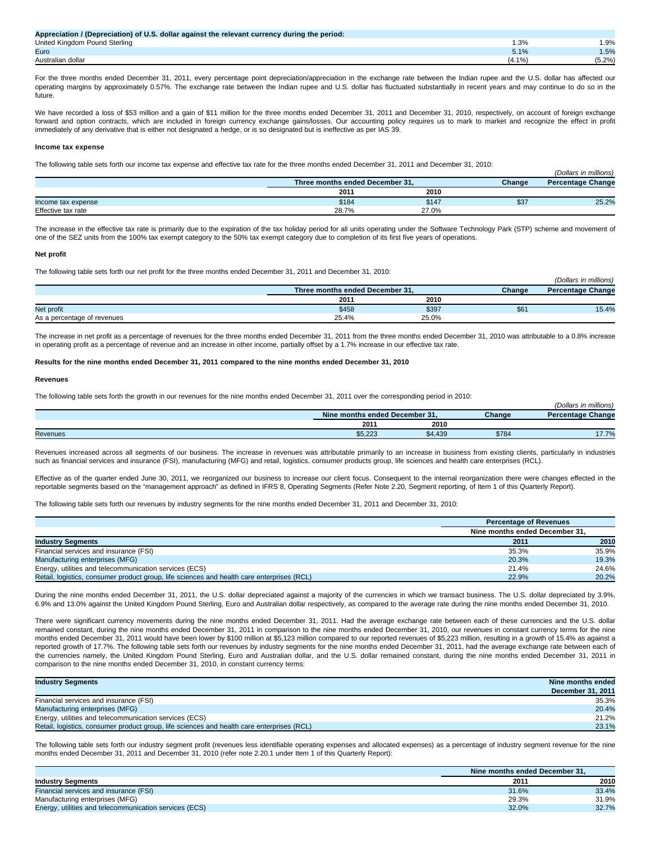| Appreciation / (Depreciation) of U.S. dollar against the relevant currency during the period: |           |
|-----------------------------------------------------------------------------------------------|-----------|
| United Kingdom Pound Sterling                                                                 | .9%       |
| Euro                                                                                          | 1.5%      |
| Australian dollar                                                                             | $(5.2\%)$ |

For the three months ended December 31, 2011, every percentage point depreciation/appreciation in the exchange rate between the Indian rupee and the U.S. dollar has affected our operating margins by approximately 0.57%. The exchange rate between the Indian rupee and U.S. dollar has fluctuated substantially in recent years and may continue to do so in the future.

We have recorded a loss of \$53 million and a gain of \$11 million for the three months ended December 31, 2011 and December 31, 2010, respectively, on account of foreign exchange forward and option contracts, which are included in foreign currency exchange gains/losses. Our accounting policy requires us to mark to market and recognize the effect in profit immediately of any derivative that is either not designated a hedge, or is so designated but is ineffective as per IAS 39.

### **Income tax expense**

The following table sets forth our income tax expense and effective tax rate for the three months ended December 31, 2011 and December 31, 2010:

|                    | Three months ended December 31, |       | Change | <b>Percentage Change</b> |
|--------------------|---------------------------------|-------|--------|--------------------------|
|                    | 2011                            | 2010  |        |                          |
| Income tax expense | \$184                           | \$147 | \$37   | 25.2%                    |
| Effective tax rate | 28.7%                           | 27.0% |        |                          |

(Dollars in millions)

(Dollars in millions)

The increase in the effective tax rate is primarily due to the expiration of the tax holiday period for all units operating under the Software Technology Park (STP) scheme and movement of one of the SEZ units from the 100% tax exempt category to the 50% tax exempt category due to completion of its first five years of operations.

#### **Net profit**

The following table sets forth our net profit for the three months ended December 31, 2011 and December 31, 2010:

|                             | Three months ended December 31. |       | Change | <b>Percentage Change</b> |
|-----------------------------|---------------------------------|-------|--------|--------------------------|
|                             | 2011                            | 2010  |        |                          |
| Net profit                  | \$458                           | \$397 | \$6    | 15.4%                    |
| As a percentage of revenues | 25.4%                           | 25.0% |        |                          |

The increase in net profit as a percentage of revenues for the three months ended December 31, 2011 from the three months ended December 31, 2010 was attributable to a 0.8% increase in operating profit as a percentage of revenue and an increase in other income, partially offset by a 1.7% increase in our effective tax rate.

### **Results for the nine months ended December 31, 2011 compared to the nine months ended December 31, 2010**

#### **Revenues**

The following table sets forth the growth in our revenues for the nine months ended December 31, 2011 over the corresponding period in 2010:

|                 |  |                                | $\sim$ $\cdot$ |        | <br>(Dollars in millions) |
|-----------------|--|--------------------------------|----------------|--------|---------------------------|
|                 |  | Nine months ended December 31. |                | Change | <b>Percentage Change</b>  |
|                 |  | 201                            | 2010           |        |                           |
| <b>Revenues</b> |  | \$5,223                        | \$4,439        | \$784  |                           |

Revenues increased across all segments of our business. The increase in revenues was attributable primarily to an increase in business from existing clients, particularly in industries such as financial services and insurance (FSI), manufacturing (MFG) and retail, logistics, consumer products group, life sciences and health care enterprises (RCL).

Effective as of the quarter ended June 30, 2011, we reorganized our business to increase our client focus. Consequent to the internal reorganization there were changes effected in the reportable segments based on the "management approach" as defined in IFRS 8, Operating Segments (Refer Note 2.20, Segment reporting, of Item 1 of this Quarterly Report).

The following table sets forth our revenues by industry segments for the nine months ended December 31, 2011 and December 31, 2010:

|                                                                                            | <b>Percentage of Revenues</b>  |       |
|--------------------------------------------------------------------------------------------|--------------------------------|-------|
|                                                                                            | Nine months ended December 31. |       |
| <b>Industry Segments</b>                                                                   | 2011                           | 2010  |
| Financial services and insurance (FSI)                                                     | 35.3%                          | 35.9% |
| Manufacturing enterprises (MFG)                                                            | 20.3%                          | 19.3% |
| Energy, utilities and telecommunication services (ECS)                                     | 21.4%                          | 24.6% |
| Retail, logistics, consumer product group, life sciences and health care enterprises (RCL) | 22.9%                          | 20.2% |

During the nine months ended December 31, 2011, the U.S. dollar depreciated against a majority of the currencies in which we transact business. The U.S. dollar depreciated by 3.9%, 6.9% and 13.0% against the United Kingdom Pound Sterling, Euro and Australian dollar respectively, as compared to the average rate during the nine months ended December 31, 2010.

There were significant currency movements during the nine months ended December 31, 2011. Had the average exchange rate between each of these currencies and the U.S. dollar remained constant, during the nine months ended December 31, 2011 in comparison to the nine months ended December 31, 2010, our revenues in constant currency terms for the nine months ended December 31, 2011 would have been lower by \$100 million at \$5,123 million compared to our reported revenues of \$5,223 million, resulting in a growth of 15.4% as against a reported growth of 17.7%. The following table sets forth our revenues by industry segments for the nine months ended December 31, 2011, had the average exchange rate between each of the currencies namely, the United Kingdom Pound Sterling, Euro and Australian dollar, and the U.S. dollar remained constant, during the nine months ended December 31, 2011 in comparison to the nine months ended December 31, 2010, in constant currency terms:

| <b>Industry Segments</b>                                                                   | Nine months ended<br>December 31, 2011 |
|--------------------------------------------------------------------------------------------|----------------------------------------|
| Financial services and insurance (FSI)                                                     | 35.3%                                  |
| Manufacturing enterprises (MFG)                                                            | 20.4%                                  |
| Energy, utilities and telecommunication services (ECS)                                     | 21.2%                                  |
| Retail, logistics, consumer product group, life sciences and health care enterprises (RCL) | 23.1%                                  |

The following table sets forth our industry segment profit (revenues less identifiable operating expenses and allocated expenses) as a percentage of industry segment revenue for the nine months ended December 31, 2011 and December 31, 2010 (refer note 2.20.1 under Item 1 of this Quarterly Report):

|                                                        | Nine months ended December 31. |       |
|--------------------------------------------------------|--------------------------------|-------|
| <b>Industry Segments</b>                               | 2011                           | 2010  |
| Financial services and insurance (FSI)                 | 31.6%                          | 33.4% |
| Manufacturing enterprises (MFG)                        | 29.3%                          | 31.9% |
| Energy, utilities and telecommunication services (ECS) | 32.0%                          | 32.7% |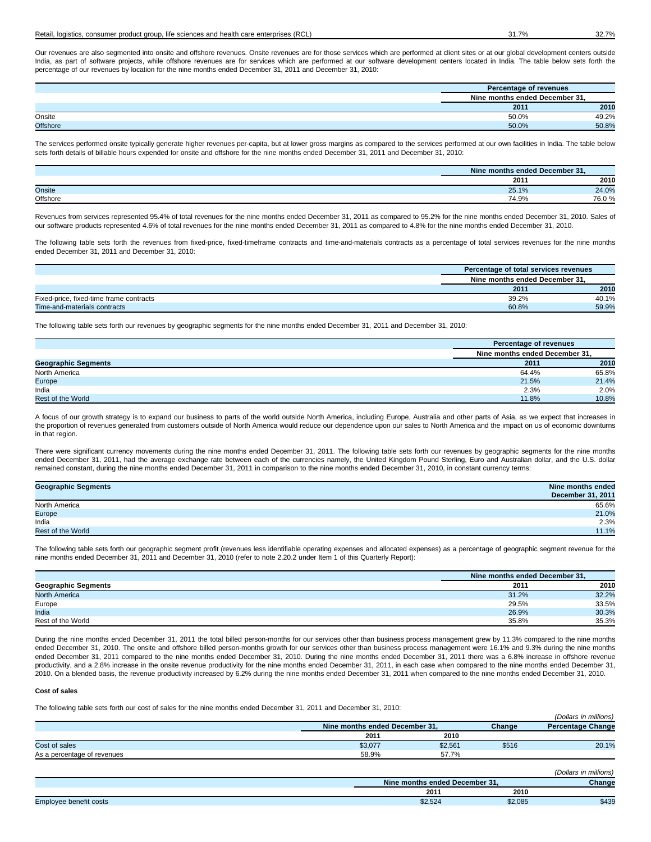### Retail, logistics, consumer product group, life sciences and health care enterprises (RCL) 31.7% 32.7% 32.7%

Our revenues are also segmented into onsite and offshore revenues. Onsite revenues are for those services which are performed at client sites or at our global development centers outside India, as part of software projects, while offshore revenues are for services which are performed at our software development centers located in India. The table below sets forth the percentage of our revenues by location for the nine months ended December 31, 2011 and December 31, 2010:

|                 | Percentage of revenues         |       |
|-----------------|--------------------------------|-------|
|                 | Nine months ended December 31. |       |
|                 | 2011                           | 2010  |
| Onsite          | 50.0%                          | 49.2% |
| <b>Offshore</b> | 50.0%                          | 50.8% |

The services performed onsite typically generate higher revenues per-capita, but at lower gross margins as compared to the services performed at our own facilities in India. The table below sets forth details of billable hours expended for onsite and offshore for the nine months ended December 31, 2011 and December 31, 2010:

|          | Nine months ended December 31. |       |
|----------|--------------------------------|-------|
|          | 2011                           | 2010  |
| Onsite   | 25.1%                          | 24.0% |
| Offshore | 74.9%                          | 76.0% |

Revenues from services represented 95.4% of total revenues for the nine months ended December 31, 2011 as compared to 95.2% for the nine months ended December 31, 2010. Sales of our software products represented 4.6% of total revenues for the nine months ended December 31, 2011 as compared to 4.8% for the nine months ended December 31, 2010.

The following table sets forth the revenues from fixed-price, fixed-timeframe contracts and time-and-materials contracts as a percentage of total services revenues for the nine months ended December 31, 2011 and December 31, 2010:

|                                         | Percentage of total services revenues<br>Nine months ended December 31.<br>2010<br>2011 |       |
|-----------------------------------------|-----------------------------------------------------------------------------------------|-------|
|                                         |                                                                                         |       |
|                                         |                                                                                         |       |
| Fixed-price, fixed-time frame contracts | 39.2%                                                                                   | 40.1% |
| Time-and-materials contracts            | 60.8%                                                                                   | 59.9% |

The following table sets forth our revenues by geographic segments for the nine months ended December 31, 2011 and December 31, 2010:

|                            | Percentage of revenues         |       |
|----------------------------|--------------------------------|-------|
|                            | Nine months ended December 31, |       |
| <b>Geographic Segments</b> | 2011                           | 2010  |
| North America              | 64.4%                          | 65.8% |
| Europe                     | 21.5%                          | 21.4% |
| India                      | 2.3%                           | 2.0%  |
| Rest of the World          | 11.8%                          | 10.8% |

A focus of our growth strategy is to expand our business to parts of the world outside North America, including Europe, Australia and other parts of Asia, as we expect that increases in the proportion of revenues generated from customers outside of North America would reduce our dependence upon our sales to North America and the impact on us of economic downturns in that region.

There were significant currency movements during the nine months ended December 31, 2011. The following table sets forth our revenues by geographic segments for the nine months ended December 31, 2011, had the average exchange rate between each of the currencies namely, the United Kingdom Pound Sterling, Euro and Australian dollar, and the U.S. dollar remained constant, during the nine months ended December 31, 2011 in comparison to the nine months ended December 31, 2010, in constant currency terms:

| <b>Geographic Segments</b> | Nine months ended |
|----------------------------|-------------------|
|                            | December 31, 2011 |
| North America              | 65.6%             |
| Europe                     | 21.0%             |
| India                      | 2.3%              |
| Rest of the World          | 11.1%             |

The following table sets forth our geographic segment profit (revenues less identifiable operating expenses and allocated expenses) as a percentage of geographic segment revenue for the nine months ended December 31, 2011 and December 31, 2010 (refer to note 2.20.2 under Item 1 of this Quarterly Report):

|                            | Nine months ended December 31. |       |  |
|----------------------------|--------------------------------|-------|--|
| <b>Geographic Segments</b> | 2011                           | 2010  |  |
| <b>North America</b>       | 31.2%                          | 32.2% |  |
| Europe                     | 29.5%                          | 33.5% |  |
| India                      | 26.9%                          | 30.3% |  |
| Rest of the World          | 35.8%                          | 35.3% |  |

During the nine months ended December 31, 2011 the total billed person-months for our services other than business process management grew by 11.3% compared to the nine months ended December 31, 2010. The onsite and offshore billed person-months growth for our services other than business process management were 16.1% and 9.3% during the nine months ended December 31, 2011 compared to the nine months ended December 31, 2010. During the nine months ended December 31, 2011 there was a 6.8% increase in offshore revenue productivity, and a 2.8% increase in the onsite revenue productivity for the nine months ended December 31, 2011, in each case when compared to the nine months ended December 31, 2010. On a blended basis, the revenue productivity increased by 6.2% during the nine months ended December 31, 2011 when compared to the nine months ended December 31, 2010.

### **Cost of sales**

The following table sets forth our cost of sales for the nine months ended December 31, 2011 and December 31, 2010:

|         | Nine months ended December 31, |       | <b>Percentage Change</b> |
|---------|--------------------------------|-------|--------------------------|
| 2011    | 2010                           |       |                          |
| \$3,077 | \$2,561                        | \$516 | 20.1%                    |
| 58.9%   | 57.7%                          |       |                          |
|         |                                |       | (Dollars in millions)    |
|         |                                |       | Change                   |

|                           | s ended December 31.<br>Nin<br>e montns i |         | Change |
|---------------------------|-------------------------------------------|---------|--------|
|                           | 2011                                      | 2010    |        |
| Employee<br>benefit costs | \$2,524                                   | \$2,085 | \$439  |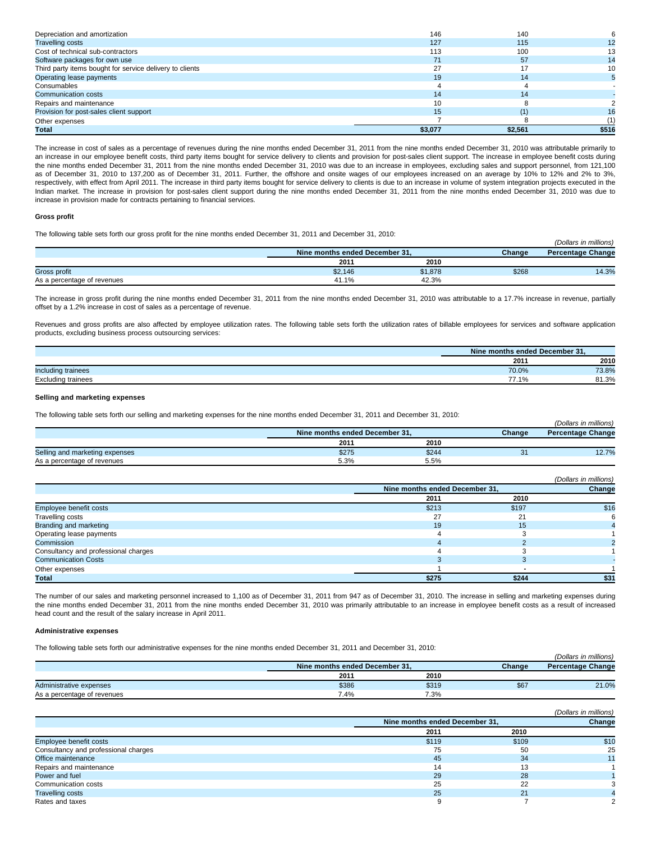| Depreciation and amortization                            | 146     | 140     |       |
|----------------------------------------------------------|---------|---------|-------|
| <b>Travelling costs</b>                                  | 127     | 115     |       |
| Cost of technical sub-contractors                        | 113     | 100     |       |
| Software packages for own use                            | 71      | 57      |       |
| Third party items bought for service delivery to clients |         |         | 10    |
| Operating lease payments                                 | 19      | 14      |       |
| Consumables                                              |         |         |       |
| Communication costs                                      | 14      | 14      |       |
| Repairs and maintenance                                  | 10      |         |       |
| Provision for post-sales client support                  | 15      |         | 16    |
| Other expenses                                           |         |         |       |
| Total                                                    | \$3,077 | \$2.561 | \$516 |

The increase in cost of sales as a percentage of revenues during the nine months ended December 31, 2011 from the nine months ended December 31, 2010 was attributable primarily to an increase in our employee benefit costs, third party items bought for service delivery to clients and provision for post-sales client support. The increase in employee benefit costs during the nine months ended December 31, 2011 from the nine months ended December 31, 2010 was due to an increase in employees, excluding sales and support personnel, from 121,100 as of December 31, 2010 to 137,200 as of December 31, 2011. Further, the offshore and onsite wages of our employees increased on an average by 10% to 12% and 2% to 3%, respectively, with effect from April 2011. The increase in third party items bought for service delivery to clients is due to an increase in volume of system integration projects executed in the Indian market. The increase in provision for post-sales client support during the nine months ended December 31, 2011 from the nine months ended December 31, 2010 was due to increase in provision made for contracts pertaining to financial services.

#### **Gross profit**

The following table sets forth our gross profit for the nine months ended December 31, 2011 and December 31, 2010:

| .                           |                                |         |        | (Dollars in millions)    |
|-----------------------------|--------------------------------|---------|--------|--------------------------|
|                             | Nine months ended December 31. |         | Change | <b>Percentage Change</b> |
|                             | 2011                           | 2010    |        |                          |
| Gross profit                | \$2,146                        | \$1,878 | \$268  | 14.3%                    |
| As a percentage of revenues | 41.1%                          | 42.3%   |        |                          |

The increase in gross profit during the nine months ended December 31, 2011 from the nine months ended December 31, 2010 was attributable to a 17.7% increase in revenue, partially offset by a 1.2% increase in cost of sales as a percentage of revenue.

Revenues and gross profits are also affected by employee utilization rates. The following table sets forth the utilization rates of billable employees for services and software application products, excluding business process outsourcing services:

|                           | Nine months ended December 31. |       |
|---------------------------|--------------------------------|-------|
|                           | 201'                           | 2010  |
| Including trainees        | 70.0%                          | 73.8% |
| <b>Excluding trainees</b> | 77.1%                          | 81.3% |

# **Selling and marketing expenses**

The following table sets forth our selling and marketing expenses for the nine months ended December 31, 2011 and December 31, 2010:

|                                |                                |       |        | (Dollars in millions)    |
|--------------------------------|--------------------------------|-------|--------|--------------------------|
|                                | Nine months ended December 31, |       | Change | <b>Percentage Change</b> |
|                                | 2011                           | 2010  |        |                          |
| Selling and marketing expenses | \$275                          | \$244 | 31     | 12.7%                    |
| As a percentage of revenues    | 5.3%                           | 5.5%  |        |                          |

|                                      |                                |       | (Dollars in millions) |
|--------------------------------------|--------------------------------|-------|-----------------------|
|                                      | Nine months ended December 31, |       | Change                |
|                                      | 2011                           | 2010  |                       |
| Employee benefit costs               | \$213                          | \$197 | \$16                  |
| Travelling costs                     |                                | 21    |                       |
| Branding and marketing               | 19                             | 15    |                       |
| Operating lease payments             |                                |       |                       |
| Commission                           |                                |       |                       |
| Consultancy and professional charges |                                |       |                       |
| <b>Communication Costs</b>           |                                |       |                       |
| Other expenses                       |                                |       |                       |
| Total                                | \$275                          | \$244 | \$31                  |

The number of our sales and marketing personnel increased to 1,100 as of December 31, 2011 from 947 as of December 31, 2010. The increase in selling and marketing expenses during the nine months ended December 31, 2011 from the nine months ended December 31, 2010 was primarily attributable to an increase in employee benefit costs as a result of increased head count and the result of the salary increase in April 2011.

### **Administrative expenses**

The following table sets forth our administrative expenses for the nine months ended December 31, 2011 and December 31, 2010:

|                             |                                |       |        | (Dollars in millions)    |
|-----------------------------|--------------------------------|-------|--------|--------------------------|
|                             | Nine months ended December 31. |       | Change | <b>Percentage Change</b> |
|                             | 2011                           | 2010  |        |                          |
| Administrative expenses     | \$386                          | \$319 | \$67   | 21.0%                    |
| As a percentage of revenues | 7.4%                           | 7.3%  |        |                          |

|                                      |                                |       | (Dollars in millions) |
|--------------------------------------|--------------------------------|-------|-----------------------|
|                                      | Nine months ended December 31, |       | Change                |
|                                      | 2011                           | 2010  |                       |
| Employee benefit costs               | \$119                          | \$109 | \$10                  |
| Consultancy and professional charges | 75                             | 50    | 25                    |
| Office maintenance                   | 45                             | 34    |                       |
| Repairs and maintenance              | 14                             | 13    |                       |
| Power and fuel                       | 29                             | 28    |                       |
| Communication costs                  | 25                             | 22    |                       |
| <b>Travelling costs</b>              | 25                             | 21    |                       |
| Rates and taxes                      | 9                              |       |                       |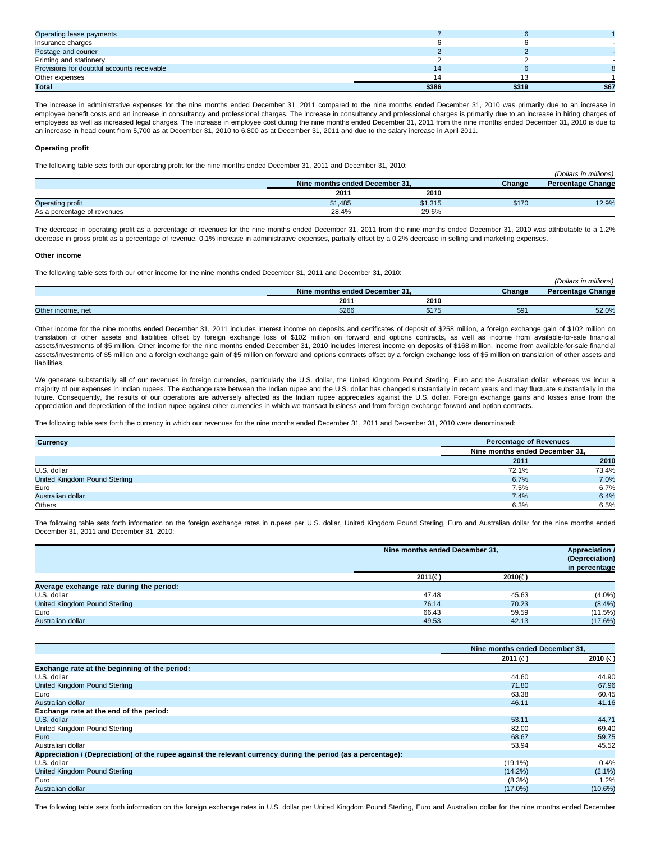| Operating lease payments                    |       |       |      |
|---------------------------------------------|-------|-------|------|
| Insurance charges                           |       |       |      |
| Postage and courier                         |       |       |      |
| Printing and stationery                     |       |       |      |
| Provisions for doubtful accounts receivable | 14    |       |      |
| Other expenses                              |       |       |      |
| Total                                       | \$386 | \$319 | \$67 |

The increase in administrative expenses for the nine months ended December 31, 2011 compared to the nine months ended December 31, 2010 was primarily due to an increase in employee benefit costs and an increase in consultancy and professional charges. The increase in consultancy and professional charges is primarily due to an increase in hiring charges of employees as well as increased legal charges. The increase in employee cost during the nine months ended December 31, 2011 from the nine months ended December 31, 2010 is due to an increase in head count from 5,700 as at December 31, 2010 to 6,800 as at December 31, 2011 and due to the salary increase in April 2011.

### **Operating profit**

The following table sets forth our operating profit for the nine months ended December 31, 2011 and December 31, 2010:

|                             | Nine months ended December 31. |         | Change | <b>Percentage Change</b> |
|-----------------------------|--------------------------------|---------|--------|--------------------------|
|                             | 2011                           | 2010    |        |                          |
| <b>Operating profit</b>     | \$1,485                        | \$1,315 | \$170  | 12.9%                    |
| As a percentage of revenues | 28.4%                          | 29.6%   |        |                          |

(Dollars in millions)

The decrease in operating profit as a percentage of revenues for the nine months ended December 31, 2011 from the nine months ended December 31, 2010 was attributable to a 1.2% decrease in gross profit as a percentage of revenue, 0.1% increase in administrative expenses, partially offset by a 0.2% decrease in selling and marketing expenses.

### **Other income**

The following table sets forth our other income for the nine months ended December 31, 2011 and December 31, 2010:

| . .               |                                |       |        | <br>(Dollars in millions) |
|-------------------|--------------------------------|-------|--------|---------------------------|
|                   | Nine months ended December 31. |       | Change | <b>Percentage Change</b>  |
|                   | 2011                           | 2010  |        |                           |
| Other income, net | \$266                          | \$175 | \$9    | 52.0%                     |

Other income for the nine months ended December 31, 2011 includes interest income on deposits and certificates of deposit of \$258 million, a foreign exchange gain of \$102 million on translation of other assets and liabilities offset by foreign exchange loss of \$102 million on forward and options contracts, as well as income from available-for-sale financial assets/investments of \$5 million. Other income for the nine months ended December 31, 2010 includes interest income on deposits of \$168 million, income from available-for-sale financial assets/investments of \$5 million and a foreign exchange gain of \$5 million on forward and options contracts offset by a foreign exchange loss of \$5 million on translation of other assets and liabilities.

We generate substantially all of our revenues in foreign currencies, particularly the U.S. dollar, the United Kingdom Pound Sterling, Euro and the Australian dollar, whereas we incur a majority of our expenses in Indian rupees. The exchange rate between the Indian rupee and the U.S. dollar has changed substantially in recent years and may fluctuate substantially in the future. Consequently, the results of our operations are adversely affected as the Indian rupee appreciates against the U.S. dollar. Foreign exchange gains and losses arise from the appreciation and depreciation of the Indian rupee against other currencies in which we transact business and from foreign exchange forward and option contracts.

The following table sets forth the currency in which our revenues for the nine months ended December 31, 2011 and December 31, 2010 were denominated:

| Currency                      | <b>Percentage of Revenues</b>  |       |
|-------------------------------|--------------------------------|-------|
|                               | Nine months ended December 31, |       |
|                               | 2011                           | 2010  |
| U.S. dollar                   | 72.1%                          | 73.4% |
| United Kingdom Pound Sterling | 6.7%                           | 7.0%  |
| Euro                          | 7.5%                           | 6.7%  |
| Australian dollar             | 7.4%                           | 6.4%  |
| Others                        | 6.3%                           | 6.5%  |

The following table sets forth information on the foreign exchange rates in rupees per U.S. dollar, United Kingdom Pound Sterling, Euro and Australian dollar for the nine months ended December 31, 2011 and December 31, 2010:

|                                          | Nine months ended December 31. |             | <b>Appreciation /</b><br>(Depreciation)<br>in percentage |
|------------------------------------------|--------------------------------|-------------|----------------------------------------------------------|
|                                          | 2011(रैं)                      | 2010 $($ ₹) |                                                          |
| Average exchange rate during the period: |                                |             |                                                          |
| U.S. dollar                              | 47.48                          | 45.63       | $(4.0\%)$                                                |
| United Kingdom Pound Sterling            | 76.14                          | 70.23       | $(8.4\%)$                                                |
| Euro                                     | 66.43                          | 59.59       | (11.5%)                                                  |
| Australian dollar                        | 49.53                          | 42.13       | (17.6%)                                                  |

|                                                                                                               | Nine months ended December 31. |            |
|---------------------------------------------------------------------------------------------------------------|--------------------------------|------------|
|                                                                                                               | 2011 ( $\bar{z}$ )             | 2010 (₹)   |
| Exchange rate at the beginning of the period:                                                                 |                                |            |
| U.S. dollar                                                                                                   | 44.60                          | 44.90      |
| United Kingdom Pound Sterling                                                                                 | 71.80                          | 67.96      |
| Euro                                                                                                          | 63.38                          | 60.45      |
| Australian dollar                                                                                             | 46.11                          | 41.16      |
| Exchange rate at the end of the period:                                                                       |                                |            |
| U.S. dollar                                                                                                   | 53.11                          | 44.71      |
| United Kingdom Pound Sterling                                                                                 | 82.00                          | 69.40      |
| Euro                                                                                                          | 68.67                          | 59.75      |
| Australian dollar                                                                                             | 53.94                          | 45.52      |
| Appreciation / (Depreciation) of the rupee against the relevant currency during the period (as a percentage): |                                |            |
| U.S. dollar                                                                                                   | $(19.1\%)$                     | 0.4%       |
| United Kingdom Pound Sterling                                                                                 | (14.2%)                        | $(2.1\%)$  |
| Euro                                                                                                          | $(8.3\%)$                      | $1.2\%$    |
| Australian dollar                                                                                             | $(17.0\%)$                     | $(10.6\%)$ |

The following table sets forth information on the foreign exchange rates in U.S. dollar per United Kingdom Pound Sterling, Euro and Australian dollar for the nine months ended December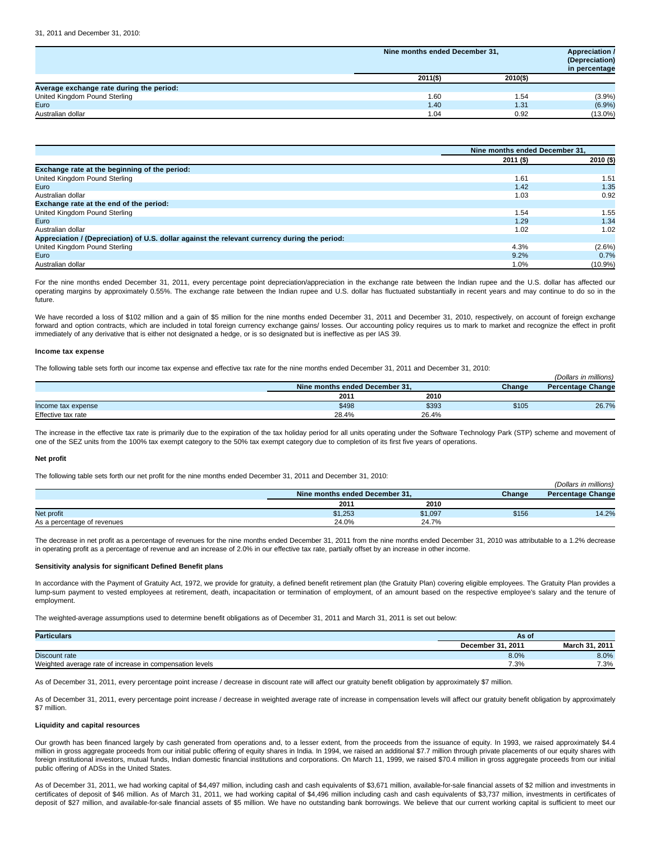|                                          | Nine months ended December 31, |          | <b>Appreciation /</b><br>(Depreciation)<br>in percentage |
|------------------------------------------|--------------------------------|----------|----------------------------------------------------------|
|                                          | $2011($ \$)                    | 2010(\$) |                                                          |
| Average exchange rate during the period: |                                |          |                                                          |
| United Kingdom Pound Sterling            | 1.60                           | 1.54     | $(3.9\%)$                                                |
| Euro                                     | 1.40                           | 1.31     | (6.9%)                                                   |
| Australian dollar                        | 1.04                           | 0.92     | $(13.0\%)$                                               |

|                                                                                               | Nine months ended December 31. |            |
|-----------------------------------------------------------------------------------------------|--------------------------------|------------|
|                                                                                               | $2011($ \$)                    | 2010 (\$)  |
| Exchange rate at the beginning of the period:                                                 |                                |            |
| United Kingdom Pound Sterling                                                                 | 1.61                           | 1.51       |
| Euro                                                                                          | 1.42                           | 1.35       |
| Australian dollar                                                                             | 1.03                           | 0.92       |
| Exchange rate at the end of the period:                                                       |                                |            |
| United Kingdom Pound Sterling                                                                 | 1.54                           | 1.55       |
| Euro                                                                                          | 1.29                           | 1.34       |
| Australian dollar                                                                             | 1.02                           | 1.02       |
| Appreciation / (Depreciation) of U.S. dollar against the relevant currency during the period: |                                |            |
| United Kingdom Pound Sterling                                                                 | 4.3%                           | $(2.6\%)$  |
| Euro                                                                                          | 9.2%                           | 0.7%       |
| Australian dollar                                                                             | 1.0%                           | $(10.9\%)$ |

For the nine months ended December 31, 2011, every percentage point depreciation/appreciation in the exchange rate between the Indian rupee and the U.S. dollar has affected our operating margins by approximately 0.55%. The exchange rate between the Indian rupee and U.S. dollar has fluctuated substantially in recent years and may continue to do so in the future.

We have recorded a loss of \$102 million and a gain of \$5 million for the nine months ended December 31, 2011 and December 31, 2010, respectively, on account of foreign exchange forward and option contracts, which are included in total foreign currency exchange gains/ losses. Our accounting policy requires us to mark to market and recognize the effect in profit immediately of any derivative that is either not designated a hedge, or is so designated but is ineffective as per IAS 39.

#### **Income tax expense**

The following table sets forth our income tax expense and effective tax rate for the nine months ended December 31, 2011 and December 31, 2010:

| The religious castle belong to the cast modified the copyrige and chocave tax rate for the mile months chaca December 01, 2011 and December 01, 2010. |                                |       |        |                          |
|-------------------------------------------------------------------------------------------------------------------------------------------------------|--------------------------------|-------|--------|--------------------------|
|                                                                                                                                                       |                                |       |        | (Dollars in millions)    |
|                                                                                                                                                       | Nine months ended December 31. |       | Change | <b>Percentage Change</b> |
|                                                                                                                                                       | 2011                           | 2010  |        |                          |
| Income tax expense                                                                                                                                    | \$498                          | \$393 | \$105  | 26.7%                    |
| Effective tax rate                                                                                                                                    | 28.4%                          | 26.4% |        |                          |

The increase in the effective tax rate is primarily due to the expiration of the tax holiday period for all units operating under the Software Technology Park (STP) scheme and movement of one of the SEZ units from the 100% tax exempt category to the 50% tax exempt category due to completion of its first five years of operations.

#### **Net profit**

The following table sets forth our net profit for the nine months ended December 31, 2011 and December 31, 2010:

|                             |                                |         |        | (Dollars in millions)    |
|-----------------------------|--------------------------------|---------|--------|--------------------------|
|                             | Nine months ended December 31. |         | Change | <b>Percentage Change</b> |
|                             | 2011                           | 2010    |        |                          |
| Net profit                  | \$1,253                        | \$1,097 | \$156  | 14.2%                    |
| As a percentage of revenues | 24.0%                          | 24.7%   |        |                          |

The decrease in net profit as a percentage of revenues for the nine months ended December 31, 2011 from the nine months ended December 31, 2010 was attributable to a 1.2% decrease in operating profit as a percentage of revenue and an increase of 2.0% in our effective tax rate, partially offset by an increase in other income.

### **Sensitivity analysis for significant Defined Benefit plans**

In accordance with the Payment of Gratuity Act, 1972, we provide for gratuity, a defined benefit retirement plan (the Gratuity Plan) covering eligible employees. The Gratuity Plan provides a lump-sum payment to vested employees at retirement, death, incapacitation or termination of employment, of an amount based on the respective employee's salary and the tenure of employment.

The weighted-average assumptions used to determine benefit obligations as of December 31, 2011 and March 31, 2011 is set out below:

| <b>Particulars</b>                                       | As of             |                    |
|----------------------------------------------------------|-------------------|--------------------|
|                                                          | December 31, 2011 | . 2011<br>March 31 |
| Discount rate                                            | 8.0%              | 8.0%               |
| Weighted average rate of increase in compensation levels | 7.3%              | 7.3%               |

As of December 31, 2011, every percentage point increase / decrease in discount rate will affect our gratuity benefit obligation by approximately \$7 million.

As of December 31, 2011, every percentage point increase / decrease in weighted average rate of increase in compensation levels will affect our gratuity benefit obligation by approximately \$7 million.

### **Liquidity and capital resources**

Our growth has been financed largely by cash generated from operations and, to a lesser extent, from the proceeds from the issuance of equity. In 1993, we raised approximately \$4.4 million in gross aggregate proceeds from our initial public offering of equity shares in India. In 1994, we raised an additional \$7.7 million through private placements of our equity shares with foreign institutional investors, mutual funds, Indian domestic financial institutions and corporations. On March 11, 1999, we raised \$70.4 million in gross aggregate proceeds from our initial public offering of ADSs in the United States.

As of December 31, 2011, we had working capital of \$4,497 million, including cash and cash equivalents of \$3,671 million, available-for-sale financial assets of \$2 million and investments in certificates of deposit of \$46 million. As of March 31, 2011, we had working capital of \$4,496 million including cash and cash equivalents of \$3,737 million, investments in certificates of deposit of \$27 million, and available-for-sale financial assets of \$5 million. We have no outstanding bank borrowings. We believe that our current working capital is sufficient to meet our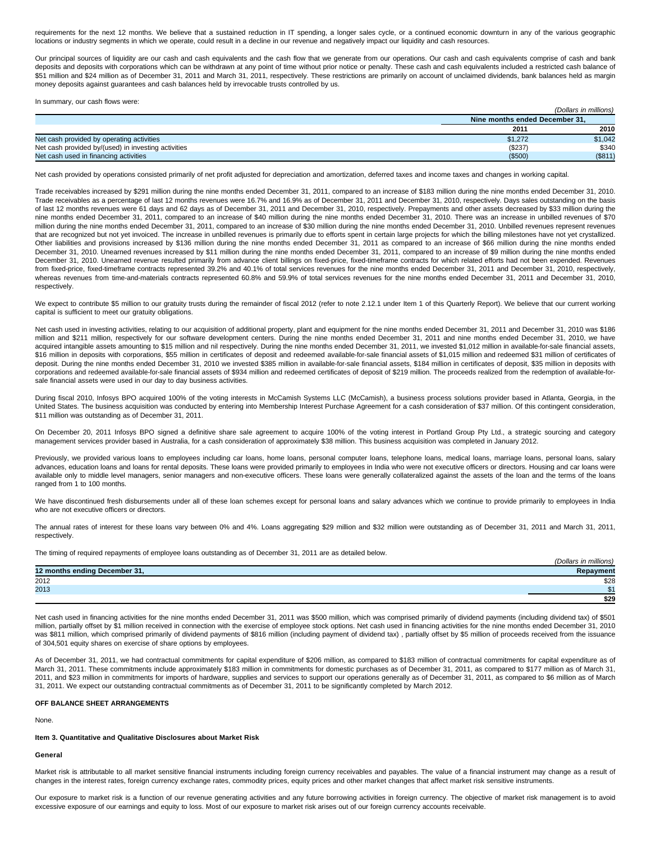requirements for the next 12 months. We believe that a sustained reduction in IT spending, a longer sales cycle, or a continued economic downturn in any of the various geographic locations or industry segments in which we operate, could result in a decline in our revenue and negatively impact our liquidity and cash resources.

Our principal sources of liquidity are our cash and cash equivalents and the cash flow that we generate from our operations. Our cash and cash equivalents comprise of cash and bank deposits and deposits with corporations which can be withdrawn at any point of time without prior notice or penalty. These cash and cash equivalents included a restricted cash balance of \$51 million and \$24 million as of December 31, 2011 and March 31, 2011, respectively. These restrictions are primarily on account of unclaimed dividends, bank balances held as margin money deposits against guarantees and cash balances held by irrevocable trusts controlled by us.

In summary, our cash flows were:

|                                                     |         | (Dollars in millions)          |  |
|-----------------------------------------------------|---------|--------------------------------|--|
|                                                     |         | Nine months ended December 31. |  |
|                                                     | 2011    | 2010                           |  |
| Net cash provided by operating activities           | \$1.272 | \$1,042                        |  |
| Net cash provided by/(used) in investing activities | (\$237) | \$340                          |  |
| Net cash used in financing activities               | (\$500) | (\$811)                        |  |

Net cash provided by operations consisted primarily of net profit adjusted for depreciation and amortization, deferred taxes and income taxes and changes in working capital.

Trade receivables increased by \$291 million during the nine months ended December 31, 2011, compared to an increase of \$183 million during the nine months ended December 31, 2010. Trade receivables as a percentage of last 12 months revenues were 16.7% and 16.9% as of December 31, 2011 and December 31, 2010, respectively. Days sales outstanding on the basis of last 12 months revenues were 61 days and 62 days as of December 31, 2011 and December 31, 2010, respectively. Prepayments and other assets decreased by \$33 million during the nine months ended December 31, 2011, compared to an increase of \$40 million during the nine months ended December 31, 2010. There was an increase in unbilled revenues of \$70 million during the nine months ended December 31, 2011, compared to an increase of \$30 million during the nine months ended December 31, 2010. Unbilled revenues represent revenues that are recognized but not yet invoiced. The increase in unbilled revenues is primarily due to efforts spent in certain large projects for which the billing milestones have not yet crystallized. Other liabilities and provisions increased by \$136 million during the nine months ended December 31, 2011 as compared to an increase of \$66 million during the nine months ended December 31, 2010. Unearned revenues increased by \$11 million during the nine months ended December 31, 2011, compared to an increase of \$9 million during the nine months ended December 31, 2010. Unearned revenue resulted primarily from advance client billings on fixed-price, fixed-timeframe contracts for which related efforts had not been expended. Revenues from fixed-price, fixed-timeframe contracts represented 39.2% and 40.1% of total services revenues for the nine months ended December 31, 2011 and December 31, 2010, respectively, whereas revenues from time-and-materials contracts represented 60.8% and 59.9% of total services revenues for the nine months ended December 31, 2011 and December 31, 2010, respectively.

We expect to contribute \$5 million to our gratuity trusts during the remainder of fiscal 2012 (refer to note 2.12.1 under Item 1 of this Quarterly Report). We believe that our current working capital is sufficient to meet our gratuity obligations.

Net cash used in investing activities, relating to our acquisition of additional property, plant and equipment for the nine months ended December 31, 2011 and December 31, 2010 was \$186 million and \$211 million, respectively for our software development centers. During the nine months ended December 31, 2011 and nine months ended December 31, 2010, we have acquired intangible assets amounting to \$15 million and nil respectively. During the nine months ended December 31, 2011, we invested \$1,012 million in available-for-sale financial assets, \$16 million in deposits with corporations, \$55 million in certificates of deposit and redeemed available-for-sale financial assets of \$1,015 million and redeemed \$31 million of certificates of deposit. During the nine months ended December 31, 2010 we invested \$385 million in available-for-sale financial assets, \$184 million in certificates of deposit, \$35 million in deposits with corporations and redeemed available-for-sale financial assets of \$934 million and redeemed certificates of deposit of \$219 million. The proceeds realized from the redemption of available-forsale financial assets were used in our day to day business activities.

During fiscal 2010, Infosys BPO acquired 100% of the voting interests in McCamish Systems LLC (McCamish), a business process solutions provider based in Atlanta, Georgia, in the United States. The business acquisition was conducted by entering into Membership Interest Purchase Agreement for a cash consideration of \$37 million. Of this contingent consideration, \$11 million was outstanding as of December 31, 2011.

On December 20, 2011 Infosys BPO signed a definitive share sale agreement to acquire 100% of the voting interest in Portland Group Pty Ltd., a strategic sourcing and category management services provider based in Australia, for a cash consideration of approximately \$38 million. This business acquisition was completed in January 2012.

Previously, we provided various loans to employees including car loans, home loans, personal computer loans, telephone loans, medical loans, marriage loans, personal loans, salary advances, education loans and loans for rental deposits. These loans were provided primarily to employees in India who were not executive officers or directors. Housing and car loans were available only to middle level managers, senior managers and non-executive officers. These loans were generally collateralized against the assets of the loan and the terms of the loans ranged from 1 to 100 months.

We have discontinued fresh disbursements under all of these loan schemes except for personal loans and salary advances which we continue to provide primarily to employees in India who are not executive officers or directors.

The annual rates of interest for these loans vary between 0% and 4%. Loans aggregating \$29 million and \$32 million were outstanding as of December 31, 2011 and March 31, 2011, respectively.

The timing of required repayments of employee loans outstanding as of December 31, 2011 are as detailed below.

|                               | 'Dollars<br>; in millions) |
|-------------------------------|----------------------------|
| 12 months ending December 31, | Repayment                  |
| 2012                          | \$28                       |
| 2013                          | $\triangle$                |
|                               | \$29                       |

Net cash used in financing activities for the nine months ended December 31, 2011 was \$500 million, which was comprised primarily of dividend payments (including dividend tax) of \$501 million, partially offset by \$1 million received in connection with the exercise of employee stock options. Net cash used in financing activities for the nine months ended December 31, 2010 was \$811 million, which comprised primarily of dividend payments of \$816 million (including payment of dividend tax), partially offset by \$5 million of proceeds received from the issuance of 304,501 equity shares on exercise of share options by employees.

As of December 31, 2011, we had contractual commitments for capital expenditure of \$206 million, as compared to \$183 million of contractual commitments for capital expenditure as of March 31, 2011. These commitments include approximately \$183 million in commitments for domestic purchases as of December 31, 2011, as compared to \$177 million as of March 31. 2011, and \$23 million in commitments for imports of hardware, supplies and services to support our operations generally as of December 31, 2011, as compared to \$6 million as of March 31, 2011. We expect our outstanding contractual commitments as of December 31, 2011 to be significantly completed by March 2012.

### **OFF BALANCE SHEET ARRANGEMENTS**

**None** 

# **Item 3. Quantitative and Qualitative Disclosures about Market Risk**

# **General**

Market risk is attributable to all market sensitive financial instruments including foreign currency receivables and payables. The value of a financial instrument may change as a result of changes in the interest rates, foreign currency exchange rates, commodity prices, equity prices and other market changes that affect market risk sensitive instruments.

Our exposure to market risk is a function of our revenue generating activities and any future borrowing activities in foreign currency. The objective of market risk management is to avoid excessive exposure of our earnings and equity to loss. Most of our exposure to market risk arises out of our foreign currency accounts receivable.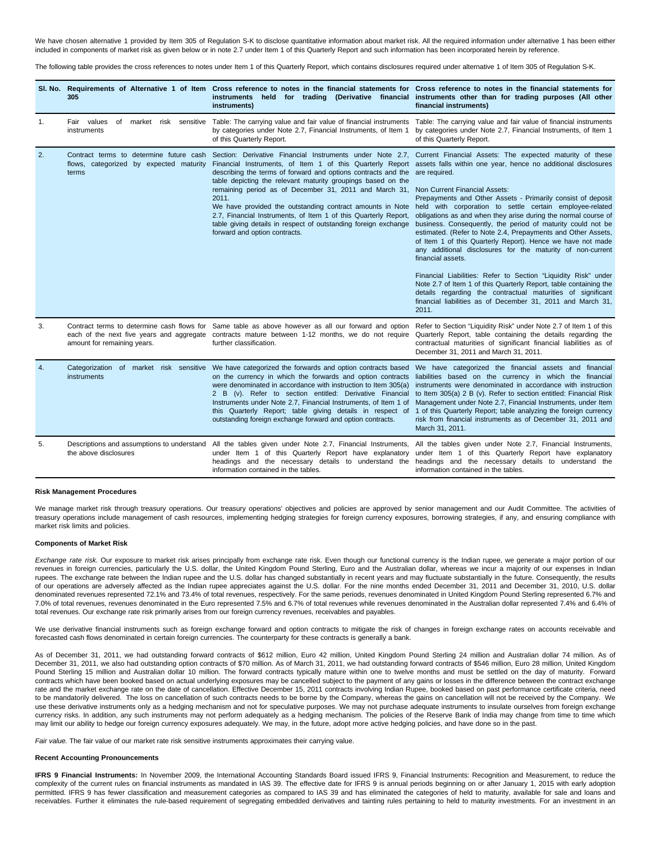We have chosen alternative 1 provided by Item 305 of Regulation S-K to disclose quantitative information about market risk. All the required information under alternative 1 has been either included in components of market risk as given below or in note 2.7 under Item 1 of this Quarterly Report and such information has been incorporated herein by reference.

The following table provides the cross references to notes under Item 1 of this Quarterly Report, which contains disclosures required under alternative 1 of Item 305 of Regulation S-K.

|    | 305                                                                                                                    | SI. No. Requirements of Alternative 1 of Item Cross reference to notes in the financial statements for Cross reference to notes in the financial statements for<br>instruments<br>instruments)                                                                                                                                                                                                                                                                                                                                                                                                                                                                                                      | held for trading (Derivative financial instruments other than for trading purposes (All other<br>financial instruments)                                                                                                                                                                                                                                                                                                                                                                                                                                                                                                                                                                                                                                                                          |
|----|------------------------------------------------------------------------------------------------------------------------|-----------------------------------------------------------------------------------------------------------------------------------------------------------------------------------------------------------------------------------------------------------------------------------------------------------------------------------------------------------------------------------------------------------------------------------------------------------------------------------------------------------------------------------------------------------------------------------------------------------------------------------------------------------------------------------------------------|--------------------------------------------------------------------------------------------------------------------------------------------------------------------------------------------------------------------------------------------------------------------------------------------------------------------------------------------------------------------------------------------------------------------------------------------------------------------------------------------------------------------------------------------------------------------------------------------------------------------------------------------------------------------------------------------------------------------------------------------------------------------------------------------------|
| 1. | Fair values<br>of market risk sensitive<br>instruments                                                                 | Table: The carrying value and fair value of financial instruments<br>by categories under Note 2.7, Financial Instruments, of Item 1<br>of this Quarterly Report.                                                                                                                                                                                                                                                                                                                                                                                                                                                                                                                                    | Table: The carrying value and fair value of financial instruments<br>by categories under Note 2.7, Financial Instruments, of Item 1<br>of this Quarterly Report.                                                                                                                                                                                                                                                                                                                                                                                                                                                                                                                                                                                                                                 |
| 2. | Contract terms to determine future cash<br>flows, categorized by expected maturity<br>terms                            | Section: Derivative Financial Instruments under Note 2.7, Current Financial Assets: The expected maturity of these<br>Financial Instruments, of Item 1 of this Quarterly Report assets falls within one year, hence no additional disclosures<br>describing the terms of forward and options contracts and the are required.<br>table depicting the relevant maturity groupings based on the<br>remaining period as of December 31, 2011 and March 31,<br>2011.<br>We have provided the outstanding contract amounts in Note<br>2.7, Financial Instruments, of Item 1 of this Quarterly Report,<br>table giving details in respect of outstanding foreign exchange<br>forward and option contracts. | <b>Non Current Financial Assets:</b><br>Prepayments and Other Assets - Primarily consist of deposit<br>held with corporation to settle certain employee-related<br>obligations as and when they arise during the normal course of<br>business. Consequently, the period of maturity could not be<br>estimated. (Refer to Note 2.4, Prepayments and Other Assets,<br>of Item 1 of this Quarterly Report). Hence we have not made<br>any additional disclosures for the maturity of non-current<br>financial assets.<br>Financial Liabilities: Refer to Section "Liquidity Risk" under<br>Note 2.7 of Item 1 of this Quarterly Report, table containing the<br>details regarding the contractual maturities of significant<br>financial liabilities as of December 31, 2011 and March 31,<br>2011. |
| 3. | Contract terms to determine cash flows for<br>each of the next five years and aggregate<br>amount for remaining years. | Same table as above however as all our forward and option<br>contracts mature between 1-12 months, we do not require<br>further classification.                                                                                                                                                                                                                                                                                                                                                                                                                                                                                                                                                     | Refer to Section "Liquidity Risk" under Note 2.7 of Item 1 of this<br>Quarterly Report, table containing the details regarding the<br>contractual maturities of significant financial liabilities as of<br>December 31, 2011 and March 31, 2011.                                                                                                                                                                                                                                                                                                                                                                                                                                                                                                                                                 |
| 4. | instruments                                                                                                            | Categorization of market risk sensitive We have categorized the forwards and option contracts based<br>on the currency in which the forwards and option contracts<br>were denominated in accordance with instruction to Item 305(a)<br>2 B (v). Refer to section entitled: Derivative Financial<br>Instruments under Note 2.7, Financial Instruments, of Item 1 of<br>this Quarterly Report; table giving details in respect of<br>outstanding foreign exchange forward and option contracts.                                                                                                                                                                                                       | We have categorized the financial assets and financial<br>liabilities based on the currency in which the financial<br>instruments were denominated in accordance with instruction<br>to Item 305(a) 2 B (v). Refer to section entitled: Financial Risk<br>Management under Note 2.7, Financial Instruments, under Item<br>1 of this Quarterly Report; table analyzing the foreign currency<br>risk from financial instruments as of December 31, 2011 and<br>March 31, 2011.                                                                                                                                                                                                                                                                                                                     |
| 5. | Descriptions and assumptions to understand<br>the above disclosures                                                    | All the tables given under Note 2.7, Financial Instruments,<br>under Item 1 of this Quarterly Report have explanatory<br>headings and the necessary details to understand the<br>information contained in the tables.                                                                                                                                                                                                                                                                                                                                                                                                                                                                               | All the tables given under Note 2.7, Financial Instruments,<br>under Item 1 of this Quarterly Report have explanatory<br>headings and the necessary details to understand the<br>information contained in the tables.                                                                                                                                                                                                                                                                                                                                                                                                                                                                                                                                                                            |

### **Risk Management Procedures**

We manage market risk through treasury operations. Our treasury operations' objectives and policies are approved by senior management and our Audit Committee. The activities of treasury operations include management of cash resources, implementing hedging strategies for foreign currency exposures, borrowing strategies, if any, and ensuring compliance with market risk limits and policies.

### **Components of Market Risk**

Exchange rate risk. Our exposure to market risk arises principally from exchange rate risk. Even though our functional currency is the Indian rupee, we generate a major portion of our revenues in foreign currencies, particularly the U.S. dollar, the United Kingdom Pound Sterling, Euro and the Australian dollar, whereas we incur a majority of our expenses in Indian rupees. The exchange rate between the Indian rupee and the U.S. dollar has changed substantially in recent years and may fluctuate substantially in the future. Consequently, the results of our operations are adversely affected as the Indian rupee appreciates against the U.S. dollar. For the nine months ended December 31, 2011 and December 31, 2010, U.S. dollar denominated revenues represented 72.1% and 73.4% of total revenues, respectively. For the same periods, revenues denominated in United Kingdom Pound Sterling represented 6.7% and 7.0% of total revenues, revenues denominated in the Euro represented 7.5% and 6.7% of total revenues while revenues denominated in the Australian dollar represented 7.4% and 6.4% of total revenues. Our exchange rate risk primarily arises from our foreign currency revenues, receivables and payables.

We use derivative financial instruments such as foreign exchange forward and option contracts to mitigate the risk of changes in foreign exchange rates on accounts receivable and forecasted cash flows denominated in certain foreign currencies. The counterparty for these contracts is generally a bank.

As of December 31, 2011, we had outstanding forward contracts of \$612 million, Euro 42 million, United Kingdom Pound Sterling 24 million and Australian dollar 74 million. As of December 31, 2011, we also had outstanding option contracts of \$70 million. As of March 31, 2011, we had outstanding forward contracts of \$546 million, Euro 28 million, United Kingdom Pound Sterling 15 million and Australian dollar 10 million. The forward contracts typically mature within one to twelve months and must be settled on the day of maturity. Forward contracts which have been booked based on actual underlying exposures may be cancelled subject to the payment of any gains or losses in the difference between the contract exchange rate and the market exchange rate on the date of cancellation. Effective December 15, 2011 contracts involving Indian Rupee, booked based on past performance certificate criteria, need to be mandatorily delivered. The loss on cancellation of such contracts needs to be borne by the Company, whereas the gains on cancellation will not be received by the Company. We use these derivative instruments only as a hedging mechanism and not for speculative purposes. We may not purchase adequate instruments to insulate ourselves from foreign exchange currency risks. In addition, any such instruments may not perform adequately as a hedging mechanism. The policies of the Reserve Bank of India may change from time to time which may limit our ability to hedge our foreign currency exposures adequately. We may, in the future, adopt more active hedging policies, and have done so in the past.

Fair value. The fair value of our market rate risk sensitive instruments approximates their carrying value.

## **Recent Accounting Pronouncements**

**IFRS 9 Financial Instruments:** In November 2009, the International Accounting Standards Board issued IFRS 9, Financial Instruments: Recognition and Measurement, to reduce the complexity of the current rules on financial instruments as mandated in IAS 39. The effective date for IFRS 9 is annual periods beginning on or after January 1, 2015 with early adoption permitted. IFRS 9 has fewer classification and measurement categories as compared to IAS 39 and has eliminated the categories of held to maturity, available for sale and loans and receivables. Further it eliminates the rule-based requirement of segregating embedded derivatives and tainting rules pertaining to held to maturity investments. For an investment in an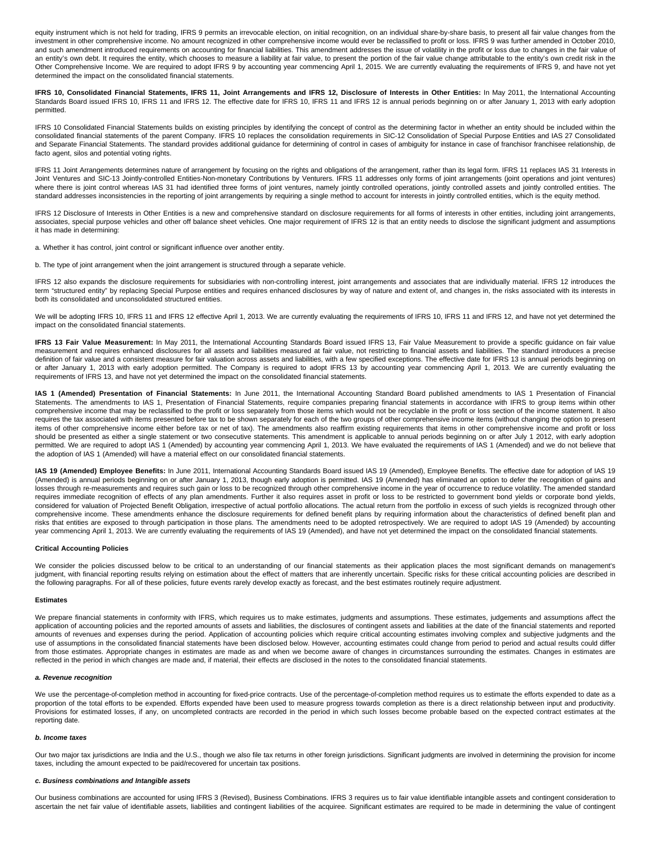equity instrument which is not held for trading, IFRS 9 permits an irrevocable election, on initial recognition, on an individual share-by-share basis, to present all fair value changes from the investment in other comprehensive income. No amount recognized in other comprehensive income would ever be reclassified to profit or loss. IFRS 9 was further amended in October 2010, and such amendment introduced requirements on accounting for financial liabilities. This amendment addresses the issue of volatility in the profit or loss due to changes in the fair value of an entity's own debt. It requires the entity, which chooses to measure a liability at fair value, to present the portion of the fair value change attributable to the entity's own credit risk in the Other Comprehensive Income. We are required to adopt IFRS 9 by accounting year commencing April 1, 2015. We are currently evaluating the requirements of IFRS 9, and have not yet determined the impact on the consolidated financial statements.

**IFRS 10, Consolidated Financial Statements, IFRS 11, Joint Arrangements and IFRS 12, Disclosure of Interests in Other Entities:** In May 2011, the International Accounting Standards Board issued IFRS 10, IFRS 11 and IFRS 12. The effective date for IFRS 10, IFRS 11 and IFRS 12 is annual periods beginning on or after January 1, 2013 with early adoption permitted.

IFRS 10 Consolidated Financial Statements builds on existing principles by identifying the concept of control as the determining factor in whether an entity should be included within the consolidated financial statements of the parent Company. IFRS 10 replaces the consolidation requirements in SIC-12 Consolidation of Special Purpose Entities and IAS 27 Consolidated and Separate Financial Statements. The standard provides additional guidance for determining of control in cases of ambiguity for instance in case of franchisor franchisee relationship, de facto agent, silos and potential voting rights.

IFRS 11 Joint Arrangements determines nature of arrangement by focusing on the rights and obligations of the arrangement, rather than its legal form. IFRS 11 replaces IAS 31 Interests in Joint Ventures and SIC-13 Jointly-controlled Entities-Non-monetary Contributions by Venturers. IFRS 11 addresses only forms of joint arrangements (joint operations and joint ventures) where there is joint control whereas IAS 31 had identified three forms of joint ventures, namely jointly controlled operations, jointly controlled assets and jointly controlled entities. The standard addresses inconsistencies in the reporting of joint arrangements by requiring a single method to account for interests in jointly controlled entities, which is the equity method.

IFRS 12 Disclosure of Interests in Other Entities is a new and comprehensive standard on disclosure requirements for all forms of interests in other entities, including joint arrangements, associates, special purpose vehicles and other off balance sheet vehicles. One major requirement of IFRS 12 is that an entity needs to disclose the significant judgment and assumptions it has made in determining:

a. Whether it has control, joint control or significant influence over another entity.

b. The type of joint arrangement when the joint arrangement is structured through a separate vehicle.

IFRS 12 also expands the disclosure requirements for subsidiaries with non-controlling interest, joint arrangements and associates that are individually material. IFRS 12 introduces the term "structured entity" by replacing Special Purpose entities and requires enhanced disclosures by way of nature and extent of, and changes in, the risks associated with its interests in both its consolidated and unconsolidated structured entities.

We will be adopting IFRS 10, IFRS 11 and IFRS 12 effective April 1, 2013. We are currently evaluating the requirements of IFRS 10, IFRS 11 and IFRS 12, and have not yet determined the impact on the consolidated financial statements.

IFRS 13 Fair Value Measurement: In May 2011, the International Accounting Standards Board issued IFRS 13, Fair Value Measurement to provide a specific guidance on fair value measurement and requires enhanced disclosures for all assets and liabilities measured at fair value, not restricting to financial assets and liabilities. The standard introduces a precise definition of fair value and a consistent measure for fair valuation across assets and liabilities, with a few specified exceptions. The effective date for IFRS 13 is annual periods beginning on or after January 1, 2013 with early adoption permitted. The Company is required to adopt IFRS 13 by accounting year commencing April 1, 2013. We are currently evaluating the requirements of IFRS 13, and have not yet determined the impact on the consolidated financial statements.

**IAS 1 (Amended) Presentation of Financial Statements:** In June 2011, the International Accounting Standard Board published amendments to IAS 1 Presentation of Financial Statements. The amendments to IAS 1, Presentation of Financial Statements, require companies preparing financial statements in accordance with IFRS to group items within other comprehensive income that may be reclassified to the profit or loss separately from those items which would not be recyclable in the profit or loss section of the income statement. It also requires the tax associated with items presented before tax to be shown separately for each of the two groups of other comprehensive income items (without changing the option to present items of other comprehensive income either before tax or net of tax). The amendments also reaffirm existing requirements that items in other comprehensive income and profit or loss should be presented as either a single statement or two consecutive statements. This amendment is applicable to annual periods beginning on or after July 1 2012, with early adoption permitted. We are required to adopt IAS 1 (Amended) by accounting year commencing April 1, 2013. We have evaluated the requirements of IAS 1 (Amended) and we do not believe that the adoption of IAS 1 (Amended) will have a material effect on our consolidated financial statements.

**IAS 19 (Amended) Employee Benefits:** In June 2011, International Accounting Standards Board issued IAS 19 (Amended), Employee Benefits. The effective date for adoption of IAS 19 (Amended) is annual periods beginning on or after January 1, 2013, though early adoption is permitted. IAS 19 (Amended) has eliminated an option to defer the recognition of gains and losses through re-measurements and requires such gain or loss to be recognized through other comprehensive income in the year of occurrence to reduce volatility. The amended standard requires immediate recognition of effects of any plan amendments. Further it also requires asset in profit or loss to be restricted to government bond yields or corporate bond yields, considered for valuation of Projected Benefit Obligation, irrespective of actual portfolio allocations. The actual return from the portfolio in excess of such yields is recognized through other comprehensive income. These amendments enhance the disclosure requirements for defined benefit plans by requiring information about the characteristics of defined benefit plan and risks that entities are exposed to through participation in those plans. The amendments need to be adopted retrospectively. We are required to adopt IAS 19 (Amended) by accounting year commencing April 1, 2013. We are currently evaluating the requirements of IAS 19 (Amended), and have not yet determined the impact on the consolidated financial statements.

### **Critical Accounting Policies**

We consider the policies discussed below to be critical to an understanding of our financial statements as their application places the most significant demands on management's judgment, with financial reporting results relying on estimation about the effect of matters that are inherently uncertain. Specific risks for these critical accounting policies are described in the following paragraphs. For all of these policies, future events rarely develop exactly as forecast, and the best estimates routinely require adjustment.

### **Estimates**

We prepare financial statements in conformity with IFRS, which requires us to make estimates, judgments and assumptions must and assumptions affect the application of accounting policies and the reported amounts of assets and liabilities, the disclosures of contingent assets and liabilities at the date of the financial statements and reported amounts of revenues and expenses during the period. Application of accounting policies which require critical accounting estimates involving complex and subjective judgments and the use of assumptions in the consolidated financial statements have been disclosed below. However, accounting estimates could change from period to period and actual results could differ from those estimates. Appropriate changes in estimates are made as and when we become aware of changes in circumstances surrounding the estimates. Changes in estimates are reflected in the period in which changes are made and, if material, their effects are disclosed in the notes to the consolidated financial statements.

#### **a. Revenue recognition**

We use the percentage-of-completion method in accounting for fixed-price contracts. Use of the percentage-of-completion method requires us to estimate the efforts expended to date as a proportion of the total efforts to be expended. Efforts expended have been used to measure progress towards completion as there is a direct relationship between input and productivity. Provisions for estimated losses, if any, on uncompleted contracts are recorded in the period in which such losses become probable based on the expected contract estimates at the reporting date.

### **b. Income taxes**

Our two major tax jurisdictions are India and the U.S., though we also file tax returns in other foreign jurisdictions. Significant judgments are involved in determining the provision for income taxes, including the amount expected to be paid/recovered for uncertain tax positions.

#### **c. Business combinations and Intangible assets**

Our business combinations are accounted for using IFRS 3 (Revised), Business Combinations. IFRS 3 requires us to fair value identifiable intangible assets and contingent consideration to ascertain the net fair value of identifiable assets, liabilities and contingent liabilities of the acquiree. Significant estimates are required to be made in determining the value of contingent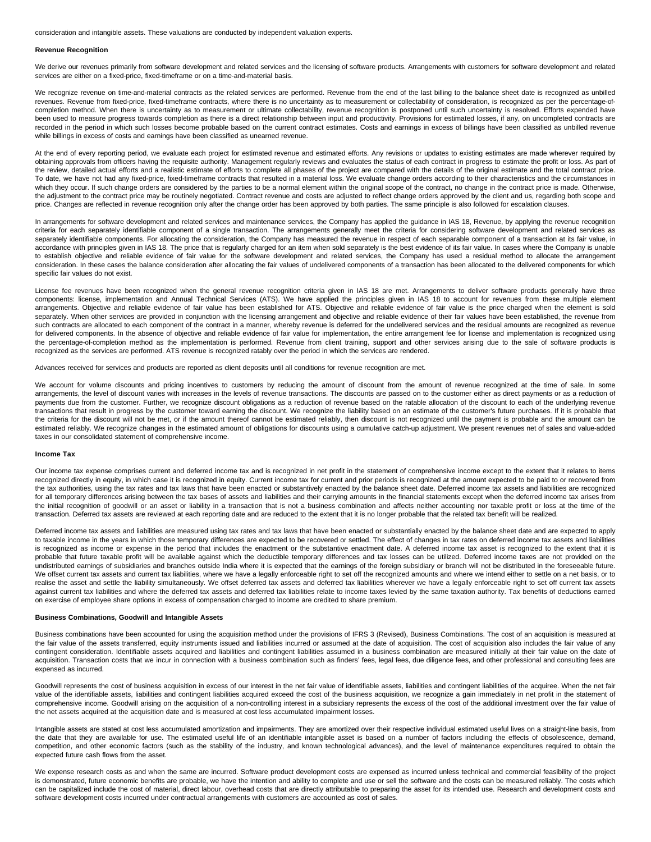consideration and intangible assets. These valuations are conducted by independent valuation experts.

#### **Revenue Recognition**

We derive our revenues primarily from software development and related services and the licensing of software products. Arrangements with customers for software development and related services are either on a fixed-price, fixed-timeframe or on a time-and-material basis.

We recognize revenue on time-and-material contracts as the related services are performed. Revenue from the end of the last billing to the balance sheet date is recognized as unbilled revenues. Revenue from fixed-price, fixed-timeframe contracts, where there is no uncertainty as to measurement or collectability of consideration, is recognized as per the percentage-ofcompletion method. When there is uncertainty as to measurement or ultimate collectability, revenue recognition is postponed until such uncertainty is resolved. Efforts expended have been used to measure progress towards completion as there is a direct relationship between input and productivity. Provisions for estimated losses, if any, on uncompleted contracts are recorded in the period in which such losses become probable based on the current contract estimates. Costs and earnings in excess of billings have been classified as unbilled revenue while billings in excess of costs and earnings have been classified as unearned revenue.

At the end of every reporting period, we evaluate each project for estimated revenue and estimated efforts. Any revisions or updates to existing estimates are made wherever required by obtaining approvals from officers having the requisite authority. Management regularly reviews and evaluates the status of each contract in progress to estimate the profit or loss. As part of the review, detailed actual efforts and a realistic estimate of efforts to complete all phases of the project are compared with the details of the original estimate and the total contract price. To date, we have not had any fixed-price, fixed-timeframe contracts that resulted in a material loss. We evaluate change orders according to their characteristics and the circumstances in which they occur. If such change orders are considered by the parties to be a normal element within the original scope of the contract, no change in the contract price is made. Otherwise, the adjustment to the contract price may be routinely negotiated. Contract revenue and costs are adjusted to reflect change orders approved by the client and us, regarding both scope and price. Changes are reflected in revenue recognition only after the change order has been approved by both parties. The same principle is also followed for escalation clauses.

In arrangements for software development and related services and maintenance services, the Company has applied the guidance in IAS 18, Revenue, by applying the revenue recognition criteria for each separately identifiable component of a single transaction. The arrangements generally meet the criteria for considering software development and related services as separately identifiable components. For allocating the consideration, the Company has measured the revenue in respect of each separable component of a transaction at its fair value, in accordance with principles given in IAS 18. The price that is regularly charged for an item when sold separately is the best evidence of its fair value. In cases where the Company is unable to establish objective and reliable evidence of fair value for the software development and related services, the Company has used a residual method to allocate the arrangement consideration. In these cases the balance consideration after allocating the fair values of undelivered components of a transaction has been allocated to the delivered components for which specific fair values do not exist.

License fee revenues have been recognized when the general revenue recognition criteria given in IAS 18 are met. Arrangements to deliver software products generally have three components: license, implementation and Annual Technical Services (ATS). We have applied the principles given in IAS 18 to account for revenues from these multiple element arrangements. Objective and reliable evidence of fair value has been established for ATS. Objective and reliable evidence of fair value is the price charged when the element is sold separately. When other services are provided in conjunction with the licensing arrangement and objective and reliable evidence of their fair values have been established, the revenue from such contracts are allocated to each component of the contract in a manner, whereby revenue is deferred for the undelivered services and the residual amounts are recognized as revenue for delivered components. In the absence of objective and reliable evidence of fair value for implementation, the entire arrangement fee for license and implementation is recognized using the percentage-of-completion method as the implementation is performed. Revenue from client training, support and other services arising due to the sale of software products is recognized as the services are performed. ATS revenue is recognized ratably over the period in which the services are rendered.

Advances received for services and products are reported as client deposits until all conditions for revenue recognition are met.

We account for volume discounts and pricing incentives to customers by reducing the amount of discount from the amount of revenue recognized at the time of sale. In some arrangements, the level of discount varies with increases in the levels of revenue transactions. The discounts are passed on to the customer either as direct payments or as a reduction of payments due from the customer. Further, we recognize discount obligations as a reduction of revenue based on the ratable allocation of the discount to each of the underlying revenue transactions that result in progress by the customer toward earning the discount. We recognize the liability based on an estimate of the customer's future purchases. If it is probable that the criteria for the discount will not be met, or if the amount thereof cannot be estimated reliably, then discount is not recognized until the payment is probable and the amount can be estimated reliably. We recognize changes in the estimated amount of obligations for discounts using a cumulative catch-up adjustment. We present revenues net of sales and value-added taxes in our consolidated statement of comprehensive income.

### **Income Tax**

Our income tax expense comprises current and deferred income tax and is recognized in net profit in the statement of comprehensive income except to the extent that it relates to items recognized directly in equity, in which case it is recognized in equity. Current income tax for current and prior periods is recognized at the amount expected to be paid to or recovered from the tax authorities, using the tax rates and tax laws that have been enacted or substantively enacted by the balance sheet date. Deferred income tax assets and liabilities are recognized for all temporary differences arising between the tax bases of assets and liabilities and their carrying amounts in the financial statements except when the deferred income tax arises from the initial recognition of goodwill or an asset or liability in a transaction that is not a business combination and affects neither accounting nor taxable profit or loss at the time of the transaction. Deferred tax assets are reviewed at each reporting date and are reduced to the extent that it is no longer probable that the related tax benefit will be realized.

Deferred income tax assets and liabilities are measured using tax rates and tax laws that have been enacted or substantially enacted by the balance sheet date and are expected to apply to taxable income in the years in which those temporary differences are expected to be recovered or settled. The effect of changes in tax rates on deferred income tax assets and liabilities is recognized as income or expense in the period that includes the enactment or the substantive enactment date. A deferred income tax asset is recognized to the extent that it is probable that future taxable profit will be available against which the deductible temporary differences and tax losses can be utilized. Deferred income taxes are not provided on the undistributed earnings of subsidiaries and branches outside India where it is expected that the earnings of the foreign subsidiary or branch will not be distributed in the foreseeable future. We offset current tax assets and current tax liabilities, where we have a legally enforceable right to set off the recognized amounts and where we intend either to settle on a net basis, or to realise the asset and settle the liability simultaneously. We offset deferred tax assets and deferred tax liabilities wherever we have a legally enforceable right to set off current tax assets against current tax liabilities and where the deferred tax assets and deferred tax liabilities relate to income taxes levied by the same taxation authority. Tax benefits of deductions earned on exercise of employee share options in excess of compensation charged to income are credited to share premium.

### **Business Combinations, Goodwill and Intangible Assets**

Business combinations have been accounted for using the acquisition method under the provisions of IFRS 3 (Revised), Business Combinations. The cost of an acquisition is measured at the fair value of the assets transferred, equity instruments issued and liabilities incurred or assumed at the date of acquisition. The cost of acquisition also includes the fair value of any contingent consideration. Identifiable assets acquired and liabilities and contingent liabilities assumed in a business combination are measured initially at their fair value on the date of acquisition. Transaction costs that we incur in connection with a business combination such as finders' fees, legal fees, due diligence fees, and other professional and consulting fees are expensed as incurred.

Goodwill represents the cost of business acquisition in excess of our interest in the net fair value of identifiable assets, liabilities and contingent liabilities of the acquiree. When the net fair value of the identifiable assets, liabilities and contingent liabilities acquired exceed the cost of the business acquisition, we recognize a gain immediately in net profit in the statement of comprehensive income. Goodwill arising on the acquisition of a non-controlling interest in a subsidiary represents the excess of the cost of the additional investment over the fair value of the net assets acquired at the acquisition date and is measured at cost less accumulated impairment losses.

Intangible assets are stated at cost less accumulated amortization and impairments. They are amortized over their respective individual estimated useful lives on a straight-line basis, from the date that they are available for use. The estimated useful life of an identifiable intangible asset is based on a number of factors including the effects of obsolescence, demand, competition, and other economic factors (such as the stability of the industry, and known technological advances), and the level of maintenance expenditures required to obtain the expected future cash flows from the asset.

We expense research costs as and when the same are incurred. Software product development costs are expensed as incurred unless technical and commercial feasibility of the project is demonstrated, future economic benefits are probable, we have the intention and ability to complete and use or sell the software and the costs can be measured reliably. The costs which can be capitalized include the cost of material, direct labour, overhead costs that are directly attributable to preparing the asset for its intended use. Research and development costs and software development costs incurred under contractual arrangements with customers are accounted as cost of sales.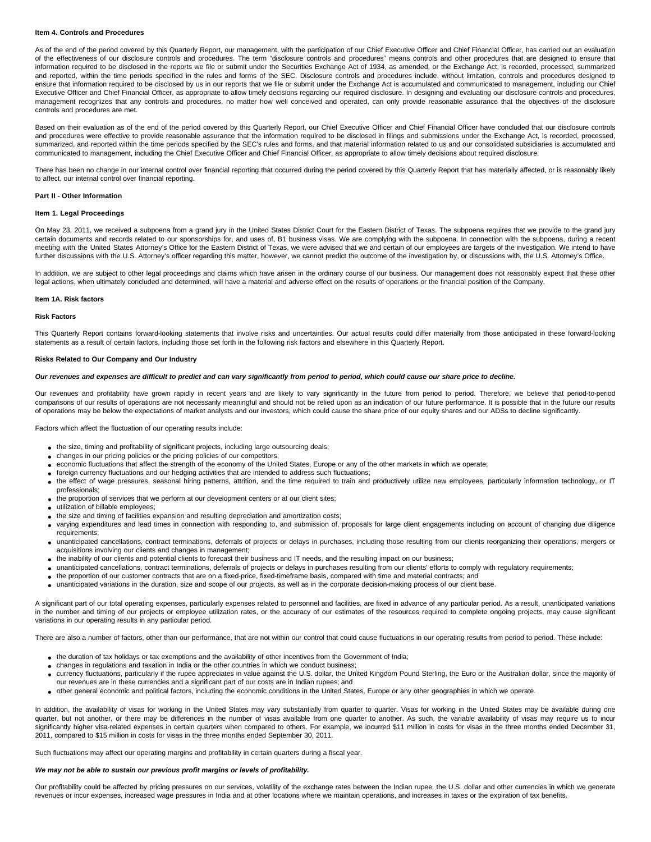### **Item 4. Controls and Procedures**

As of the end of the period covered by this Quarterly Report, our management, with the participation of our Chief Executive Officer and Chief Financial Officer, has carried out an evaluation of the effectiveness of our disclosure controls and procedures. The term "disclosure controls and procedures" means controls and other procedures that are designed to ensure that information required to be disclosed in the reports we file or submit under the Securities Exchange Act of 1934, as amended, or the Exchange Act, is recorded, processed, summarized and reported, within the time periods specified in the rules and forms of the SEC. Disclosure controls and procedures include, without limitation, controls and procedures designed to ensure that information required to be disclosed by us in our reports that we file or submit under the Exchange Act is accumulated and communicated to management, including our Chief Executive Officer and Chief Financial Officer, as appropriate to allow timely decisions regarding our required disclosure. In designing and evaluating our disclosure controls and procedures, management recognizes that any controls and procedures, no matter how well conceived and operated, can only provide reasonable assurance that the objectives of the disclosure controls and procedures are met.

Based on their evaluation as of the end of the period covered by this Quarterly Report, our Chief Executive Officer and Chief Financial Officer have concluded that our disclosure controls and procedures were effective to provide reasonable assurance that the information required to be disclosed in filings and submissions under the Exchange Act, is recorded, processed, summarized, and reported within the time periods specified by the SEC's rules and forms, and that material information related to us and our consolidated subsidiaries is accumulated and communicated to management, including the Chief Executive Officer and Chief Financial Officer, as appropriate to allow timely decisions about required disclosure.

There has been no change in our internal control over financial reporting that occurred during the period covered by this Quarterly Report that has materially affected, or is reasonably likely to affect, our internal control over financial reporting.

#### **Part II - Other Information**

### **Item 1. Legal Proceedings**

On May 23, 2011, we received a subpoena from a grand jury in the United States District Court for the Eastern District of Texas. The subpoena requires that we provide to the grand jury certain documents and records related to our sponsorships for, and uses of, B1 business visas. We are complying with the subpoena. In connection with the subpoena, during a recent meeting with the United States Attorney's Office for the Eastern District of Texas, we were advised that we and certain of our employees are targets of the investigation. We intend to have further discussions with the U.S. Attorney's officer regarding this matter, however, we cannot predict the outcome of the investigation by, or discussions with, the U.S. Attorney's Office.

In addition, we are subject to other legal proceedings and claims which have arisen in the ordinary course of our business. Our management does not reasonably expect that these other legal actions, when ultimately concluded and determined, will have a material and adverse effect on the results of operations or the financial position of the Company.

#### **Item 1A. Risk factors**

### **Risk Factors**

This Quarterly Report contains forward-looking statements that involve risks and uncertainties. Our actual results could differ materially from those anticipated in these forward-looking statements as a result of certain factors, including those set forth in the following risk factors and elsewhere in this Quarterly Report.

### **Risks Related to Our Company and Our Industry**

#### **Our revenues and expenses are difficult to predict and can vary significantly from period to period, which could cause our share price to decline.**

Our revenues and profitability have grown rapidly in recent years and are likely to vary significantly in the future from period to period. Therefore, we believe that period-to-period comparisons of our results of operations are not necessarily meaningful and should not be relied upon as an indication of our future performance. It is possible that in the future our results of operations may be below the expectations of market analysts and our investors, which could cause the share price of our equity shares and our ADSs to decline significantly.

Factors which affect the fluctuation of our operating results include:

- the size, timing and profitability of significant projects, including large outsourcing deals;
- changes in our pricing policies or the pricing policies of our competitors;
- economic fluctuations that affect the strength of the economy of the United States, Europe or any of the other markets in which we operate;
- foreign currency fluctuations and our hedging activities that are intended to address such fluctuations;
- the effect of wage pressures, seasonal hiring patterns, attrition, and the time required to train and productively utilize new employees, particularly information technology, or IT professionals;
- the proportion of services that we perform at our development centers or at our client sites;
- utilization of billable employees;
- the size and timing of facilities expansion and resulting depreciation and amortization costs;
- varying expenditures and lead times in connection with responding to, and submission of, proposals for large client engagements including on account of changing due diligence requirements;
- unanticipated cancellations, contract terminations, deferrals of projects or delays in purchases, including those resulting from our clients reorganizing their operations, mergers or acquisitions involving our clients and changes in management;
- the inability of our clients and potential clients to forecast their business and IT needs, and the resulting impact on our business;
- unanticipated cancellations, contract terminations, deferrals of projects or delays in purchases resulting from our clients' efforts to comply with regulatory requirements;
- the proportion of our customer contracts that are on a fixed-price, fixed-timeframe basis, compared with time and material contracts; and
- unanticipated variations in the duration, size and scope of our projects, as well as in the corporate decision-making process of our client base.

A significant part of our total operating expenses, particularly expenses related to personnel and facilities, are fixed in advance of any particular period. As a result, unanticipated variations in the number and timing of our projects or employee utilization rates, or the accuracy of our estimates of the resources required to complete ongoing projects, may cause significant variations in our operating results in any particular period.

There are also a number of factors, other than our performance, that are not within our control that could cause fluctuations in our operating results from period to period. These include:

- the duration of tax holidays or tax exemptions and the availability of other incentives from the Government of India;
- changes in regulations and taxation in India or the other countries in which we conduct business;
- currency fluctuations, particularly if the rupee appreciates in value against the U.S. dollar, the United Kingdom Pound Sterling, the Euro or the Australian dollar, since the majority of our revenues are in these currencies and a significant part of our costs are in Indian rupees; and
- other general economic and political factors, including the economic conditions in the United States, Europe or any other geographies in which we operate.

In addition, the availability of visas for working in the United States may vary substantially from quarter to quarter. Visas for working in the United States may be available during one quarter, but not another, or there may be differences in the number of visas available from one quarter to another. As such, the variable availability of visas may require us to incur significantly higher visa-related expenses in certain quarters when compared to others. For example, we incurred \$11 million in costs for visas in the three months ended December 31, 2011, compared to \$15 million in costs for visas in the three months ended September 30, 2011.

Such fluctuations may affect our operating margins and profitability in certain quarters during a fiscal year.

### **We may not be able to sustain our previous profit margins or levels of profitability.**

Our profitability could be affected by pricing pressures on our services, volatility of the exchange rates between the Indian rupee, the U.S. dollar and other currencies in which we generate revenues or incur expenses, increased wage pressures in India and at other locations where we maintain operations, and increases in taxes or the expiration of tax benefits.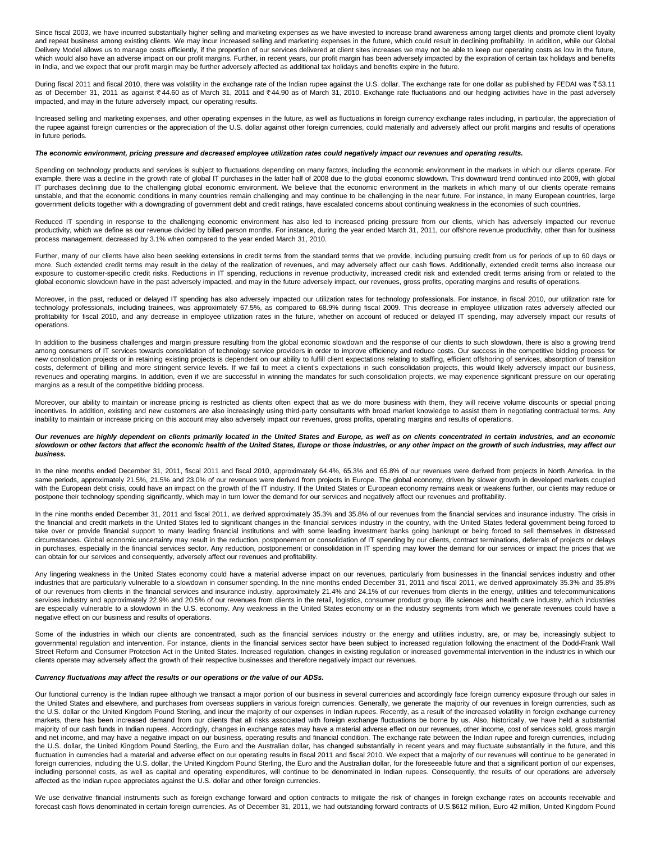Since fiscal 2003, we have incurred substantially higher selling and marketing expenses as we have invested to increase brand awareness among target clients and promote client loyalty and repeat business among existing clients. We may incur increased selling and marketing expenses in the future, which could result in declining profitability. In addition, while our Global Delivery Model allows us to manage costs efficiently, if the proportion of our services delivered at client sites increases we may not be able to keep our operating costs as low in the future, which would also have an adverse impact on our profit margins. Further, in recent years, our profit margin has been adversely impacted by the expiration of certain tax holidays and benefits in India, and we expect that our profit margin may be further adversely affected as additional tax holidays and benefits expire in the future.

During fiscal 2011 and fiscal 2010, there was volatility in the exchange rate of the Indian rupee against the U.S. dollar. The exchange rate for one dollar as published by FEDAI was ₹53.11 as of December 31, 2011 as against ₹44.60 as of March 31, 2011 and ₹44.90 as of March 31, 2010. Exchange rate fluctuations and our hedging activities have in the past adversely impacted, and may in the future adversely impact, our operating results.

Increased selling and marketing expenses, and other operating expenses in the future, as well as fluctuations in foreign currency exchange rates including, in particular, the appreciation of the rupee against foreign currencies or the appreciation of the U.S. dollar against other foreign currencies, could materially and adversely affect our profit margins and results of operations in future periods.

### **The economic environment, pricing pressure and decreased employee utilization rates could negatively impact our revenues and operating results.**

Spending on technology products and services is subject to fluctuations depending on many factors, including the economic environment in the markets in which our clients operate. For example, there was a decline in the growth rate of global IT purchases in the latter half of 2008 due to the global economic slowdown. This downward trend continued into 2009, with global IT purchases declining due to the challenging global economic environment. We believe that the economic environment in the markets in which many of our clients operate remains unstable, and that the economic conditions in many countries remain challenging and may continue to be challenging in the near future. For instance, in many European countries, large government deficits together with a downgrading of government debt and credit ratings, have escalated concerns about continuing weakness in the economies of such countries.

Reduced IT spending in response to the challenging economic environment has also led to increased pricing pressure from our clients, which has adversely impacted our revenue productivity, which we define as our revenue divided by billed person months. For instance, during the year ended March 31, 2011, our offshore revenue productivity, other than for business process management, decreased by 3.1% when compared to the year ended March 31, 2010.

Further, many of our clients have also been seeking extensions in credit terms from the standard terms that we provide, including pursuing credit from us for periods of up to 60 days or more. Such extended credit terms may result in the delay of the realization of revenues, and may adversely affect our cash flows. Additionally, extended credit terms also increase our exposure to customer-specific credit risks. Reductions in IT spending, reductions in revenue productivity, increased credit risk and extended credit terms arising from or related to the global economic slowdown have in the past adversely impacted, and may in the future adversely impact, our revenues, gross profits, operating margins and results of operations.

Moreover, in the past, reduced or delayed IT spending has also adversely impacted our utilization rates for technology professionals. For instance, in fiscal 2010, our utilization rate for technology professionals, including trainees, was approximately 67.5%, as compared to 68.9% during fiscal 2009. This decrease in employee utilization rates adversely affected our profitability for fiscal 2010, and any decrease in employee utilization rates in the future, whether on account of reduced or delayed IT spending, may adversely impact our results of operations.

In addition to the business challenges and margin pressure resulting from the global economic slowdown and the response of our clients to such slowdown, there is also a growing trend among consumers of IT services towards consolidation of technology service providers in order to improve efficiency and reduce costs. Our success in the competitive bidding process for new consolidation projects or in retaining existing projects is dependent on our ability to fulfill client expectations relating to staffing, efficient offshoring of services, absorption of transition costs, deferment of billing and more stringent service levels. If we fail to meet a client's expectations in such consolidation projects, this would likely adversely impact our business, revenues and operating margins. In addition, even if we are successful in winning the mandates for such consolidation projects, we may experience significant pressure on our operating margins as a result of the competitive bidding process.

Moreover, our ability to maintain or increase pricing is restricted as clients often expect that as we do more business with them, they will receive volume discounts or special pricing incentives. In addition, existing and new customers are also increasingly using third-party consultants with broad market knowledge to assist them in negotiating contractual terms. Any inability to maintain or increase pricing on this account may also adversely impact our revenues, gross profits, operating margins and results of operations.

### **Our revenues are highly dependent on clients primarily located in the United States and Europe, as well as on clients concentrated in certain industries, and an economic slowdown or other factors that affect the economic health of the United States, Europe or those industries, or any other impact on the growth of such industries, may affect our business.**

In the nine months ended December 31, 2011, fiscal 2011 and fiscal 2010, approximately 64.4%, 65.3% and 65.8% of our revenues were derived from projects in North America. In the same periods, approximately 21.5%, 21.5% and 23.0% of our revenues were derived from projects in Europe. The global economy, driven by slower growth in developed markets coupled with the European debt crisis, could have an impact on the growth of the IT industry. If the United States or European economy remains weak or weakens further, our clients may reduce or postpone their technology spending significantly, which may in turn lower the demand for our services and negatively affect our revenues and profitability.

In the nine months ended December 31, 2011 and fiscal 2011, we derived approximately 35.3% and 35.8% of our revenues from the financial services and insurance industry. The crisis in the financial and credit markets in the United States led to significant changes in the financial services industry in the country, with the United States federal government being forced to take over or provide financial support to many leading financial institutions and with some leading investment banks going bankrupt or being forced to sell themselves in distressed circumstances. Global economic uncertainty may result in the reduction, postponement or consolidation of IT spending by our clients, contract terminations, deferrals of projects or delays in purchases, especially in the financial services sector. Any reduction, postponement or consolidation in IT spending may lower the demand for our services or impact the prices that we can obtain for our services and consequently, adversely affect our revenues and profitability.

Any lingering weakness in the United States economy could have a material adverse impact on our revenues, particularly from businesses in the financial services industry and other industries that are particularly vulnerable to a slowdown in consumer spending. In the nine months ended December 31, 2011 and fiscal 2011, we derived approximately 35.3% and 35.8% of our revenues from clients in the financial services and insurance industry, approximately 21.4% and 24.1% of our revenues from clients in the energy, utilities and telecommunications services industry and approximately 22.9% and 20.5% of our revenues from clients in the retail, logistics, consumer product group, life sciences and health care industry, which industries are especially vulnerable to a slowdown in the U.S. economy. Any weakness in the United States economy or in the industry segments from which we generate revenues could have a negative effect on our business and results of operations.

Some of the industries in which our clients are concentrated, such as the financial services industry or the energy and utilities industry, are, or may be, increasingly subject to governmental regulation and intervention. For instance, clients in the financial services sector have been subject to increased regulation following the enactment of the Dodd-Frank Wall Street Reform and Consumer Protection Act in the United States. Increased regulation, changes in existing regulation or increased governmental intervention in the industries in which our clients operate may adversely affect the growth of their respective businesses and therefore negatively impact our revenues.

### **Currency fluctuations may affect the results or our operations or the value of our ADSs.**

Our functional currency is the Indian rupee although we transact a major portion of our business in several currencies and accordingly face foreign currency exposure through our sales in the United States and elsewhere, and purchases from overseas suppliers in various foreign currencies. Generally, we generate the majority of our revenues in foreign currencies, such as the U.S. dollar or the United Kingdom Pound Sterling, and incur the majority of our expenses in Indian rupees. Recently, as a result of the increased volatility in foreign exchange currency markets, there has been increased demand from our clients that all risks associated with foreign exchange fluctuations be borne by us. Also, historically, we have held a substantial majority of our cash funds in Indian rupees. Accordingly, changes in exchange rates may have a material adverse effect on our revenues, other income, cost of services sold, gross margin and net income, and may have a negative impact on our business, operating results and financial condition. The exchange rate between the Indian rupee and foreign currencies, including the U.S. dollar, the United Kingdom Pound Sterling, the Euro and the Australian dollar, has changed substantially in recent years and may fluctuate substantially in the future, and this fluctuation in currencies had a material and adverse effect on our operating results in fiscal 2011 and fiscal 2010. We expect that a majority of our revenues will continue to be generated in foreign currencies, including the U.S. dollar, the United Kingdom Pound Sterling, the Euro and the Australian dollar, for the foreseeable future and that a significant portion of our expenses, including personnel costs, as well as capital and operating expenditures, will continue to be denominated in Indian rupees. Consequently, the results of our operations are adversely affected as the Indian rupee appreciates against the U.S. dollar and other foreign currencies.

We use derivative financial instruments such as foreign exchange forward and option contracts to mitigate the risk of changes in foreign exchange rates on accounts receivable and forecast cash flows denominated in certain foreign currencies. As of December 31, 2011, we had outstanding forward contracts of U.S.\$612 million, Euro 42 million, United Kingdom Pound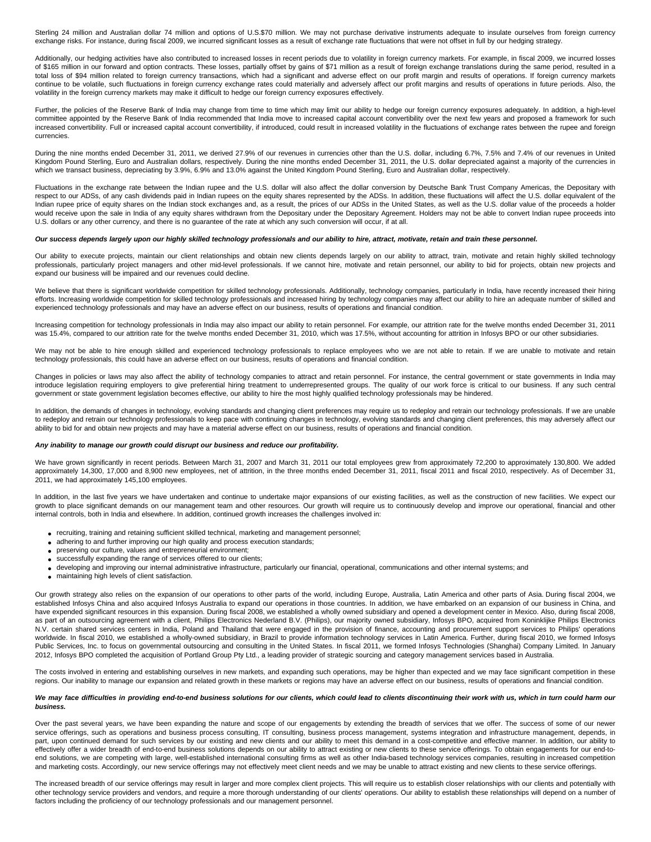Sterling 24 million and Australian dollar 74 million and options of U.S.\$70 million. We may not purchase derivative instruments adequate to insulate ourselves from foreign currency exchange risks. For instance, during fiscal 2009, we incurred significant losses as a result of exchange rate fluctuations that were not offset in full by our hedging strategy.

Additionally, our hedging activities have also contributed to increased losses in recent periods due to volatility in foreign currency markets. For example, in fiscal 2009, we incurred losses of \$165 million in our forward and option contracts. These losses, partially offset by gains of \$71 million as a result of foreign exchange translations during the same period, resulted in a total loss of \$94 million related to foreign currency transactions, which had a significant and adverse effect on our profit margin and results of operations. If foreign currency markets continue to be volatile, such fluctuations in foreign currency exchange rates could materially and adversely affect our profit margins and results of operations in future periods. Also, the volatility in the foreign currency markets may make it difficult to hedge our foreign currency exposures effectively.

Further, the policies of the Reserve Bank of India may change from time to time which may limit our ability to hedge our foreign currency exposures adequately. In addition, a high-level committee appointed by the Reserve Bank of India recommended that India move to increased capital account convertibility over the next few vears and proposed a framework for such increased convertibility. Full or increased capital account convertibility, if introduced, could result in increased volatility in the fluctuations of exchange rates between the rupee and foreign currencies.

During the nine months ended December 31, 2011, we derived 27.9% of our revenues in currencies other than the U.S. dollar, including 6.7%, 7.5% and 7.4% of our revenues in United Kingdom Pound Sterling, Euro and Australian dollars, respectively. During the nine months ended December 31, 2011, the U.S. dollar depreciated against a majority of the currencies in which we transact business, depreciating by 3.9%, 6.9% and 13.0% against the United Kingdom Pound Sterling, Euro and Australian dollar, respectively.

Fluctuations in the exchange rate between the Indian rupee and the U.S. dollar will also affect the dollar conversion by Deutsche Bank Trust Company Americas, the Depositary with respect to our ADSs, of any cash dividends paid in Indian rupees on the equity shares represented by the ADSs. In addition, these fluctuations will affect the U.S. dollar equivalent of the Indian rupee price of equity shares on the Indian stock exchanges and, as a result, the prices of our ADSs in the United States, as well as the U.S. dollar value of the proceeds a holder would receive upon the sale in India of any equity shares withdrawn from the Depositary under the Depositary Agreement. Holders may not be able to convert Indian rupee proceeds into U.S. dollars or any other currency, and there is no guarantee of the rate at which any such conversion will occur, if at all.

# **Our success depends largely upon our highly skilled technology professionals and our ability to hire, attract, motivate, retain and train these personnel.**

Our ability to execute projects, maintain our client relationships and obtain new clients depends largely on our ability to attract, train, motivate and retain highly skilled technology professionals, particularly project managers and other mid-level professionals. If we cannot hire, motivate and retain personnel, our ability to bid for projects, obtain new projects and expand our business will be impaired and our revenues could decline.

We believe that there is significant worldwide competition for skilled technology professionals. Additionally, technology companies, particularly in India, have recently increased their hiring efforts. Increasing worldwide competition for skilled technology professionals and increased hiring by technology companies may affect our ability to hire an adequate number of skilled and experienced technology professionals and may have an adverse effect on our business, results of operations and financial condition.

Increasing competition for technology professionals in India may also impact our ability to retain personnel. For example, our attrition rate for the twelve months ended December 31, 2011 was 15.4%, compared to our attrition rate for the twelve months ended December 31, 2010, which was 17.5%, without accounting for attrition in Infosys BPO or our other subsidiaries.

We may not be able to hire enough skilled and experienced technology professionals to replace employees who we are not able to retain. If we are unable to motivate and retain technology professionals, this could have an adverse effect on our business, results of operations and financial condition.

Changes in policies or laws may also affect the ability of technology companies to attract and retain personnel. For instance, the central government or state governments in India may introduce legislation requiring employers to give preferential hiring treatment to underrepresented groups. The quality of our work force is critical to our business. If any such central government or state government legislation becomes effective, our ability to hire the most highly qualified technology professionals may be hindered.

In addition, the demands of changes in technology, evolving standards and changing client preferences may require us to redeploy and retrain our technology professionals. If we are unable to redeploy and retrain our technology professionals to keep pace with continuing changes in technology, evolving standards and changing client preferences, this may adversely affect our ability to bid for and obtain new projects and may have a material adverse effect on our business, results of operations and financial condition.

### **Any inability to manage our growth could disrupt our business and reduce our profitability.**

We have grown significantly in recent periods. Between March 31, 2007 and March 31, 2011 our total employees grew from approximately 72,200 to approximately 130,800. We added approximately 14,300, 17,000 and 8,900 new employees, net of attrition, in the three months ended December 31, 2011, fiscal 2011 and fiscal 2010, respectively. As of December 31, 2011, we had approximately 145,100 employees.

In addition, in the last five years we have undertaken and continue to undertake major expansions of our existing facilities, as well as the construction of new facilities. We expect our growth to place significant demands on our management team and other resources. Our growth will require us to continuously develop and improve our operational, financial and other internal controls, both in India and elsewhere. In addition, continued growth increases the challenges involved in:

- recruiting, training and retaining sufficient skilled technical, marketing and management personnel;
- adhering to and further improving our high quality and process execution standards;
- preserving our culture, values and entrepreneurial environment;
- successfully expanding the range of services offered to our clients;
- developing and improving our internal administrative infrastructure, particularly our financial, operational, communications and other internal systems; and
- maintaining high levels of client satisfaction.

Our growth strategy also relies on the expansion of our operations to other parts of the world, including Europe, Australia, Latin America and other parts of Asia. During fiscal 2004, we established Infosys China and also acquired Infosys Australia to expand our operations in those countries. In addition, we have embarked on an expansion of our business in China, and have expended significant resources in this expansion. During fiscal 2008, we established a wholly owned subsidiary and opened a development center in Mexico. Also, during fiscal 2008, as part of an outsourcing agreement with a client, Philips Electronics Nederland B.V. (Philips), our majority owned subsidiary, Infosys BPO, acquired from Koninklijke Philips Electronics N.V. certain shared services centers in India, Poland and Thailand that were engaged in the provision of finance, accounting and procurement support services to Philips' operations worldwide. In fiscal 2010, we established a wholly-owned subsidiary, in Brazil to provide information technology services in Latin America. Further, during fiscal 2010, we formed Infosys Public Services, Inc. to focus on governmental outsourcing and consulting in the United States. In fiscal 2011, we formed Infosys Technologies (Shanghai) Company Limited. In January 2012, Infosys BPO completed the acquisition of Portland Group Pty Ltd., a leading provider of strategic sourcing and category management services based in Australia.

The costs involved in entering and establishing ourselves in new markets, and expanding such operations, may be higher than expected and we may face significant competition in these regions. Our inability to manage our expansion and related growth in these markets or regions may have an adverse effect on our business, results of operations and financial condition.

#### We may face difficulties in providing end-to-end business solutions for our clients, which could lead to clients discontinuing their work with us, which in turn could harm our **business.**

Over the past several years, we have been expanding the nature and scope of our engagements by extending the breadth of services that we offer. The success of some of our newer service offerings, such as operations and business process consulting, IT consulting, business process management, systems integration and infrastructure management, depends, in part, upon continued demand for such services by our existing and new clients and our ability to meet this demand in a cost-competitive and effective manner. In addition, our ability to effectively offer a wider breadth of end-to-end business solutions depends on our ability to attract existing or new clients to these service offerings. To obtain engagements for our end-toend solutions, we are competing with large, well-established international consulting firms as well as other India-based technology services companies, resulting in increased competition and marketing costs. Accordingly, our new service offerings may not effectively meet client needs and we may be unable to attract existing and new clients to these service offerings.

The increased breadth of our service offerings may result in larger and more complex client projects. This will require us to establish closer relationships with our clients and potentially with other technology service providers and vendors, and require a more thorough understanding of our clients' operations. Our ability to establish these relationships will depend on a number of factors including the proficiency of our technology professionals and our management personnel.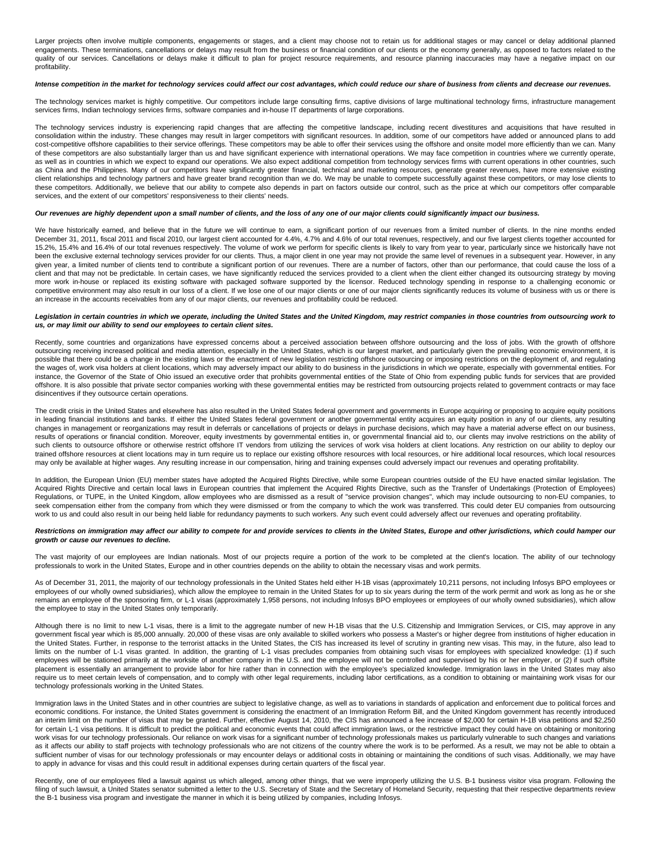Larger projects often involve multiple components, engagements or stages, and a client may choose not to retain us for additional stages or may cancel or delay additional planned engagements. These terminations, cancellations or delays may result from the business or financial condition of our clients or the economy generally, as opposed to factors related to the quality of our services. Cancellations or delays make it difficult to plan for project resource requirements, and resource planning inaccuracies may have a negative impact on our profitability.

### **Intense competition in the market for technology services could affect our cost advantages, which could reduce our share of business from clients and decrease our revenues.**

The technology services market is highly competitive. Our competitors include large consulting firms, captive divisions of large multinational technology firms, infrastructure management services firms, Indian technology services firms, software companies and in-house IT departments of large corporations.

The technology services industry is experiencing rapid changes that are affecting the competitive landscape, including recent divestitures and acquisitions that have resulted in consolidation within the industry. These changes may result in larger competitors with significant resources. In addition, some of our competitors have added or announced plans to add cost-competitive offshore capabilities to their service offerings. These competitors may be able to offer their services using the offshore and onsite model more efficiently than we can. Many of these competitors are also substantially larger than us and have significant experience with international operations. We may face competition in countries where we currently operate, as well as in countries in which we expect to expand our operations. We also expect additional competition from technology services firms with current operations in other countries, such as China and the Philippines. Many of our competitors have significantly greater financial, technical and marketing resources, generate greater revenues, have more extensive existing client relationships and technology partners and have greater brand recognition than we do. We may be unable to compete successfully against these competitors, or may lose clients to these competitors. Additionally, we believe that our ability to compete also depends in part on factors outside our control, such as the price at which our competitors offer comparable services, and the extent of our competitors' responsiveness to their clients' needs.

### **Our revenues are highly dependent upon a small number of clients, and the loss of any one of our major clients could significantly impact our business.**

We have historically earned, and believe that in the future we will continue to earn, a significant portion of our revenues from a limited number of clients. In the nine months ended December 31, 2011, fiscal 2011 and fiscal 2010, our largest client accounted for 4.4%, 4.7% and 4.6% of our total revenues, respectively, and our five largest clients together accounted for 15.2%, 15.4% and 16.4% of our total revenues respectively. The volume of work we perform for specific clients is likely to vary from year to year, particularly since we historically have not been the exclusive external technology services provider for our clients. Thus, a major client in one year may not provide the same level of revenues in a subsequent year. However, in any given year, a limited number of clients tend to contribute a significant portion of our revenues. There are a number of factors, other than our performance, that could cause the loss of a client and that may not be predictable. In certain cases, we have significantly reduced the services provided to a client when the client either changed its outsourcing strategy by moving more work in-house or replaced its existing software with packaged software supported by the licensor. Reduced technology spending in response to a challenging economic or competitive environment may also result in our loss of a client. If we lose one of our major clients or one of our major clients significantly reduces its volume of business with us or there is an increase in the accounts receivables from any of our major clients, our revenues and profitability could be reduced.

### **Legislation in certain countries in which we operate, including the United States and the United Kingdom, may restrict companies in those countries from outsourcing work to us, or may limit our ability to send our employees to certain client sites.**

Recently, some countries and organizations have expressed concerns about a perceived association between offshore outsourcing and the loss of jobs. With the growth of offshore outsourcing receiving increased political and media attention, especially in the United States, which is our largest market, and particularly given the prevailing economic environment, it is possible that there could be a change in the existing laws or the enactment of new legislation restricting offshore outsourcing or imposing restrictions on the deployment of, and regulating the wages of, work visa holders at client locations, which may adversely impact our ability to do business in the jurisdictions in which we operate, especially with governmental entities. For instance, the Governor of the State of Ohio issued an executive order that prohibits governmental entities of the State of Ohio from expending public funds for services that are provided offshore. It is also possible that private sector companies working with these governmental entities may be restricted from outsourcing projects related to government contracts or may face disincentives if they outsource certain operations.

The credit crisis in the United States and elsewhere has also resulted in the United States federal government and governments in Europe acquiring or proposing to acquire equity positions in leading financial institutions and banks. If either the United States federal government or another governmental entity acquires an equity position in any of our clients, any resulting changes in management or reorganizations may result in deferrals or cancellations of projects or delays in purchase decisions, which may have a material adverse effect on our business, results of operations or financial condition. Moreover, equity investments by governmental entities in, or governmental financial aid to, our clients may involve restrictions on the ability of such clients to outsource offshore or otherwise restrict offshore IT vendors from utilizing the services of work visa holders at client locations. Any restriction on our ability to deploy our trained offshore resources at client locations may in turn require us to replace our existing offshore resources with local resources, or hire additional local resources, which local resources may only be available at higher wages. Any resulting increase in our compensation, hiring and training expenses could adversely impact our revenues and operating profitability.

In addition, the European Union (EU) member states have adopted the Acquired Rights Directive, while some European countries outside of the EU have enacted similar legislation. The Acquired Rights Directive and certain local laws in European countries that implement the Acquired Rights Directive, such as the Transfer of Undertakings (Protection of Employees) Regulations, or TUPE, in the United Kingdom, allow employees who are dismissed as a result of "service provision changes", which may include outsourcing to non-EU companies, to seek compensation either from the company from which they were dismissed or from the company to which the work was transferred. This could deter EU companies from outsourcing work to us and could also result in our being held liable for redundancy payments to such workers. Any such event could adversely affect our revenues and operating profitability.

# Restrictions on immigration may affect our ability to compete for and provide services to clients in the United States, Europe and other jurisdictions, which could hamper our **growth or cause our revenues to decline.**

The vast majority of our employees are Indian nationals. Most of our projects require a portion of the work to be completed at the client's location. The ability of our technology professionals to work in the United States, Europe and in other countries depends on the ability to obtain the necessary visas and work permits.

As of December 31, 2011, the majority of our technology professionals in the United States held either H-1B visas (approximately 10,211 persons, not including Infosys BPO employees or employees of our wholly owned subsidiaries), which allow the employee to remain in the United States for up to six years during the term of the work permit and work as long as he or she remains an employee of the sponsoring firm, or L-1 visas (approximately 1,958 persons, not including Infosys BPO employees or employees of our wholly owned subsidiaries), which allow the employee to stay in the United States only temporarily.

Although there is no limit to new L-1 visas, there is a limit to the aggregate number of new H-1B visas that the U.S. Citizenship and Immigration Services, or CIS, may approve in any government fiscal year which is 85,000 annually. 20,000 of these visas are only available to skilled workers who possess a Master's or higher degree from institutions of higher education in the United States. Further, in response to the terrorist attacks in the United States, the CIS has increased its level of scrutiny in granting new visas. This may, in the future, also lead to limits on the number of L-1 visas granted. In addition, the granting of L-1 visas precludes companies from obtaining such visas for employees with specialized knowledge: (1) if such employees will be stationed primarily at the worksite of another company in the U.S. and the employee will not be controlled and supervised by his or her employer, or (2) if such offsite placement is essentially an arrangement to provide labor for hire rather than in connection with the employee's specialized knowledge. Immigration laws in the United States may also require us to meet certain levels of compensation, and to comply with other legal requirements, including labor certifications, as a condition to obtaining or maintaining work visas for our technology professionals working in the United States.

Immigration laws in the United States and in other countries are subject to legislative change, as well as to variations in standards of application and enforcement due to political forces and economic conditions. For instance, the United States government is considering the enactment of an Immigration Reform Bill, and the United Kingdom government has recently introduced an interim limit on the number of visas that may be granted. Further, effective August 14, 2010, the CIS has announced a fee increase of \$2,000 for certain H-1B visa petitions and \$2,250 for certain L-1 visa petitions. It is difficult to predict the political and economic events that could affect immigration laws, or the restrictive impact they could have on obtaining or monitoring work visas for our technology professionals. Our reliance on work visas for a significant number of technology professionals makes us particularly vulnerable to such changes and variations as it affects our ability to staff projects with technology professionals who are not citizens of the country where the work is to be performed. As a result, we may not be able to obtain a sufficient number of visas for our technology professionals or may encounter delays or additional costs in obtaining or maintaining the conditions of such visas. Additionally, we may have to apply in advance for visas and this could result in additional expenses during certain quarters of the fiscal year.

Recently, one of our employees filed a lawsuit against us which alleged, among other things, that we were improperly utilizing the U.S. B-1 business visitor visa program. Following the filing of such lawsuit, a United States senator submitted a letter to the U.S. Secretary of State and the Secretary of Homeland Security, requesting that their respective departments review the B-1 business visa program and investigate the manner in which it is being utilized by companies, including Infosys.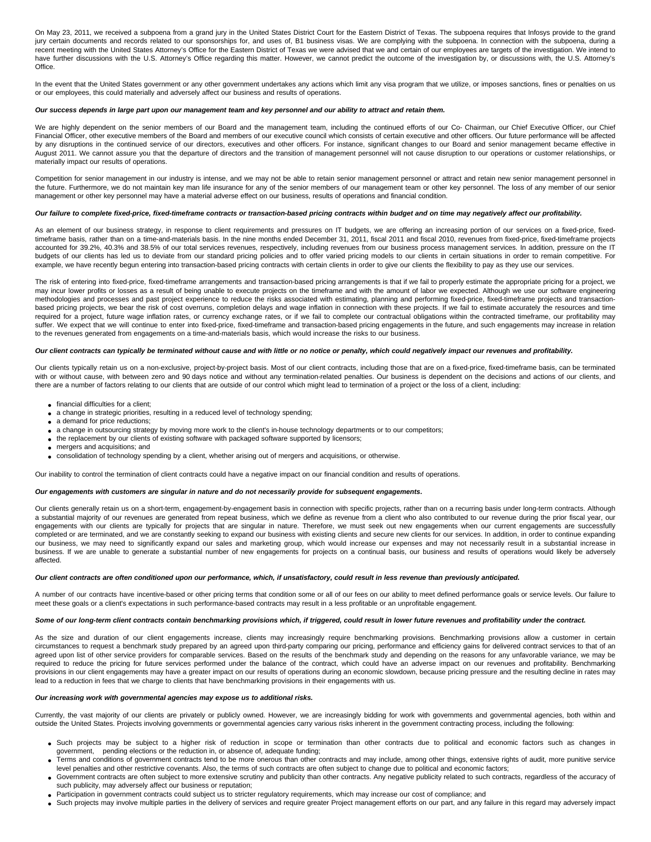On May 23, 2011, we received a subpoena from a grand jury in the United States District Court for the Eastern District of Texas. The subpoena requires that Infosys provide to the grand jury certain documents and records related to our sponsorships for, and uses of, B1 business visas. We are complying with the subpoena. In connection with the subpoena, during a recent meeting with the United States Attorney's Office for the Eastern District of Texas we were advised that we and certain of our employees are targets of the investigation. We intend to have further discussions with the U.S. Attorney's Office regarding this matter. However, we cannot predict the outcome of the investigation by, or discussions with, the U.S. Attorney's Office.

In the event that the United States government or any other government undertakes any actions which limit any visa program that we utilize, or imposes sanctions, fines or penalties on us or our employees, this could materially and adversely affect our business and results of operations.

# **Our success depends in large part upon our management team and key personnel and our ability to attract and retain them.**

We are highly dependent on the senior members of our Board and the management team, including the continued efforts of our Co- Chairman, our Chief Executive Officer, our Chief Financial Officer, other executive members of the Board and members of our executive council which consists of certain executive and other officers. Our future performance will be affected by any disruptions in the continued service of our directors, executives and other officers. For instance, significant changes to our Board and senior management became effective in August 2011. We cannot assure you that the departure of directors and the transition of management personnel will not cause disruption to our operations or customer relationships, or materially impact our results of operations.

Competition for senior management in our industry is intense, and we may not be able to retain senior management personnel or attract and retain new senior management personnel in the future. Furthermore, we do not maintain key man life insurance for any of the senior members of our management team or other key personnel. The loss of any member of our senior management or other key personnel may have a material adverse effect on our business, results of operations and financial condition.

#### **Our failure to complete fixed-price, fixed-timeframe contracts or transaction-based pricing contracts within budget and on time may negatively affect our profitability.**

As an element of our business strategy, in response to client requirements and pressures on IT budgets, we are offering an increasing portion of our services on a fixed-price, fixedtimeframe basis, rather than on a time-and-materials basis. In the nine months ended December 31, 2011, fiscal 2011 and fiscal 2010, revenues from fixed-price, fixed-timeframe projects accounted for 39.2%, 40.3% and 38.5% of our total services revenues, respectively, including revenues from our business process management services. In addition, pressure on the IT budgets of our clients has led us to deviate from our standard pricing policies and to offer varied pricing models to our clients in certain situations in order to remain competitive. For example, we have recently begun entering into transaction-based pricing contracts with certain clients in order to give our clients the flexibility to pay as they use our services.

The risk of entering into fixed-price, fixed-timeframe arrangements and transaction-based pricing arrangements is that if we fail to properly estimate the appropriate pricing for a project, we may incur lower profits or losses as a result of being unable to execute projects on the timeframe and with the amount of labor we expected. Although we use our software engineering methodologies and processes and past project experience to reduce the risks associated with estimating, planning and performing fixed-price, fixed-timeframe projects and transactionbased pricing projects, we bear the risk of cost overruns, completion delays and wage inflation in connection with these projects. If we fail to estimate accurately the resources and time required for a project, future wage inflation rates, or currency exchange rates, or if we fail to complete our contractual obligations within the contracted timeframe, our profitability may suffer. We expect that we will continue to enter into fixed-price, fixed-timeframe and transaction-based pricing engagements in the future, and such engagements may increase in relation to the revenues generated from engagements on a time-and-materials basis, which would increase the risks to our business.

### **Our client contracts can typically be terminated without cause and with little or no notice or penalty, which could negatively impact our revenues and profitability.**

Our clients typically retain us on a non-exclusive, project-by-project basis. Most of our client contracts, including those that are on a fixed-price, fixed-timeframe basis, can be terminated with or without cause, with between zero and 90 days notice and without any termination-related penalties. Our business is dependent on the decisions and actions of our clients, and there are a number of factors relating to our clients that are outside of our control which might lead to termination of a project or the loss of a client, including:

- financial difficulties for a client:
- a change in strategic priorities, resulting in a reduced level of technology spending;
- a demand for price reductions:
- a change in outsourcing strategy by moving more work to the client's in-house technology departments or to our competitors;
- the replacement by our clients of existing software with packaged software supported by licensors;
- mergers and acquisitions; and
- consolidation of technology spending by a client, whether arising out of mergers and acquisitions, or otherwise.

Our inability to control the termination of client contracts could have a negative impact on our financial condition and results of operations.

### **Our engagements with customers are singular in nature and do not necessarily provide for subsequent engagements.**

Our clients generally retain us on a short-term, engagement-by-engagement basis in connection with specific projects, rather than on a recurring basis under long-term contracts. Although a substantial majority of our revenues are generated from repeat business, which we define as revenue from a client who also contributed to our revenue during the prior fiscal year, our engagements with our clients are typically for projects that are singular in nature. Therefore, we must seek out new engagements when our current engagements are successfully completed or are terminated, and we are constantly seeking to expand our business with existing clients and secure new clients for our services. In addition, in order to continue expanding our business, we may need to significantly expand our sales and marketing group, which would increase our expenses and may not necessarily result in a substantial increase in business. If we are unable to generate a substantial number of new engagements for projects on a continual basis, our business and results of operations would likely be adversely affected.

### **Our client contracts are often conditioned upon our performance, which, if unsatisfactory, could result in less revenue than previously anticipated.**

A number of our contracts have incentive-based or other pricing terms that condition some or all of our fees on our ability to meet defined performance goals or service levels. Our failure to meet these goals or a client's expectations in such performance-based contracts may result in a less profitable or an unprofitable engagement.

### **Some of our long-term client contracts contain benchmarking provisions which, if triggered, could result in lower future revenues and profitability under the contract.**

As the size and duration of our client engagements increase, clients may increasingly require benchmarking provisions. Benchmarking provisions allow a customer in certain circumstances to request a benchmark study prepared by an agreed upon third-party comparing our pricing, performance and efficiency gains for delivered contract services to that of an agreed upon list of other service providers for comparable services. Based on the results of the benchmark study and depending on the reasons for any unfavorable variance, we may be required to reduce the pricing for future services performed under the balance of the contract, which could have an adverse impact on our revenues and profitability. Benchmarking provisions in our client engagements may have a greater impact on our results of operations during an economic slowdown, because pricing pressure and the resulting decline in rates may lead to a reduction in fees that we charge to clients that have benchmarking provisions in their engagements with us.

#### **Our increasing work with governmental agencies may expose us to additional risks.**

Currently, the vast majority of our clients are privately or publicly owned. However, we are increasingly bidding for work with governments and governmental agencies, both within and outside the United States. Projects involving governments or governmental agencies carry various risks inherent in the government contracting process, including the following:

- Such projects may be subject to a higher risk of reduction in scope or termination than other contracts due to political and economic factors such as changes in government, pending elections or the reduction in, or absence of, adequate funding;
- Terms and conditions of government contracts tend to be more onerous than other contracts and may include, among other things, extensive rights of audit, more punitive service level penalties and other restrictive covenants. Also, the terms of such contracts are often subject to change due to political and economic factors;
- Government contracts are often subject to more extensive scrutiny and publicity than other contracts. Any negative publicity related to such contracts, regardless of the accuracy of such publicity, may adversely affect our business or reputation;
- Participation in government contracts could subject us to stricter regulatory requirements, which may increase our cost of compliance; and
- Such projects may involve multiple parties in the delivery of services and require greater Project management efforts on our part, and any failure in this regard may adversely impact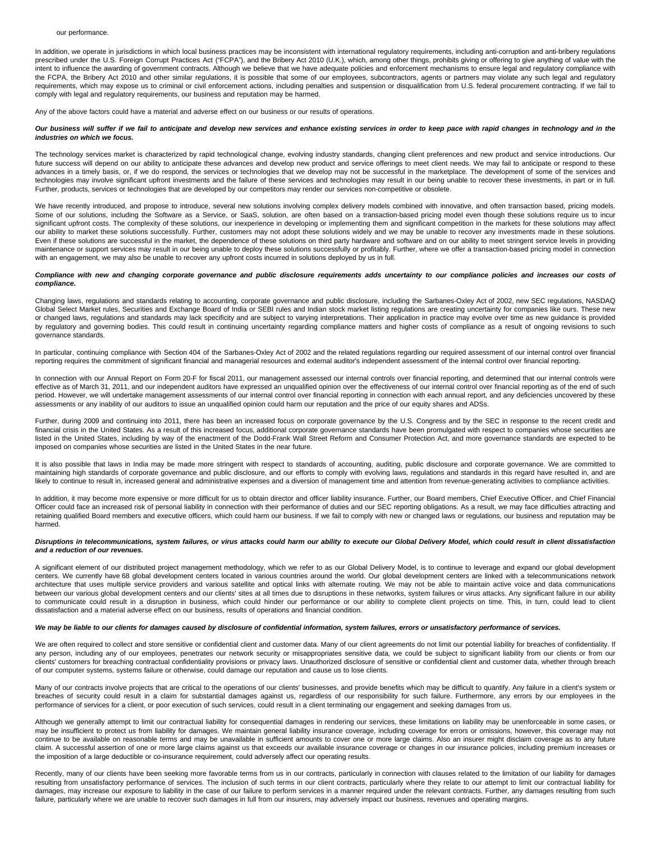In addition, we operate in jurisdictions in which local business practices may be inconsistent with international regulatory requirements, including anti-corruption and anti-bribery regulations prescribed under the U.S. Foreign Corrupt Practices Act ("FCPA"), and the Bribery Act 2010 (U.K.), which, among other things, prohibits giving or offering to give anything of value with the intent to influence the awarding of government contracts. Although we believe that we have adequate policies and enforcement mechanisms to ensure legal and regulatory compliance with the FCPA, the Bribery Act 2010 and other similar regulations, it is possible that some of our employees, subcontractors, agents or partners may violate any such legal and regulatory requirements, which may expose us to criminal or civil enforcement actions, including penalties and suspension or disqualification from U.S. federal procurement contracting. If we fail to comply with legal and regulatory requirements, our business and reputation may be harmed.

Any of the above factors could have a material and adverse effect on our business or our results of operations.

### **Our business will suffer if we fail to anticipate and develop new services and enhance existing services in order to keep pace with rapid changes in technology and in the industries on which we focus.**

The technology services market is characterized by rapid technological change, evolving industry standards, changing client preferences and new product and service introductions. Our future success will depend on our ability to anticipate these advances and develop new product and service offerings to meet client needs. We may fail to anticipate or respond to these advances in a timely basis, or, if we do respond, the services or technologies that we develop may not be successful in the marketplace. The development of some of the services and technologies may involve significant upfront investments and the failure of these services and technologies may result in our being unable to recover these investments, in part or in full. Further, products, services or technologies that are developed by our competitors may render our services non-competitive or obsolete.

We have recently introduced, and propose to introduce, several new solutions involving complex delivery models combined with innovative, and often transaction based, pricing models. Some of our solutions, including the Software as a Service, or SaaS, solution, are often based on a transaction-based pricing model even though these solutions require us to incur significant upfront costs. The complexity of these solutions, our inexperience in developing or implementing them and significant competition in the markets for these solutions may affect our ability to market these solutions successfully. Further, customers may not adopt these solutions widely and we may be unable to recover any investments made in these solutions. Even if these solutions are successful in the market, the dependence of these solutions on third party hardware and software and on our ability to meet stringent service levels in providing maintenance or support services may result in our being unable to deploy these solutions successfully or profitably. Further, where we offer a transaction-based pricing model in connection with an engagement, we may also be unable to recover any upfront costs incurred in solutions deployed by us in full.

### Compliance with new and changing corporate governance and public disclosure requirements adds uncertainty to our compliance policies and increases our costs of **compliance.**

Changing laws, regulations and standards relating to accounting, corporate governance and public disclosure, including the Sarbanes-Oxley Act of 2002, new SEC regulations, NASDAQ Global Select Market rules, Securities and Exchange Board of India or SEBI rules and Indian stock market listing regulations are creating uncertainty for companies like ours. These new or changed laws, regulations and standards may lack specificity and are subject to varying interpretations. Their application in practice may evolve over time as new guidance is provided by regulatory and governing bodies. This could result in continuing uncertainty regarding compliance matters and higher costs of compliance as a result of ongoing revisions to such governance standards.

In particular, continuing compliance with Section 404 of the Sarbanes-Oxley Act of 2002 and the related regulations regarding our required assessment of our internal control over financial reporting requires the commitment of significant financial and managerial resources and external auditor's independent assessment of the internal control over financial reporting.

In connection with our Annual Report on Form 20-F for fiscal 2011, our management assessed our internal controls over financial reporting, and determined that our internal controls were effective as of March 31, 2011, and our independent auditors have expressed an unqualified opinion over the effectiveness of our internal control over financial reporting as of the end of such period. However, we will undertake management assessments of our internal control over financial reporting in connection with each annual report, and any deficiencies uncovered by these assessments or any inability of our auditors to issue an unqualified opinion could harm our reputation and the price of our equity shares and ADSs.

Further, during 2009 and continuing into 2011, there has been an increased focus on corporate governance by the U.S. Congress and by the SEC in response to the recent credit and financial crisis in the United States. As a result of this increased focus, additional corporate governance standards have been promulgated with respect to companies whose securities are listed in the United States, including by way of the enactment of the Dodd-Frank Wall Street Reform and Consumer Protection Act, and more governance standards are expected to be imposed on companies whose securities are listed in the United States in the near future.

It is also possible that laws in India may be made more stringent with respect to standards of accounting, auditing, public disclosure and corporate governance. We are committed to maintaining high standards of corporate governance and public disclosure, and our efforts to comply with evolving laws, regulations and standards in this regard have resulted in, and are likely to continue to result in, increased general and administrative expenses and a diversion of management time and attention from revenue-generating activities to compliance activities.

In addition, it may become more expensive or more difficult for us to obtain director and officer liability insurance. Further, our Board members, Chief Executive Officer, and Chief Financial Officer could face an increased risk of personal liability in connection with their performance of duties and our SEC reporting obligations. As a result, we may face difficulties attracting and retaining qualified Board members and executive officers, which could harm our business. If we fail to comply with new or changed laws or regulations, our business and reputation may be harmed.

### **Disruptions in telecommunications, system failures, or virus attacks could harm our ability to execute our Global Delivery Model, which could result in client dissatisfaction and a reduction of our revenues.**

A significant element of our distributed project management methodology, which we refer to as our Global Delivery Model, is to continue to leverage and expand our global development centers. We currently have 68 global development centers located in various countries around the world. Our global development centers are linked with a telecommunications network architecture that uses multiple service providers and various satellite and optical links with alternate routing. We may not be able to maintain active voice and data communications between our various global development centers and our clients' sites at all times due to disruptions in these networks, system failures or virus attacks. Any significant failure in our ability to communicate could result in a disruption in business, which could hinder our performance or our ability to complete client projects on time. This, in turn, could lead to client dissatisfaction and a material adverse effect on our business, results of operations and financial condition.

### **We may be liable to our clients for damages caused by disclosure of confidential information, system failures, errors or unsatisfactory performance of services.**

We are often required to collect and store sensitive or confidential client and customer data. Many of our client agreements do not limit our potential liability for breaches of confidentiality. If any person, including any of our employees, penetrates our network security or misappropriates sensitive data, we could be subject to significant liability from our clients or from our clients' customers for breaching contractual confidentiality provisions or privacy laws. Unauthorized disclosure of sensitive or confidential client and customer data, whether through breach of our computer systems, systems failure or otherwise, could damage our reputation and cause us to lose clients.

Many of our contracts involve projects that are critical to the operations of our clients' businesses, and provide benefits which may be difficult to quantify. Any failure in a client's system or breaches of security could result in a claim for substantial damages against us, regardless of our responsibility for such failure. Furthermore, any errors by our employees in the performance of services for a client, or poor execution of such services, could result in a client terminating our engagement and seeking damages from us.

Although we generally attempt to limit our contractual liability for consequential damages in rendering our services, these limitations on liability may be unenforceable in some cases, or may be insufficient to protect us from liability for damages. We maintain general liability insurance coverage, including coverage for errors or omissions, however, this coverage may not continue to be available on reasonable terms and may be unavailable in sufficient amounts to cover one or more large claims. Also an insurer might disclaim coverage as to any future claim. A successful assertion of one or more large claims against us that exceeds our available insurance coverage or changes in our insurance policies, including premium increases or the imposition of a large deductible or co-insurance requirement, could adversely affect our operating results.

Recently, many of our clients have been seeking more favorable terms from us in our contracts, particularly in connection with clauses related to the limitation of our liability for damages resulting from unsatisfactory performance of services. The inclusion of such terms in our client contracts, particularly where they relate to our attempt to limit our contractual liability for damages, may increase our exposure to liability in the case of our failure to perform services in a manner required under the relevant contracts. Further, any damages resulting from such failure, particularly where we are unable to recover such damages in full from our insurers, may adversely impact our business, revenues and operating margins.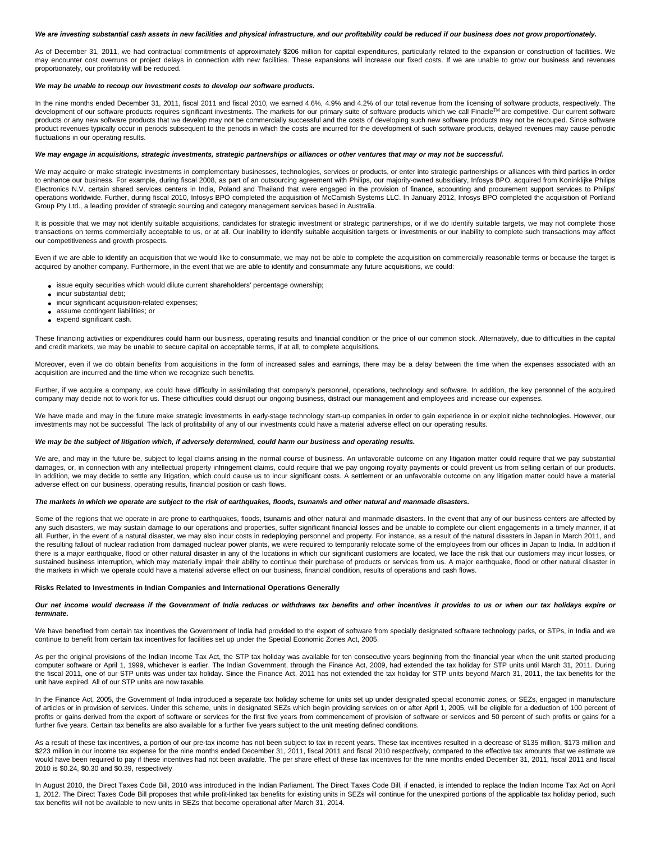# We are investing substantial cash assets in new facilities and physical infrastructure, and our profitability could be reduced if our business does not grow proportionately.

As of December 31, 2011, we had contractual commitments of approximately \$206 million for capital expenditures, particularly related to the expansion or construction of facilities. We may encounter cost overruns or project delays in connection with new facilities. These expansions will increase our fixed costs. If we are unable to grow our business and revenues proportionately, our profitability will be reduced.

### **We may be unable to recoup our investment costs to develop our software products.**

In the nine months ended December 31, 2011, fiscal 2011 and fiscal 2010, we earned 4.6%, 4.9% and 4.2% of our total revenue from the licensing of software products, respectively. The development of our software products requires significant investments. The markets for our primary suite of software products which we call Finacle™ are competitive. Our current software products or any new software products that we develop may not be commercially successful and the costs of developing such new software products may not be recouped. Since software product revenues typically occur in periods subsequent to the periods in which the costs are incurred for the development of such software products, delayed revenues may cause periodic fluctuations in our operating results.

### **We may engage in acquisitions, strategic investments, strategic partnerships or alliances or other ventures that may or may not be successful.**

We may acquire or make strategic investments in complementary businesses, technologies, services or products, or enter into strategic partnerships or alliances with third parties in order to enhance our business. For example, during fiscal 2008, as part of an outsourcing agreement with Philips, our majority-owned subsidiary, Infosys BPO, acquired from Koninklijke Philips Electronics N.V. certain shared services centers in India, Poland and Thailand that were engaged in the provision of finance, accounting and procurement support services to Philips' operations worldwide. Further, during fiscal 2010, Infosys BPO completed the acquisition of McCamish Systems LLC. In January 2012, Infosys BPO completed the acquisition of Portland Group Pty Ltd., a leading provider of strategic sourcing and category management services based in Australia.

It is possible that we may not identify suitable acquisitions, candidates for strategic investment or strategic partnerships, or if we do identify suitable targets, we may not complete those transactions on terms commercially acceptable to us, or at all. Our inability to identify suitable acquisition targets or investments or our inability to complete such transactions may affect our competitiveness and growth prospects.

Even if we are able to identify an acquisition that we would like to consummate, we may not be able to complete the acquisition on commercially reasonable terms or because the target is acquired by another company. Furthermore, in the event that we are able to identify and consummate any future acquisitions, we could:

- issue equity securities which would dilute current shareholders' percentage ownership;
- incur substantial debt;
- incur significant acquisition-related expenses;
- assume contingent liabilities; or
- expend significant cash.

These financing activities or expenditures could harm our business, operating results and financial condition or the price of our common stock. Alternatively, due to difficulties in the capital and credit markets, we may be unable to secure capital on acceptable terms, if at all, to complete acquisitions.

Moreover, even if we do obtain benefits from acquisitions in the form of increased sales and earnings, there may be a delay between the time when the expenses associated with an acquisition are incurred and the time when we recognize such benefits.

Further, if we acquire a company, we could have difficulty in assimilating that company's personnel, operations, technology and software. In addition, the key personnel of the acquired company may decide not to work for us. These difficulties could disrupt our ongoing business, distract our management and employees and increase our expenses.

We have made and may in the future make strategic investments in early-stage technology start-up companies in order to gain experience in or exploit niche technologies. However, our investments may not be successful. The lack of profitability of any of our investments could have a material adverse effect on our operating results.

#### **We may be the subject of litigation which, if adversely determined, could harm our business and operating results.**

We are, and may in the future be, subject to legal claims arising in the normal course of business. An unfavorable outcome on any litigation matter could require that we pay substantial damages, or, in connection with any intellectual property infringement claims, could require that we pay ongoing royalty payments or could prevent us from selling certain of our products. In addition, we may decide to settle any litigation, which could cause us to incur significant costs. A settlement or an unfavorable outcome on any litigation matter could have a material adverse effect on our business, operating results, financial position or cash flows.

### **The markets in which we operate are subject to the risk of earthquakes, floods, tsunamis and other natural and manmade disasters.**

Some of the regions that we operate in are prone to earthquakes, floods, tsunamis and other natural and manmade disasters. In the event that any of our business centers are affected by any such disasters, we may sustain damage to our operations and properties, suffer significant financial losses and be unable to complete our client engagements in a timely manner, if at all. Further, in the event of a natural disaster, we may also incur costs in redeploying personnel and property. For instance, as a result of the natural disasters in Japan in March 2011, and the resulting fallout of nuclear radiation from damaged nuclear power plants, we were required to temporarily relocate some of the employees from our offices in Japan to India. In addition if there is a major earthquake, flood or other natural disaster in any of the locations in which our significant customers are located, we face the risk that our customers may incur losses, or sustained business interruption, which may materially impair their ability to continue their purchase of products or services from us. A major earthquake, flood or other natural disaster in the markets in which we operate could have a material adverse effect on our business, financial condition, results of operations and cash flows.

#### **Risks Related to Investments in Indian Companies and International Operations Generally**

#### **Our net income would decrease if the Government of India reduces or withdraws tax benefits and other incentives it provides to us or when our tax holidays expire or terminate.**

We have benefited from certain tax incentives the Government of India had provided to the export of software from specially designated software technology parks, or STPs, in India and we continue to benefit from certain tax incentives for facilities set up under the Special Economic Zones Act, 2005.

As per the original provisions of the Indian Income Tax Act, the STP tax holiday was available for ten consecutive years beginning from the financial year when the unit started producing computer software or April 1, 1999, whichever is earlier. The Indian Government, through the Finance Act, 2009, had extended the tax holiday for STP units until March 31, 2011. During the fiscal 2011, one of our STP units was under tax holiday. Since the Finance Act, 2011 has not extended the tax holiday for STP units beyond March 31, 2011, the tax benefits for the unit have expired. All of our STP units are now taxable.

In the Finance Act, 2005, the Government of India introduced a separate tax holiday scheme for units set up under designated special economic zones, or SEZs, engaged in manufacture of articles or in provision of services. Under this scheme, units in designated SEZs which begin providing services on or after April 1, 2005, will be eligible for a deduction of 100 percent of profits or gains derived from the export of software or services for the first five years from commencement of provision of software or services and 50 percent of such profits or gains for a further five years. Certain tax benefits are also available for a further five years subject to the unit meeting defined conditions.

As a result of these tax incentives, a portion of our pre-tax income has not been subject to tax in recent years. These tax incentives resulted in a decrease of \$135 million, \$173 million and \$223 million in our income tax expense for the nine months ended December 31, 2011, fiscal 2011 and fiscal 2010 respectively, compared to the effective tax amounts that we estimate we would have been required to pay if these incentives had not been available. The per share effect of these tax incentives for the nine months ended December 31, 2011, fiscal 2011 and fiscal 2010 is \$0.24, \$0.30 and \$0.39, respectively

In August 2010, the Direct Taxes Code Bill, 2010 was introduced in the Indian Parliament. The Direct Taxes Code Bill, if enacted, is intended to replace the Indian Income Tax Act on April 1, 2012. The Direct Taxes Code Bill proposes that while profit-linked tax benefits for existing units in SEZs will continue for the unexpired portions of the applicable tax holiday period, such tax benefits will not be available to new units in SEZs that become operational after March 31, 2014.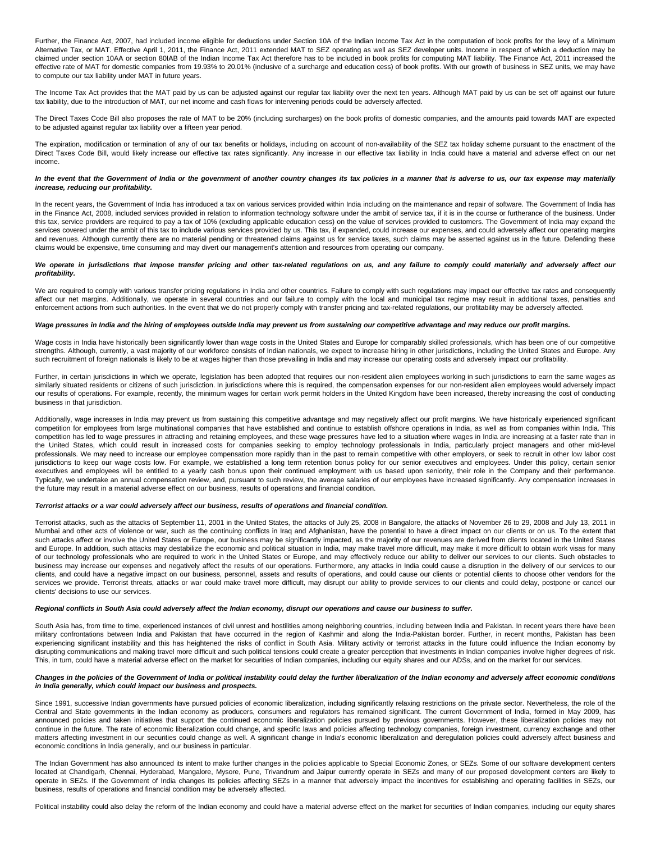Further, the Finance Act, 2007, had included income eligible for deductions under Section 10A of the Indian Income Tax Act in the computation of book profits for the levy of a Minimum Alternative Tax, or MAT. Effective April 1, 2011, the Finance Act, 2011 extended MAT to SEZ operating as well as SEZ developer units. Income in respect of which a deduction may be claimed under section 10AA or section 80IAB of the Indian Income Tax Act therefore has to be included in book profits for computing MAT liability. The Finance Act, 2011 increased the effective rate of MAT for domestic companies from 19.93% to 20.01% (inclusive of a surcharge and education cess) of book profits. With our growth of business in SEZ units, we may have to compute our tax liability under MAT in future years.

The Income Tax Act provides that the MAT paid by us can be adjusted against our regular tax liability over the next ten years. Although MAT paid by us can be set off against our future tax liability, due to the introduction of MAT, our net income and cash flows for intervening periods could be adversely affected.

The Direct Taxes Code Bill also proposes the rate of MAT to be 20% (including surcharges) on the book profits of domestic companies, and the amounts paid towards MAT are expected to be adjusted against regular tax liability over a fifteen year period.

The expiration, modification or termination of any of our tax benefits or holidays, including on account of non-availability of the SEZ tax holiday scheme pursuant to the enactment of the Direct Taxes Code Bill, would likely increase our effective tax rates significantly. Any increase in our effective tax liability in India could have a material and adverse effect on our net income.

### **In the event that the Government of India or the government of another country changes its tax policies in a manner that is adverse to us, our tax expense may materially increase, reducing our profitability.**

In the recent years, the Government of India has introduced a tax on various services provided within India including on the maintenance and repair of software. The Government of India has in the Finance Act, 2008, included services provided in relation to information technology software under the ambit of service tax, if it is in the course or furtherance of the business. Under this tax, service providers are required to pay a tax of 10% (excluding applicable education cess) on the value of services provided to customers. The Government of India may expand the services covered under the ambit of this tax to include various services provided by us. This tax, if expanded, could increase our expenses, and could adversely affect our operating margins and revenues. Although currently there are no material pending or threatened claims against us for service taxes, such claims may be asserted against us in the future. Defending these claims would be expensive, time consuming and may divert our management's attention and resources from operating our company.

### We operate in jurisdictions that impose transfer pricing and other tax-related regulations on us, and any failure to comply could materially and adversely affect our **profitability.**

We are required to comply with various transfer pricing regulations in India and other countries. Failure to comply with such regulations may impact our effective tax rates and consequently affect our net margins. Additionally, we operate in several countries and our failure to comply with the local and municipal tax regime may result in additional taxes, penalties and enforcement actions from such authorities. In the event that we do not properly comply with transfer pricing and tax-related regulations, our profitability may be adversely affected.

### **Wage pressures in India and the hiring of employees outside India may prevent us from sustaining our competitive advantage and may reduce our profit margins.**

Wage costs in India have historically been significantly lower than wage costs in the United States and Europe for comparably skilled professionals, which has been one of our competitive strengths. Although, currently, a vast majority of our workforce consists of Indian nationals, we expect to increase hiring in other jurisdictions, including the United States and Europe. Any such recruitment of foreign nationals is likely to be at wages higher than those prevailing in India and may increase our operating costs and adversely impact our profitability.

Further, in certain jurisdictions in which we operate, legislation has been adopted that requires our non-resident alien employees working in such jurisdictions to earn the same wages as similarly situated residents or citizens of such jurisdiction. In jurisdictions where this is required, the compensation expenses for our non-resident alien employees would adversely impact our results of operations. For example, recently, the minimum wages for certain work permit holders in the United Kingdom have been increased, thereby increasing the cost of conducting business in that jurisdiction.

Additionally, wage increases in India may prevent us from sustaining this competitive advantage and may negatively affect our profit margins. We have historically experienced significant competition for employees from large multinational companies that have established and continue to establish offshore operations in India, as well as from companies within India. This competition has led to wage pressures in attracting and retaining employees, and these wage pressures have led to a situation where wages in India are increasing at a faster rate than in the United States, which could result in increased costs for companies seeking to employ technology professionals in India, particularly project managers and other mid-level professionals. We may need to increase our employee compensation more rapidly than in the past to remain competitive with other employers, or seek to recruit in other low labor cost jurisdictions to keep our wage costs low. For example, we established a long term retention bonus policy for our senior executives and employees. Under this policy, certain senior executives and employees will be entitled to a yearly cash bonus upon their continued employment with us based upon seniority, their role in the Company and their performance. Typically, we undertake an annual compensation review, and, pursuant to such review, the average salaries of our employees have increased significantly. Any compensation increases in the future may result in a material adverse effect on our business, results of operations and financial condition.

### **Terrorist attacks or a war could adversely affect our business, results of operations and financial condition.**

Terrorist attacks, such as the attacks of September 11, 2001 in the United States, the attacks of July 25, 2008 in Bangalore, the attacks of November 26 to 29, 2008 and July 13, 2011 in Mumbai and other acts of violence or war, such as the continuing conflicts in Iraq and Afghanistan, have the potential to have a direct impact on our clients or on us. To the extent that such attacks affect or involve the United States or Europe, our business may be significantly impacted, as the majority of our revenues are derived from clients located in the United States and Europe. In addition, such attacks may destabilize the economic and political situation in India, may make travel more difficult, may make it more difficult to obtain work visas for many of our technology professionals who are required to work in the United States or Europe, and may effectively reduce our ability to deliver our services to our clients. Such obstacles to business may increase our expenses and negatively affect the results of our operations. Furthermore, any attacks in India could cause a disruption in the delivery of our services to our clients, and could have a negative impact on our business, personnel, assets and results of operations, and could cause our clients or potential clients to choose other vendors for the services we provide. Terrorist threats, attacks or war could make travel more difficult, may disrupt our ability to provide services to our clients and could delay, postpone or cancel our clients' decisions to use our services.

## **Regional conflicts in South Asia could adversely affect the Indian economy, disrupt our operations and cause our business to suffer.**

South Asia has, from time to time, experienced instances of civil unrest and hostilities among neighboring countries, including between India and Pakistan. In recent years there have been military confrontations between India and Pakistan that have occurred in the region of Kashmir and along the India-Pakistan border. Further, in recent months, Pakistan has been experiencing significant instability and this has heightened the risks of conflict in South Asia. Military activity or terrorist attacks in the future could influence the Indian economy by disrupting communications and making travel more difficult and such political tensions could create a greater perception that investments in Indian companies involve higher degrees of risk. This, in turn, could have a material adverse effect on the market for securities of Indian companies, including our equity shares and our ADSs, and on the market for our services.

### **Changes in the policies of the Government of India or political instability could delay the further liberalization of the Indian economy and adversely affect economic conditions in India generally, which could impact our business and prospects.**

Since 1991, successive Indian governments have pursued policies of economic liberalization, including significantly relaxing restrictions on the private sector. Nevertheless, the role of the Central and State governments in the Indian economy as producers, consumers and regulators has remained significant. The current Government of India, formed in May 2009, has announced policies and taken initiatives that support the continued economic liberalization policies pursued by previous governments. However, these liberalization policies may not continue in the future. The rate of economic liberalization could change, and specific laws and policies affecting technology companies, foreign investment, currency exchange and other matters affecting investment in our securities could change as well. A significant change in India's economic liberalization and deregulation policies could adversely affect business and economic conditions in India generally, and our business in particular.

The Indian Government has also announced its intent to make further changes in the policies applicable to Special Economic Zones, or SEZs. Some of our software development centers located at Chandigarh, Chennai, Hyderabad, Mangalore, Mysore, Pune, Trivandrum and Jaipur currently operate in SEZs and many of our proposed development centers are likely to operate in SEZs. If the Government of India changes its policies affecting SEZs in a manner that adversely impact the incentives for establishing and operating facilities in SEZs, our business, results of operations and financial condition may be adversely affected.

Political instability could also delay the reform of the Indian economy and could have a material adverse effect on the market for securities of Indian companies, including our equity shares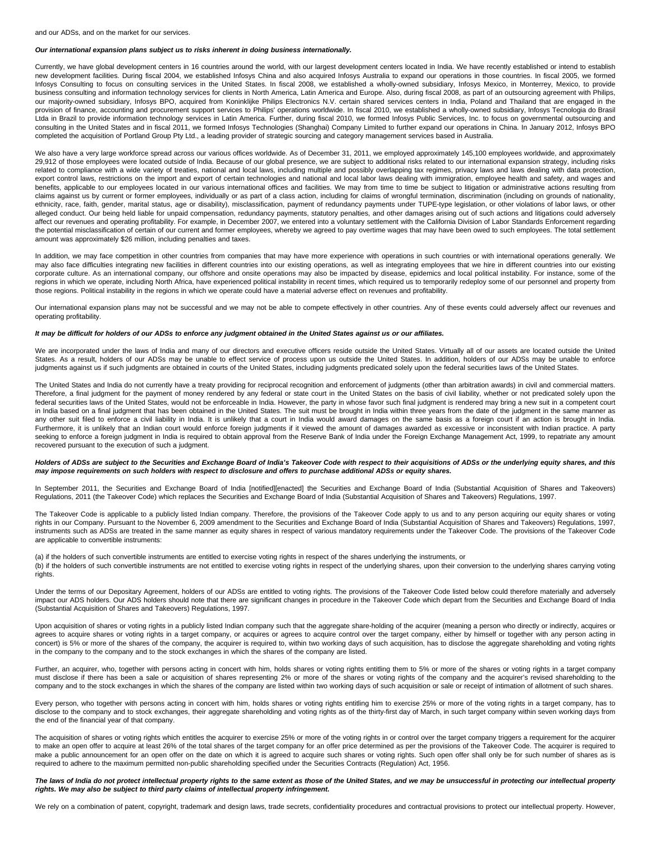#### **Our international expansion plans subject us to risks inherent in doing business internationally.**

Currently, we have global development centers in 16 countries around the world, with our largest development centers located in India. We have recently established or intend to establish new development facilities. During fiscal 2004, we established Infosys China and also acquired Infosys Australia to expand our operations in those countries. In fiscal 2005, we formed Infosys Consulting to focus on consulting services in the United States. In fiscal 2008, we established a wholly-owned subsidiary, Infosys Mexico, in Monterrey, Mexico, to provide business consulting and information technology services for clients in North America, Latin America and Europe. Also, during fiscal 2008, as part of an outsourcing agreement with Philips, our majority-owned subsidiary, Infosys BPO, acquired from Koninklijke Philips Electronics N.V. certain shared services centers in India, Poland and Thailand that are engaged in the provision of finance, accounting and procurement support services to Philips' operations worldwide. In fiscal 2010, we established a wholly-owned subsidiary, Infosys Tecnologia do Brasil Ltda in Brazil to provide information technology services in Latin America. Further, during fiscal 2010, we formed Infosys Public Services, Inc. to focus on governmental outsourcing and consulting in the United States and in fiscal 2011, we formed Infosys Technologies (Shanghai) Company Limited to further expand our operations in China. In January 2012, Infosys BPO completed the acquisition of Portland Group Pty Ltd., a leading provider of strategic sourcing and category management services based in Australia.

We also have a very large workforce spread across our various offices worldwide. As of December 31, 2011, we employed approximately 145,100 employees worldwide, and approximately 29,912 of those employees were located outside of India. Because of our global presence, we are subject to additional risks related to our international expansion strategy, including risks related to compliance with a wide variety of treaties, national and local laws, including multiple and possibly overlapping tax regimes, privacy laws and laws dealing with data protection, export control laws, restrictions on the import and export of certain technologies and national and local labor laws dealing with immigration, employee health and safety, and wages and benefits, applicable to our employees located in our various international offices and facilities. We may from time to time be subject to litigation or administrative actions resulting from claims against us by current or former employees, individually or as part of a class action, including for claims of wrongful termination, discrimination (including on grounds of nationality, ethnicity, race, faith, gender, marital status, age or disability), misclassification, payment of redundancy payments under TUPE-type legislation, or other violations of labor laws, or other alleged conduct. Our being held liable for unpaid compensation, redundancy payments, statutory penalties, and other damages arising out of such actions and litigations could adversely affect our revenues and operating profitability. For example, in December 2007, we entered into a voluntary settlement with the California Division of Labor Standards Enforcement regarding the potential misclassification of certain of our current and former employees, whereby we agreed to pay overtime wages that may have been owed to such employees. The total settlement amount was approximately \$26 million, including penalties and taxes.

In addition, we may face competition in other countries from companies that may have more experience with operations in such countries or with international operations generally. We may also face difficulties integrating new facilities in different countries into our existing operations, as well as integrating employees that we hire in different countries into our existing corporate culture. As an international company, our offshore and onsite operations may also be impacted by disease, epidemics and local political instability. For instance, some of the regions in which we operate, including North Africa, have experienced political instability in recent times, which required us to temporarily redeploy some of our personnel and property from those regions. Political instability in the regions in which we operate could have a material adverse effect on revenues and profitability.

Our international expansion plans may not be successful and we may not be able to compete effectively in other countries. Any of these events could adversely affect our revenues and operating profitability.

### **It may be difficult for holders of our ADSs to enforce any judgment obtained in the United States against us or our affiliates.**

We are incorporated under the laws of India and many of our directors and executive officers reside outside the United States. Virtually all of our assets are located outside the United States. As a result, holders of our ADSs may be unable to effect service of process upon us outside the United States. In addition, holders of our ADSs may be unable to enforce judgments against us if such judgments are obtained in courts of the United States, including judgments predicated solely upon the federal securities laws of the United States.

The United States and India do not currently have a treaty providing for reciprocal recognition and enforcement of judgments (other than arbitration awards) in civil and commercial matters. Therefore, a final judgment for the payment of money rendered by any federal or state court in the United States on the basis of civil liability, whether or not predicated solely upon the federal securities laws of the United States, would not be enforceable in India. However, the party in whose favor such final judgment is rendered may bring a new suit in a competent court in India based on a final judgment that has been obtained in the United States. The suit must be brought in India within three years from the date of the judgment in the same manner as any other suit filed to enforce a civil liability in India. It is unlikely that a court in India would award damages on the same basis as a foreign court if an action is brought in India. Furthermore, it is unlikely that an Indian court would enforce foreign judgments if it viewed the amount of damages awarded as excessive or inconsistent with Indian practice. A party seeking to enforce a foreign judgment in India is required to obtain approval from the Reserve Bank of India under the Foreign Exchange Management Act, 1999, to repatriate any amount recovered pursuant to the execution of such a judgment.

### **Holders of ADSs are subject to the Securities and Exchange Board of India's Takeover Code with respect to their acquisitions of ADSs or the underlying equity shares, and this may impose requirements on such holders with respect to disclosure and offers to purchase additional ADSs or equity shares.**

In September 2011, the Securities and Exchange Board of India [notified][enacted] the Securities and Exchange Board of India (Substantial Acquisition of Shares and Takeovers) Regulations, 2011 (the Takeover Code) which replaces the Securities and Exchange Board of India (Substantial Acquisition of Shares and Takeovers) Regulations, 1997.

The Takeover Code is applicable to a publicly listed Indian company. Therefore, the provisions of the Takeover Code apply to us and to any person acquiring our equity shares or voting rights in our Company. Pursuant to the November 6, 2009 amendment to the Securities and Exchange Board of India (Substantial Acquisition of Shares and Takeovers) Regulations, 1997, instruments such as ADSs are treated in the same manner as equity shares in respect of various mandatory requirements under the Takeover Code. The provisions of the Takeover Code are applicable to convertible instruments:

(a) if the holders of such convertible instruments are entitled to exercise voting rights in respect of the shares underlying the instruments, or (b) if the holders of such convertible instruments are not entitled to exercise voting rights in respect of the underlying shares, upon their conversion to the underlying shares carrying voting rights.

Under the terms of our Depositary Agreement, holders of our ADSs are entitled to voting rights. The provisions of the Takeover Code listed below could therefore materially and adversely impact our ADS holders. Our ADS holders should note that there are significant changes in procedure in the Takeover Code which depart from the Securities and Exchange Board of India (Substantial Acquisition of Shares and Takeovers) Regulations, 1997.

Upon acquisition of shares or voting rights in a publicly listed Indian company such that the aggregate share-holding of the acquirer (meaning a person who directly or indirectly, acquires or agrees to acquire shares or voting rights in a target company, or acquires or agrees to acquire control over the target company, either by himself or together with any person acting in concert) is 5% or more of the shares of the company, the acquirer is required to, within two working days of such acquisition, has to disclose the aggregate shareholding and voting rights in the company to the company and to the stock exchanges in which the shares of the company are listed.

Further, an acquirer, who, together with persons acting in concert with him, holds shares or voting rights entitling them to 5% or more of the shares or voting rights in a target company must disclose if there has been a sale or acquisition of shares representing 2% or more of the shares or voting rights of the company and the acquirer's revised shareholding to the company and to the stock exchanges in which the shares of the company are listed within two working days of such acquisition or sale or receipt of intimation of allotment of such shares.

Every person, who together with persons acting in concert with him, holds shares or voting rights entitling him to exercise 25% or more of the voting rights in a target company, has to disclose to the company and to stock exchanges, their aggregate shareholding and voting rights as of the thirty-first day of March, in such target company within seven working days from the end of the financial year of that company.

The acquisition of shares or voting rights which entitles the acquirer to exercise 25% or more of the voting rights in or control over the target company triggers a requirement for the acquirer to make an open offer to acquire at least 26% of the total shares of the target company for an offer price determined as per the provisions of the Takeover Code. The acquirer is required to make a public announcement for an open offer on the date on which it is agreed to acquire such shares or voting rights. Such open offer shall only be for such number of shares as is required to adhere to the maximum permitted non-public shareholding specified under the Securities Contracts (Regulation) Act, 1956.

**The laws of India do not protect intellectual property rights to the same extent as those of the United States, and we may be unsuccessful in protecting our intellectual property rights. We may also be subject to third party claims of intellectual property infringement.**

We rely on a combination of patent, copyright, trademark and design laws, trade secrets, confidentiality procedures and contractual provisions to protect our intellectual property. However,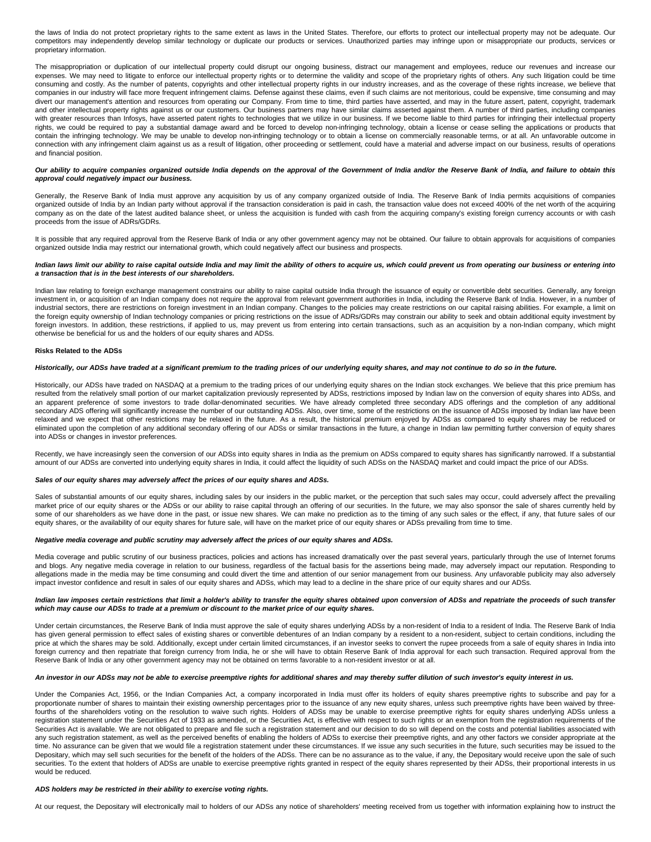the laws of India do not protect proprietary rights to the same extent as laws in the United States. Therefore, our efforts to protect our intellectual property may not be adequate. Our competitors may independently develop similar technology or duplicate our products or services. Unauthorized parties may infringe upon or misappropriate our products, services or proprietary information.

The misappropriation or duplication of our intellectual property could disrupt our ongoing business, distract our management and employees, reduce our revenues and increase our expenses. We may need to litigate to enforce our intellectual property rights or to determine the validity and scope of the proprietary rights of others. Any such litigation could be time consuming and costly. As the number of patents, copyrights and other intellectual property rights in our industry increases, and as the coverage of these rights increase, we believe that companies in our industry will face more frequent infringement claims. Defense against these claims, even if such claims are not meritorious, could be expensive, time consuming and may divert our management's attention and resources from operating our Company. From time to time, third parties have asserted, and may in the future assert, patent, copyright, trademark and other intellectual property rights against us or our customers. Our business partners may have similar claims asserted against them. A number of third parties, including companies with greater resources than Infosys, have asserted patent rights to technologies that we utilize in our business. If we become liable to third parties for infringing their intellectual property rights, we could be required to pay a substantial damage award and be forced to develop non-infringing technology, obtain a license or cease selling the applications or products that contain the infringing technology. We may be unable to develop non-infringing technology or to obtain a license on commercially reasonable terms, or at all. An unfavorable outcome in connection with any infringement claim against us as a result of litigation, other proceeding or settlement, could have a material and adverse impact on our business, results of operations and financial position.

### Our ability to acquire companies organized outside India depends on the approval of the Government of India and/or the Reserve Bank of India, and failure to obtain this **approval could negatively impact our business.**

Generally, the Reserve Bank of India must approve any acquisition by us of any company organized outside of India. The Reserve Bank of India permits acquisitions of companies organized outside of India by an Indian party without approval if the transaction consideration is paid in cash, the transaction value does not exceed 400% of the net worth of the acquiring company as on the date of the latest audited balance sheet, or unless the acquisition is funded with cash from the acquiring company's existing foreign currency accounts or with cash proceeds from the issue of ADRs/GDRs.

It is possible that any required approval from the Reserve Bank of India or any other government agency may not be obtained. Our failure to obtain approvals for acquisitions of companies organized outside India may restrict our international growth, which could negatively affect our business and prospects.

### **Indian laws limit our ability to raise capital outside India and may limit the ability of others to acquire us, which could prevent us from operating our business or entering into a transaction that is in the best interests of our shareholders.**

Indian law relating to foreign exchange management constrains our ability to raise capital outside India through the issuance of equity or convertible debt securities. Generally, any foreign investment in, or acquisition of an Indian company does not require the approval from relevant government authorities in India, including the Reserve Bank of India. However, in a number of industrial sectors, there are restrictions on foreign investment in an Indian company. Changes to the policies may create restrictions on our capital raising abilities. For example, a limit on the foreign equity ownership of Indian technology companies or pricing restrictions on the issue of ADRs/GDRs may constrain our ability to seek and obtain additional equity investment by foreign investors. In addition, these restrictions, if applied to us, may prevent us from entering into certain transactions, such as an acquisition by a non-Indian company, which might otherwise be beneficial for us and the holders of our equity shares and ADSs.

### **Risks Related to the ADSs**

### **Historically, our ADSs have traded at a significant premium to the trading prices of our underlying equity shares, and may not continue to do so in the future.**

Historically, our ADSs have traded on NASDAQ at a premium to the trading prices of our underlying equity shares on the Indian stock exchanges. We believe that this price premium has resulted from the relatively small portion of our market capitalization previously represented by ADSs, restrictions imposed by Indian law on the conversion of equity shares into ADSs, and an apparent preference of some investors to trade dollar-denominated securities. We have already completed three secondary ADS offerings and the completion of any additional secondary ADS offering will significantly increase the number of our outstanding ADSs. Also, over time, some of the restrictions on the issuance of ADSs imposed by Indian law have been relaxed and we expect that other restrictions may be relaxed in the future. As a result, the historical premium enjoyed by ADSs as compared to equity shares may be reduced or eliminated upon the completion of any additional secondary offering of our ADSs or similar transactions in the future, a change in Indian law permitting further conversion of equity shares into ADSs or changes in investor preferences.

Recently, we have increasingly seen the conversion of our ADSs into equity shares in India as the premium on ADSs compared to equity shares has significantly narrowed. If a substantial amount of our ADSs are converted into underlying equity shares in India, it could affect the liquidity of such ADSs on the NASDAQ market and could impact the price of our ADSs.

## **Sales of our equity shares may adversely affect the prices of our equity shares and ADSs.**

Sales of substantial amounts of our equity shares, including sales by our insiders in the public market, or the perception that such sales may occur, could adversely affect the prevailing market price of our equity shares or the ADSs or our ability to raise capital through an offering of our securities. In the future, we may also sponsor the sale of shares currently held by some of our shareholders as we have done in the past, or issue new shares. We can make no prediction as to the timing of any such sales or the effect, if any, that future sales of our equity shares, or the availability of our equity shares for future sale, will have on the market price of our equity shares or ADSs prevailing from time to time.

### **Negative media coverage and public scrutiny may adversely affect the prices of our equity shares and ADSs.**

Media coverage and public scrutiny of our business practices, policies and actions has increased dramatically over the past several years, particularly through the use of Internet forums and blogs. Any negative media coverage in relation to our business, regardless of the factual basis for the assertions being made, may adversely impact our reputation. Responding to allegations made in the media may be time consuming and could divert the time and attention of our senior management from our business. Any unfavorable publicity may also adversely impact investor confidence and result in sales of our equity shares and ADSs, which may lead to a decline in the share price of our equity shares and our ADSs.

### **Indian law imposes certain restrictions that limit a holder's ability to transfer the equity shares obtained upon conversion of ADSs and repatriate the proceeds of such transfer which may cause our ADSs to trade at a premium or discount to the market price of our equity shares.**

Under certain circumstances, the Reserve Bank of India must approve the sale of equity shares underlying ADSs by a non-resident of India to a resident of India. The Reserve Bank of India has given general permission to effect sales of existing shares or convertible debentures of an Indian company by a resident to a non-resident, subject to certain conditions, including the price at which the shares may be sold. Additionally, except under certain limited circumstances, if an investor seeks to convert the rupee proceeds from a sale of equity shares in India into foreign currency and then repatriate that foreign currency from India, he or she will have to obtain Reserve Bank of India approval for each such transaction. Required approval from the Reserve Bank of India or any other government agency may not be obtained on terms favorable to a non-resident investor or at all.

### **An investor in our ADSs may not be able to exercise preemptive rights for additional shares and may thereby suffer dilution of such investor's equity interest in us.**

Under the Companies Act, 1956, or the Indian Companies Act, a company incorporated in India must offer its holders of equity shares preemptive rights to subscribe and pay for a proportionate number of shares to maintain their existing ownership percentages prior to the issuance of any new equity shares, unless such preemptive rights have been waived by threefourths of the shareholders voting on the resolution to waive such rights. Holders of ADSs may be unable to exercise preemptive rights for equity shares underlying ADSs unless a registration statement under the Securities Act of 1933 as amended, or the Securities Act, is effective with respect to such rights or an exemption from the registration requirements of the Securities Act is available. We are not obligated to prepare and file such a registration statement and our decision to do so will depend on the costs and potential liabilities associated with any such registration statement, as well as the perceived benefits of enabling the holders of ADSs to exercise their preemptive rights, and any other factors we consider appropriate at the time. No assurance can be given that we would file a registration statement under these circumstances. If we issue any such securities in the future, such securities may be issued to the Depositary, which may sell such securities for the benefit of the holders of the ADSs. There can be no assurance as to the value, if any, the Depositary would receive upon the sale of such securities. To the extent that holders of ADSs are unable to exercise preemptive rights granted in respect of the equity shares represented by their ADSs, their proportional interests in us would be reduced.

### **ADS holders may be restricted in their ability to exercise voting rights.**

At our request, the Depositary will electronically mail to holders of our ADSs any notice of shareholders' meeting received from us together with information explaining how to instruct the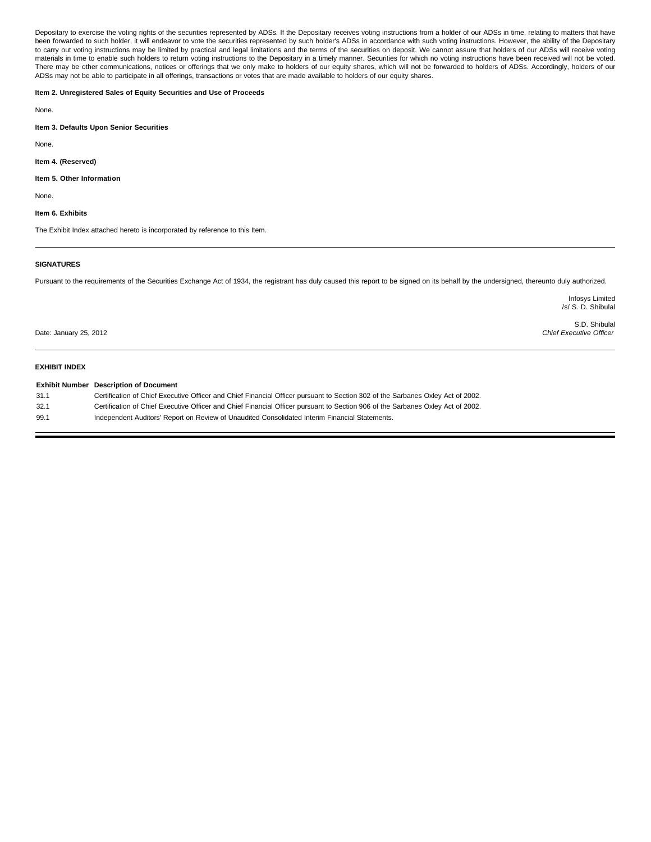Depositary to exercise the voting rights of the securities represented by ADSs. If the Depositary receives voting instructions from a holder of our ADSs in time, relating to matters that have been forwarded to such holder, it will endeavor to vote the securities represented by such holder's ADSs in accordance with such voting instructions. However, the ability of the Depositary to carry out voting instructions may be limited by practical and legal limitations and the terms of the securities on deposit. We cannot assure that holders of our ADSs will receive voting materials in time to enable such holders to return voting instructions to the Depositary in a timely manner. Securities for which no voting instructions have been received will not be voted. There may be other communications, notices or offerings that we only make to holders of our equity shares, which will not be forwarded to holders of ADSs. Accordingly, holders of our ADSs may not be able to participate in all offerings, transactions or votes that are made available to holders of our equity shares.

# **Item 2. Unregistered Sales of Equity Securities and Use of Proceeds**

None.

**Item 3. Defaults Upon Senior Securities**

None.

### **Item 4. (Reserved)**

### **Item 5. Other Information**

**None** 

# **Item 6. Exhibits**

The Exhibit Index attached hereto is incorporated by reference to this Item.

# **SIGNATURES**

Pursuant to the requirements of the Securities Exchange Act of 1934, the registrant has duly caused this report to be signed on its behalf by the undersigned, thereunto duly authorized.

Infosys Limited /s/ S. D. Shibulal

Date: January 25, 2012

S.D. Shibulal Chief Executive Officer

# **EXHIBIT INDEX**

|      | <b>Exhibit Number</b> Description of Document                                                                                   |
|------|---------------------------------------------------------------------------------------------------------------------------------|
| 31.1 | Certification of Chief Executive Officer and Chief Financial Officer pursuant to Section 302 of the Sarbanes Oxley Act of 2002. |
| 32.1 | Certification of Chief Executive Officer and Chief Financial Officer pursuant to Section 906 of the Sarbanes Oxley Act of 2002. |
| 99.1 | Independent Auditors' Report on Review of Unaudited Consolidated Interim Financial Statements.                                  |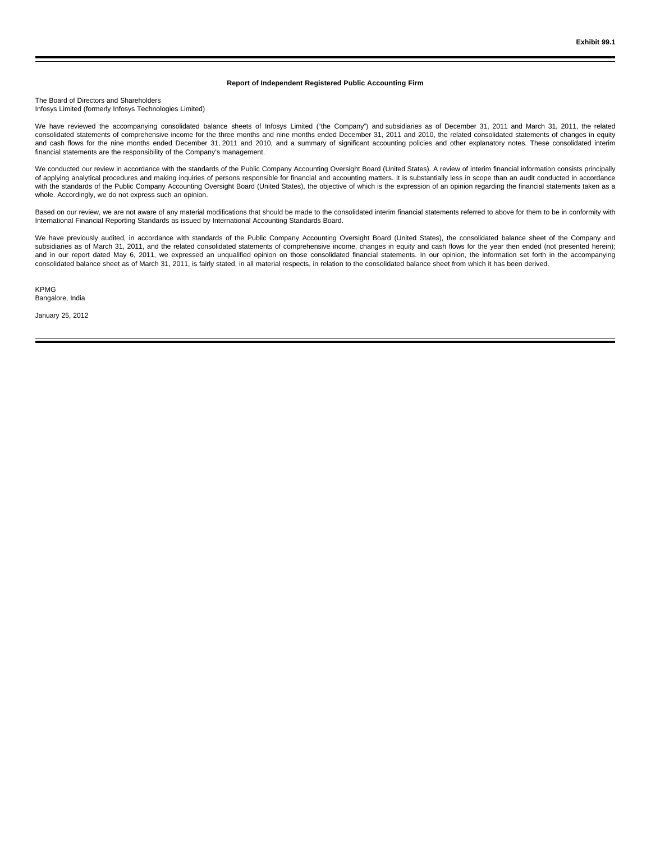### **Report of Independent Registered Public Accounting Firm**

The Board of Directors and Shareholders Infosys Limited (formerly Infosys Technologies Limited)

We have reviewed the accompanying consolidated balance sheets of Infosys Limited ("the Company") and subsidiaries as of December 31, 2011 and March 31, 2011, the related consolidated statements of comprehensive income for the three months and nine months ended December 31, 2011 and 2010, the related consolidated statements of changes in equity and cash flows for the nine months ended December 31, 2011 and 2010, and a summary of significant accounting policies and other explanatory notes. These consolidated interim financial statements are the responsibility of the Company's management.

We conducted our review in accordance with the standards of the Public Company Accounting Oversight Board (United States). A review of interim financial information consists principally of applying analytical procedures and making inquiries of persons responsible for financial and accounting matters. It is substantially less in scope than an audit conducted in accordance with the standards of the Public Company Accounting Oversight Board (United States), the objective of which is the expression of an opinion regarding the financial statements taken as a whole. Accordingly, we do not express such an opinion.

Based on our review, we are not aware of any material modifications that should be made to the consolidated interim financial statements referred to above for them to be in conformity with International Financial Reporting Standards as issued by International Accounting Standards Board.

We have previously audited, in accordance with standards of the Public Company Accounting Oversight Board (United States), the consolidated balance sheet of the Company and subsidiaries as of March 31, 2011, and the related consolidated statements of comprehensive income, changes in equity and cash flows for the year then ended (not presented herein); and in our report dated May 6, 2011, we expressed an unqualified opinion on those consolidated financial statements. In our opinion, the information set forth in the accompanying consolidated balance sheet as of March 31, 2011, is fairly stated, in all material respects, in relation to the consolidated balance sheet from which it has been derived.

KPMG Bangalore, India

January 25, 2012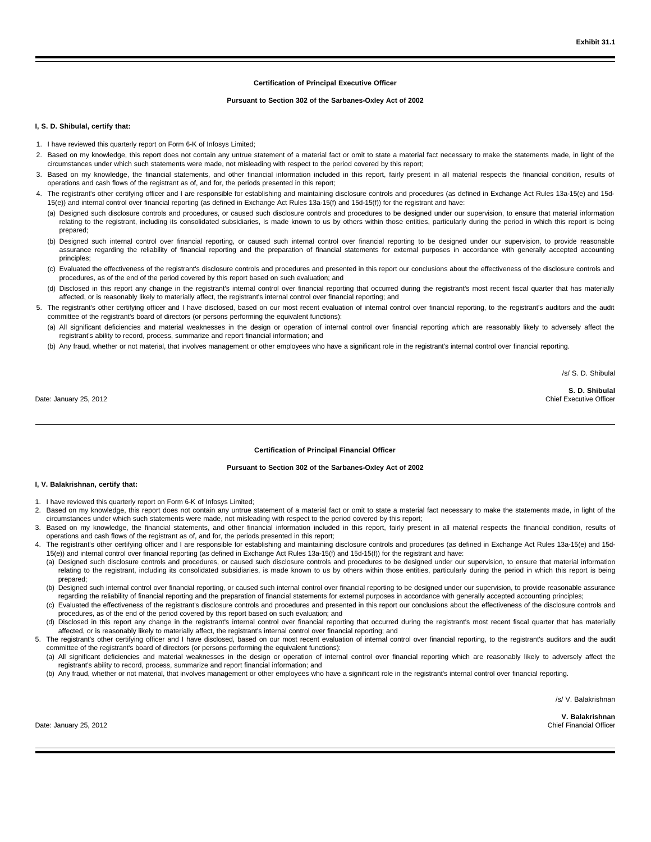### **Certification of Principal Executive Officer**

### **Pursuant to Section 302 of the Sarbanes-Oxley Act of 2002**

### **I, S. D. Shibulal, certify that:**

- 1. I have reviewed this quarterly report on Form 6-K of Infosys Limited;
- 2. Based on my knowledge, this report does not contain any untrue statement of a material fact or omit to state a material fact necessary to make the statements made, in light of the circumstances under which such statements were made, not misleading with respect to the period covered by this report;
- 3. Based on my knowledge, the financial statements, and other financial information included in this report, fairly present in all material respects the financial condition, results of operations and cash flows of the registrant as of, and for, the periods presented in this report;
- 4. The registrant's other certifying officer and I are responsible for establishing and maintaining disclosure controls and procedures (as defined in Exchange Act Rules 13a-15(e) and 15d-15(e)) and internal control over financial reporting (as defined in Exchange Act Rules 13a-15(f) and 15d-15(f)) for the registrant and have:
	- (a) Designed such disclosure controls and procedures, or caused such disclosure controls and procedures to be designed under our supervision, to ensure that material information relating to the registrant, including its consolidated subsidiaries, is made known to us by others within those entities, particularly during the period in which this report is being prepared;
	- (b) Designed such internal control over financial reporting, or caused such internal control over financial reporting to be designed under our supervision, to provide reasonable assurance regarding the reliability of financial reporting and the preparation of financial statements for external purposes in accordance with generally accepted accounting principles;
	- (c) Evaluated the effectiveness of the registrant's disclosure controls and procedures and presented in this report our conclusions about the effectiveness of the disclosure controls and procedures, as of the end of the period covered by this report based on such evaluation; and
	- (d) Disclosed in this report any change in the registrant's internal control over financial reporting that occurred during the registrant's most recent fiscal quarter that has materially affected, or is reasonably likely to materially affect, the registrant's internal control over financial reporting; and
- 5. The registrant's other certifying officer and I have disclosed, based on our most recent evaluation of internal control over financial reporting, to the registrant's auditors and the audit committee of the registrant's board of directors (or persons performing the equivalent functions):
	- (a) All significant deficiencies and material weaknesses in the design or operation of internal control over financial reporting which are reasonably likely to adversely affect the registrant's ability to record, process, summarize and report financial information; and
	- (b) Any fraud, whether or not material, that involves management or other employees who have a significant role in the registrant's internal control over financial reporting.

/s/ S. D. Shibulal

Date: January 25, 2012

**S. D. Shibulal** Chief Executive Officer

### **Certification of Principal Financial Officer**

# **Pursuant to Section 302 of the Sarbanes-Oxley Act of 2002**

### **I, V. Balakrishnan, certify that:**

- 1. I have reviewed this quarterly report on Form 6-K of Infosys Limited;
- 2. Based on my knowledge, this report does not contain any untrue statement of a material fact or omit to state a material fact necessary to make the statements made, in light of the circumstances under which such statements were made, not misleading with respect to the period covered by this report;
- Based on my knowledge, the financial statements, and other financial information included in this report, fairly present in all material respects the financial condition, results of operations and cash flows of the registrant as of, and for, the periods presented in this report;
- 4. The registrant's other certifying officer and I are responsible for establishing and maintaining disclosure controls and procedures (as defined in Exchange Act Rules 13a-15(e) and 15d-15(e)) and internal control over financial reporting (as defined in Exchange Act Rules 13a-15(f) and 15d-15(f)) for the registrant and have:
	- (a) Designed such disclosure controls and procedures, or caused such disclosure controls and procedures to be designed under our supervision, to ensure that material information relating to the registrant, including its consolidated subsidiaries, is made known to us by others within those entities, particularly during the period in which this report is being prepared;
	- (b) Designed such internal control over financial reporting, or caused such internal control over financial reporting to be designed under our supervision, to provide reasonable assurance regarding the reliability of financial reporting and the preparation of financial statements for external purposes in accordance with generally accepted accounting principles;
	- (c) Evaluated the effectiveness of the registrant's disclosure controls and procedures and presented in this report our conclusions about the effectiveness of the disclosure controls and procedures, as of the end of the period covered by this report based on such evaluation; and
	- (d) Disclosed in this report any change in the registrant's internal control over financial reporting that occurred during the registrant's most recent fiscal quarter that has materially affected, or is reasonably likely to materially affect, the registrant's internal control over financial reporting; and
- 5. The registrant's other certifying officer and I have disclosed, based on our most recent evaluation of internal control over financial reporting, to the registrant's auditors and the audit committee of the registrant's board of directors (or persons performing the equivalent functions):
	- (a) All significant deficiencies and material weaknesses in the design or operation of internal control over financial reporting which are reasonably likely to adversely affect the registrant's ability to record, process, summarize and report financial information; and
	- (b) Any fraud, whether or not material, that involves management or other employees who have a significant role in the registrant's internal control over financial reporting.

/s/ V. Balakrishnan

**V. Balakrishnan** Chief Financial Officer

Date: January 25, 2012